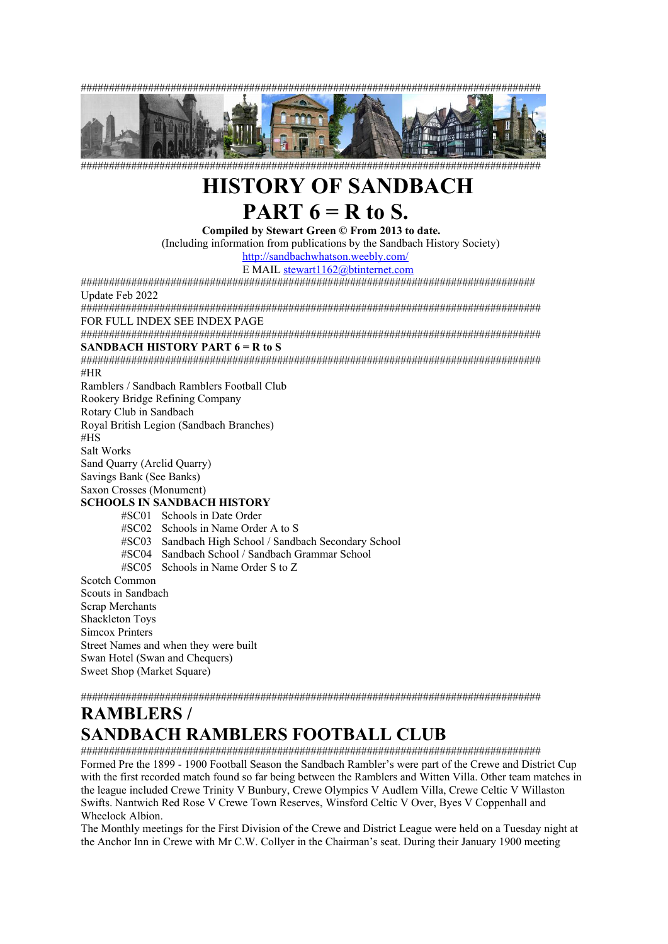



##################################################################################

# **HISTORY OF SANDBACH PART 6 = R to S.**

**Compiled by Stewart Green © From 2013 to date.** 

(Including information from publications by the Sandbach History Society)

<http://sandbachwhatson.weebly.com/>

E MAIL [stewart1162@btinternet.com](mailto:stewart1162@btinternet.com) ################################################################################# Update Feb 2022

################################################################################## FOR FULL INDEX SEE INDEX PAGE

################################################################################## **SANDBACH HISTORY PART 6 = R to S** 

################################################################################## #HR

Ramblers / Sandbach Ramblers Football Club

Rookery Bridge Refining Company

Rotary Club in Sandbach

Royal British Legion (Sandbach Branches)

#HS

Salt Works

Sand Quarry (Arclid Quarry)

Savings Bank (See Banks)

Saxon Crosses (Monument)

# **SCHOOLS IN SANDBACH HISTORY**

#SC01 Schools in Date Order #SC02 Schools in Name Order A to S #SC03 Sandbach High School / Sandbach Secondary School Sandbach School / Sandbach Grammar School #SC05 Schools in Name Order S to Z Scotch Common Scouts in Sandbach Scrap Merchants Shackleton Toys Simcox Printers Street Names and when they were built Swan Hotel (Swan and Chequers) Sweet Shop (Market Square)

##################################################################################

# **RAMBLERS / SANDBACH RAMBLERS FOOTBALL CLUB**

################################################################################## Formed Pre the 1899 - 1900 Football Season the Sandbach Rambler's were part of the Crewe and District Cup with the first recorded match found so far being between the Ramblers and Witten Villa. Other team matches in the league included Crewe Trinity V Bunbury, Crewe Olympics V Audlem Villa, Crewe Celtic V Willaston Swifts. Nantwich Red Rose V Crewe Town Reserves, Winsford Celtic V Over, Byes V Coppenhall and Wheelock Albion.

The Monthly meetings for the First Division of the Crewe and District League were held on a Tuesday night at the Anchor Inn in Crewe with Mr C.W. Collyer in the Chairman's seat. During their January 1900 meeting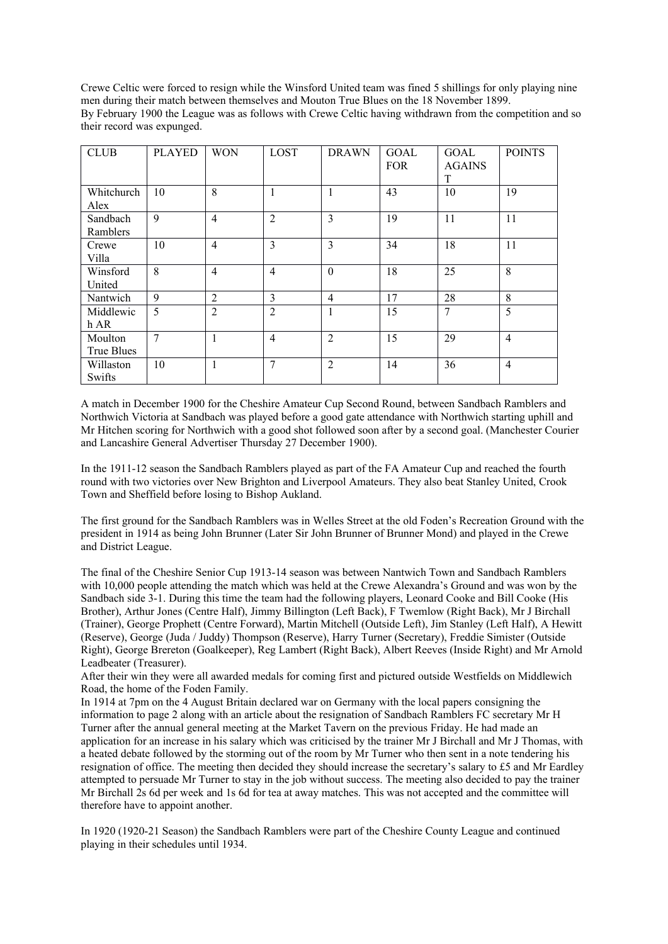Crewe Celtic were forced to resign while the Winsford United team was fined 5 shillings for only playing nine men during their match between themselves and Mouton True Blues on the 18 November 1899. By February 1900 the League was as follows with Crewe Celtic having withdrawn from the competition and so their record was expunged.

| <b>CLUB</b>           | <b>PLAYED</b> | <b>WON</b>     | LOST           | <b>DRAWN</b>   | GOAL<br><b>FOR</b> | GOAL<br><b>AGAINS</b><br>T | <b>POINTS</b>  |
|-----------------------|---------------|----------------|----------------|----------------|--------------------|----------------------------|----------------|
| Whitchurch<br>Alex    | 10            | 8              | $\mathbf{1}$   | 1              | 43                 | 10                         | 19             |
| Sandbach<br>Ramblers  | 9             | $\overline{4}$ | $\overline{2}$ | 3              | 19                 | 11                         | 11             |
| Crewe<br>Villa        | 10            | $\overline{4}$ | 3              | 3              | 34                 | 18                         | 11             |
| Winsford<br>United    | 8             | $\overline{4}$ | $\overline{4}$ | $\mathbf{0}$   | 18                 | 25                         | 8              |
| Nantwich              | 9             | $\overline{2}$ | 3              | $\overline{4}$ | 17                 | 28                         | 8              |
| Middlewic<br>hAR      | 5             | $\overline{2}$ | $\overline{2}$ | 1              | 15                 | 7                          | 5              |
| Moulton<br>True Blues | 7             | $\mathbf{1}$   | $\overline{4}$ | $\mathfrak{D}$ | 15                 | 29                         | $\overline{4}$ |
| Willaston<br>Swifts   | 10            | -1             | $\overline{7}$ | $\overline{2}$ | 14                 | 36                         | $\overline{4}$ |

A match in December 1900 for the Cheshire Amateur Cup Second Round, between Sandbach Ramblers and Northwich Victoria at Sandbach was played before a good gate attendance with Northwich starting uphill and Mr Hitchen scoring for Northwich with a good shot followed soon after by a second goal. (Manchester Courier and Lancashire General Advertiser Thursday 27 December 1900).

In the 1911-12 season the Sandbach Ramblers played as part of the FA Amateur Cup and reached the fourth round with two victories over New Brighton and Liverpool Amateurs. They also beat Stanley United, Crook Town and Sheffield before losing to Bishop Aukland.

The first ground for the Sandbach Ramblers was in Welles Street at the old Foden's Recreation Ground with the president in 1914 as being John Brunner (Later Sir John Brunner of Brunner Mond) and played in the Crewe and District League.

The final of the Cheshire Senior Cup 1913-14 season was between Nantwich Town and Sandbach Ramblers with 10,000 people attending the match which was held at the Crewe Alexandra's Ground and was won by the Sandbach side 3-1. During this time the team had the following players, Leonard Cooke and Bill Cooke (His Brother), Arthur Jones (Centre Half), Jimmy Billington (Left Back), F Twemlow (Right Back), Mr J Birchall (Trainer), George Prophett (Centre Forward), Martin Mitchell (Outside Left), Jim Stanley (Left Half), A Hewitt (Reserve), George (Juda / Juddy) Thompson (Reserve), Harry Turner (Secretary), Freddie Simister (Outside Right), George Brereton (Goalkeeper), Reg Lambert (Right Back), Albert Reeves (Inside Right) and Mr Arnold Leadbeater (Treasurer).

After their win they were all awarded medals for coming first and pictured outside Westfields on Middlewich Road, the home of the Foden Family.

In 1914 at 7pm on the 4 August Britain declared war on Germany with the local papers consigning the information to page 2 along with an article about the resignation of Sandbach Ramblers FC secretary Mr H Turner after the annual general meeting at the Market Tavern on the previous Friday. He had made an application for an increase in his salary which was criticised by the trainer Mr J Birchall and Mr J Thomas, with a heated debate followed by the storming out of the room by Mr Turner who then sent in a note tendering his resignation of office. The meeting then decided they should increase the secretary's salary to £5 and Mr Eardley attempted to persuade Mr Turner to stay in the job without success. The meeting also decided to pay the trainer Mr Birchall 2s 6d per week and 1s 6d for tea at away matches. This was not accepted and the committee will therefore have to appoint another.

In 1920 (1920-21 Season) the Sandbach Ramblers were part of the Cheshire County League and continued playing in their schedules until 1934.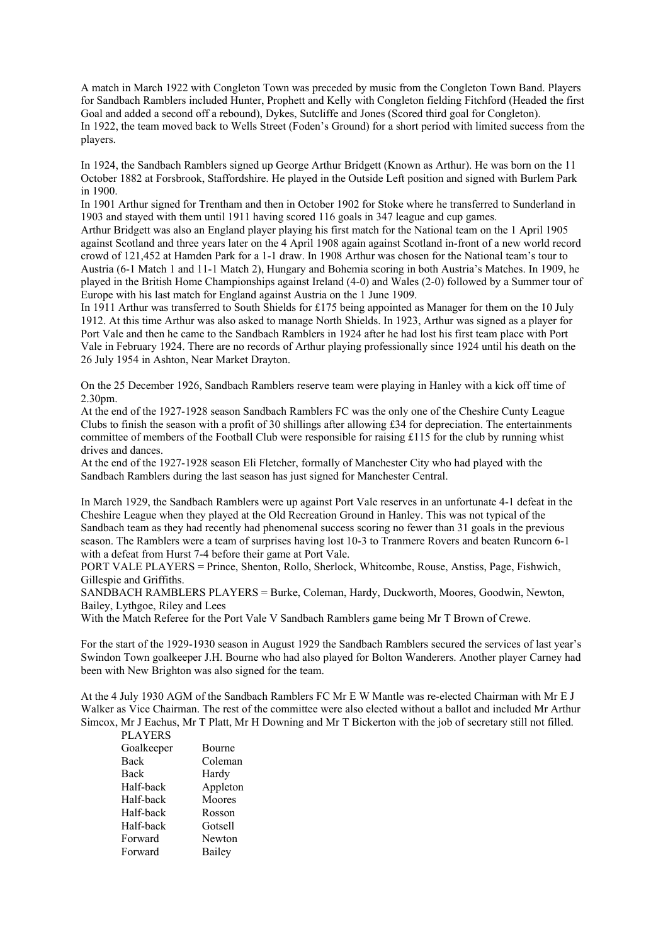A match in March 1922 with Congleton Town was preceded by music from the Congleton Town Band. Players for Sandbach Ramblers included Hunter, Prophett and Kelly with Congleton fielding Fitchford (Headed the first Goal and added a second off a rebound), Dykes, Sutcliffe and Jones (Scored third goal for Congleton). In 1922, the team moved back to Wells Street (Foden's Ground) for a short period with limited success from the players.

In 1924, the Sandbach Ramblers signed up George Arthur Bridgett (Known as Arthur). He was born on the 11 October 1882 at Forsbrook, Staffordshire. He played in the Outside Left position and signed with Burlem Park in 1900.

In 1901 Arthur signed for Trentham and then in October 1902 for Stoke where he transferred to Sunderland in 1903 and stayed with them until 1911 having scored 116 goals in 347 league and cup games.

Arthur Bridgett was also an England player playing his first match for the National team on the 1 April 1905 against Scotland and three years later on the 4 April 1908 again against Scotland in-front of a new world record crowd of 121,452 at Hamden Park for a 1-1 draw. In 1908 Arthur was chosen for the National team's tour to Austria (6-1 Match 1 and 11-1 Match 2), Hungary and Bohemia scoring in both Austria's Matches. In 1909, he played in the British Home Championships against Ireland (4-0) and Wales (2-0) followed by a Summer tour of Europe with his last match for England against Austria on the 1 June 1909.

In 1911 Arthur was transferred to South Shields for £175 being appointed as Manager for them on the 10 July 1912. At this time Arthur was also asked to manage North Shields. In 1923, Arthur was signed as a player for Port Vale and then he came to the Sandbach Ramblers in 1924 after he had lost his first team place with Port Vale in February 1924. There are no records of Arthur playing professionally since 1924 until his death on the 26 July 1954 in Ashton, Near Market Drayton.

On the 25 December 1926, Sandbach Ramblers reserve team were playing in Hanley with a kick off time of 2.30pm.

At the end of the 1927-1928 season Sandbach Ramblers FC was the only one of the Cheshire Cunty League Clubs to finish the season with a profit of 30 shillings after allowing £34 for depreciation. The entertainments committee of members of the Football Club were responsible for raising  $\pounds$ 115 for the club by running whist drives and dances.

At the end of the 1927-1928 season Eli Fletcher, formally of Manchester City who had played with the Sandbach Ramblers during the last season has just signed for Manchester Central.

In March 1929, the Sandbach Ramblers were up against Port Vale reserves in an unfortunate 4-1 defeat in the Cheshire League when they played at the Old Recreation Ground in Hanley. This was not typical of the Sandbach team as they had recently had phenomenal success scoring no fewer than 31 goals in the previous season. The Ramblers were a team of surprises having lost 10-3 to Tranmere Rovers and beaten Runcorn 6-1 with a defeat from Hurst 7-4 before their game at Port Vale.

PORT VALE PLAYERS = Prince, Shenton, Rollo, Sherlock, Whitcombe, Rouse, Anstiss, Page, Fishwich, Gillespie and Griffiths.

SANDBACH RAMBLERS PLAYERS = Burke, Coleman, Hardy, Duckworth, Moores, Goodwin, Newton, Bailey, Lythgoe, Riley and Lees

With the Match Referee for the Port Vale V Sandbach Ramblers game being Mr T Brown of Crewe.

For the start of the 1929-1930 season in August 1929 the Sandbach Ramblers secured the services of last year's Swindon Town goalkeeper J.H. Bourne who had also played for Bolton Wanderers. Another player Carney had been with New Brighton was also signed for the team.

At the 4 July 1930 AGM of the Sandbach Ramblers FC Mr E W Mantle was re-elected Chairman with Mr E J Walker as Vice Chairman. The rest of the committee were also elected without a ballot and included Mr Arthur Simcox, Mr J Eachus, Mr T Platt, Mr H Downing and Mr T Bickerton with the job of secretary still not filled.

| <b>PLAYERS</b> |               |
|----------------|---------------|
| Goalkeeper     | <b>Bourne</b> |
| Back           | Coleman       |
| <b>Back</b>    | Hardy         |
| Half-back      | Appleton      |
| Half-back      | Moores        |
| Half-back      | Rosson        |
| Half-back      | Gotsell       |
| Forward        | Newton        |
| Forward        | Bailey        |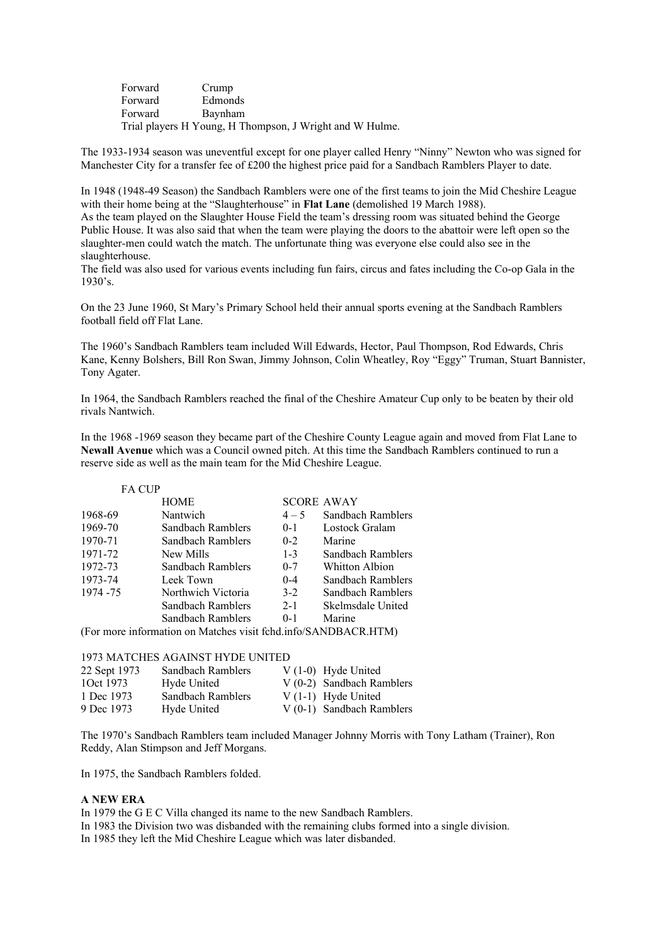| Forward | Crump                                                    |
|---------|----------------------------------------------------------|
| Forward | <b>Edmonds</b>                                           |
| Forward | Bavnham                                                  |
|         | Trial players H Young, H Thompson, J Wright and W Hulme. |

The 1933-1934 season was uneventful except for one player called Henry "Ninny" Newton who was signed for Manchester City for a transfer fee of £200 the highest price paid for a Sandbach Ramblers Player to date.

In 1948 (1948-49 Season) the Sandbach Ramblers were one of the first teams to join the Mid Cheshire League with their home being at the "Slaughterhouse" in **Flat Lane** (demolished 19 March 1988).

As the team played on the Slaughter House Field the team's dressing room was situated behind the George Public House. It was also said that when the team were playing the doors to the abattoir were left open so the slaughter-men could watch the match. The unfortunate thing was everyone else could also see in the slaughterhouse.

The field was also used for various events including fun fairs, circus and fates including the Co-op Gala in the 1930's.

On the 23 June 1960, St Mary's Primary School held their annual sports evening at the Sandbach Ramblers football field off Flat Lane.

The 1960's Sandbach Ramblers team included Will Edwards, Hector, Paul Thompson, Rod Edwards, Chris Kane, Kenny Bolshers, Bill Ron Swan, Jimmy Johnson, Colin Wheatley, Roy "Eggy" Truman, Stuart Bannister, Tony Agater.

In 1964, the Sandbach Ramblers reached the final of the Cheshire Amateur Cup only to be beaten by their old rivals Nantwich.

In the 1968 -1969 season they became part of the Cheshire County League again and moved from Flat Lane to **Newall Avenue** which was a Council owned pitch. At this time the Sandbach Ramblers continued to run a reserve side as well as the main team for the Mid Cheshire League.

| <b>FA CUP</b>                                                  |                    |         |                   |
|----------------------------------------------------------------|--------------------|---------|-------------------|
|                                                                | <b>HOME</b>        |         | <b>SCORE AWAY</b> |
| 1968-69                                                        | Nantwich           | $4 - 5$ | Sandbach Ramblers |
| 1969-70                                                        | Sandbach Ramblers  | $0 - 1$ | Lostock Gralam    |
| 1970-71                                                        | Sandbach Ramblers  | $0 - 2$ | Marine            |
| 1971-72                                                        | New Mills          | $1 - 3$ | Sandbach Ramblers |
| 1972-73                                                        | Sandbach Ramblers  | $0 - 7$ | Whitton Albion    |
| 1973-74                                                        | Leek Town          | $0 - 4$ | Sandbach Ramblers |
| 1974 - 75                                                      | Northwich Victoria | $3-2$   | Sandbach Ramblers |
|                                                                | Sandbach Ramblers  | $2 - 1$ | Skelmsdale United |
|                                                                | Sandbach Ramblers  | $0-1$   | Marine            |
| (For more information on Matches visit fchd.info/SANDBACR.HTM) |                    |         |                   |

# 1973 MATCHES AGAINST HYDE UNITED

| 22 Sept 1973 | Sandbach Ramblers | $V(1-0)$ Hyde United       |
|--------------|-------------------|----------------------------|
| 10ct 1973    | Hyde United       | $V(0-2)$ Sandbach Ramblers |
| 1 Dec 1973   | Sandbach Ramblers | $V(1-1)$ Hyde United       |
| 9 Dec 1973   | Hyde United       | $V(0-1)$ Sandbach Ramblers |

The 1970's Sandbach Ramblers team included Manager Johnny Morris with Tony Latham (Trainer), Ron Reddy, Alan Stimpson and Jeff Morgans.

In 1975, the Sandbach Ramblers folded.

# **A NEW ERA**

In 1979 the G E C Villa changed its name to the new Sandbach Ramblers.

In 1983 the Division two was disbanded with the remaining clubs formed into a single division.

In 1985 they left the Mid Cheshire League which was later disbanded.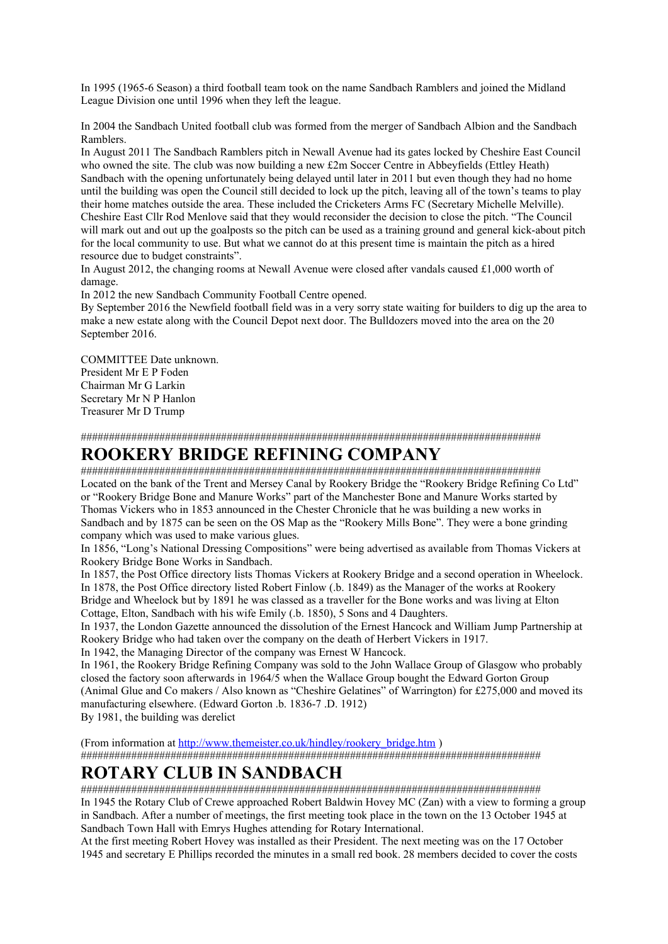In 1995 (1965-6 Season) a third football team took on the name Sandbach Ramblers and joined the Midland League Division one until 1996 when they left the league.

In 2004 the Sandbach United football club was formed from the merger of Sandbach Albion and the Sandbach Ramblers.

In August 2011 The Sandbach Ramblers pitch in Newall Avenue had its gates locked by Cheshire East Council who owned the site. The club was now building a new £2m Soccer Centre in Abbeyfields (Ettley Heath) Sandbach with the opening unfortunately being delayed until later in 2011 but even though they had no home until the building was open the Council still decided to lock up the pitch, leaving all of the town's teams to play their home matches outside the area. These included the Cricketers Arms FC (Secretary Michelle Melville). Cheshire East Cllr Rod Menlove said that they would reconsider the decision to close the pitch. "The Council will mark out and out up the goalposts so the pitch can be used as a training ground and general kick-about pitch for the local community to use. But what we cannot do at this present time is maintain the pitch as a hired resource due to budget constraints".

In August 2012, the changing rooms at Newall Avenue were closed after vandals caused £1,000 worth of damage.

In 2012 the new Sandbach Community Football Centre opened.

By September 2016 the Newfield football field was in a very sorry state waiting for builders to dig up the area to make a new estate along with the Council Depot next door. The Bulldozers moved into the area on the 20 September 2016.

COMMITTEE Date unknown. President Mr E P Foden Chairman Mr G Larkin Secretary Mr N P Hanlon Treasurer Mr D Trump

##################################################################################

# **ROOKERY BRIDGE REFINING COMPANY**

################################################################################## Located on the bank of the Trent and Mersey Canal by Rookery Bridge the "Rookery Bridge Refining Co Ltd" or "Rookery Bridge Bone and Manure Works" part of the Manchester Bone and Manure Works started by Thomas Vickers who in 1853 announced in the Chester Chronicle that he was building a new works in Sandbach and by 1875 can be seen on the OS Map as the "Rookery Mills Bone". They were a bone grinding company which was used to make various glues.

In 1856, "Long's National Dressing Compositions" were being advertised as available from Thomas Vickers at Rookery Bridge Bone Works in Sandbach.

In 1857, the Post Office directory lists Thomas Vickers at Rookery Bridge and a second operation in Wheelock. In 1878, the Post Office directory listed Robert Finlow (.b. 1849) as the Manager of the works at Rookery Bridge and Wheelock but by 1891 he was classed as a traveller for the Bone works and was living at Elton Cottage, Elton, Sandbach with his wife Emily (.b. 1850), 5 Sons and 4 Daughters.

In 1937, the London Gazette announced the dissolution of the Ernest Hancock and William Jump Partnership at Rookery Bridge who had taken over the company on the death of Herbert Vickers in 1917.

In 1942, the Managing Director of the company was Ernest W Hancock.

In 1961, the Rookery Bridge Refining Company was sold to the John Wallace Group of Glasgow who probably closed the factory soon afterwards in 1964/5 when the Wallace Group bought the Edward Gorton Group (Animal Glue and Co makers / Also known as "Cheshire Gelatines" of Warrington) for £275,000 and moved its manufacturing elsewhere. (Edward Gorton .b. 1836-7 .D. 1912)

By 1981, the building was derelict

(From information at [http://www.themeister.co.uk/hindley/rookery\\_bridge.htm](http://www.themeister.co.uk/hindley/rookery_bridge.htm) )

##################################################################################

# **ROTARY CLUB IN SANDBACH**

##################################################################################

In 1945 the Rotary Club of Crewe approached Robert Baldwin Hovey MC (Zan) with a view to forming a group in Sandbach. After a number of meetings, the first meeting took place in the town on the 13 October 1945 at Sandbach Town Hall with Emrys Hughes attending for Rotary International.

At the first meeting Robert Hovey was installed as their President. The next meeting was on the 17 October 1945 and secretary E Phillips recorded the minutes in a small red book. 28 members decided to cover the costs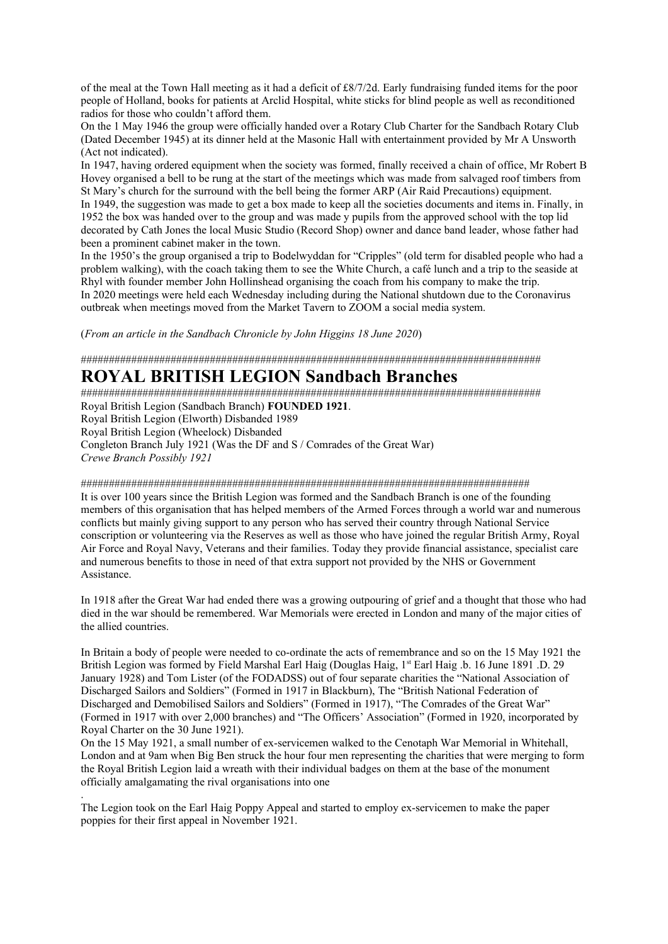of the meal at the Town Hall meeting as it had a deficit of £8/7/2d. Early fundraising funded items for the poor people of Holland, books for patients at Arclid Hospital, white sticks for blind people as well as reconditioned radios for those who couldn't afford them.

On the 1 May 1946 the group were officially handed over a Rotary Club Charter for the Sandbach Rotary Club (Dated December 1945) at its dinner held at the Masonic Hall with entertainment provided by Mr A Unsworth (Act not indicated).

In 1947, having ordered equipment when the society was formed, finally received a chain of office, Mr Robert B Hovey organised a bell to be rung at the start of the meetings which was made from salvaged roof timbers from St Mary's church for the surround with the bell being the former ARP (Air Raid Precautions) equipment. In 1949, the suggestion was made to get a box made to keep all the societies documents and items in. Finally, in 1952 the box was handed over to the group and was made y pupils from the approved school with the top lid decorated by Cath Jones the local Music Studio (Record Shop) owner and dance band leader, whose father had been a prominent cabinet maker in the town.

In the 1950's the group organised a trip to Bodelwyddan for "Cripples" (old term for disabled people who had a problem walking), with the coach taking them to see the White Church, a café lunch and a trip to the seaside at Rhyl with founder member John Hollinshead organising the coach from his company to make the trip. In 2020 meetings were held each Wednesday including during the National shutdown due to the Coronavirus outbreak when meetings moved from the Market Tavern to ZOOM a social media system.

(*From an article in the Sandbach Chronicle by John Higgins 18 June 2020*)

##################################################################################

# **ROYAL BRITISH LEGION Sandbach Branches**

##################################################################################

Royal British Legion (Sandbach Branch) **FOUNDED 1921**.

Royal British Legion (Elworth) Disbanded 1989

Royal British Legion (Wheelock) Disbanded

.

Congleton Branch July 1921 (Was the DF and S / Comrades of the Great War) *Crewe Branch Possibly 1921*

# ################################################################################

It is over 100 years since the British Legion was formed and the Sandbach Branch is one of the founding members of this organisation that has helped members of the Armed Forces through a world war and numerous conflicts but mainly giving support to any person who has served their country through National Service conscription or volunteering via the Reserves as well as those who have joined the regular British Army, Royal Air Force and Royal Navy, Veterans and their families. Today they provide financial assistance, specialist care and numerous benefits to those in need of that extra support not provided by the NHS or Government Assistance.

In 1918 after the Great War had ended there was a growing outpouring of grief and a thought that those who had died in the war should be remembered. War Memorials were erected in London and many of the major cities of the allied countries.

In Britain a body of people were needed to co-ordinate the acts of remembrance and so on the 15 May 1921 the British Legion was formed by Field Marshal Earl Haig (Douglas Haig, 1<sup>st</sup> Earl Haig .b. 16 June 1891 .D. 29 January 1928) and Tom Lister (of the FODADSS) out of four separate charities the "National Association of Discharged Sailors and Soldiers" (Formed in 1917 in Blackburn), The "British National Federation of Discharged and Demobilised Sailors and Soldiers" (Formed in 1917), "The Comrades of the Great War" (Formed in 1917 with over 2,000 branches) and "The Officers' Association" (Formed in 1920, incorporated by Royal Charter on the 30 June 1921).

On the 15 May 1921, a small number of ex-servicemen walked to the Cenotaph War Memorial in Whitehall, London and at 9am when Big Ben struck the hour four men representing the charities that were merging to form the Royal British Legion laid a wreath with their individual badges on them at the base of the monument officially amalgamating the rival organisations into one

The Legion took on the Earl Haig Poppy Appeal and started to employ ex-servicemen to make the paper poppies for their first appeal in November 1921.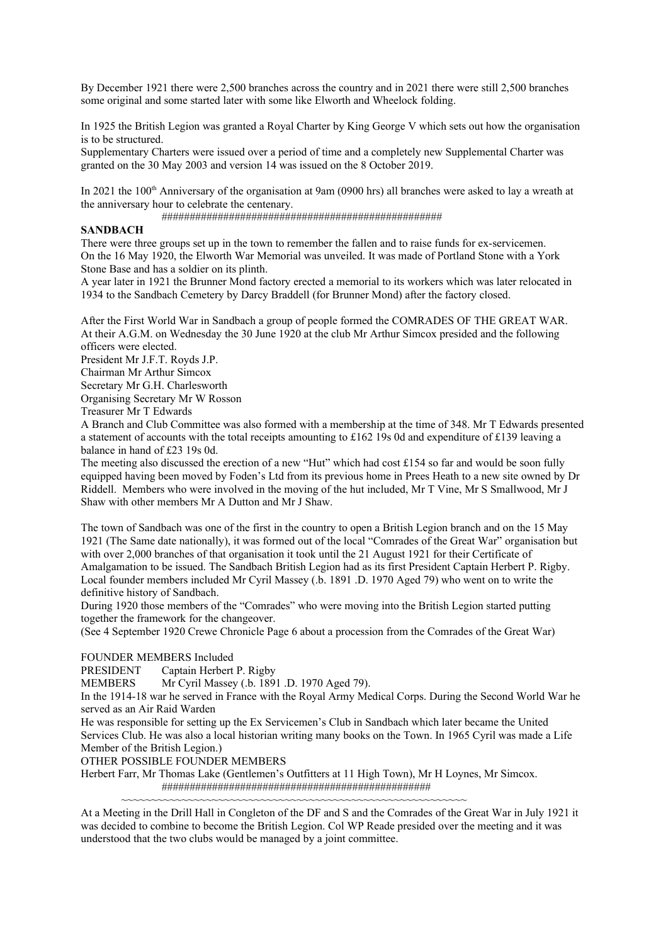By December 1921 there were 2,500 branches across the country and in 2021 there were still 2,500 branches some original and some started later with some like Elworth and Wheelock folding.

In 1925 the British Legion was granted a Royal Charter by King George V which sets out how the organisation is to be structured.

Supplementary Charters were issued over a period of time and a completely new Supplemental Charter was granted on the 30 May 2003 and version 14 was issued on the 8 October 2019.

In 2021 the  $100<sup>th</sup>$  Anniversary of the organisation at 9am (0900 hrs) all branches were asked to lay a wreath at the anniversary hour to celebrate the centenary.

##################################################

# **SANDBACH**

There were three groups set up in the town to remember the fallen and to raise funds for ex-servicemen. On the 16 May 1920, the Elworth War Memorial was unveiled. It was made of Portland Stone with a York Stone Base and has a soldier on its plinth.

A year later in 1921 the Brunner Mond factory erected a memorial to its workers which was later relocated in 1934 to the Sandbach Cemetery by Darcy Braddell (for Brunner Mond) after the factory closed.

After the First World War in Sandbach a group of people formed the COMRADES OF THE GREAT WAR. At their A.G.M. on Wednesday the 30 June 1920 at the club Mr Arthur Simcox presided and the following officers were elected.

President Mr J.F.T. Royds J.P.

Chairman Mr Arthur Simcox

Secretary Mr G.H. Charlesworth

Organising Secretary Mr W Rosson

Treasurer Mr T Edwards

A Branch and Club Committee was also formed with a membership at the time of 348. Mr T Edwards presented a statement of accounts with the total receipts amounting to £162 19s 0d and expenditure of £139 leaving a balance in hand of £23 19s 0d.

The meeting also discussed the erection of a new "Hut" which had cost £154 so far and would be soon fully equipped having been moved by Foden's Ltd from its previous home in Prees Heath to a new site owned by Dr Riddell. Members who were involved in the moving of the hut included, Mr T Vine, Mr S Smallwood, Mr J Shaw with other members Mr A Dutton and Mr J Shaw.

The town of Sandbach was one of the first in the country to open a British Legion branch and on the 15 May 1921 (The Same date nationally), it was formed out of the local "Comrades of the Great War" organisation but with over 2,000 branches of that organisation it took until the 21 August 1921 for their Certificate of Amalgamation to be issued. The Sandbach British Legion had as its first President Captain Herbert P. Rigby. Local founder members included Mr Cyril Massey (.b. 1891 .D. 1970 Aged 79) who went on to write the definitive history of Sandbach.

During 1920 those members of the "Comrades" who were moving into the British Legion started putting together the framework for the changeover.

(See 4 September 1920 Crewe Chronicle Page 6 about a procession from the Comrades of the Great War)

## FOUNDER MEMBERS Included

PRESIDENT Captain Herbert P. Rigby

MEMBERS Mr Cyril Massey (.b. 1891 .D. 1970 Aged 79).

In the 1914-18 war he served in France with the Royal Army Medical Corps. During the Second World War he served as an Air Raid Warden

He was responsible for setting up the Ex Servicemen's Club in Sandbach which later became the United Services Club. He was also a local historian writing many books on the Town. In 1965 Cyril was made a Life Member of the British Legion.)

OTHER POSSIBLE FOUNDER MEMBERS

Herbert Farr, Mr Thomas Lake (Gentlemen's Outfitters at 11 High Town), Mr H Loynes, Mr Simcox. ################################################

~~~~~~~~~~~~~~~~~~~~~~~~~~~~~~~~~~~~~~~~~~~~~~~~~~~~~~~~~

At a Meeting in the Drill Hall in Congleton of the DF and S and the Comrades of the Great War in July 1921 it was decided to combine to become the British Legion. Col WP Reade presided over the meeting and it was understood that the two clubs would be managed by a joint committee.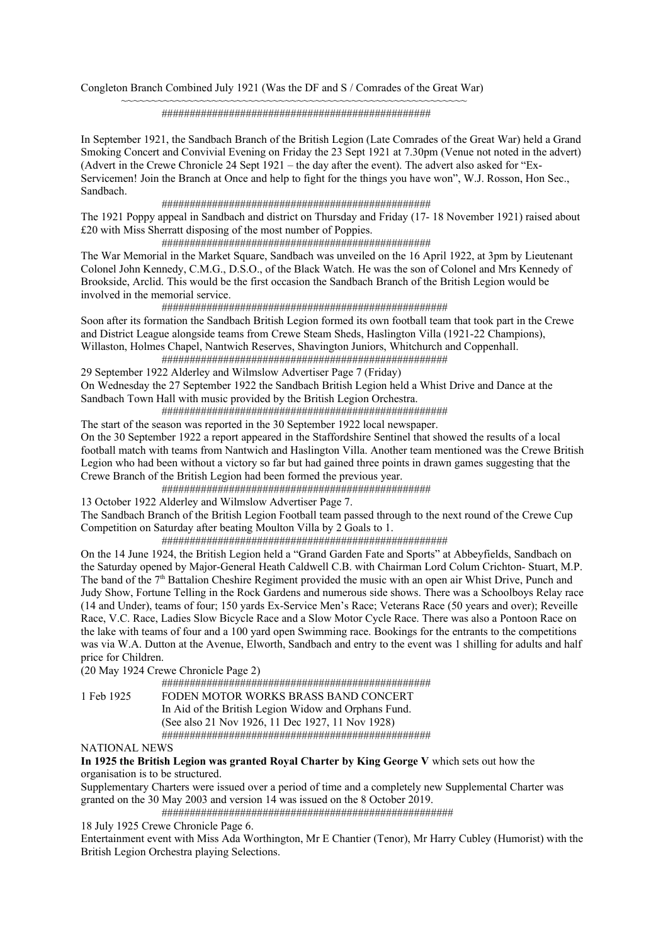Congleton Branch Combined July 1921 (Was the DF and S / Comrades of the Great War)

~~~~~~~~~~~~~~~~~~~~~~~~~~~~~~~~~~~~~~~~~~~~~~~~~~~~~~~~~

################################################

In September 1921, the Sandbach Branch of the British Legion (Late Comrades of the Great War) held a Grand Smoking Concert and Convivial Evening on Friday the 23 Sept 1921 at 7.30pm (Venue not noted in the advert) (Advert in the Crewe Chronicle 24 Sept 1921 – the day after the event). The advert also asked for "Ex-Servicemen! Join the Branch at Once and help to fight for the things you have won", W.J. Rosson, Hon Sec., Sandbach.

################################################

The 1921 Poppy appeal in Sandbach and district on Thursday and Friday (17- 18 November 1921) raised about £20 with Miss Sherratt disposing of the most number of Poppies.

################################################

The War Memorial in the Market Square, Sandbach was unveiled on the 16 April 1922, at 3pm by Lieutenant Colonel John Kennedy, C.M.G., D.S.O., of the Black Watch. He was the son of Colonel and Mrs Kennedy of Brookside, Arclid. This would be the first occasion the Sandbach Branch of the British Legion would be involved in the memorial service.

###################################################

Soon after its formation the Sandbach British Legion formed its own football team that took part in the Crewe and District League alongside teams from Crewe Steam Sheds, Haslington Villa (1921-22 Champions), Willaston, Holmes Chapel, Nantwich Reserves, Shavington Juniors, Whitchurch and Coppenhall. ###################################################

29 September 1922 Alderley and Wilmslow Advertiser Page 7 (Friday) On Wednesday the 27 September 1922 the Sandbach British Legion held a Whist Drive and Dance at the Sandbach Town Hall with music provided by the British Legion Orchestra.

###################################################

The start of the season was reported in the 30 September 1922 local newspaper. On the 30 September 1922 a report appeared in the Staffordshire Sentinel that showed the results of a local football match with teams from Nantwich and Haslington Villa. Another team mentioned was the Crewe British Legion who had been without a victory so far but had gained three points in drawn games suggesting that the Crewe Branch of the British Legion had been formed the previous year.

################################################

13 October 1922 Alderley and Wilmslow Advertiser Page 7.

The Sandbach Branch of the British Legion Football team passed through to the next round of the Crewe Cup Competition on Saturday after beating Moulton Villa by 2 Goals to 1.

###################################################

On the 14 June 1924, the British Legion held a "Grand Garden Fate and Sports" at Abbeyfields, Sandbach on the Saturday opened by Major-General Heath Caldwell C.B. with Chairman Lord Colum Crichton- Stuart, M.P. The band of the 7<sup>th</sup> Battalion Cheshire Regiment provided the music with an open air Whist Drive, Punch and Judy Show, Fortune Telling in the Rock Gardens and numerous side shows. There was a Schoolboys Relay race (14 and Under), teams of four; 150 yards Ex-Service Men's Race; Veterans Race (50 years and over); Reveille Race, V.C. Race, Ladies Slow Bicycle Race and a Slow Motor Cycle Race. There was also a Pontoon Race on the lake with teams of four and a 100 yard open Swimming race. Bookings for the entrants to the competitions was via W.A. Dutton at the Avenue, Elworth, Sandbach and entry to the event was 1 shilling for adults and half price for Children.

(20 May 1924 Crewe Chronicle Page 2)

################################################

1 Feb 1925 FODEN MOTOR WORKS BRASS BAND CONCERT In Aid of the British Legion Widow and Orphans Fund. (See also 21 Nov 1926, 11 Dec 1927, 11 Nov 1928) ################################################

NATIONAL NEWS

**In 1925 the British Legion was granted Royal Charter by King George V** which sets out how the organisation is to be structured.

Supplementary Charters were issued over a period of time and a completely new Supplemental Charter was granted on the 30 May 2003 and version 14 was issued on the 8 October 2019.

####################################################

18 July 1925 Crewe Chronicle Page 6.

Entertainment event with Miss Ada Worthington, Mr E Chantier (Tenor), Mr Harry Cubley (Humorist) with the British Legion Orchestra playing Selections.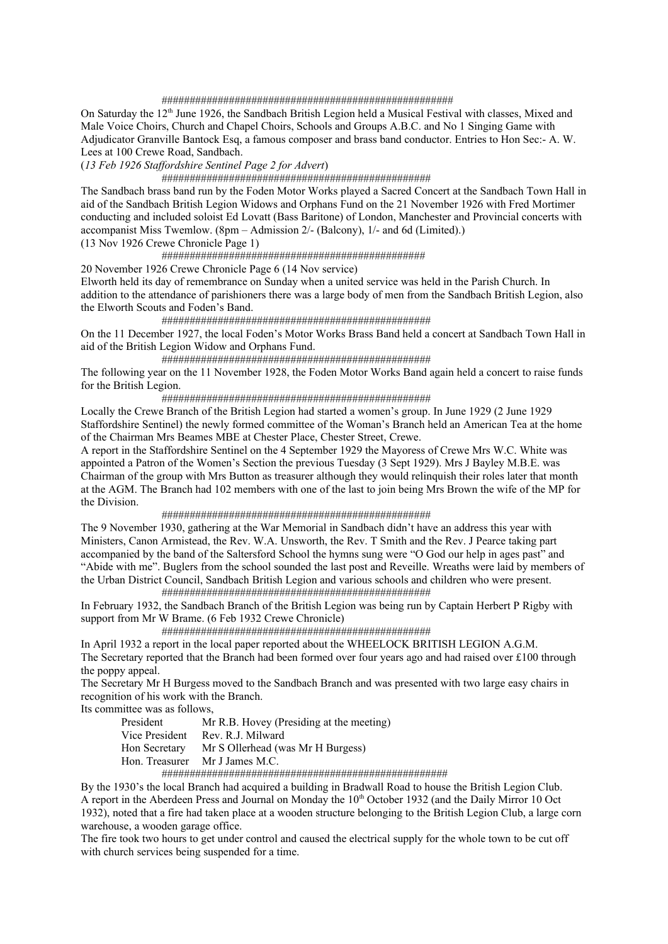#### ####################################################

On Saturday the  $12<sup>th</sup>$  June 1926, the Sandbach British Legion held a Musical Festival with classes, Mixed and Male Voice Choirs, Church and Chapel Choirs, Schools and Groups A.B.C. and No 1 Singing Game with Adjudicator Granville Bantock Esq, a famous composer and brass band conductor. Entries to Hon Sec:- A. W. Lees at 100 Crewe Road, Sandbach.

(*13 Feb 1926 Staffordshire Sentinel Page 2 for Advert*)

################################################

The Sandbach brass band run by the Foden Motor Works played a Sacred Concert at the Sandbach Town Hall in aid of the Sandbach British Legion Widows and Orphans Fund on the 21 November 1926 with Fred Mortimer conducting and included soloist Ed Lovatt (Bass Baritone) of London, Manchester and Provincial concerts with accompanist Miss Twemlow. (8pm – Admission 2/- (Balcony), 1/- and 6d (Limited).)

(13 Nov 1926 Crewe Chronicle Page 1)

###############################################

20 November 1926 Crewe Chronicle Page 6 (14 Nov service)

Elworth held its day of remembrance on Sunday when a united service was held in the Parish Church. In addition to the attendance of parishioners there was a large body of men from the Sandbach British Legion, also the Elworth Scouts and Foden's Band.

################################################

On the 11 December 1927, the local Foden's Motor Works Brass Band held a concert at Sandbach Town Hall in aid of the British Legion Widow and Orphans Fund.

################################################

The following year on the 11 November 1928, the Foden Motor Works Band again held a concert to raise funds for the British Legion.

################################################

Locally the Crewe Branch of the British Legion had started a women's group. In June 1929 (2 June 1929 Staffordshire Sentinel) the newly formed committee of the Woman's Branch held an American Tea at the home of the Chairman Mrs Beames MBE at Chester Place, Chester Street, Crewe.

A report in the Staffordshire Sentinel on the 4 September 1929 the Mayoress of Crewe Mrs W.C. White was appointed a Patron of the Women's Section the previous Tuesday (3 Sept 1929). Mrs J Bayley M.B.E. was Chairman of the group with Mrs Button as treasurer although they would relinquish their roles later that month at the AGM. The Branch had 102 members with one of the last to join being Mrs Brown the wife of the MP for the Division.

#### ################################################

The 9 November 1930, gathering at the War Memorial in Sandbach didn't have an address this year with Ministers, Canon Armistead, the Rev. W.A. Unsworth, the Rev. T Smith and the Rev. J Pearce taking part accompanied by the band of the Saltersford School the hymns sung were "O God our help in ages past" and "Abide with me". Buglers from the school sounded the last post and Reveille. Wreaths were laid by members of the Urban District Council, Sandbach British Legion and various schools and children who were present. ################################################

In February 1932, the Sandbach Branch of the British Legion was being run by Captain Herbert P Rigby with support from Mr W Brame. (6 Feb 1932 Crewe Chronicle)

################################################

In April 1932 a report in the local paper reported about the WHEELOCK BRITISH LEGION A.G.M.

The Secretary reported that the Branch had been formed over four years ago and had raised over £100 through the poppy appeal.

The Secretary Mr H Burgess moved to the Sandbach Branch and was presented with two large easy chairs in recognition of his work with the Branch.

Its committee was as follows,

President Mr R.B. Hovey (Presiding at the meeting) Vice President Rev. R.J. Milward Hon Secretary Mr S Ollerhead (was Mr H Burgess) Hon. Treasurer Mr J James M.C. ###################################################

By the 1930's the local Branch had acquired a building in Bradwall Road to house the British Legion Club. A report in the Aberdeen Press and Journal on Monday the 10<sup>th</sup> October 1932 (and the Daily Mirror 10 Oct 1932), noted that a fire had taken place at a wooden structure belonging to the British Legion Club, a large corn warehouse, a wooden garage office.

The fire took two hours to get under control and caused the electrical supply for the whole town to be cut off with church services being suspended for a time.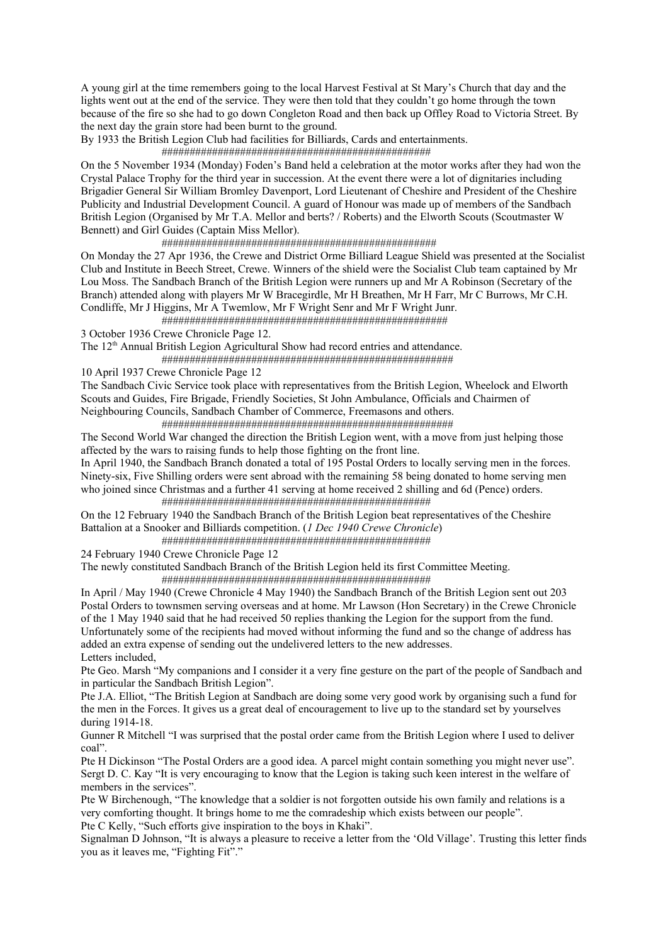A young girl at the time remembers going to the local Harvest Festival at St Mary's Church that day and the lights went out at the end of the service. They were then told that they couldn't go home through the town because of the fire so she had to go down Congleton Road and then back up Offley Road to Victoria Street. By the next day the grain store had been burnt to the ground.

By 1933 the British Legion Club had facilities for Billiards, Cards and entertainments.

# ################################################

On the 5 November 1934 (Monday) Foden's Band held a celebration at the motor works after they had won the Crystal Palace Trophy for the third year in succession. At the event there were a lot of dignitaries including Brigadier General Sir William Bromley Davenport, Lord Lieutenant of Cheshire and President of the Cheshire Publicity and Industrial Development Council. A guard of Honour was made up of members of the Sandbach British Legion (Organised by Mr T.A. Mellor and berts? / Roberts) and the Elworth Scouts (Scoutmaster W Bennett) and Girl Guides (Captain Miss Mellor).

#################################################

On Monday the 27 Apr 1936, the Crewe and District Orme Billiard League Shield was presented at the Socialist Club and Institute in Beech Street, Crewe. Winners of the shield were the Socialist Club team captained by Mr Lou Moss. The Sandbach Branch of the British Legion were runners up and Mr A Robinson (Secretary of the Branch) attended along with players Mr W Bracegirdle, Mr H Breathen, Mr H Farr, Mr C Burrows, Mr C.H. Condliffe, Mr J Higgins, Mr A Twemlow, Mr F Wright Senr and Mr F Wright Junr.

###################################################

3 October 1936 Crewe Chronicle Page 12.

The 12<sup>th</sup> Annual British Legion Agricultural Show had record entries and attendance. ####################################################

10 April 1937 Crewe Chronicle Page 12

The Sandbach Civic Service took place with representatives from the British Legion, Wheelock and Elworth Scouts and Guides, Fire Brigade, Friendly Societies, St John Ambulance, Officials and Chairmen of Neighbouring Councils, Sandbach Chamber of Commerce, Freemasons and others. ####################################################

The Second World War changed the direction the British Legion went, with a move from just helping those affected by the wars to raising funds to help those fighting on the front line.

In April 1940, the Sandbach Branch donated a total of 195 Postal Orders to locally serving men in the forces. Ninety-six, Five Shilling orders were sent abroad with the remaining 58 being donated to home serving men who joined since Christmas and a further 41 serving at home received 2 shilling and 6d (Pence) orders. ################################################

On the 12 February 1940 the Sandbach Branch of the British Legion beat representatives of the Cheshire Battalion at a Snooker and Billiards competition. (*1 Dec 1940 Crewe Chronicle*) ################################################

24 February 1940 Crewe Chronicle Page 12

The newly constituted Sandbach Branch of the British Legion held its first Committee Meeting. ################################################

In April / May 1940 (Crewe Chronicle 4 May 1940) the Sandbach Branch of the British Legion sent out 203 Postal Orders to townsmen serving overseas and at home. Mr Lawson (Hon Secretary) in the Crewe Chronicle of the 1 May 1940 said that he had received 50 replies thanking the Legion for the support from the fund. Unfortunately some of the recipients had moved without informing the fund and so the change of address has added an extra expense of sending out the undelivered letters to the new addresses. Letters included,

Pte Geo. Marsh "My companions and I consider it a very fine gesture on the part of the people of Sandbach and in particular the Sandbach British Legion".

Pte J.A. Elliot, "The British Legion at Sandbach are doing some very good work by organising such a fund for the men in the Forces. It gives us a great deal of encouragement to live up to the standard set by yourselves during 1914-18.

Gunner R Mitchell "I was surprised that the postal order came from the British Legion where I used to deliver coal".

Pte H Dickinson "The Postal Orders are a good idea. A parcel might contain something you might never use". Sergt D. C. Kay "It is very encouraging to know that the Legion is taking such keen interest in the welfare of members in the services".

Pte W Birchenough, "The knowledge that a soldier is not forgotten outside his own family and relations is a very comforting thought. It brings home to me the comradeship which exists between our people". Pte C Kelly, "Such efforts give inspiration to the boys in Khaki".

Signalman D Johnson, "It is always a pleasure to receive a letter from the 'Old Village'. Trusting this letter finds you as it leaves me, "Fighting Fit"."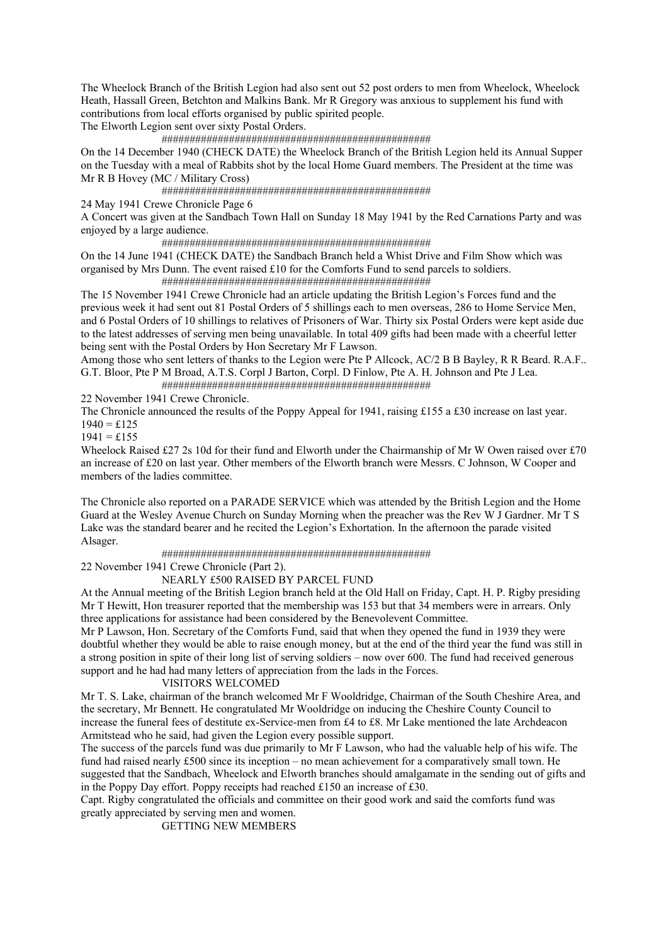The Wheelock Branch of the British Legion had also sent out 52 post orders to men from Wheelock, Wheelock Heath, Hassall Green, Betchton and Malkins Bank. Mr R Gregory was anxious to supplement his fund with contributions from local efforts organised by public spirited people.

The Elworth Legion sent over sixty Postal Orders.

################################################

On the 14 December 1940 (CHECK DATE) the Wheelock Branch of the British Legion held its Annual Supper on the Tuesday with a meal of Rabbits shot by the local Home Guard members. The President at the time was Mr R B Hovey (MC / Military Cross)

################################################

24 May 1941 Crewe Chronicle Page 6

A Concert was given at the Sandbach Town Hall on Sunday 18 May 1941 by the Red Carnations Party and was enjoyed by a large audience.

################################################

On the 14 June 1941 (CHECK DATE) the Sandbach Branch held a Whist Drive and Film Show which was organised by Mrs Dunn. The event raised £10 for the Comforts Fund to send parcels to soldiers. ################################################

The 15 November 1941 Crewe Chronicle had an article updating the British Legion's Forces fund and the previous week it had sent out 81 Postal Orders of 5 shillings each to men overseas, 286 to Home Service Men, and 6 Postal Orders of 10 shillings to relatives of Prisoners of War. Thirty six Postal Orders were kept aside due to the latest addresses of serving men being unavailable. In total 409 gifts had been made with a cheerful letter being sent with the Postal Orders by Hon Secretary Mr F Lawson.

Among those who sent letters of thanks to the Legion were Pte P Allcock, AC/2 B B Bayley, R R Beard. R.A.F.. G.T. Bloor, Pte P M Broad, A.T.S. Corpl J Barton, Corpl. D Finlow, Pte A. H. Johnson and Pte J Lea. ################################################

22 November 1941 Crewe Chronicle.

The Chronicle announced the results of the Poppy Appeal for 1941, raising £155 a £30 increase on last year.  $1940 = \pounds125$ 

 $1941 = £155$ 

Wheelock Raised £27 2s 10d for their fund and Elworth under the Chairmanship of Mr W Owen raised over £70 an increase of £20 on last year. Other members of the Elworth branch were Messrs. C Johnson, W Cooper and members of the ladies committee.

The Chronicle also reported on a PARADE SERVICE which was attended by the British Legion and the Home Guard at the Wesley Avenue Church on Sunday Morning when the preacher was the Rev W J Gardner. Mr T S Lake was the standard bearer and he recited the Legion's Exhortation. In the afternoon the parade visited Alsager.

################################################

22 November 1941 Crewe Chronicle (Part 2).

# NEARLY £500 RAISED BY PARCEL FUND

At the Annual meeting of the British Legion branch held at the Old Hall on Friday, Capt. H. P. Rigby presiding Mr T Hewitt, Hon treasurer reported that the membership was 153 but that 34 members were in arrears. Only three applications for assistance had been considered by the Benevolevent Committee.

Mr P Lawson, Hon. Secretary of the Comforts Fund, said that when they opened the fund in 1939 they were doubtful whether they would be able to raise enough money, but at the end of the third year the fund was still in a strong position in spite of their long list of serving soldiers – now over 600. The fund had received generous support and he had had many letters of appreciation from the lads in the Forces.

# VISITORS WELCOMED

Mr T. S. Lake, chairman of the branch welcomed Mr F Wooldridge, Chairman of the South Cheshire Area, and the secretary, Mr Bennett. He congratulated Mr Wooldridge on inducing the Cheshire County Council to increase the funeral fees of destitute ex-Service-men from £4 to £8. Mr Lake mentioned the late Archdeacon Armitstead who he said, had given the Legion every possible support.

The success of the parcels fund was due primarily to Mr F Lawson, who had the valuable help of his wife. The fund had raised nearly £500 since its inception – no mean achievement for a comparatively small town. He suggested that the Sandbach, Wheelock and Elworth branches should amalgamate in the sending out of gifts and in the Poppy Day effort. Poppy receipts had reached £150 an increase of £30.

Capt. Rigby congratulated the officials and committee on their good work and said the comforts fund was greatly appreciated by serving men and women.

GETTING NEW MEMBERS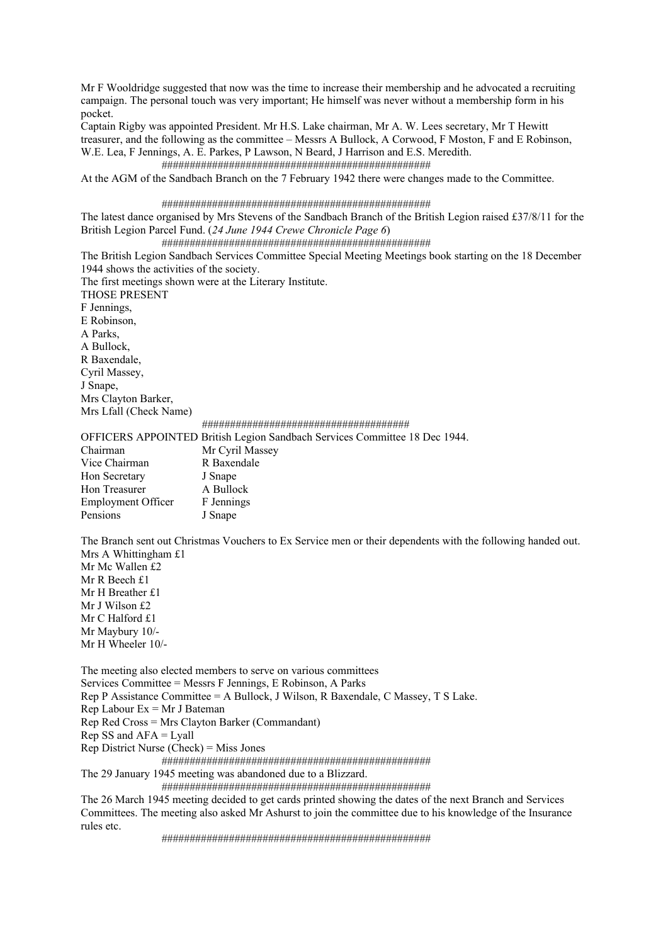Mr F Wooldridge suggested that now was the time to increase their membership and he advocated a recruiting campaign. The personal touch was very important; He himself was never without a membership form in his pocket.

Captain Rigby was appointed President. Mr H.S. Lake chairman, Mr A. W. Lees secretary, Mr T Hewitt treasurer, and the following as the committee – Messrs A Bullock, A Corwood, F Moston, F and E Robinson, W.E. Lea, F Jennings, A. E. Parkes, P Lawson, N Beard, J Harrison and E.S. Meredith.

 ################################################ At the AGM of the Sandbach Branch on the 7 February 1942 there were changes made to the Committee.

#### ################################################

The latest dance organised by Mrs Stevens of the Sandbach Branch of the British Legion raised £37/8/11 for the British Legion Parcel Fund. (*24 June 1944 Crewe Chronicle Page 6*)

################################################

The British Legion Sandbach Services Committee Special Meeting Meetings book starting on the 18 December 1944 shows the activities of the society.

The first meetings shown were at the Literary Institute.

THOSE PRESENT F Jennings, E Robinson, A Parks, A Bullock, R Baxendale, Cyril Massey, J Snape, Mrs Clayton Barker, Mrs Lfall (Check Name)

#### #####################################

# OFFICERS APPOINTED British Legion Sandbach Services Committee 18 Dec 1944.

| Mr Cyril Massey |
|-----------------|
| R Baxendale     |
| J Snape         |
| A Bullock       |
| F Jennings      |
| J Snape         |
|                 |

The Branch sent out Christmas Vouchers to Ex Service men or their dependents with the following handed out. Mrs A Whittingham £1

Mr Mc Wallen £2 Mr R Beech £1 Mr H Breather £1 Mr J Wilson £2 Mr C Halford £1 Mr Maybury 10/- Mr H Wheeler 10/-

The meeting also elected members to serve on various committees Services Committee = Messrs F Jennings, E Robinson, A Parks Rep P Assistance Committee = A Bullock, J Wilson, R Baxendale, C Massey, T S Lake. Rep Labour Ex = Mr J Bateman Rep Red Cross = Mrs Clayton Barker (Commandant)  $Rep SS$  and  $AFA = Lyall$ 

Rep District Nurse (Check) = Miss Jones

################################################

The 29 January 1945 meeting was abandoned due to a Blizzard.

################################################

The 26 March 1945 meeting decided to get cards printed showing the dates of the next Branch and Services Committees. The meeting also asked Mr Ashurst to join the committee due to his knowledge of the Insurance rules etc.

################################################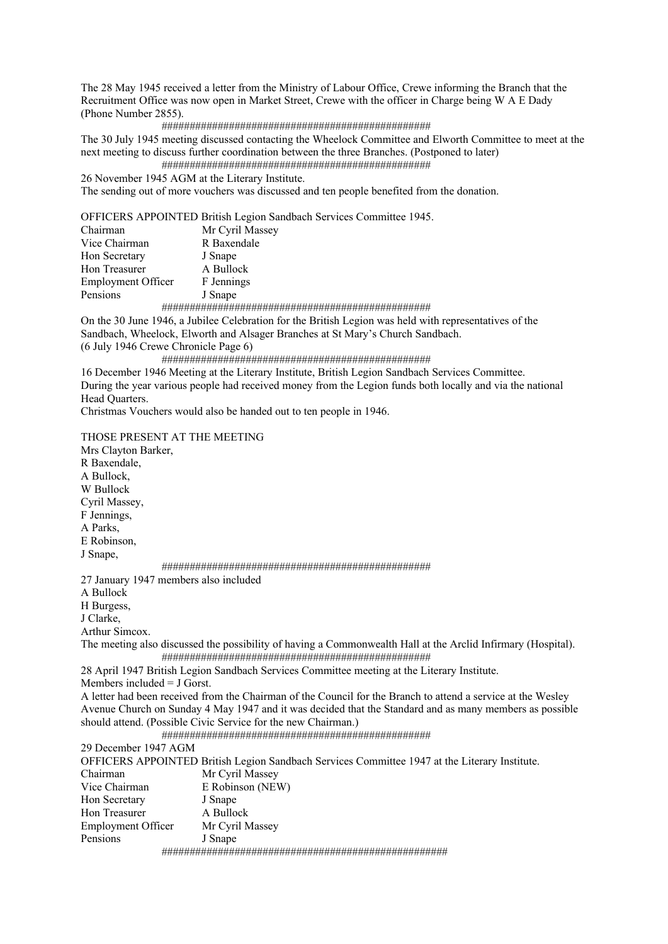The 28 May 1945 received a letter from the Ministry of Labour Office, Crewe informing the Branch that the Recruitment Office was now open in Market Street, Crewe with the officer in Charge being W A E Dady (Phone Number 2855).

#### ################################################

The 30 July 1945 meeting discussed contacting the Wheelock Committee and Elworth Committee to meet at the next meeting to discuss further coordination between the three Branches. (Postponed to later) ################################################

26 November 1945 AGM at the Literary Institute. The sending out of more vouchers was discussed and ten people benefited from the donation.

OFFICERS APPOINTED British Legion Sandbach Services Committee 1945.

| Chairman                  | Mr Cyril Massey |
|---------------------------|-----------------|
| Vice Chairman             | R Baxendale     |
| Hon Secretary             | J Snape         |
| Hon Treasurer             | A Bullock       |
| <b>Employment Officer</b> | F Jennings      |
| Pensions                  | J Snape         |
|                           |                 |

On the 30 June 1946, a Jubilee Celebration for the British Legion was held with representatives of the Sandbach, Wheelock, Elworth and Alsager Branches at St Mary's Church Sandbach. (6 July 1946 Crewe Chronicle Page 6)

################################################

16 December 1946 Meeting at the Literary Institute, British Legion Sandbach Services Committee. During the year various people had received money from the Legion funds both locally and via the national Head Quarters.

Christmas Vouchers would also be handed out to ten people in 1946.

THOSE PRESENT AT THE MEETING

Mrs Clayton Barker, R Baxendale, A Bullock, W Bullock Cyril Massey, F Jennings, A Parks, E Robinson, J Snape, ################################################ 27 January 1947 members also included A Bullock H Burgess, J Clarke, Arthur Simcox. The meeting also discussed the possibility of having a Commonwealth Hall at the Arclid Infirmary (Hospital). ################################################ 28 April 1947 British Legion Sandbach Services Committee meeting at the Literary Institute. Members included = J Gorst. A letter had been received from the Chairman of the Council for the Branch to attend a service at the Wesley Avenue Church on Sunday 4 May 1947 and it was decided that the Standard and as many members as possible should attend. (Possible Civic Service for the new Chairman.) ################################################ 29 December 1947 AGM OFFICERS APPOINTED British Legion Sandbach Services Committee 1947 at the Literary Institute. Chairman Mr Cyril Massey Vice Chairman E Robinson (NEW) Hon Secretary J Snape Hon Treasurer **A Bullock** Employment Officer Mr Cyril Massey Pensions J Snape ###################################################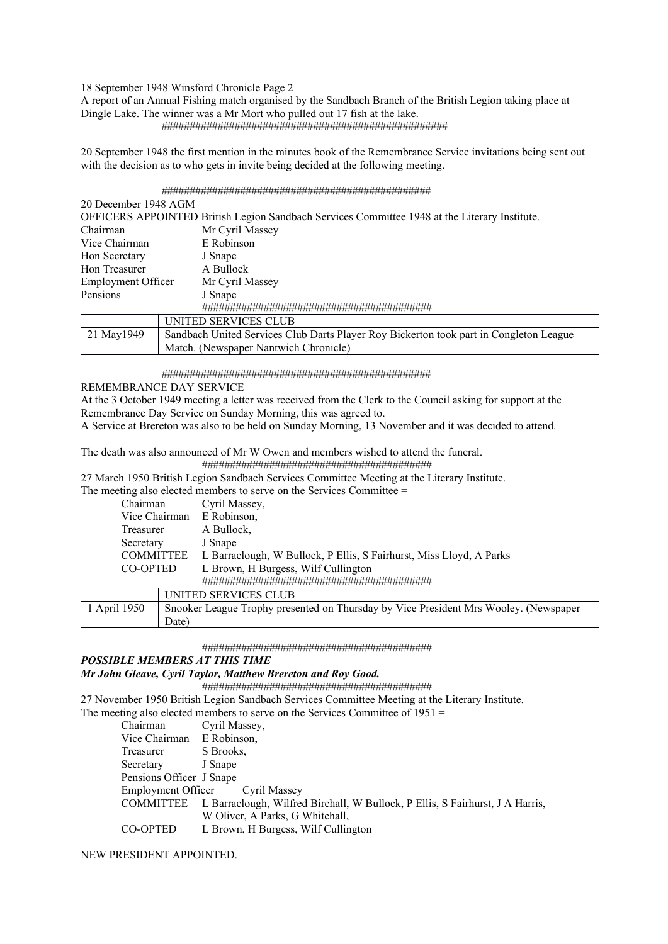18 September 1948 Winsford Chronicle Page 2

A report of an Annual Fishing match organised by the Sandbach Branch of the British Legion taking place at Dingle Lake. The winner was a Mr Mort who pulled out 17 fish at the lake. ###################################################

20 September 1948 the first mention in the minutes book of the Remembrance Service invitations being sent out with the decision as to who gets in invite being decided at the following meeting.

################################################

| OFFICERS APPOINTED British Legion Sandbach Services Committee 1948 at the Literary Institute. |
|-----------------------------------------------------------------------------------------------|
| Mr Cyril Massey                                                                               |
| E Robinson                                                                                    |
| J Snape                                                                                       |
| A Bullock                                                                                     |
| Mr Cyril Massey                                                                               |
| J Snape                                                                                       |
|                                                                                               |
| UNITED SERVICES CLUB                                                                          |
| Sandbach United Services Club Darts Player Roy Bickerton took part in Congleton League        |
|                                                                                               |

################################################

Match. (Newspaper Nantwich Chronicle)

# REMEMBRANCE DAY SERVICE

At the 3 October 1949 meeting a letter was received from the Clerk to the Council asking for support at the Remembrance Day Service on Sunday Morning, this was agreed to.

A Service at Brereton was also to be held on Sunday Morning, 13 November and it was decided to attend.

The death was also announced of Mr W Owen and members wished to attend the funeral. #########################################

27 March 1950 British Legion Sandbach Services Committee Meeting at the Literary Institute.

The meeting also elected members to serve on the Services Committee =

| Chairman         |  | Cyril Massey,                                                                        |
|------------------|--|--------------------------------------------------------------------------------------|
| Vice Chairman    |  | E Robinson,                                                                          |
| Treasurer        |  | A Bullock,                                                                           |
| Secretary        |  | J Snape                                                                              |
| <b>COMMITTEE</b> |  | L Barraclough, W Bullock, P Ellis, S Fairhurst, Miss Lloyd, A Parks                  |
| CO-OPTED         |  | L Brown, H Burgess, Wilf Cullington                                                  |
|                  |  |                                                                                      |
|                  |  | UNITED SERVICES CLUB                                                                 |
| 1 April 1950     |  | Snooker League Trophy presented on Thursday by Vice President Mrs Wooley. (Newspaper |

#########################################

## *POSSIBLE MEMBERS AT THIS TIME*

Date)

# *Mr John Gleave, Cyril Taylor, Matthew Brereton and Roy Good.*

#########################################

27 November 1950 British Legion Sandbach Services Committee Meeting at the Literary Institute.

The meeting also elected members to serve on the Services Committee of 1951 =

| Chairman                  | Cyril Massey,                                                                           |
|---------------------------|-----------------------------------------------------------------------------------------|
| Vice Chairman E Robinson, |                                                                                         |
| Treasurer                 | S Brooks,                                                                               |
| Secretary                 | J Snape                                                                                 |
| Pensions Officer J Snape  |                                                                                         |
|                           | Employment Officer Cyril Massey                                                         |
|                           | COMMITTEE L Barraclough, Wilfred Birchall, W Bullock, P Ellis, S Fairhurst, J A Harris, |
|                           | W Oliver, A Parks, G Whitehall,                                                         |
| CO-OPTED                  | L Brown, H Burgess, Wilf Cullington                                                     |
|                           |                                                                                         |

# NEW PRESIDENT APPOINTED.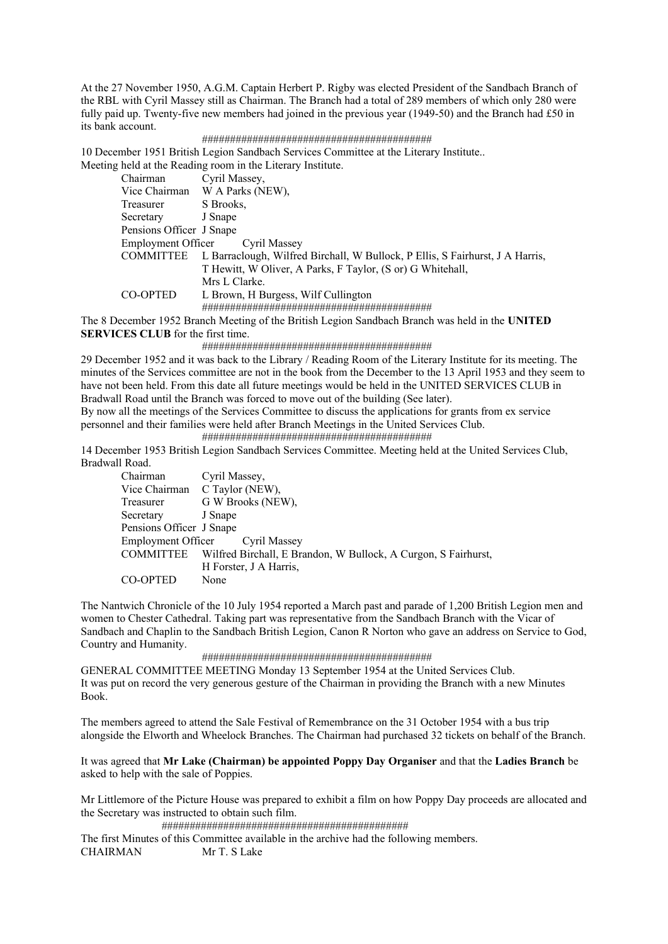At the 27 November 1950, A.G.M. Captain Herbert P. Rigby was elected President of the Sandbach Branch of the RBL with Cyril Massey still as Chairman. The Branch had a total of 289 members of which only 280 were fully paid up. Twenty-five new members had joined in the previous year (1949-50) and the Branch had £50 in its bank account.

#### #########################################

10 December 1951 British Legion Sandbach Services Committee at the Literary Institute.. Meeting held at the Reading room in the Literary Institute.

| Chairman                        | Cyril Massey,                                                                 |
|---------------------------------|-------------------------------------------------------------------------------|
| Vice Chairman                   | W A Parks (NEW),                                                              |
| Treasurer                       | S Brooks,                                                                     |
| Secretary                       | J Snape                                                                       |
| Pensions Officer J Snape        |                                                                               |
| Employment Officer Cyril Massey |                                                                               |
| <b>COMMITTEE</b>                | L Barraclough, Wilfred Birchall, W Bullock, P Ellis, S Fairhurst, J A Harris, |
|                                 | T Hewitt, W Oliver, A Parks, F Taylor, (S or) G Whitehall,                    |
|                                 | Mrs L Clarke.                                                                 |
| CO-OPTED                        | L Brown, H Burgess, Wilf Cullington                                           |
|                                 |                                                                               |
|                                 |                                                                               |

The 8 December 1952 Branch Meeting of the British Legion Sandbach Branch was held in the **UNITED SERVICES CLUB** for the first time.

#### #########################################

29 December 1952 and it was back to the Library / Reading Room of the Literary Institute for its meeting. The minutes of the Services committee are not in the book from the December to the 13 April 1953 and they seem to have not been held. From this date all future meetings would be held in the UNITED SERVICES CLUB in Bradwall Road until the Branch was forced to move out of the building (See later).

By now all the meetings of the Services Committee to discuss the applications for grants from ex service personnel and their families were held after Branch Meetings in the United Services Club.

#########################################

14 December 1953 British Legion Sandbach Services Committee. Meeting held at the United Services Club, Bradwall Road.

| Chairman                 | Cyril Massey,                                                            |
|--------------------------|--------------------------------------------------------------------------|
|                          | Vice Chairman C Taylor (NEW),                                            |
| Treasurer                | G W Brooks (NEW),                                                        |
| Secretary                | J Snape                                                                  |
| Pensions Officer J Snape |                                                                          |
|                          | Employment Officer Cyril Massey                                          |
|                          | COMMITTEE Wilfred Birchall, E Brandon, W Bullock, A Curgon, S Fairhurst, |
|                          | H Forster, J A Harris,                                                   |
| CO-OPTED                 | None                                                                     |

The Nantwich Chronicle of the 10 July 1954 reported a March past and parade of 1,200 British Legion men and women to Chester Cathedral. Taking part was representative from the Sandbach Branch with the Vicar of Sandbach and Chaplin to the Sandbach British Legion, Canon R Norton who gave an address on Service to God, Country and Humanity.

#########################################

GENERAL COMMITTEE MEETING Monday 13 September 1954 at the United Services Club. It was put on record the very generous gesture of the Chairman in providing the Branch with a new Minutes Book.

The members agreed to attend the Sale Festival of Remembrance on the 31 October 1954 with a bus trip alongside the Elworth and Wheelock Branches. The Chairman had purchased 32 tickets on behalf of the Branch.

It was agreed that **Mr Lake (Chairman) be appointed Poppy Day Organiser** and that the **Ladies Branch** be asked to help with the sale of Poppies.

Mr Littlemore of the Picture House was prepared to exhibit a film on how Poppy Day proceeds are allocated and the Secretary was instructed to obtain such film.

############################################

The first Minutes of this Committee available in the archive had the following members. CHAIRMAN Mr T. S Lake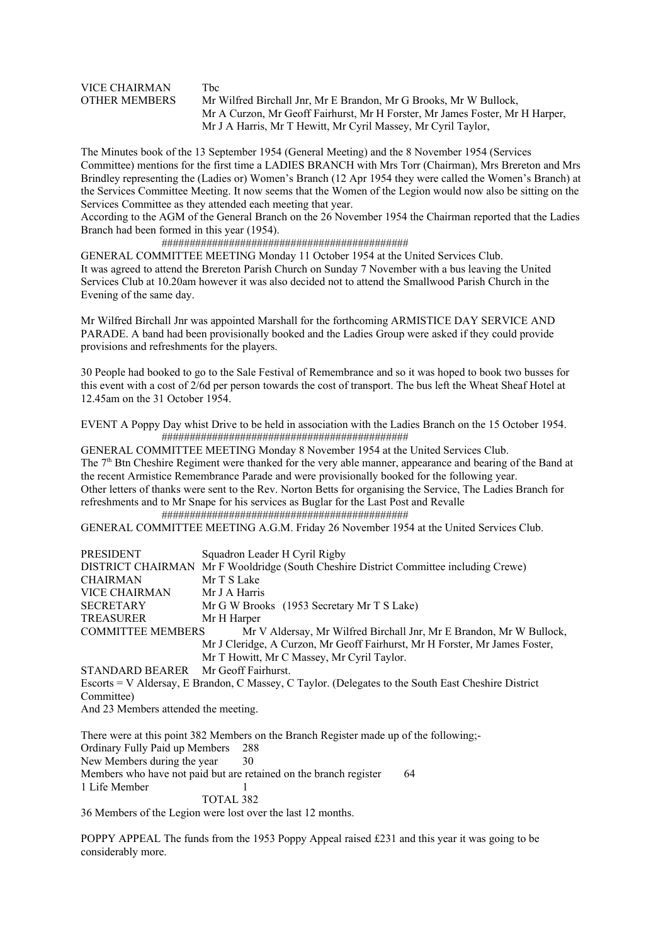# VICE CHAIRMAN Tbc

OTHER MEMBERS Mr Wilfred Birchall Jnr, Mr E Brandon, Mr G Brooks, Mr W Bullock, Mr A Curzon, Mr Geoff Fairhurst, Mr H Forster, Mr James Foster, Mr H Harper, Mr J A Harris, Mr T Hewitt, Mr Cyril Massey, Mr Cyril Taylor,

The Minutes book of the 13 September 1954 (General Meeting) and the 8 November 1954 (Services Committee) mentions for the first time a LADIES BRANCH with Mrs Torr (Chairman), Mrs Brereton and Mrs Brindley representing the (Ladies or) Women's Branch (12 Apr 1954 they were called the Women's Branch) at the Services Committee Meeting. It now seems that the Women of the Legion would now also be sitting on the Services Committee as they attended each meeting that year.

According to the AGM of the General Branch on the 26 November 1954 the Chairman reported that the Ladies Branch had been formed in this year (1954).

# ############################################

GENERAL COMMITTEE MEETING Monday 11 October 1954 at the United Services Club. It was agreed to attend the Brereton Parish Church on Sunday 7 November with a bus leaving the United Services Club at 10.20am however it was also decided not to attend the Smallwood Parish Church in the Evening of the same day.

Mr Wilfred Birchall Jnr was appointed Marshall for the forthcoming ARMISTICE DAY SERVICE AND PARADE. A band had been provisionally booked and the Ladies Group were asked if they could provide provisions and refreshments for the players.

30 People had booked to go to the Sale Festival of Remembrance and so it was hoped to book two busses for this event with a cost of 2/6d per person towards the cost of transport. The bus left the Wheat Sheaf Hotel at 12.45am on the 31 October 1954.

EVENT A Poppy Day whist Drive to be held in association with the Ladies Branch on the 15 October 1954. ############################################

GENERAL COMMITTEE MEETING Monday 8 November 1954 at the United Services Club. The 7<sup>th</sup> Btn Cheshire Regiment were thanked for the very able manner, appearance and bearing of the Band at the recent Armistice Remembrance Parade and were provisionally booked for the following year. Other letters of thanks were sent to the Rev. Norton Betts for organising the Service, The Ladies Branch for refreshments and to Mr Snape for his services as Buglar for the Last Post and Revalle ############################################

GENERAL COMMITTEE MEETING A.G.M. Friday 26 November 1954 at the United Services Club.

| PRESIDENT                            | Squadron Leader H Cyril Rigby                                                                       |
|--------------------------------------|-----------------------------------------------------------------------------------------------------|
|                                      | DISTRICT CHAIRMAN Mr F Wooldridge (South Cheshire District Committee including Crewe)               |
| CHAIRMAN                             | Mr T S Lake                                                                                         |
| VICE CHAIRMAN                        | Mr J A Harris                                                                                       |
| SECRETARY                            | Mr G W Brooks (1953 Secretary Mr T S Lake)                                                          |
| TREASURER                            | Mr H Harper                                                                                         |
| <b>COMMITTEE MEMBERS</b>             | Mr V Aldersay, Mr Wilfred Birchall Jnr, Mr E Brandon, Mr W Bullock,                                 |
|                                      | Mr J Cleridge, A Curzon, Mr Geoff Fairhurst, Mr H Forster, Mr James Foster,                         |
|                                      | Mr T Howitt, Mr C Massey, Mr Cyril Taylor.                                                          |
| STANDARD BEARER Mr Geoff Fairhurst.  |                                                                                                     |
|                                      | Escorts = V Aldersay, E Brandon, C Massey, C Taylor. (Delegates to the South East Cheshire District |
| Committee)                           |                                                                                                     |
| And 23 Members attended the meeting. |                                                                                                     |
|                                      |                                                                                                     |
|                                      | There were at this point 382 Members on the Branch Register made up of the following;-              |
| Ordinary Fully Paid up Members       | 288                                                                                                 |
| New Members during the year          | 30                                                                                                  |
|                                      | Members who have not paid but are retained on the branch register<br>64                             |
| 1 Life Member                        |                                                                                                     |
|                                      | TOTAL 382                                                                                           |

36 Members of the Legion were lost over the last 12 months.

POPPY APPEAL The funds from the 1953 Poppy Appeal raised £231 and this year it was going to be considerably more.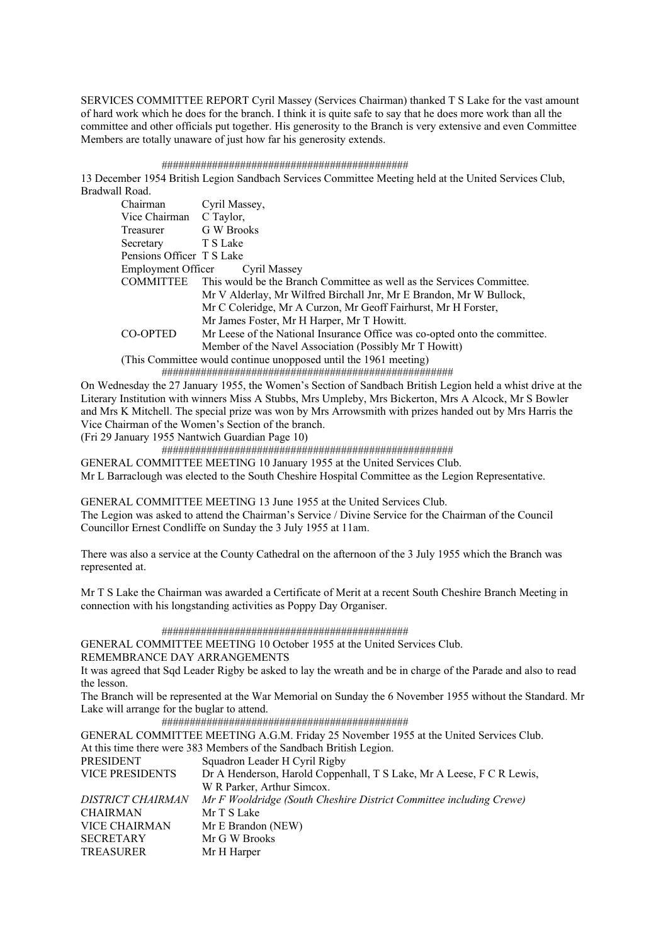SERVICES COMMITTEE REPORT Cyril Massey (Services Chairman) thanked T S Lake for the vast amount of hard work which he does for the branch. I think it is quite safe to say that he does more work than all the committee and other officials put together. His generosity to the Branch is very extensive and even Committee Members are totally unaware of just how far his generosity extends.

# ############################################

13 December 1954 British Legion Sandbach Services Committee Meeting held at the United Services Club, Bradwall Road.

| Chairman                  | Cyril Massey,                                                              |
|---------------------------|----------------------------------------------------------------------------|
| Vice Chairman             | C Taylor,                                                                  |
| Treasurer                 | G W Brooks                                                                 |
| Secretary                 | T S Lake                                                                   |
| Pensions Officer T S Lake |                                                                            |
|                           | Employment Officer Cyril Massey                                            |
| <b>COMMITTEE</b>          | This would be the Branch Committee as well as the Services Committee.      |
|                           | Mr V Alderlay, Mr Wilfred Birchall Jnr, Mr E Brandon, Mr W Bullock,        |
|                           | Mr C Coleridge, Mr A Curzon, Mr Geoff Fairhurst, Mr H Forster,             |
|                           | Mr James Foster, Mr H Harper, Mr T Howitt.                                 |
| CO-OPTED                  | Mr Leese of the National Insurance Office was co-opted onto the committee. |
|                           | Member of the Navel Association (Possibly Mr T Howitt)                     |
|                           | (This Committee would continue unopposed until the 1961 meeting)           |
|                           |                                                                            |

On Wednesday the 27 January 1955, the Women's Section of Sandbach British Legion held a whist drive at the Literary Institution with winners Miss A Stubbs, Mrs Umpleby, Mrs Bickerton, Mrs A Alcock, Mr S Bowler and Mrs K Mitchell. The special prize was won by Mrs Arrowsmith with prizes handed out by Mrs Harris the Vice Chairman of the Women's Section of the branch.

(Fri 29 January 1955 Nantwich Guardian Page 10)

####################################################

GENERAL COMMITTEE MEETING 10 January 1955 at the United Services Club.

Mr L Barraclough was elected to the South Cheshire Hospital Committee as the Legion Representative.

GENERAL COMMITTEE MEETING 13 June 1955 at the United Services Club. The Legion was asked to attend the Chairman's Service / Divine Service for the Chairman of the Council Councillor Ernest Condliffe on Sunday the 3 July 1955 at 11am.

There was also a service at the County Cathedral on the afternoon of the 3 July 1955 which the Branch was represented at.

Mr T S Lake the Chairman was awarded a Certificate of Merit at a recent South Cheshire Branch Meeting in connection with his longstanding activities as Poppy Day Organiser.

############################################

GENERAL COMMITTEE MEETING 10 October 1955 at the United Services Club.

REMEMBRANCE DAY ARRANGEMENTS

It was agreed that Sqd Leader Rigby be asked to lay the wreath and be in charge of the Parade and also to read the lesson.

The Branch will be represented at the War Memorial on Sunday the 6 November 1955 without the Standard. Mr Lake will arrange for the buglar to attend.

############################################

GENERAL COMMITTEE MEETING A.G.M. Friday 25 November 1955 at the United Services Club. At this time there were 383 Members of the Sandbach British Legion. PRESIDENT Squadron Leader H Cyril Rigby VICE PRESIDENTS Dr A Henderson, Harold Coppenhall, T S Lake, Mr A Leese, F C R Lewis, W R Parker, Arthur Simcox. *DISTRICT CHAIRMAN Mr F Wooldridge (South Cheshire District Committee including Crewe)*  CHAIRMAN Mr T S Lake<br>VICE CHAIRMAN Mr E Brando Mr E Brandon (NEW) SECRETARY Mr G W Brooks TREASURER Mr H Harper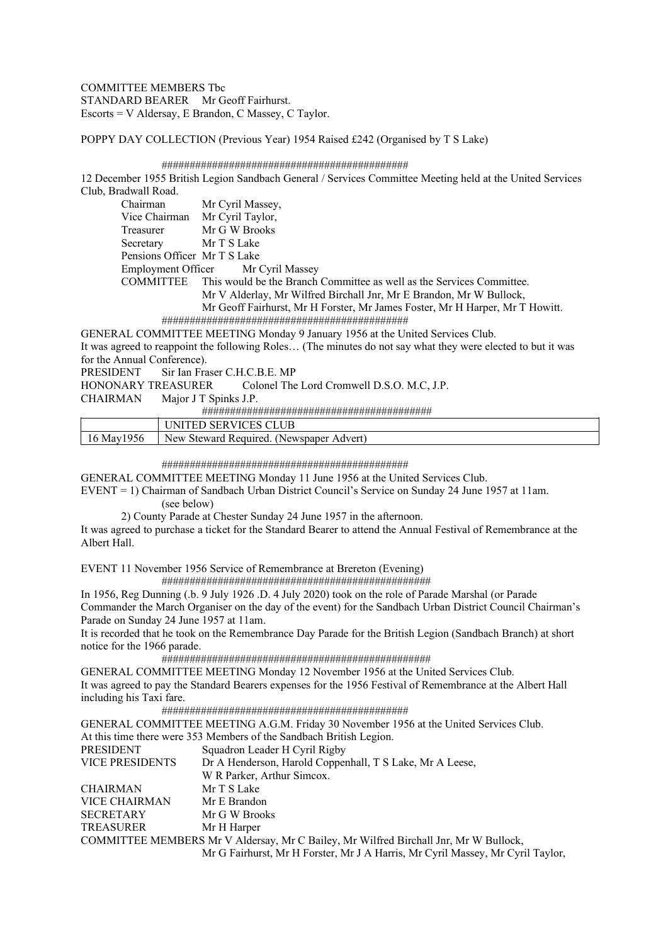COMMITTEE MEMBERS Tbc STANDARD BEARER Mr Geoff Fairhurst. Escorts = V Aldersay, E Brandon, C Massey, C Taylor.

POPPY DAY COLLECTION (Previous Year) 1954 Raised £242 (Organised by T S Lake)

# ############################################

12 December 1955 British Legion Sandbach General / Services Committee Meeting held at the United Services Club, Bradwall Road.

| Chairman                     | Mr Cyril Massey,                                                             |
|------------------------------|------------------------------------------------------------------------------|
| Vice Chairman                | Mr Cyril Taylor,                                                             |
| Treasurer                    | Mr G W Brooks                                                                |
| Secretary                    | Mr T S Lake                                                                  |
| Pensions Officer Mr T S Lake |                                                                              |
|                              | Employment Officer Mr Cyril Massey                                           |
| <b>COMMITTEE</b>             | This would be the Branch Committee as well as the Services Committee.        |
|                              | Mr V Alderlay, Mr Wilfred Birchall Jnr, Mr E Brandon, Mr W Bullock,          |
|                              | Mr Geoff Fairhurst, Mr H Forster, Mr James Foster, Mr H Harper, Mr T Howitt. |
|                              |                                                                              |

GENERAL COMMITTEE MEETING Monday 9 January 1956 at the United Services Club. It was agreed to reappoint the following Roles… (The minutes do not say what they were elected to but it was for the Annual Conference). PRESIDENT Sir Ian Fraser C.H.C.B.E. MP<br>HONONARY TREASURER Colonel The

Colonel The Lord Cromwell D.S.O. M.C, J.P.

#########################################

|                   | $\alpha$ $\mathbf{r}$ $\mathbf{r}$<br>IX.                      |
|-------------------|----------------------------------------------------------------|
| May<br>סכי<br>1 V | New<br>$\ell$ equiter<br>teward<br>l Newspap<br>Advert<br>.ner |

#### ############################################

GENERAL COMMITTEE MEETING Monday 11 June 1956 at the United Services Club.

EVENT = 1) Chairman of Sandbach Urban District Council's Service on Sunday 24 June 1957 at 11am. (see below)

2) County Parade at Chester Sunday 24 June 1957 in the afternoon.

It was agreed to purchase a ticket for the Standard Bearer to attend the Annual Festival of Remembrance at the Albert Hall.

EVENT 11 November 1956 Service of Remembrance at Brereton (Evening)

 ################################################ In 1956, Reg Dunning (.b. 9 July 1926 .D. 4 July 2020) took on the role of Parade Marshal (or Parade

Commander the March Organiser on the day of the event) for the Sandbach Urban District Council Chairman's Parade on Sunday 24 June 1957 at 11am.

It is recorded that he took on the Remembrance Day Parade for the British Legion (Sandbach Branch) at short notice for the 1966 parade.

################################################

GENERAL COMMITTEE MEETING Monday 12 November 1956 at the United Services Club. It was agreed to pay the Standard Bearers expenses for the 1956 Festival of Remembrance at the Albert Hall including his Taxi fare.

############################################

GENERAL COMMITTEE MEETING A.G.M. Friday 30 November 1956 at the United Services Club. At this time there were 353 Members of the Sandbach British Legion. PRESIDENT Squadron Leader H Cyril Rigby<br>VICE PRESIDENTS Dr A Henderson, Harold Copper Dr A Henderson, Harold Coppenhall, T S Lake, Mr A Leese, W R Parker, Arthur Simcox. CHAIRMAN Mr T S Lake VICE CHAIRMAN Mr E Brandon SECRETARY Mr G W Brooks TREASURER Mr H Harper COMMITTEE MEMBERS Mr V Aldersay, Mr C Bailey, Mr Wilfred Birchall Jnr, Mr W Bullock, Mr G Fairhurst, Mr H Forster, Mr J A Harris, Mr Cyril Massey, Mr Cyril Taylor,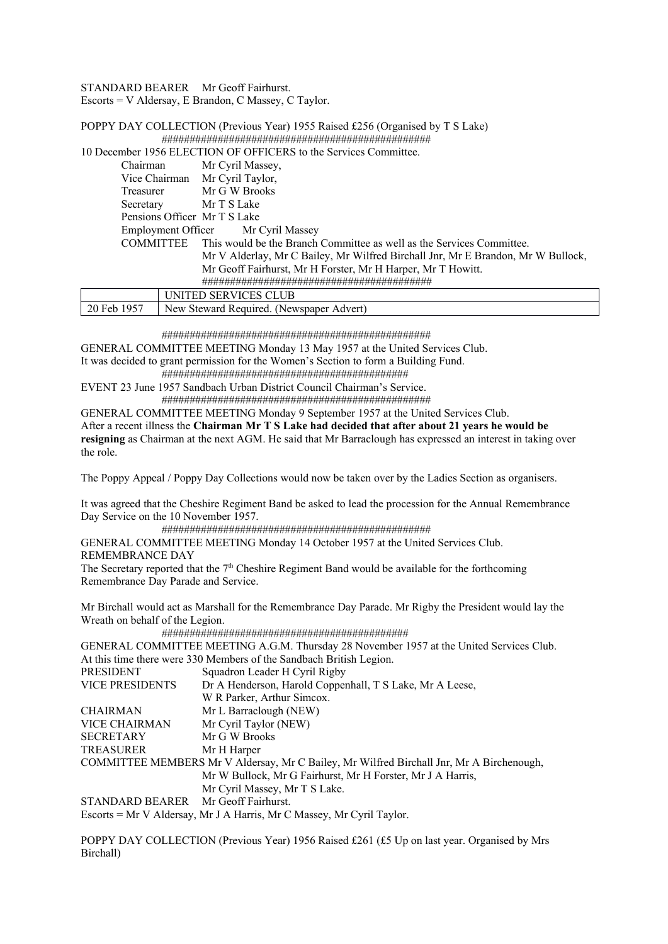STANDARD BEARER Mr Geoff Fairhurst.

Escorts = V Aldersay, E Brandon, C Massey, C Taylor.

POPPY DAY COLLECTION (Previous Year) 1955 Raised £256 (Organised by T S Lake) ################################################

|                  | 10 December 1956 ELECTION OF OFFICERS to the Services Committee.                 |
|------------------|----------------------------------------------------------------------------------|
| Chairman         | Mr Cyril Massey,                                                                 |
|                  | Vice Chairman Mr Cyril Taylor,                                                   |
| Treasurer        | Mr G W Brooks                                                                    |
| Secretary        | Mr T S Lake                                                                      |
|                  | Pensions Officer Mr T S Lake                                                     |
|                  | Employment Officer Mr Cyril Massey                                               |
| <b>COMMITTEE</b> | This would be the Branch Committee as well as the Services Committee.            |
|                  | Mr V Alderlay, Mr C Bailey, Mr Wilfred Birchall Jnr, Mr E Brandon, Mr W Bullock, |
|                  | Mr Geoff Fairhurst, Mr H Forster, Mr H Harper, Mr T Howitt.                      |
|                  |                                                                                  |
|                  | UNITED SERVICES CLUB                                                             |
| 20 Feb 1957      | New Steward Required. (Newspaper Advert)                                         |

################################################

GENERAL COMMITTEE MEETING Monday 13 May 1957 at the United Services Club. It was decided to grant permission for the Women's Section to form a Building Fund.

 ############################################ EVENT 23 June 1957 Sandbach Urban District Council Chairman's Service.

################################################

GENERAL COMMITTEE MEETING Monday 9 September 1957 at the United Services Club. After a recent illness the **Chairman Mr T S Lake had decided that after about 21 years he would be resigning** as Chairman at the next AGM. He said that Mr Barraclough has expressed an interest in taking over the role.

The Poppy Appeal / Poppy Day Collections would now be taken over by the Ladies Section as organisers.

It was agreed that the Cheshire Regiment Band be asked to lead the procession for the Annual Remembrance Day Service on the 10 November 1957.

################################################

GENERAL COMMITTEE MEETING Monday 14 October 1957 at the United Services Club. REMEMBRANCE DAY The Secretary reported that the  $7<sup>th</sup>$  Cheshire Regiment Band would be available for the forthcoming

Remembrance Day Parade and Service.

Mr Birchall would act as Marshall for the Remembrance Day Parade. Mr Rigby the President would lay the Wreath on behalf of the Legion.

 ############################################ GENERAL COMMITTEE MEETING A.G.M. Thursday 28 November 1957 at the United Services Club. At this time there were 330 Members of the Sandbach British Legion. PRESIDENT Squadron Leader H Cyril Rigby VICE PRESIDENTS Dr A Henderson, Harold Coppenhall, T S Lake, Mr A Leese, W R Parker, Arthur Simcox. CHAIRMAN Mr L Barraclough (NEW) VICE CHAIRMAN Mr Cyril Taylor (NEW) SECRETARY Mr G W Brooks TREASURER Mr H Harper COMMITTEE MEMBERS Mr V Aldersay, Mr C Bailey, Mr Wilfred Birchall Jnr, Mr A Birchenough, Mr W Bullock, Mr G Fairhurst, Mr H Forster, Mr J A Harris, Mr Cyril Massey, Mr T S Lake. STANDARD BEARER Mr Geoff Fairhurst.

Escorts = Mr V Aldersay, Mr J A Harris, Mr C Massey, Mr Cyril Taylor.

POPPY DAY COLLECTION (Previous Year) 1956 Raised £261 (£5 Up on last year. Organised by Mrs Birchall)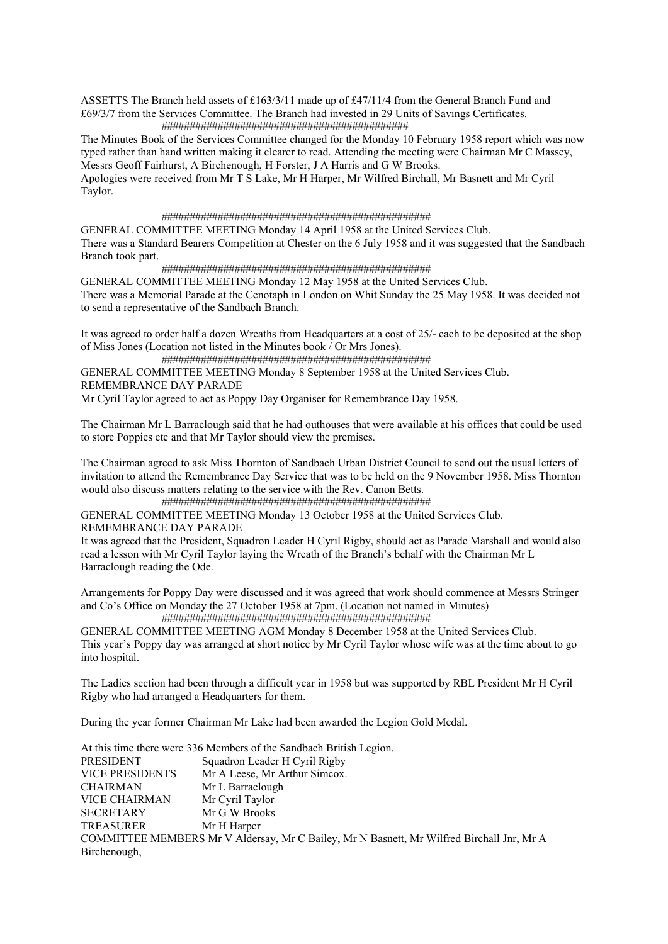ASSETTS The Branch held assets of £163/3/11 made up of £47/11/4 from the General Branch Fund and £69/3/7 from the Services Committee. The Branch had invested in 29 Units of Savings Certificates. ############################################

The Minutes Book of the Services Committee changed for the Monday 10 February 1958 report which was now typed rather than hand written making it clearer to read. Attending the meeting were Chairman Mr C Massey, Messrs Geoff Fairhurst, A Birchenough, H Forster, J A Harris and G W Brooks.

Apologies were received from Mr T S Lake, Mr H Harper, Mr Wilfred Birchall, Mr Basnett and Mr Cyril Taylor.

#### ################################################

GENERAL COMMITTEE MEETING Monday 14 April 1958 at the United Services Club. There was a Standard Bearers Competition at Chester on the 6 July 1958 and it was suggested that the Sandbach Branch took part.

################################################

GENERAL COMMITTEE MEETING Monday 12 May 1958 at the United Services Club. There was a Memorial Parade at the Cenotaph in London on Whit Sunday the 25 May 1958. It was decided not to send a representative of the Sandbach Branch.

It was agreed to order half a dozen Wreaths from Headquarters at a cost of 25/- each to be deposited at the shop of Miss Jones (Location not listed in the Minutes book / Or Mrs Jones).

 ################################################ GENERAL COMMITTEE MEETING Monday 8 September 1958 at the United Services Club. REMEMBRANCE DAY PARADE Mr Cyril Taylor agreed to act as Poppy Day Organiser for Remembrance Day 1958.

The Chairman Mr L Barraclough said that he had outhouses that were available at his offices that could be used to store Poppies etc and that Mr Taylor should view the premises.

The Chairman agreed to ask Miss Thornton of Sandbach Urban District Council to send out the usual letters of invitation to attend the Remembrance Day Service that was to be held on the 9 November 1958. Miss Thornton would also discuss matters relating to the service with the Rev. Canon Betts.

 ################################################ GENERAL COMMITTEE MEETING Monday 13 October 1958 at the United Services Club. REMEMBRANCE DAY PARADE

It was agreed that the President, Squadron Leader H Cyril Rigby, should act as Parade Marshall and would also read a lesson with Mr Cyril Taylor laying the Wreath of the Branch's behalf with the Chairman Mr L Barraclough reading the Ode.

Arrangements for Poppy Day were discussed and it was agreed that work should commence at Messrs Stringer and Co's Office on Monday the 27 October 1958 at 7pm. (Location not named in Minutes) ################################################

GENERAL COMMITTEE MEETING AGM Monday 8 December 1958 at the United Services Club. This year's Poppy day was arranged at short notice by Mr Cyril Taylor whose wife was at the time about to go into hospital.

The Ladies section had been through a difficult year in 1958 but was supported by RBL President Mr H Cyril Rigby who had arranged a Headquarters for them.

During the year former Chairman Mr Lake had been awarded the Legion Gold Medal.

At this time there were 336 Members of the Sandbach British Legion. PRESIDENT Squadron Leader H Cyril Rigby VICE PRESIDENTS Mr A Leese, Mr Arthur Simcox. CHAIRMAN Mr L Barraclough VICE CHAIRMAN Mr Cyril Taylor SECRETARY Mr G W Brooks TREASURER Mr H Harper COMMITTEE MEMBERS Mr V Aldersay, Mr C Bailey, Mr N Basnett, Mr Wilfred Birchall Jnr, Mr A Birchenough,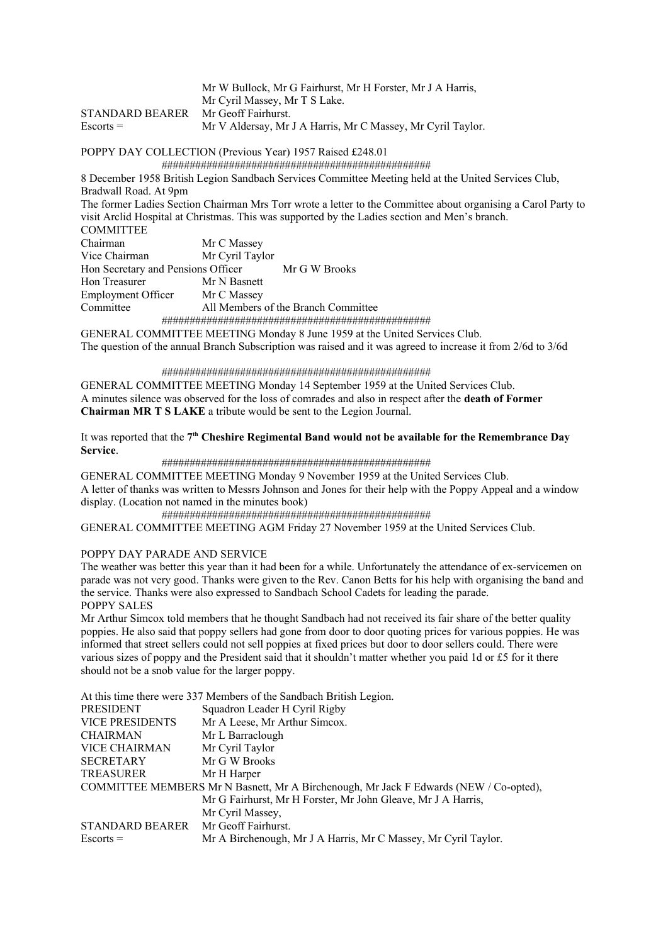|                                     | Mr W Bullock, Mr G Fairhurst, Mr H Forster, Mr J A Harris,  |
|-------------------------------------|-------------------------------------------------------------|
|                                     | Mr Cyril Massey, Mr T S Lake.                               |
| STANDARD BEARER Mr Geoff Fairhurst. |                                                             |
| $Esports =$                         | Mr V Aldersay, Mr J A Harris, Mr C Massey, Mr Cyril Taylor. |

# POPPY DAY COLLECTION (Previous Year) 1957 Raised £248.01

################################################

8 December 1958 British Legion Sandbach Services Committee Meeting held at the United Services Club, Bradwall Road. At 9pm

The former Ladies Section Chairman Mrs Torr wrote a letter to the Committee about organising a Carol Party to visit Arclid Hospital at Christmas. This was supported by the Ladies section and Men's branch. COMMITTEE

| COMMITTEE                          |                                     |
|------------------------------------|-------------------------------------|
| Chairman                           | Mr C Massey                         |
| Vice Chairman                      | Mr Cyril Taylor                     |
| Hon Secretary and Pensions Officer | Mr G W Brooks                       |
| Hon Treasurer                      | Mr N Basnett                        |
| Employment Officer                 | Mr C Massey                         |
| Committee                          | All Members of the Branch Committee |
|                                    |                                     |
|                                    |                                     |

GENERAL COMMITTEE MEETING Monday 8 June 1959 at the United Services Club. The question of the annual Branch Subscription was raised and it was agreed to increase it from 2/6d to 3/6d

################################################

GENERAL COMMITTEE MEETING Monday 14 September 1959 at the United Services Club. A minutes silence was observed for the loss of comrades and also in respect after the **death of Former Chairman MR T S LAKE** a tribute would be sent to the Legion Journal.

It was reported that the 7<sup>th</sup> Cheshire Regimental Band would not be available for the Remembrance Day **Service**.

## ################################################

GENERAL COMMITTEE MEETING Monday 9 November 1959 at the United Services Club. A letter of thanks was written to Messrs Johnson and Jones for their help with the Poppy Appeal and a window display. (Location not named in the minutes book)

################################################

GENERAL COMMITTEE MEETING AGM Friday 27 November 1959 at the United Services Club.

# POPPY DAY PARADE AND SERVICE

The weather was better this year than it had been for a while. Unfortunately the attendance of ex-servicemen on parade was not very good. Thanks were given to the Rev. Canon Betts for his help with organising the band and the service. Thanks were also expressed to Sandbach School Cadets for leading the parade. POPPY SALES

Mr Arthur Simcox told members that he thought Sandbach had not received its fair share of the better quality poppies. He also said that poppy sellers had gone from door to door quoting prices for various poppies. He was informed that street sellers could not sell poppies at fixed prices but door to door sellers could. There were various sizes of poppy and the President said that it shouldn't matter whether you paid 1d or £5 for it there should not be a snob value for the larger poppy.

At this time there were 337 Members of the Sandbach British Legion. PRESIDENT Squadron Leader H Cyril Rigby VICE PRESIDENTS Mr A Leese, Mr Arthur Simcox. CHAIRMAN Mr L Barraclough VICE CHAIRMAN Mr Cyril Taylor SECRETARY Mr G W Brooks TREASURER Mr H Harper COMMITTEE MEMBERS Mr N Basnett, Mr A Birchenough, Mr Jack F Edwards (NEW / Co-opted), Mr G Fairhurst, Mr H Forster, Mr John Gleave, Mr J A Harris, Mr Cyril Massey, STANDARD BEARER Mr Geoff Fairhurst. Escorts = Mr A Birchenough, Mr J A Harris, Mr C Massey, Mr Cyril Taylor.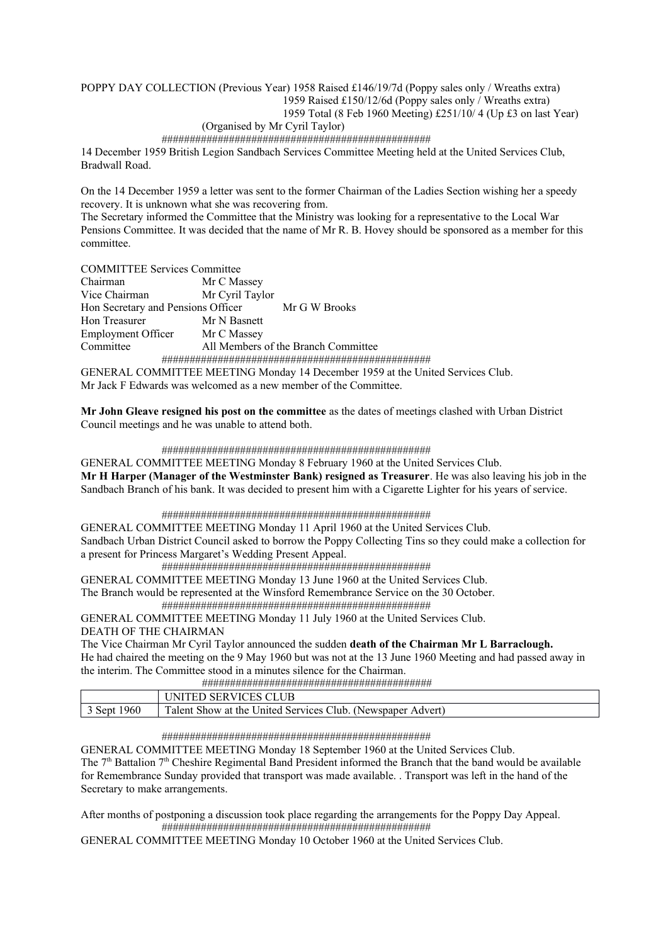# POPPY DAY COLLECTION (Previous Year) 1958 Raised £146/19/7d (Poppy sales only / Wreaths extra) 1959 Raised £150/12/6d (Poppy sales only / Wreaths extra) 1959 Total (8 Feb 1960 Meeting) £251/10/ 4 (Up £3 on last Year) (Organised by Mr Cyril Taylor)

# ################################################

14 December 1959 British Legion Sandbach Services Committee Meeting held at the United Services Club, Bradwall Road.

On the 14 December 1959 a letter was sent to the former Chairman of the Ladies Section wishing her a speedy recovery. It is unknown what she was recovering from.

The Secretary informed the Committee that the Ministry was looking for a representative to the Local War Pensions Committee. It was decided that the name of Mr R. B. Hovey should be sponsored as a member for this committee.

COMMITTEE Services Committee

| Chairman                           | Mr C Massey     |                                                                        |
|------------------------------------|-----------------|------------------------------------------------------------------------|
| Vice Chairman                      | Mr Cyril Taylor |                                                                        |
| Hon Secretary and Pensions Officer |                 | Mr G W Brooks                                                          |
| Hon Treasurer                      | Mr N Basnett    |                                                                        |
| Employment Officer                 | Mr C Massey     |                                                                        |
| Committee                          |                 | All Members of the Branch Committee                                    |
|                                    |                 |                                                                        |
|                                    |                 | GENERAL COMMITTEE MEETING Monday 14 December 1959 at the United Servic |

GENERAL COMMITTEE MEETING Monday 14 December 1959 at the United Services Club. Mr Jack F Edwards was welcomed as a new member of the Committee.

**Mr John Gleave resigned his post on the committee** as the dates of meetings clashed with Urban District Council meetings and he was unable to attend both.

## ################################################

GENERAL COMMITTEE MEETING Monday 8 February 1960 at the United Services Club. **Mr H Harper (Manager of the Westminster Bank) resigned as Treasurer**. He was also leaving his job in the Sandbach Branch of his bank. It was decided to present him with a Cigarette Lighter for his years of service.

## ################################################

GENERAL COMMITTEE MEETING Monday 11 April 1960 at the United Services Club. Sandbach Urban District Council asked to borrow the Poppy Collecting Tins so they could make a collection for a present for Princess Margaret's Wedding Present Appeal.

################################################

GENERAL COMMITTEE MEETING Monday 13 June 1960 at the United Services Club. The Branch would be represented at the Winsford Remembrance Service on the 30 October.

################################################

GENERAL COMMITTEE MEETING Monday 11 July 1960 at the United Services Club. DEATH OF THE CHAIRMAN

The Vice Chairman Mr Cyril Taylor announced the sudden **death of the Chairman Mr L Barraclough.**

He had chaired the meeting on the 9 May 1960 but was not at the 13 June 1960 Meeting and had passed away in the interim. The Committee stood in a minutes silence for the Chairman.

#########################################

|             | FED SERVICES CLUB<br>'ND.                                   |
|-------------|-------------------------------------------------------------|
| Sept $1960$ | Talent Show at the United Services Club. (Newspaper Advert) |

## ################################################

GENERAL COMMITTEE MEETING Monday 18 September 1960 at the United Services Club. The  $7<sup>th</sup>$  Battalion  $7<sup>th</sup>$  Cheshire Regimental Band President informed the Branch that the band would be available for Remembrance Sunday provided that transport was made available. . Transport was left in the hand of the Secretary to make arrangements.

After months of postponing a discussion took place regarding the arrangements for the Poppy Day Appeal. ################################################

GENERAL COMMITTEE MEETING Monday 10 October 1960 at the United Services Club.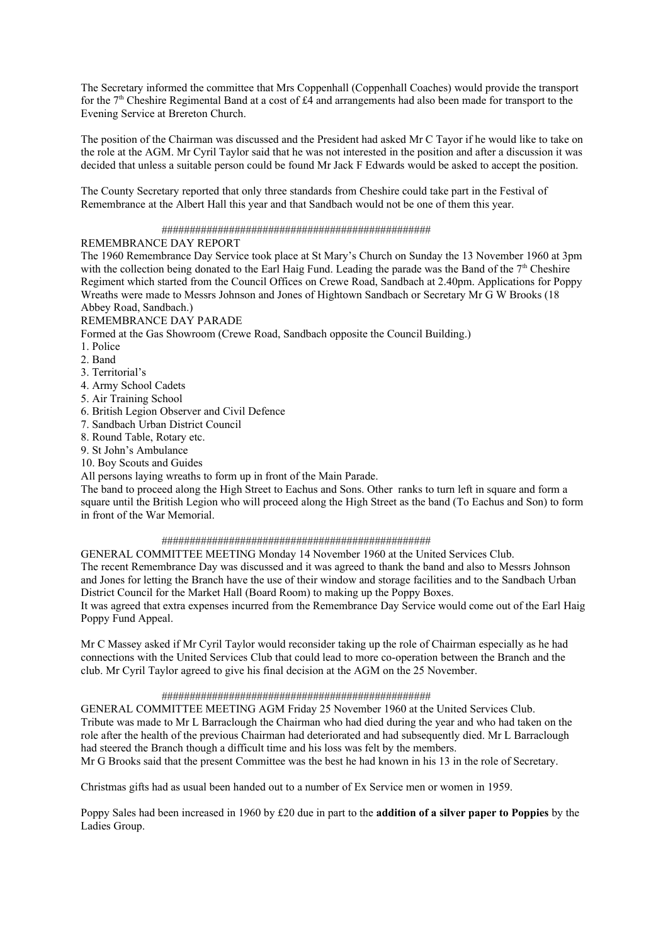The Secretary informed the committee that Mrs Coppenhall (Coppenhall Coaches) would provide the transport for the 7<sup>th</sup> Cheshire Regimental Band at a cost of £4 and arrangements had also been made for transport to the Evening Service at Brereton Church.

The position of the Chairman was discussed and the President had asked Mr C Tayor if he would like to take on the role at the AGM. Mr Cyril Taylor said that he was not interested in the position and after a discussion it was decided that unless a suitable person could be found Mr Jack F Edwards would be asked to accept the position.

The County Secretary reported that only three standards from Cheshire could take part in the Festival of Remembrance at the Albert Hall this year and that Sandbach would not be one of them this year.

## ################################################

# REMEMBRANCE DAY REPORT

The 1960 Remembrance Day Service took place at St Mary's Church on Sunday the 13 November 1960 at 3pm with the collection being donated to the Earl Haig Fund. Leading the parade was the Band of the  $7<sup>th</sup>$  Cheshire Regiment which started from the Council Offices on Crewe Road, Sandbach at 2.40pm. Applications for Poppy Wreaths were made to Messrs Johnson and Jones of Hightown Sandbach or Secretary Mr G W Brooks (18 Abbey Road, Sandbach.)

REMEMBRANCE DAY PARADE

Formed at the Gas Showroom (Crewe Road, Sandbach opposite the Council Building.)

1. Police

- 2. Band
- 3. Territorial's
- 4. Army School Cadets
- 5. Air Training School
- 6. British Legion Observer and Civil Defence
- 7. Sandbach Urban District Council
- 8. Round Table, Rotary etc.
- 9. St John's Ambulance
- 10. Boy Scouts and Guides

All persons laying wreaths to form up in front of the Main Parade.

The band to proceed along the High Street to Eachus and Sons. Other ranks to turn left in square and form a square until the British Legion who will proceed along the High Street as the band (To Eachus and Son) to form in front of the War Memorial.

## ################################################

GENERAL COMMITTEE MEETING Monday 14 November 1960 at the United Services Club. The recent Remembrance Day was discussed and it was agreed to thank the band and also to Messrs Johnson and Jones for letting the Branch have the use of their window and storage facilities and to the Sandbach Urban District Council for the Market Hall (Board Room) to making up the Poppy Boxes.

It was agreed that extra expenses incurred from the Remembrance Day Service would come out of the Earl Haig Poppy Fund Appeal.

Mr C Massey asked if Mr Cyril Taylor would reconsider taking up the role of Chairman especially as he had connections with the United Services Club that could lead to more co-operation between the Branch and the club. Mr Cyril Taylor agreed to give his final decision at the AGM on the 25 November.

## ################################################

GENERAL COMMITTEE MEETING AGM Friday 25 November 1960 at the United Services Club. Tribute was made to Mr L Barraclough the Chairman who had died during the year and who had taken on the role after the health of the previous Chairman had deteriorated and had subsequently died. Mr L Barraclough had steered the Branch though a difficult time and his loss was felt by the members.

Mr G Brooks said that the present Committee was the best he had known in his 13 in the role of Secretary.

Christmas gifts had as usual been handed out to a number of Ex Service men or women in 1959.

Poppy Sales had been increased in 1960 by £20 due in part to the **addition of a silver paper to Poppies** by the Ladies Group.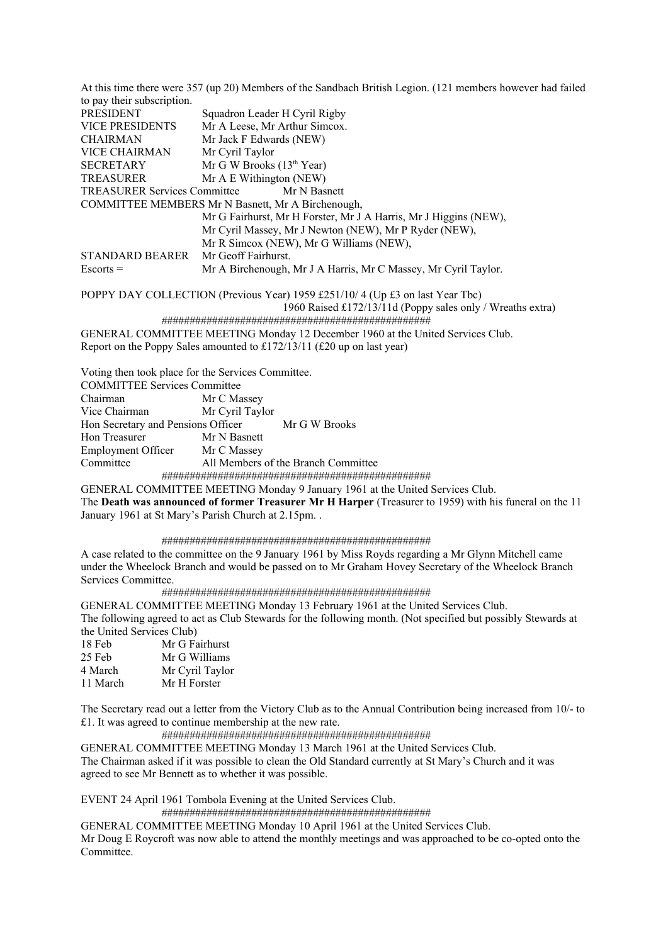At this time there were 357 (up 20) Members of the Sandbach British Legion. (121 members however had failed to pay their subscription. PRESIDENT Squadron Leader H Cyril Rigby<br>VICE PRESIDENTS Mr A Leese, Mr Arthur Simcox. Mr A Leese, Mr Arthur Simcox. CHAIRMAN Mr Jack F Edwards (NEW) VICE CHAIRMAN Mr Cyril Taylor SECRETARY Mr G W Brooks  $(13<sup>th</sup> Year)$ TREASURER Mr A E Withington (NEW) TREASURER Services Committee Mr N Basnett COMMITTEE MEMBERS Mr N Basnett, Mr A Birchenough, Mr G Fairhurst, Mr H Forster, Mr J A Harris, Mr J Higgins (NEW), Mr Cyril Massey, Mr J Newton (NEW), Mr P Ryder (NEW), Mr R Simcox (NEW), Mr G Williams (NEW), STANDARD BEARER Mr Geoff Fairhurst. Escorts = Mr A Birchenough, Mr J A Harris, Mr C Massey, Mr Cyril Taylor. POPPY DAY COLLECTION (Previous Year) 1959 £251/10/ 4 (Up £3 on last Year Tbc)

1960 Raised £172/13/11d (Poppy sales only / Wreaths extra)

################################################

GENERAL COMMITTEE MEETING Monday 12 December 1960 at the United Services Club. Report on the Poppy Sales amounted to £172/13/11 (£20 up on last year)

Voting then took place for the Services Committee.

| <b>COMMITTEE Services Committee</b>                                          |                                     |  |
|------------------------------------------------------------------------------|-------------------------------------|--|
| Chairman                                                                     | Mr C Massey                         |  |
| Vice Chairman                                                                | Mr Cyril Taylor                     |  |
| Hon Secretary and Pensions Officer Mr G W Brooks                             |                                     |  |
| Hon Treasurer                                                                | Mr N Basnett                        |  |
| Employment Officer Mr C Massey                                               |                                     |  |
| Committee                                                                    | All Members of the Branch Committee |  |
|                                                                              |                                     |  |
| CENED AL COMMITTEE MEETING Monday 0 January 1061 at the United Services Club |                                     |  |

GENERAL COMMITTEE MEETING Monday 9 January 1961 at the United Services Club. The **Death was announced of former Treasurer Mr H Harper** (Treasurer to 1959) with his funeral on the 11 January 1961 at St Mary's Parish Church at 2.15pm. .

## ################################################

A case related to the committee on the 9 January 1961 by Miss Royds regarding a Mr Glynn Mitchell came under the Wheelock Branch and would be passed on to Mr Graham Hovey Secretary of the Wheelock Branch Services Committee.

# ################################################

GENERAL COMMITTEE MEETING Monday 13 February 1961 at the United Services Club. The following agreed to act as Club Stewards for the following month. (Not specified but possibly Stewards at the United Services Club)

| Mr G Fairhurst  |
|-----------------|
| Mr G Williams   |
| Mr Cyril Taylor |
| Mr H Forster    |
|                 |

The Secretary read out a letter from the Victory Club as to the Annual Contribution being increased from 10/- to £1. It was agreed to continue membership at the new rate.

# ################################################

GENERAL COMMITTEE MEETING Monday 13 March 1961 at the United Services Club. The Chairman asked if it was possible to clean the Old Standard currently at St Mary's Church and it was agreed to see Mr Bennett as to whether it was possible.

EVENT 24 April 1961 Tombola Evening at the United Services Club.

################################################

GENERAL COMMITTEE MEETING Monday 10 April 1961 at the United Services Club. Mr Doug E Roycroft was now able to attend the monthly meetings and was approached to be co-opted onto the Committee.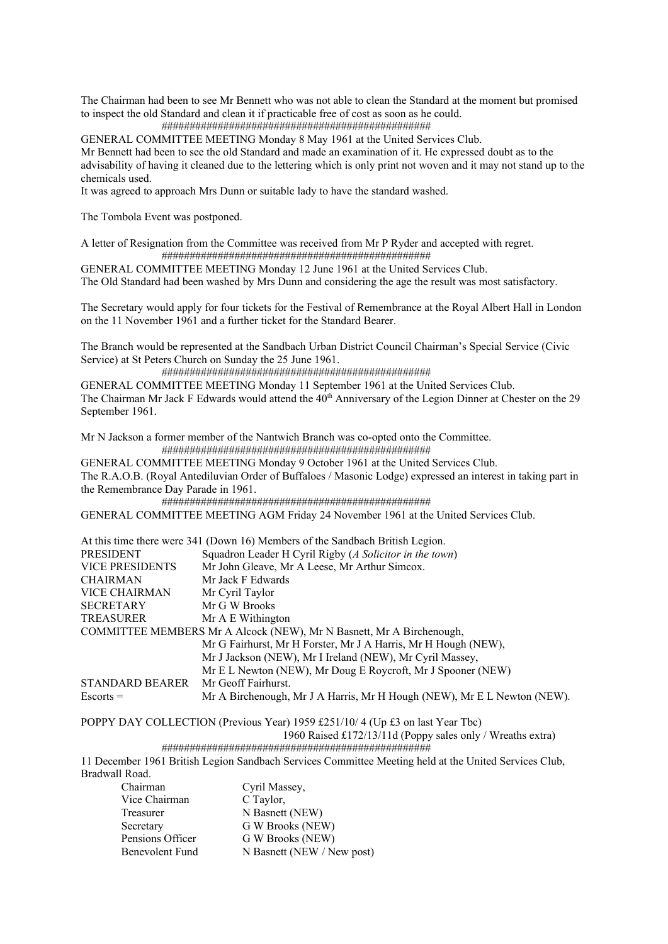The Chairman had been to see Mr Bennett who was not able to clean the Standard at the moment but promised to inspect the old Standard and clean it if practicable free of cost as soon as he could.

################################################

GENERAL COMMITTEE MEETING Monday 8 May 1961 at the United Services Club.

Mr Bennett had been to see the old Standard and made an examination of it. He expressed doubt as to the advisability of having it cleaned due to the lettering which is only print not woven and it may not stand up to the

chemicals used.

It was agreed to approach Mrs Dunn or suitable lady to have the standard washed.

The Tombola Event was postponed.

A letter of Resignation from the Committee was received from Mr P Ryder and accepted with regret. ################################################

GENERAL COMMITTEE MEETING Monday 12 June 1961 at the United Services Club.

The Old Standard had been washed by Mrs Dunn and considering the age the result was most satisfactory.

The Secretary would apply for four tickets for the Festival of Remembrance at the Royal Albert Hall in London on the 11 November 1961 and a further ticket for the Standard Bearer.

The Branch would be represented at the Sandbach Urban District Council Chairman's Special Service (Civic Service) at St Peters Church on Sunday the 25 June 1961.

################################################

GENERAL COMMITTEE MEETING Monday 11 September 1961 at the United Services Club. The Chairman Mr Jack F Edwards would attend the  $40<sup>th</sup>$  Anniversary of the Legion Dinner at Chester on the 29 September 1961.

Mr N Jackson a former member of the Nantwich Branch was co-opted onto the Committee. ################################################

GENERAL COMMITTEE MEETING Monday 9 October 1961 at the United Services Club. The R.A.O.B. (Royal Antediluvian Order of Buffaloes / Masonic Lodge) expressed an interest in taking part in the Remembrance Day Parade in 1961.

################################################

GENERAL COMMITTEE MEETING AGM Friday 24 November 1961 at the United Services Club.

|                        | At this time there were 341 (Down 16) Members of the Sandbach British Legion. |
|------------------------|-------------------------------------------------------------------------------|
| PRESIDENT              | Squadron Leader H Cyril Rigby (A Solicitor in the town)                       |
| <b>VICE PRESIDENTS</b> | Mr John Gleave, Mr A Leese, Mr Arthur Simcox.                                 |
| <b>CHAIRMAN</b>        | Mr Jack F Edwards                                                             |
| VICE CHAIRMAN          | Mr Cyril Taylor                                                               |
| <b>SECRETARY</b>       | Mr G W Brooks                                                                 |
| <b>TREASURER</b>       | Mr A E Withington                                                             |
|                        | COMMITTEE MEMBERS Mr A Alcock (NEW), Mr N Basnett, Mr A Birchenough,          |
|                        | Mr G Fairhurst, Mr H Forster, Mr J A Harris, Mr H Hough (NEW),                |
|                        | Mr J Jackson (NEW), Mr I Ireland (NEW), Mr Cyril Massey,                      |
|                        | Mr E L Newton (NEW), Mr Doug E Roycroft, Mr J Spooner (NEW)                   |
| <b>STANDARD BEARER</b> | Mr Geoff Fairhurst.                                                           |
| $Escorts =$            | Mr A Birchenough, Mr J A Harris, Mr H Hough (NEW), Mr E L Newton (NEW).       |

POPPY DAY COLLECTION (Previous Year) 1959 £251/10/ 4 (Up £3 on last Year Tbc)

1960 Raised £172/13/11d (Poppy sales only / Wreaths extra)

################################################

11 December 1961 British Legion Sandbach Services Committee Meeting held at the United Services Club, Bradwall Road.

| Chairman         | Cyril Massey,              |
|------------------|----------------------------|
| Vice Chairman    | C Taylor,                  |
| Treasurer        | N Basnett (NEW)            |
| Secretary        | G W Brooks (NEW)           |
| Pensions Officer | G W Brooks (NEW)           |
| Benevolent Fund  | N Basnett (NEW / New post) |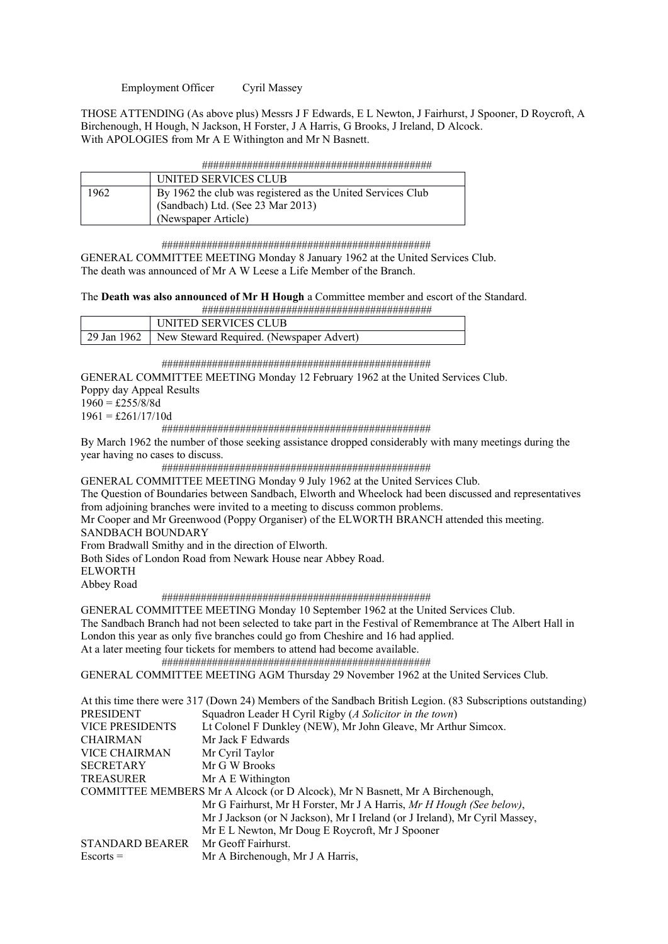Employment Officer Cyril Massey

THOSE ATTENDING (As above plus) Messrs J F Edwards, E L Newton, J Fairhurst, J Spooner, D Roycroft, A Birchenough, H Hough, N Jackson, H Forster, J A Harris, G Brooks, J Ireland, D Alcock. With APOLOGIES from Mr A E Withington and Mr N Basnett.

| .<br>.<br>.                                                                                                                     |
|---------------------------------------------------------------------------------------------------------------------------------|
| <del>----------</del><br>. <del>.</del><br>. <del>.</del><br>- <del>,,,,,</del><br>- <del>,,,,,</del><br>- 77<br>. <del>.</del> |
|                                                                                                                                 |

|      | UNITED SERVICES CLUB                                        |
|------|-------------------------------------------------------------|
| 1962 | By 1962 the club was registered as the United Services Club |
|      | (Sandbach) Ltd. (See 23 Mar 2013)                           |
|      | (Newspaper Article)                                         |

################################################

GENERAL COMMITTEE MEETING Monday 8 January 1962 at the United Services Club. The death was announced of Mr A W Leese a Life Member of the Branch.

The **Death was also announced of Mr H Hough** a Committee member and escort of the Standard.

|             | . .                                      |
|-------------|------------------------------------------|
|             |                                          |
|             | 'NITED SERVICES CI UR-                   |
| 29 Jan 1962 | New Steward Required. (Newspaper Advert) |

################################################

GENERAL COMMITTEE MEETING Monday 12 February 1962 at the United Services Club. Poppy day Appeal Results  $1960 = \text{\pounds}255/8/8d$ 

 $1961 = \pounds261/17/10d$ 

################################################

By March 1962 the number of those seeking assistance dropped considerably with many meetings during the year having no cases to discuss.

################################################

GENERAL COMMITTEE MEETING Monday 9 July 1962 at the United Services Club.

The Question of Boundaries between Sandbach, Elworth and Wheelock had been discussed and representatives from adjoining branches were invited to a meeting to discuss common problems.

Mr Cooper and Mr Greenwood (Poppy Organiser) of the ELWORTH BRANCH attended this meeting. SANDBACH BOUNDARY

From Bradwall Smithy and in the direction of Elworth.

Both Sides of London Road from Newark House near Abbey Road.

ELWORTH

Abbey Road

################################################

GENERAL COMMITTEE MEETING Monday 10 September 1962 at the United Services Club. The Sandbach Branch had not been selected to take part in the Festival of Remembrance at The Albert Hall in London this year as only five branches could go from Cheshire and 16 had applied.

At a later meeting four tickets for members to attend had become available.

################################################

GENERAL COMMITTEE MEETING AGM Thursday 29 November 1962 at the United Services Club.

|                        | At this time there were 317 (Down 24) Members of the Sandbach British Legion. (83 Subscriptions outstanding) |
|------------------------|--------------------------------------------------------------------------------------------------------------|
| <b>PRESIDENT</b>       | Squadron Leader H Cyril Rigby (A Solicitor in the town)                                                      |
| <b>VICE PRESIDENTS</b> | Lt Colonel F Dunkley (NEW), Mr John Gleave, Mr Arthur Simcox.                                                |
| <b>CHAIRMAN</b>        | Mr Jack F Edwards                                                                                            |
| <b>VICE CHAIRMAN</b>   | Mr Cyril Taylor                                                                                              |
| <b>SECRETARY</b>       | Mr G W Brooks                                                                                                |
| <b>TREASURER</b>       | Mr A E Withington                                                                                            |
|                        | COMMITTEE MEMBERS Mr A Alcock (or D Alcock), Mr N Basnett, Mr A Birchenough,                                 |
|                        | Mr G Fairhurst, Mr H Forster, Mr J A Harris, Mr H Hough (See below),                                         |
|                        | Mr J Jackson (or N Jackson), Mr I Ireland (or J Ireland), Mr Cyril Massey,                                   |
|                        | Mr E L Newton, Mr Doug E Roycroft, Mr J Spooner                                                              |
| STANDARD BEARER        | Mr Geoff Fairhurst.                                                                                          |
| $Escorts =$            | Mr A Birchenough, Mr J A Harris,                                                                             |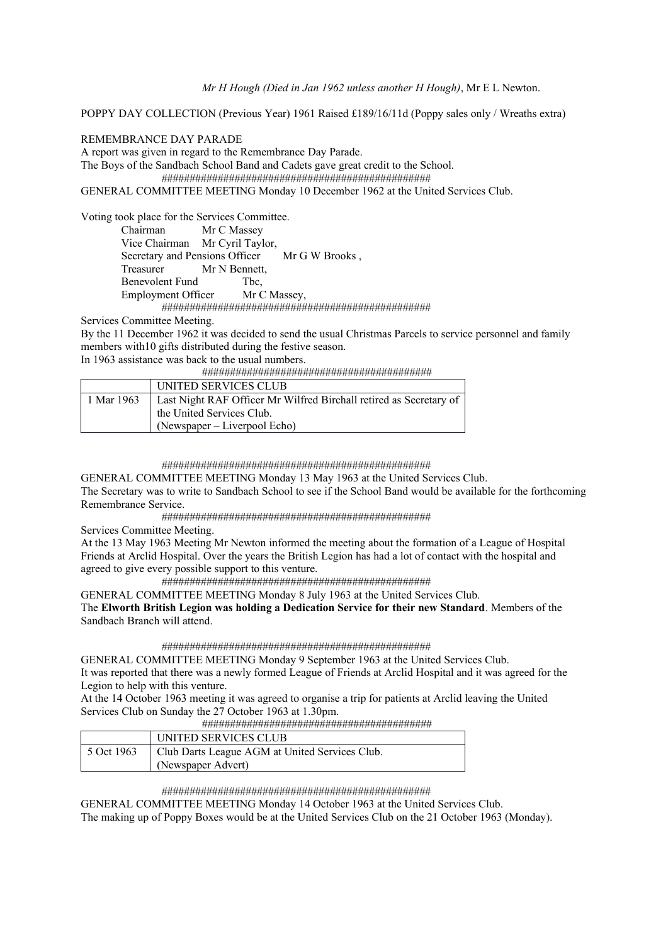*Mr H Hough (Died in Jan 1962 unless another H Hough)*, Mr E L Newton.

POPPY DAY COLLECTION (Previous Year) 1961 Raised £189/16/11d (Poppy sales only / Wreaths extra)

# REMEMBRANCE DAY PARADE

A report was given in regard to the Remembrance Day Parade.

The Boys of the Sandbach School Band and Cadets gave great credit to the School.

################################################

GENERAL COMMITTEE MEETING Monday 10 December 1962 at the United Services Club.

Voting took place for the Services Committee. Chairman Mr C Massey Vice Chairman Mr Cyril Taylor, Secretary and Pensions Officer Mr G W Brooks, Treasurer Mr N Bennett, Benevolent Fund Tbc, Employment Officer Mr C Massey, ################################################

Services Committee Meeting.

By the 11 December 1962 it was decided to send the usual Christmas Parcels to service personnel and family members with10 gifts distributed during the festive season.

In 1963 assistance was back to the usual numbers.

#########################################

|            | UNITED SERVICES CLUB                                               |
|------------|--------------------------------------------------------------------|
| 1 Mar 1963 | Last Night RAF Officer Mr Wilfred Birchall retired as Secretary of |
|            | the United Services Club.                                          |
|            | $(Newspaper - Liverpool Echo)$                                     |

#### ################################################

GENERAL COMMITTEE MEETING Monday 13 May 1963 at the United Services Club. The Secretary was to write to Sandbach School to see if the School Band would be available for the forthcoming Remembrance Service.

################################################

Services Committee Meeting.

At the 13 May 1963 Meeting Mr Newton informed the meeting about the formation of a League of Hospital Friends at Arclid Hospital. Over the years the British Legion has had a lot of contact with the hospital and agreed to give every possible support to this venture.

################################################

GENERAL COMMITTEE MEETING Monday 8 July 1963 at the United Services Club. The **Elworth British Legion was holding a Dedication Service for their new Standard**. Members of the Sandbach Branch will attend.

################################################

GENERAL COMMITTEE MEETING Monday 9 September 1963 at the United Services Club. It was reported that there was a newly formed League of Friends at Arclid Hospital and it was agreed for the Legion to help with this venture.

At the 14 October 1963 meeting it was agreed to organise a trip for patients at Arclid leaving the United Services Club on Sunday the 27 October 1963 at 1.30pm.

#########################################

|            | UNITED SERVICES CLUB                           |
|------------|------------------------------------------------|
| 5 Oct 1963 | Club Darts League AGM at United Services Club. |
|            | (Newspaper Advert)                             |

# ################################################

GENERAL COMMITTEE MEETING Monday 14 October 1963 at the United Services Club. The making up of Poppy Boxes would be at the United Services Club on the 21 October 1963 (Monday).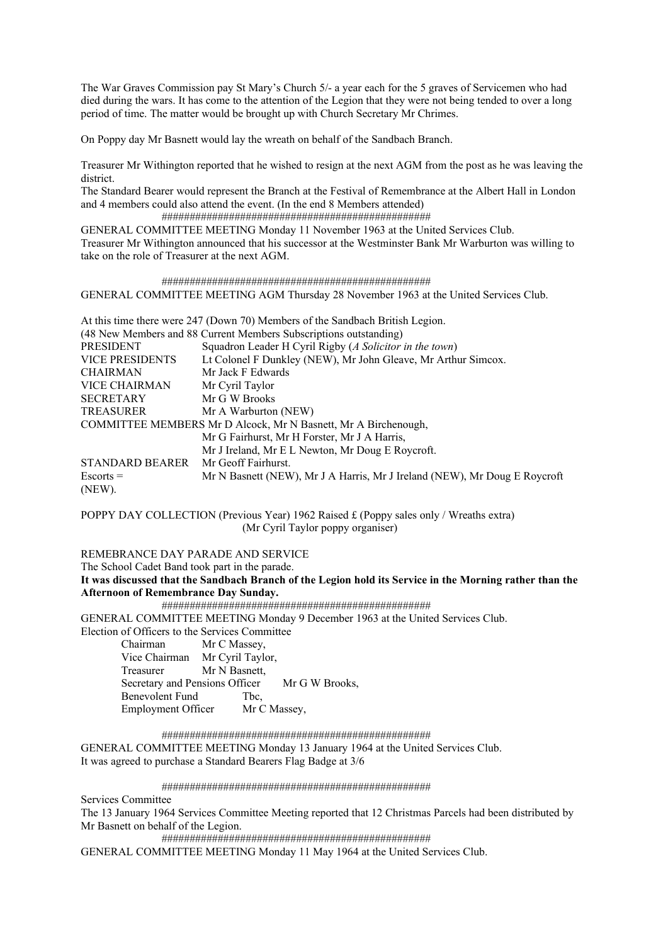The War Graves Commission pay St Mary's Church 5/- a year each for the 5 graves of Servicemen who had died during the wars. It has come to the attention of the Legion that they were not being tended to over a long period of time. The matter would be brought up with Church Secretary Mr Chrimes.

On Poppy day Mr Basnett would lay the wreath on behalf of the Sandbach Branch.

Treasurer Mr Withington reported that he wished to resign at the next AGM from the post as he was leaving the district.

The Standard Bearer would represent the Branch at the Festival of Remembrance at the Albert Hall in London and 4 members could also attend the event. (In the end 8 Members attended)

 ################################################ GENERAL COMMITTEE MEETING Monday 11 November 1963 at the United Services Club. Treasurer Mr Withington announced that his successor at the Westminster Bank Mr Warburton was willing to take on the role of Treasurer at the next AGM.

 ################################################ GENERAL COMMITTEE MEETING AGM Thursday 28 November 1963 at the United Services Club.

|                        | At this time there were 247 (Down 70) Members of the Sandbach British Legion. |
|------------------------|-------------------------------------------------------------------------------|
|                        | (48 New Members and 88 Current Members Subscriptions outstanding)             |
| <b>PRESIDENT</b>       | Squadron Leader H Cyril Rigby (A Solicitor in the town)                       |
| <b>VICE PRESIDENTS</b> | Lt Colonel F Dunkley (NEW), Mr John Gleave, Mr Arthur Simcox.                 |
| <b>CHAIRMAN</b>        | Mr Jack F Edwards                                                             |
| <b>VICE CHAIRMAN</b>   | Mr Cyril Taylor                                                               |
| <b>SECRETARY</b>       | Mr G W Brooks                                                                 |
| <b>TREASURER</b>       | Mr A Warburton (NEW)                                                          |
|                        | COMMITTEE MEMBERS Mr D Alcock, Mr N Basnett, Mr A Birchenough,                |
|                        | Mr G Fairhurst, Mr H Forster, Mr J A Harris,                                  |
|                        | Mr J Ireland, Mr E L Newton, Mr Doug E Roycroft.                              |
| <b>STANDARD BEARER</b> | Mr Geoff Fairhurst.                                                           |
| $Esports =$            | Mr N Basnett (NEW), Mr J A Harris, Mr J Ireland (NEW), Mr Doug E Roycroft     |
| (NEW).                 |                                                                               |

POPPY DAY COLLECTION (Previous Year) 1962 Raised £ (Poppy sales only / Wreaths extra) (Mr Cyril Taylor poppy organiser)

REMEBRANCE DAY PARADE AND SERVICE

The School Cadet Band took part in the parade. **It was discussed that the Sandbach Branch of the Legion hold its Service in the Morning rather than the Afternoon of Remembrance Day Sunday.** 

################################################

GENERAL COMMITTEE MEETING Monday 9 December 1963 at the United Services Club. Election of Officers to the Services Committee

Chairman Mr C Massey,

 Vice Chairman Mr Cyril Taylor, Treasurer Mr N Basnett, Secretary and Pensions Officer Mr G W Brooks, Benevolent Fund Tbc. Employment Officer Mr C Massey,

################################################

GENERAL COMMITTEE MEETING Monday 13 January 1964 at the United Services Club. It was agreed to purchase a Standard Bearers Flag Badge at 3/6

################################################

Services Committee

The 13 January 1964 Services Committee Meeting reported that 12 Christmas Parcels had been distributed by Mr Basnett on behalf of the Legion.

################################################

GENERAL COMMITTEE MEETING Monday 11 May 1964 at the United Services Club.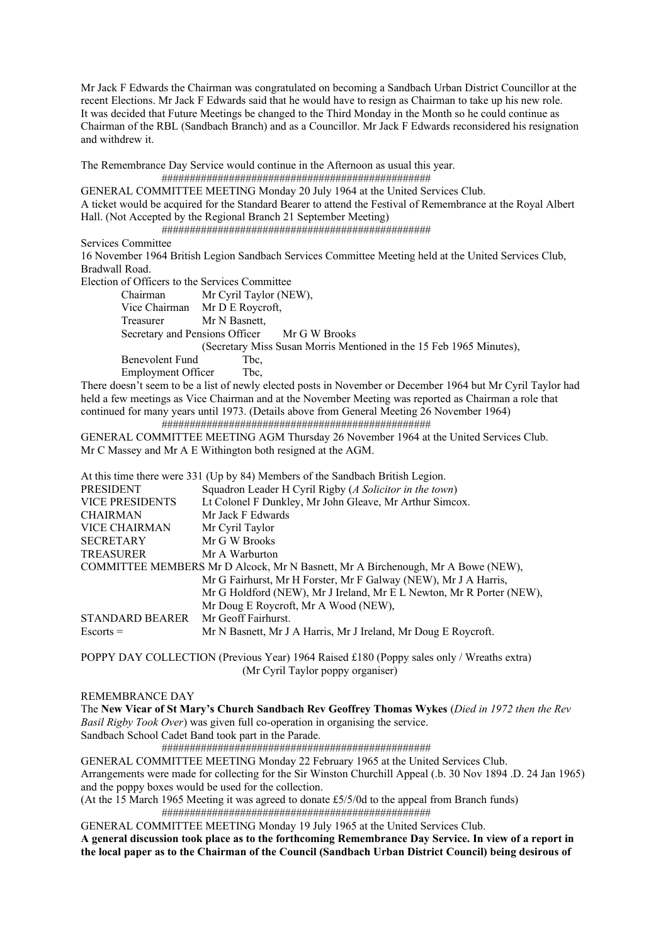Mr Jack F Edwards the Chairman was congratulated on becoming a Sandbach Urban District Councillor at the recent Elections. Mr Jack F Edwards said that he would have to resign as Chairman to take up his new role. It was decided that Future Meetings be changed to the Third Monday in the Month so he could continue as Chairman of the RBL (Sandbach Branch) and as a Councillor. Mr Jack F Edwards reconsidered his resignation and withdrew it.

The Remembrance Day Service would continue in the Afternoon as usual this year.

################################################

GENERAL COMMITTEE MEETING Monday 20 July 1964 at the United Services Club. A ticket would be acquired for the Standard Bearer to attend the Festival of Remembrance at the Royal Albert Hall. (Not Accepted by the Regional Branch 21 September Meeting) ################################################

Services Committee

16 November 1964 British Legion Sandbach Services Committee Meeting held at the United Services Club, Bradwall Road.

Election of Officers to the Services Committee

 Chairman Mr Cyril Taylor (NEW), Vice Chairman Mr D E Roycroft, Treasurer Mr N Basnett, Secretary and Pensions Officer Mr G W Brooks (Secretary Miss Susan Morris Mentioned in the 15 Feb 1965 Minutes), Benevolent Fund Tbc. Employment Officer Tbc,

There doesn't seem to be a list of newly elected posts in November or December 1964 but Mr Cyril Taylor had held a few meetings as Vice Chairman and at the November Meeting was reported as Chairman a role that continued for many years until 1973. (Details above from General Meeting 26 November 1964) ################################################

GENERAL COMMITTEE MEETING AGM Thursday 26 November 1964 at the United Services Club. Mr C Massey and Mr A E Withington both resigned at the AGM.

|                        | At this time there were 331 (Up by 84) Members of the Sandbach British Legion.  |
|------------------------|---------------------------------------------------------------------------------|
| <b>PRESIDENT</b>       | Squadron Leader H Cyril Rigby (A Solicitor in the town)                         |
| <b>VICE PRESIDENTS</b> | Lt Colonel F Dunkley, Mr John Gleave, Mr Arthur Simcox.                         |
| <b>CHAIRMAN</b>        | Mr Jack F Edwards                                                               |
| <b>VICE CHAIRMAN</b>   | Mr Cyril Taylor                                                                 |
| <b>SECRETARY</b>       | Mr G W Brooks                                                                   |
| TREASURER              | Mr A Warburton                                                                  |
|                        | COMMITTEE MEMBERS Mr D Alcock, Mr N Basnett, Mr A Birchenough, Mr A Bowe (NEW), |
|                        | Mr G Fairhurst, Mr H Forster, Mr F Galway (NEW), Mr J A Harris,                 |
|                        | Mr G Holdford (NEW), Mr J Ireland, Mr E L Newton, Mr R Porter (NEW),            |
|                        | Mr Doug E Roycroft, Mr A Wood (NEW),                                            |
| STANDARD BEARER        | Mr Geoff Fairhurst.                                                             |
| $Escorts =$            | Mr N Basnett, Mr J A Harris, Mr J Ireland, Mr Doug E Roycroft.                  |

POPPY DAY COLLECTION (Previous Year) 1964 Raised £180 (Poppy sales only / Wreaths extra) (Mr Cyril Taylor poppy organiser)

# REMEMBRANCE DAY

The **New Vicar of St Mary's Church Sandbach Rev Geoffrey Thomas Wykes** (*Died in 1972 then the Rev Basil Rigby Took Over*) was given full co-operation in organising the service. Sandbach School Cadet Band took part in the Parade.

################################################

GENERAL COMMITTEE MEETING Monday 22 February 1965 at the United Services Club. Arrangements were made for collecting for the Sir Winston Churchill Appeal (.b. 30 Nov 1894 .D. 24 Jan 1965) and the poppy boxes would be used for the collection.

(At the 15 March 1965 Meeting it was agreed to donate £5/5/0d to the appeal from Branch funds) ################################################

GENERAL COMMITTEE MEETING Monday 19 July 1965 at the United Services Club. **A general discussion took place as to the forthcoming Remembrance Day Service. In view of a report in the local paper as to the Chairman of the Council (Sandbach Urban District Council) being desirous of**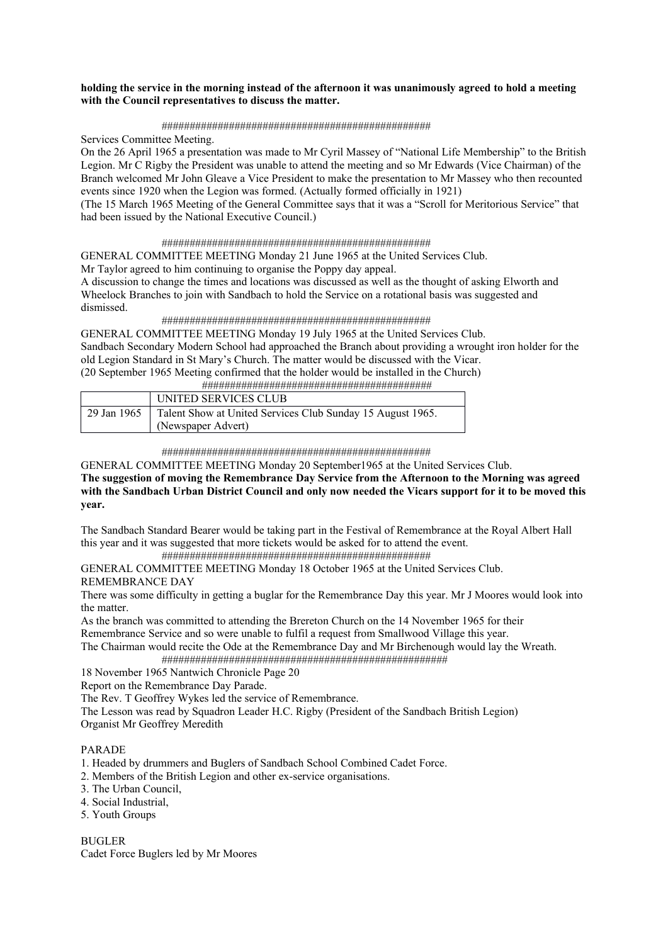# **holding the service in the morning instead of the afternoon it was unanimously agreed to hold a meeting with the Council representatives to discuss the matter.**

# ################################################

Services Committee Meeting.

On the 26 April 1965 a presentation was made to Mr Cyril Massey of "National Life Membership" to the British Legion. Mr C Rigby the President was unable to attend the meeting and so Mr Edwards (Vice Chairman) of the Branch welcomed Mr John Gleave a Vice President to make the presentation to Mr Massey who then recounted events since 1920 when the Legion was formed. (Actually formed officially in 1921)

(The 15 March 1965 Meeting of the General Committee says that it was a "Scroll for Meritorious Service" that had been issued by the National Executive Council.)

## ################################################

GENERAL COMMITTEE MEETING Monday 21 June 1965 at the United Services Club. Mr Taylor agreed to him continuing to organise the Poppy day appeal.

A discussion to change the times and locations was discussed as well as the thought of asking Elworth and Wheelock Branches to join with Sandbach to hold the Service on a rotational basis was suggested and dismissed.

## ################################################

GENERAL COMMITTEE MEETING Monday 19 July 1965 at the United Services Club. Sandbach Secondary Modern School had approached the Branch about providing a wrought iron holder for the old Legion Standard in St Mary's Church. The matter would be discussed with the Vicar. (20 September 1965 Meeting confirmed that the holder would be installed in the Church)

#########################################

|             | UNITED SERVICES CLUB                                       |
|-------------|------------------------------------------------------------|
| 29 Jan 1965 | Talent Show at United Services Club Sunday 15 August 1965. |
|             | (Newspaper Advert)                                         |

################################################

GENERAL COMMITTEE MEETING Monday 20 September1965 at the United Services Club.

**The suggestion of moving the Remembrance Day Service from the Afternoon to the Morning was agreed with the Sandbach Urban District Council and only now needed the Vicars support for it to be moved this year.** 

The Sandbach Standard Bearer would be taking part in the Festival of Remembrance at the Royal Albert Hall this year and it was suggested that more tickets would be asked for to attend the event.

################################################

GENERAL COMMITTEE MEETING Monday 18 October 1965 at the United Services Club. REMEMBRANCE DAY

There was some difficulty in getting a buglar for the Remembrance Day this year. Mr J Moores would look into the matter.

As the branch was committed to attending the Brereton Church on the 14 November 1965 for their Remembrance Service and so were unable to fulfil a request from Smallwood Village this year.

The Chairman would recite the Ode at the Remembrance Day and Mr Birchenough would lay the Wreath. ###################################################

18 November 1965 Nantwich Chronicle Page 20

Report on the Remembrance Day Parade.

The Rev. T Geoffrey Wykes led the service of Remembrance.

The Lesson was read by Squadron Leader H.C. Rigby (President of the Sandbach British Legion) Organist Mr Geoffrey Meredith

# PARADE

1. Headed by drummers and Buglers of Sandbach School Combined Cadet Force.

- 2. Members of the British Legion and other ex-service organisations.
- 3. The Urban Council,
- 4. Social Industrial,
- 5. Youth Groups

BUGLER Cadet Force Buglers led by Mr Moores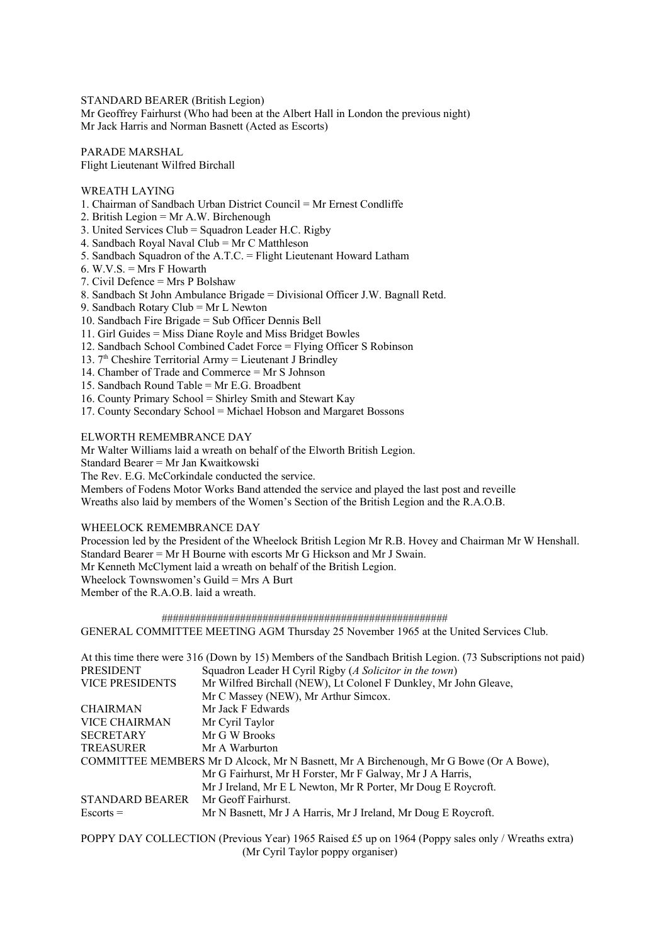STANDARD BEARER (British Legion)

Mr Geoffrey Fairhurst (Who had been at the Albert Hall in London the previous night) Mr Jack Harris and Norman Basnett (Acted as Escorts)

PARADE MARSHAL Flight Lieutenant Wilfred Birchall

WREATH LAYING

- 1. Chairman of Sandbach Urban District Council = Mr Ernest Condliffe
- 2. British Legion = Mr A.W. Birchenough
- 3. United Services Club = Squadron Leader H.C. Rigby
- 4. Sandbach Royal Naval Club = Mr C Matthleson
- 5. Sandbach Squadron of the A.T.C. = Flight Lieutenant Howard Latham
- 6. W.V.S.  $=$  Mrs F Howarth
- 7. Civil Defence = Mrs P Bolshaw
- 8. Sandbach St John Ambulance Brigade = Divisional Officer J.W. Bagnall Retd.
- 9. Sandbach Rotary Club = Mr L Newton
- 10. Sandbach Fire Brigade = Sub Officer Dennis Bell
- 11. Girl Guides = Miss Diane Royle and Miss Bridget Bowles
- 12. Sandbach School Combined Cadet Force = Flying Officer S Robinson
- 13.  $7<sup>th</sup>$  Cheshire Territorial Army = Lieutenant J Brindley
- 14. Chamber of Trade and Commerce = Mr S Johnson
- 15. Sandbach Round Table = Mr E.G. Broadbent
- 16. County Primary School = Shirley Smith and Stewart Kay
- 17. County Secondary School = Michael Hobson and Margaret Bossons

ELWORTH REMEMBRANCE DAY

Mr Walter Williams laid a wreath on behalf of the Elworth British Legion.

Standard Bearer = Mr Jan Kwaitkowski

The Rev. E.G. McCorkindale conducted the service.

Members of Fodens Motor Works Band attended the service and played the last post and reveille

Wreaths also laid by members of the Women's Section of the British Legion and the R.A.O.B.

## WHEELOCK REMEMBRANCE DAY

Procession led by the President of the Wheelock British Legion Mr R.B. Hovey and Chairman Mr W Henshall. Standard Bearer = Mr H Bourne with escorts Mr G Hickson and Mr J Swain. Mr Kenneth McClyment laid a wreath on behalf of the British Legion. Wheelock Townswomen's Guild = Mrs A Burt Member of the R.A.O.B. laid a wreath.

 ################################################### GENERAL COMMITTEE MEETING AGM Thursday 25 November 1965 at the United Services Club.

|                                                                             | At this time there were 316 (Down by 15) Members of the Sandbach British Legion. (73 Subscriptions not paid) |  |  |  |  |  |  |  |  |  |
|-----------------------------------------------------------------------------|--------------------------------------------------------------------------------------------------------------|--|--|--|--|--|--|--|--|--|
| Squadron Leader H Cyril Rigby (A Solicitor in the town)<br><b>PRESIDENT</b> |                                                                                                              |  |  |  |  |  |  |  |  |  |
| <b>VICE PRESIDENTS</b>                                                      | Mr Wilfred Birchall (NEW), Lt Colonel F Dunkley, Mr John Gleave,                                             |  |  |  |  |  |  |  |  |  |
|                                                                             | Mr C Massey (NEW), Mr Arthur Simcox.                                                                         |  |  |  |  |  |  |  |  |  |
| <b>CHAIRMAN</b>                                                             | Mr Jack F Edwards                                                                                            |  |  |  |  |  |  |  |  |  |
| VICE CHAIRMAN                                                               | Mr Cyril Taylor                                                                                              |  |  |  |  |  |  |  |  |  |
| <b>SECRETARY</b>                                                            | Mr G W Brooks                                                                                                |  |  |  |  |  |  |  |  |  |
| <b>TREASURER</b>                                                            | Mr A Warburton                                                                                               |  |  |  |  |  |  |  |  |  |
|                                                                             | COMMITTEE MEMBERS Mr D Alcock, Mr N Basnett, Mr A Birchenough, Mr G Bowe (Or A Bowe),                        |  |  |  |  |  |  |  |  |  |
|                                                                             | Mr G Fairhurst, Mr H Forster, Mr F Galway, Mr J A Harris,                                                    |  |  |  |  |  |  |  |  |  |
|                                                                             | Mr J Ireland, Mr E L Newton, Mr R Porter, Mr Doug E Roycroft.                                                |  |  |  |  |  |  |  |  |  |
| STANDARD BEARER                                                             | Mr Geoff Fairhurst.                                                                                          |  |  |  |  |  |  |  |  |  |
| $Escorts =$                                                                 | Mr N Basnett, Mr J A Harris, Mr J Ireland, Mr Doug E Roycroft.                                               |  |  |  |  |  |  |  |  |  |
|                                                                             |                                                                                                              |  |  |  |  |  |  |  |  |  |

POPPY DAY COLLECTION (Previous Year) 1965 Raised £5 up on 1964 (Poppy sales only / Wreaths extra) (Mr Cyril Taylor poppy organiser)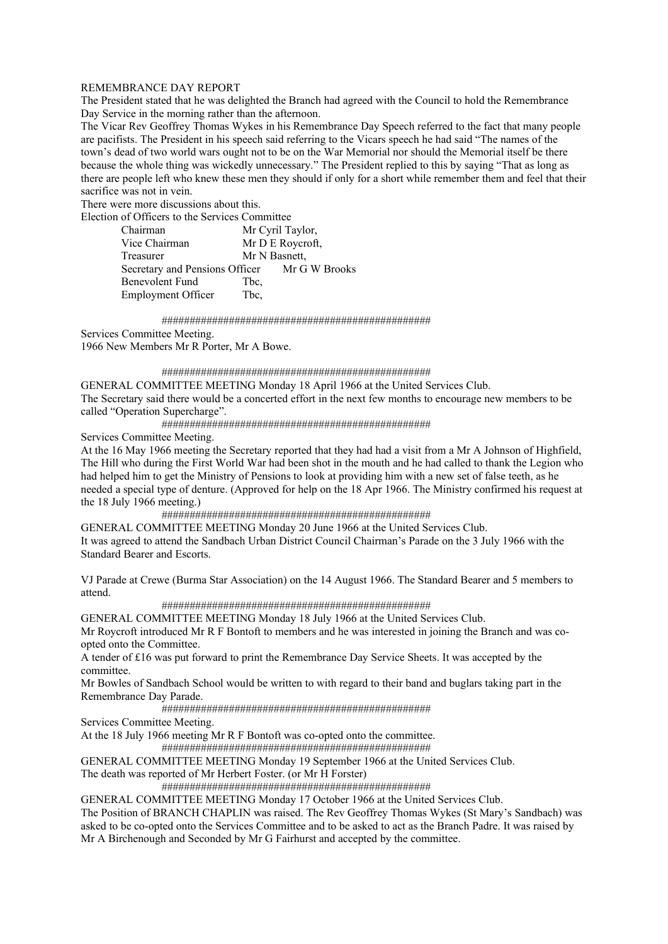# REMEMBRANCE DAY REPORT

The President stated that he was delighted the Branch had agreed with the Council to hold the Remembrance Day Service in the morning rather than the afternoon.

The Vicar Rev Geoffrey Thomas Wykes in his Remembrance Day Speech referred to the fact that many people are pacifists. The President in his speech said referring to the Vicars speech he had said "The names of the town's dead of two world wars ought not to be on the War Memorial nor should the Memorial itself be there because the whole thing was wickedly unnecessary." The President replied to this by saying "That as long as there are people left who knew these men they should if only for a short while remember them and feel that their sacrifice was not in vein.

There were more discussions about this.

| Election of Officers to the Services Committee |      |                  |
|------------------------------------------------|------|------------------|
| Chairman                                       |      | Mr Cyril Taylor, |
| Vice Chairman                                  |      | Mr D E Roycroft, |
| Treasurer                                      |      | Mr N Basnett.    |
| Secretary and Pensions Officer Mr G W Brooks   |      |                  |
| Benevolent Fund                                | Tbc. |                  |
| <b>Employment Officer</b>                      | Tbc, |                  |
|                                                |      |                  |

################################################

Services Committee Meeting.

1966 New Members Mr R Porter, Mr A Bowe.

#### ################################################

GENERAL COMMITTEE MEETING Monday 18 April 1966 at the United Services Club.

The Secretary said there would be a concerted effort in the next few months to encourage new members to be called "Operation Supercharge".

################################################

Services Committee Meeting.

At the 16 May 1966 meeting the Secretary reported that they had had a visit from a Mr A Johnson of Highfield, The Hill who during the First World War had been shot in the mouth and he had called to thank the Legion who had helped him to get the Ministry of Pensions to look at providing him with a new set of false teeth, as he needed a special type of denture. (Approved for help on the 18 Apr 1966. The Ministry confirmed his request at the 18 July 1966 meeting.)

################################################

GENERAL COMMITTEE MEETING Monday 20 June 1966 at the United Services Club. It was agreed to attend the Sandbach Urban District Council Chairman's Parade on the 3 July 1966 with the Standard Bearer and Escorts.

VJ Parade at Crewe (Burma Star Association) on the 14 August 1966. The Standard Bearer and 5 members to attend.

## ################################################

GENERAL COMMITTEE MEETING Monday 18 July 1966 at the United Services Club.

Mr Roycroft introduced Mr R F Bontoft to members and he was interested in joining the Branch and was coopted onto the Committee.

A tender of £16 was put forward to print the Remembrance Day Service Sheets. It was accepted by the committee.

Mr Bowles of Sandbach School would be written to with regard to their band and buglars taking part in the Remembrance Day Parade.

################################################

Services Committee Meeting.

At the 18 July 1966 meeting Mr R F Bontoft was co-opted onto the committee.

################################################

GENERAL COMMITTEE MEETING Monday 19 September 1966 at the United Services Club.

The death was reported of Mr Herbert Foster. (or Mr H Forster)

################################################

GENERAL COMMITTEE MEETING Monday 17 October 1966 at the United Services Club.

The Position of BRANCH CHAPLIN was raised. The Rev Geoffrey Thomas Wykes (St Mary's Sandbach) was asked to be co-opted onto the Services Committee and to be asked to act as the Branch Padre. It was raised by Mr A Birchenough and Seconded by Mr G Fairhurst and accepted by the committee.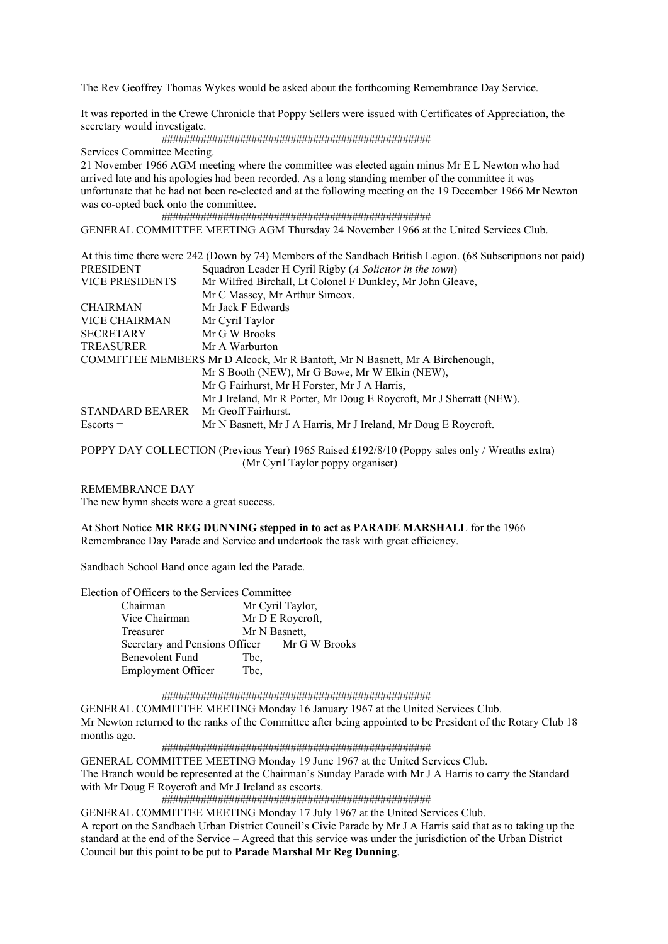The Rev Geoffrey Thomas Wykes would be asked about the forthcoming Remembrance Day Service.

It was reported in the Crewe Chronicle that Poppy Sellers were issued with Certificates of Appreciation, the secretary would investigate.

################################################

Services Committee Meeting.

21 November 1966 AGM meeting where the committee was elected again minus Mr E L Newton who had arrived late and his apologies had been recorded. As a long standing member of the committee it was unfortunate that he had not been re-elected and at the following meeting on the 19 December 1966 Mr Newton was co-opted back onto the committee.

################################################

GENERAL COMMITTEE MEETING AGM Thursday 24 November 1966 at the United Services Club.

| At this time there were 242 (Down by 74) Members of the Sandbach British Legion. (68 Subscriptions not paid) |
|--------------------------------------------------------------------------------------------------------------|
| Squadron Leader H Cyril Rigby (A Solicitor in the town)                                                      |
| Mr Wilfred Birchall, Lt Colonel F Dunkley, Mr John Gleave,                                                   |
| Mr C Massey, Mr Arthur Simcox.                                                                               |
| Mr Jack F Edwards                                                                                            |
| Mr Cyril Taylor                                                                                              |
| Mr G W Brooks                                                                                                |
| Mr A Warburton                                                                                               |
| COMMITTEE MEMBERS Mr D Alcock, Mr R Bantoft, Mr N Basnett, Mr A Birchenough,                                 |
| Mr S Booth (NEW), Mr G Bowe, Mr W Elkin (NEW),                                                               |
| Mr G Fairhurst, Mr H Forster, Mr J A Harris,                                                                 |
| Mr J Ireland, Mr R Porter, Mr Doug E Roycroft, Mr J Sherratt (NEW).                                          |
| Mr Geoff Fairhurst.                                                                                          |
| Mr N Basnett, Mr J A Harris, Mr J Ireland, Mr Doug E Roycroft.                                               |
|                                                                                                              |

POPPY DAY COLLECTION (Previous Year) 1965 Raised £192/8/10 (Poppy sales only / Wreaths extra) (Mr Cyril Taylor poppy organiser)

REMEMBRANCE DAY

The new hymn sheets were a great success.

At Short Notice **MR REG DUNNING stepped in to act as PARADE MARSHALL** for the 1966 Remembrance Day Parade and Service and undertook the task with great efficiency.

Sandbach School Band once again led the Parade.

Election of Officers to the Services Committee

| Chairman                                     |      | Mr Cyril Taylor, |
|----------------------------------------------|------|------------------|
| Vice Chairman                                |      | Mr D E Roycroft, |
| Treasurer                                    |      | Mr N Basnett,    |
| Secretary and Pensions Officer Mr G W Brooks |      |                  |
| Benevolent Fund                              | Tbc. |                  |
| <b>Employment Officer</b>                    | Tbc, |                  |

#### ################################################

GENERAL COMMITTEE MEETING Monday 16 January 1967 at the United Services Club. Mr Newton returned to the ranks of the Committee after being appointed to be President of the Rotary Club 18 months ago.

################################################

GENERAL COMMITTEE MEETING Monday 19 June 1967 at the United Services Club.

The Branch would be represented at the Chairman's Sunday Parade with Mr J A Harris to carry the Standard with Mr Doug E Roycroft and Mr J Ireland as escorts.

################################################

GENERAL COMMITTEE MEETING Monday 17 July 1967 at the United Services Club.

A report on the Sandbach Urban District Council's Civic Parade by Mr J A Harris said that as to taking up the standard at the end of the Service – Agreed that this service was under the jurisdiction of the Urban District Council but this point to be put to **Parade Marshal Mr Reg Dunning**.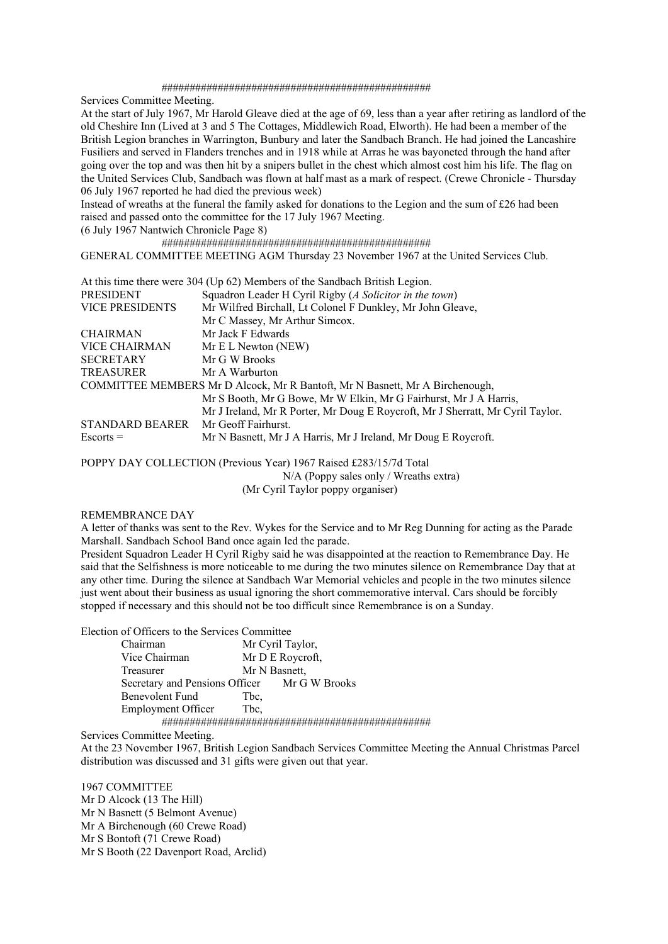#### ################################################

Services Committee Meeting.

At the start of July 1967, Mr Harold Gleave died at the age of 69, less than a year after retiring as landlord of the old Cheshire Inn (Lived at 3 and 5 The Cottages, Middlewich Road, Elworth). He had been a member of the British Legion branches in Warrington, Bunbury and later the Sandbach Branch. He had joined the Lancashire Fusiliers and served in Flanders trenches and in 1918 while at Arras he was bayoneted through the hand after going over the top and was then hit by a snipers bullet in the chest which almost cost him his life. The flag on the United Services Club, Sandbach was flown at half mast as a mark of respect. (Crewe Chronicle - Thursday 06 July 1967 reported he had died the previous week)

Instead of wreaths at the funeral the family asked for donations to the Legion and the sum of £26 had been raised and passed onto the committee for the 17 July 1967 Meeting.

(6 July 1967 Nantwich Chronicle Page 8)

 ################################################ GENERAL COMMITTEE MEETING AGM Thursday 23 November 1967 at the United Services Club.

| At this time there were 304 (Up 62) Members of the Sandbach British Legion.          |  |
|--------------------------------------------------------------------------------------|--|
| Squadron Leader H Cyril Rigby (A Solicitor in the town)<br><b>PRESIDENT</b>          |  |
| Mr Wilfred Birchall, Lt Colonel F Dunkley, Mr John Gleave,<br><b>VICE PRESIDENTS</b> |  |
| Mr C Massey, Mr Arthur Simcox.                                                       |  |
| Mr Jack F Edwards<br><b>CHAIRMAN</b>                                                 |  |
| <b>VICE CHAIRMAN</b><br>Mr E L Newton (NEW)                                          |  |
| <b>SECRETARY</b><br>Mr G W Brooks                                                    |  |
| <b>TREASURER</b><br>Mr A Warburton                                                   |  |
| COMMITTEE MEMBERS Mr D Alcock, Mr R Bantoft, Mr N Basnett, Mr A Birchenough,         |  |
| Mr S Booth, Mr G Bowe, Mr W Elkin, Mr G Fairhurst, Mr J A Harris,                    |  |
| Mr J Ireland, Mr R Porter, Mr Doug E Roycroft, Mr J Sherratt, Mr Cyril Taylor.       |  |
| STANDARD BEARER Mr Geoff Fairhurst.                                                  |  |
| Mr N Basnett, Mr J A Harris, Mr J Ireland, Mr Doug E Roycroft.<br>$Escorts =$        |  |

POPPY DAY COLLECTION (Previous Year) 1967 Raised £283/15/7d Total

N/A (Poppy sales only / Wreaths extra)

(Mr Cyril Taylor poppy organiser)

# REMEMBRANCE DAY

A letter of thanks was sent to the Rev. Wykes for the Service and to Mr Reg Dunning for acting as the Parade Marshall. Sandbach School Band once again led the parade.

President Squadron Leader H Cyril Rigby said he was disappointed at the reaction to Remembrance Day. He said that the Selfishness is more noticeable to me during the two minutes silence on Remembrance Day that at any other time. During the silence at Sandbach War Memorial vehicles and people in the two minutes silence just went about their business as usual ignoring the short commemorative interval. Cars should be forcibly stopped if necessary and this should not be too difficult since Remembrance is on a Sunday.

Election of Officers to the Services Committee

| Chairman                  |      | Mr Cyril Taylor,                             |  |
|---------------------------|------|----------------------------------------------|--|
| Vice Chairman             |      | Mr D E Roycroft,                             |  |
| Treasurer                 |      | Mr N Basnett,                                |  |
|                           |      | Secretary and Pensions Officer Mr G W Brooks |  |
| <b>Benevolent Fund</b>    | Tbc. |                                              |  |
| <b>Employment Officer</b> | Tbc, |                                              |  |
|                           |      |                                              |  |

Services Committee Meeting.

At the 23 November 1967, British Legion Sandbach Services Committee Meeting the Annual Christmas Parcel distribution was discussed and 31 gifts were given out that year.

1967 COMMITTEE Mr D Alcock (13 The Hill) Mr N Basnett (5 Belmont Avenue) Mr A Birchenough (60 Crewe Road) Mr S Bontoft (71 Crewe Road) Mr S Booth (22 Davenport Road, Arclid)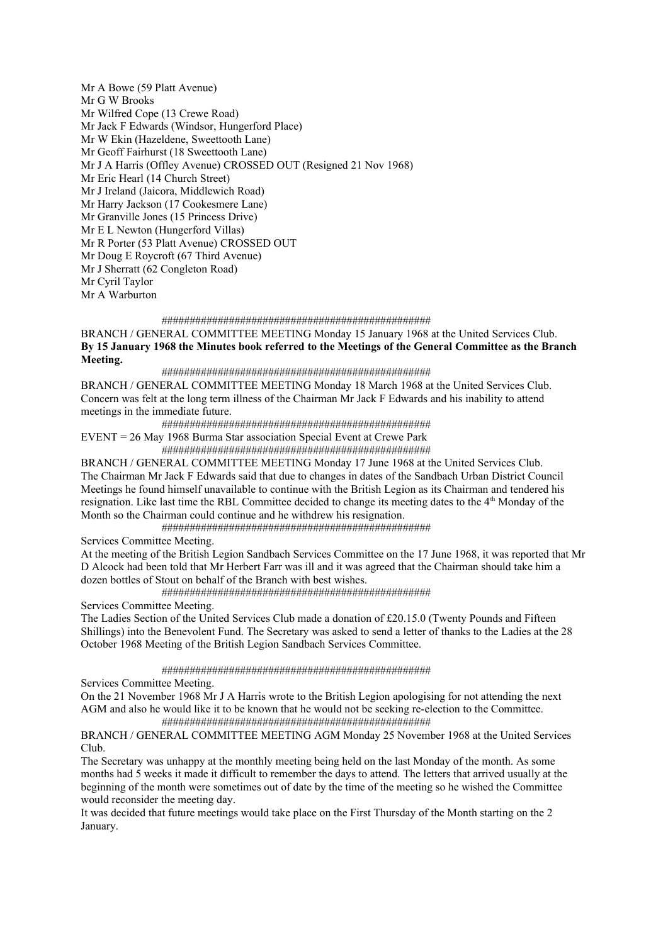Mr A Bowe (59 Platt Avenue) Mr G W Brooks Mr Wilfred Cope (13 Crewe Road) Mr Jack F Edwards (Windsor, Hungerford Place) Mr W Ekin (Hazeldene, Sweettooth Lane) Mr Geoff Fairhurst (18 Sweettooth Lane) Mr J A Harris (Offley Avenue) CROSSED OUT (Resigned 21 Nov 1968) Mr Eric Hearl (14 Church Street) Mr J Ireland (Jaicora, Middlewich Road) Mr Harry Jackson (17 Cookesmere Lane) Mr Granville Jones (15 Princess Drive) Mr E L Newton (Hungerford Villas) Mr R Porter (53 Platt Avenue) CROSSED OUT Mr Doug E Roycroft (67 Third Avenue) Mr J Sherratt (62 Congleton Road) Mr Cyril Taylor Mr A Warburton

#### ################################################

BRANCH / GENERAL COMMITTEE MEETING Monday 15 January 1968 at the United Services Club. **By 15 January 1968 the Minutes book referred to the Meetings of the General Committee as the Branch Meeting.** 

################################################

BRANCH / GENERAL COMMITTEE MEETING Monday 18 March 1968 at the United Services Club. Concern was felt at the long term illness of the Chairman Mr Jack F Edwards and his inability to attend meetings in the immediate future.

################################################

EVENT = 26 May 1968 Burma Star association Special Event at Crewe Park

 ################################################ BRANCH / GENERAL COMMITTEE MEETING Monday 17 June 1968 at the United Services Club.

The Chairman Mr Jack F Edwards said that due to changes in dates of the Sandbach Urban District Council Meetings he found himself unavailable to continue with the British Legion as its Chairman and tendered his resignation. Like last time the RBL Committee decided to change its meeting dates to the 4<sup>th</sup> Monday of the Month so the Chairman could continue and he withdrew his resignation.

################################################

Services Committee Meeting.

At the meeting of the British Legion Sandbach Services Committee on the 17 June 1968, it was reported that Mr D Alcock had been told that Mr Herbert Farr was ill and it was agreed that the Chairman should take him a dozen bottles of Stout on behalf of the Branch with best wishes.

################################################

Services Committee Meeting.

The Ladies Section of the United Services Club made a donation of £20.15.0 (Twenty Pounds and Fifteen Shillings) into the Benevolent Fund. The Secretary was asked to send a letter of thanks to the Ladies at the 28 October 1968 Meeting of the British Legion Sandbach Services Committee.

################################################

Services Committee Meeting.

On the 21 November 1968 Mr J A Harris wrote to the British Legion apologising for not attending the next AGM and also he would like it to be known that he would not be seeking re-election to the Committee. ################################################

BRANCH / GENERAL COMMITTEE MEETING AGM Monday 25 November 1968 at the United Services Club.

The Secretary was unhappy at the monthly meeting being held on the last Monday of the month. As some months had 5 weeks it made it difficult to remember the days to attend. The letters that arrived usually at the beginning of the month were sometimes out of date by the time of the meeting so he wished the Committee would reconsider the meeting day.

It was decided that future meetings would take place on the First Thursday of the Month starting on the 2 January.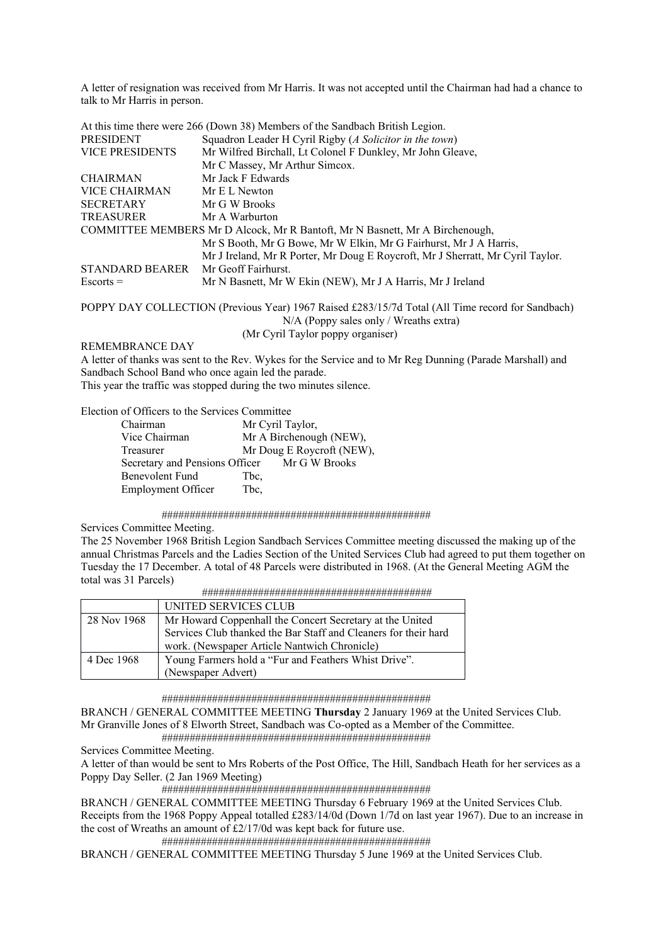A letter of resignation was received from Mr Harris. It was not accepted until the Chairman had had a chance to talk to Mr Harris in person.

|                        | At this time there were 266 (Down 38) Members of the Sandbach British Legion.                    |
|------------------------|--------------------------------------------------------------------------------------------------|
| <b>PRESIDENT</b>       | Squadron Leader H Cyril Rigby (A Solicitor in the town)                                          |
| <b>VICE PRESIDENTS</b> | Mr Wilfred Birchall, Lt Colonel F Dunkley, Mr John Gleave,                                       |
|                        | Mr C Massey, Mr Arthur Simcox.                                                                   |
| <b>CHAIRMAN</b>        | Mr Jack F Edwards                                                                                |
| VICE CHAIRMAN          | Mr E L Newton                                                                                    |
| <b>SECRETARY</b>       | Mr G W Brooks                                                                                    |
| <b>TREASURER</b>       | Mr A Warburton                                                                                   |
|                        | COMMITTEE MEMBERS Mr D Alcock, Mr R Bantoft, Mr N Basnett, Mr A Birchenough,                     |
|                        | Mr S Booth, Mr G Bowe, Mr W Elkin, Mr G Fairhurst, Mr J A Harris,                                |
|                        | Mr J Ireland, Mr R Porter, Mr Doug E Roycroft, Mr J Sherratt, Mr Cyril Taylor.                   |
| <b>STANDARD BEARER</b> | Mr Geoff Fairhurst.                                                                              |
| $Escorts =$            | Mr N Basnett, Mr W Ekin (NEW), Mr J A Harris, Mr J Ireland                                       |
|                        | DODDV DAV COLLECTION (D. $\cdot$ V. ) 10/5 D. $\cdot$ 1.000/15 5 1 m $\cdot$ 1/4 11 m<br>1001111 |

POPPY DAY COLLECTION (Previous Year) 1967 Raised £283/15/7d Total (All Time record for Sandbach) N/A (Poppy sales only / Wreaths extra) (Mr Cyril Taylor poppy organiser)

REMEMBRANCE DAY

A letter of thanks was sent to the Rev. Wykes for the Service and to Mr Reg Dunning (Parade Marshall) and Sandbach School Band who once again led the parade. This year the traffic was stopped during the two minutes silence.

Election of Officers to the Services Committee

| Mr Cyril Taylor,                             |
|----------------------------------------------|
| Mr A Birchenough (NEW),                      |
| Mr Doug E Roycroft (NEW),                    |
| Secretary and Pensions Officer Mr G W Brooks |
| Tbc.                                         |
| Tbc,                                         |
|                                              |

################################################

Services Committee Meeting.

The 25 November 1968 British Legion Sandbach Services Committee meeting discussed the making up of the annual Christmas Parcels and the Ladies Section of the United Services Club had agreed to put them together on Tuesday the 17 December. A total of 48 Parcels were distributed in 1968. (At the General Meeting AGM the total was 31 Parcels)

| .<br>, , , , , , , , , , , , , , ,<br>----------<br>- - - - |  | ,,,,, |  |  |  |  |  |  |  |  |  |  |  |  |  |  |  |  |  |  |
|-------------------------------------------------------------|--|-------|--|--|--|--|--|--|--|--|--|--|--|--|--|--|--|--|--|--|
|                                                             |  |       |  |  |  |  |  |  |  |  |  |  |  |  |  |  |  |  |  |  |

|             | UNITED SERVICES CLUB                                            |
|-------------|-----------------------------------------------------------------|
| 28 Nov 1968 | Mr Howard Coppenhall the Concert Secretary at the United        |
|             | Services Club thanked the Bar Staff and Cleaners for their hard |
|             | work. (Newspaper Article Nantwich Chronicle)                    |
| 4 Dec 1968  | Young Farmers hold a "Fur and Feathers Whist Drive".            |
|             | (Newspaper Advert)                                              |

################################################

BRANCH / GENERAL COMMITTEE MEETING **Thursday** 2 January 1969 at the United Services Club. Mr Granville Jones of 8 Elworth Street, Sandbach was Co-opted as a Member of the Committee.

################################################

Services Committee Meeting.

A letter of than would be sent to Mrs Roberts of the Post Office, The Hill, Sandbach Heath for her services as a Poppy Day Seller. (2 Jan 1969 Meeting)

################################################

BRANCH / GENERAL COMMITTEE MEETING Thursday 6 February 1969 at the United Services Club.

Receipts from the 1968 Poppy Appeal totalled £283/14/0d (Down 1/7d on last year 1967). Due to an increase in the cost of Wreaths an amount of £2/17/0d was kept back for future use.

################################################

BRANCH / GENERAL COMMITTEE MEETING Thursday 5 June 1969 at the United Services Club.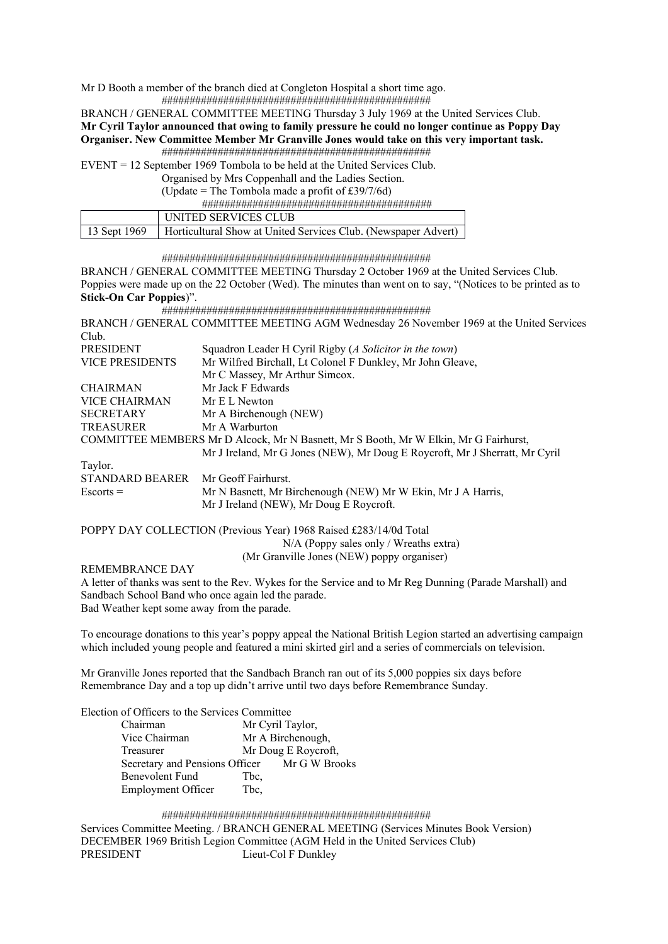Mr D Booth a member of the branch died at Congleton Hospital a short time ago.

################################################

BRANCH / GENERAL COMMITTEE MEETING Thursday 3 July 1969 at the United Services Club. **Mr Cyril Taylor announced that owing to family pressure he could no longer continue as Poppy Day** 

# **Organiser. New Committee Member Mr Granville Jones would take on this very important task.**  ################################################

EVENT = 12 September 1969 Tombola to be held at the United Services Club.

Organised by Mrs Coppenhall and the Ladies Section.

(Update = The Tombola made a profit of £39/7/6d)

#########################################

| UNITED SERVICES CLUB                                                          |
|-------------------------------------------------------------------------------|
| 13 Sept 1969   Horticultural Show at United Services Club. (Newspaper Advert) |

#### ################################################

BRANCH / GENERAL COMMITTEE MEETING Thursday 2 October 1969 at the United Services Club. Poppies were made up on the 22 October (Wed). The minutes than went on to say, "(Notices to be printed as to **Stick-On Car Poppies**)".

################################################

BRANCH / GENERAL COMMITTEE MEETING AGM Wednesday 26 November 1969 at the United Services Club. PRESIDENT Squadron Leader H Cyril Rigby (*A Solicitor in the town*) VICE PRESIDENTS Mr Wilfred Birchall, Lt Colonel F Dunkley, Mr John Gleave, Mr C Massey, Mr Arthur Simcox. CHAIRMAN Mr Jack F Edwards VICE CHAIRMAN Mr E L Newton SECRETARY Mr A Birchenough (NEW) TREASURER Mr A Warburton COMMITTEE MEMBERS Mr D Alcock, Mr N Basnett, Mr S Booth, Mr W Elkin, Mr G Fairhurst, Mr J Ireland, Mr G Jones (NEW), Mr Doug E Roycroft, Mr J Sherratt, Mr Cyril Taylor. STANDARD BEARER Mr Geoff Fairhurst. Escorts = Mr N Basnett, Mr Birchenough (NEW) Mr W Ekin, Mr J A Harris, Mr J Ireland (NEW), Mr Doug E Roycroft.

#### POPPY DAY COLLECTION (Previous Year) 1968 Raised £283/14/0d Total N/A (Poppy sales only / Wreaths extra) (Mr Granville Jones (NEW) poppy organiser)

REMEMBRANCE DAY

A letter of thanks was sent to the Rev. Wykes for the Service and to Mr Reg Dunning (Parade Marshall) and Sandbach School Band who once again led the parade. Bad Weather kept some away from the parade.

To encourage donations to this year's poppy appeal the National British Legion started an advertising campaign which included young people and featured a mini skirted girl and a series of commercials on television.

Mr Granville Jones reported that the Sandbach Branch ran out of its 5,000 poppies six days before Remembrance Day and a top up didn't arrive until two days before Remembrance Sunday.

Election of Officers to the Services Committee

| Chairman                                     |      | Mr Cyril Taylor,    |
|----------------------------------------------|------|---------------------|
| Vice Chairman                                |      | Mr A Birchenough,   |
| Treasurer                                    |      | Mr Doug E Roycroft, |
| Secretary and Pensions Officer Mr G W Brooks |      |                     |
| Benevolent Fund                              | Tbc. |                     |
| <b>Employment Officer</b>                    | Tbc, |                     |

#### ################################################

Services Committee Meeting. / BRANCH GENERAL MEETING (Services Minutes Book Version) DECEMBER 1969 British Legion Committee (AGM Held in the United Services Club) PRESIDENT Lieut-Col F Dunkley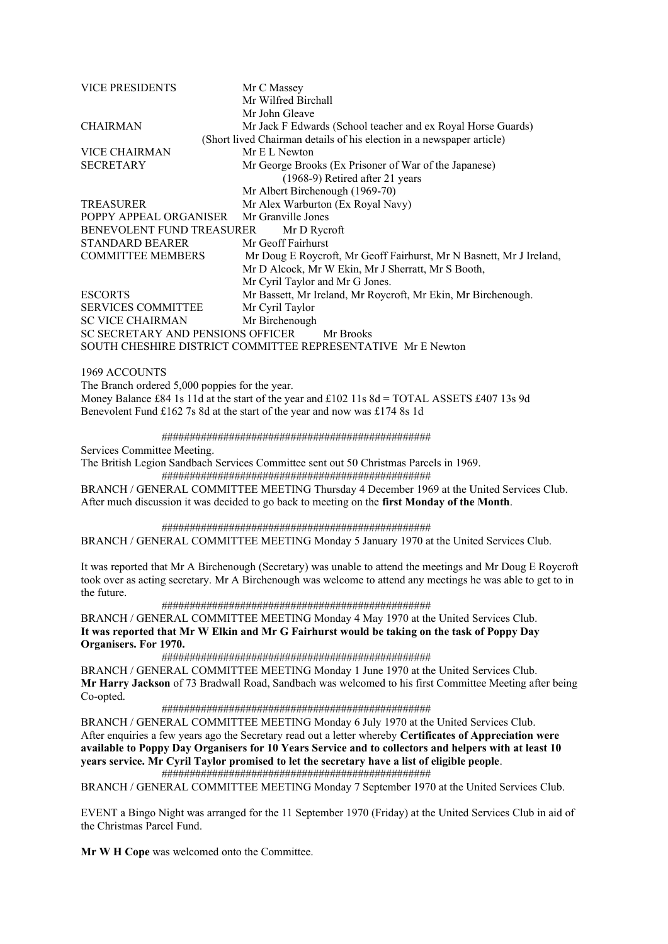| <b>VICE PRESIDENTS</b>            | Mr C Massey                                                           |
|-----------------------------------|-----------------------------------------------------------------------|
|                                   | Mr Wilfred Birchall                                                   |
|                                   | Mr John Gleave                                                        |
| <b>CHAIRMAN</b>                   | Mr Jack F Edwards (School teacher and ex Royal Horse Guards)          |
|                                   | (Short lived Chairman details of his election in a newspaper article) |
| VICE CHAIRMAN                     | Mr E L Newton                                                         |
| <b>SECRETARY</b>                  | Mr George Brooks (Ex Prisoner of War of the Japanese)                 |
|                                   | $(1968-9)$ Retired after 21 years                                     |
|                                   | Mr Albert Birchenough (1969-70)                                       |
| <b>TREASURER</b>                  | Mr Alex Warburton (Ex Royal Navy)                                     |
| POPPY APPEAL ORGANISER            | Mr Granville Jones                                                    |
| BENEVOLENT FUND TREASURER         | Mr D Rycroft                                                          |
| STANDARD BEARER                   | Mr Geoff Fairhurst                                                    |
| <b>COMMITTEE MEMBERS</b>          | Mr Doug E Roycroft, Mr Geoff Fairhurst, Mr N Basnett, Mr J Ireland,   |
|                                   | Mr D Alcock, Mr W Ekin, Mr J Sherratt, Mr S Booth,                    |
|                                   | Mr Cyril Taylor and Mr G Jones.                                       |
| <b>ESCORTS</b>                    | Mr Bassett, Mr Ireland, Mr Roycroft, Mr Ekin, Mr Birchenough.         |
| <b>SERVICES COMMITTEE</b>         | Mr Cyril Taylor                                                       |
| <b>SC VICE CHAIRMAN</b>           | Mr Birchenough                                                        |
| SC SECRETARY AND PENSIONS OFFICER | Mr Brooks                                                             |
|                                   | SOUTH CHESHIRE DISTRICT COMMITTEE REPRESENTATIVE Mr E Newton          |
|                                   |                                                                       |

1969 ACCOUNTS

The Branch ordered 5,000 poppies for the year. Money Balance £84 1s 11d at the start of the year and £102 11s 8d = TOTAL ASSETS £407 13s 9d Benevolent Fund £162 7s 8d at the start of the year and now was £174 8s 1d

################################################

Services Committee Meeting.

The British Legion Sandbach Services Committee sent out 50 Christmas Parcels in 1969. ################################################

BRANCH / GENERAL COMMITTEE MEETING Thursday 4 December 1969 at the United Services Club. After much discussion it was decided to go back to meeting on the **first Monday of the Month**.

################################################

BRANCH / GENERAL COMMITTEE MEETING Monday 5 January 1970 at the United Services Club.

It was reported that Mr A Birchenough (Secretary) was unable to attend the meetings and Mr Doug E Roycroft took over as acting secretary. Mr A Birchenough was welcome to attend any meetings he was able to get to in the future.

################################################

BRANCH / GENERAL COMMITTEE MEETING Monday 4 May 1970 at the United Services Club. **It was reported that Mr W Elkin and Mr G Fairhurst would be taking on the task of Poppy Day Organisers. For 1970.** 

################################################

BRANCH / GENERAL COMMITTEE MEETING Monday 1 June 1970 at the United Services Club. **Mr Harry Jackson** of 73 Bradwall Road, Sandbach was welcomed to his first Committee Meeting after being Co-opted.

################################################

BRANCH / GENERAL COMMITTEE MEETING Monday 6 July 1970 at the United Services Club. After enquiries a few years ago the Secretary read out a letter whereby **Certificates of Appreciation were available to Poppy Day Organisers for 10 Years Service and to collectors and helpers with at least 10 years service. Mr Cyril Taylor promised to let the secretary have a list of eligible people**.

################################################

BRANCH / GENERAL COMMITTEE MEETING Monday 7 September 1970 at the United Services Club.

EVENT a Bingo Night was arranged for the 11 September 1970 (Friday) at the United Services Club in aid of the Christmas Parcel Fund.

**Mr W H Cope** was welcomed onto the Committee.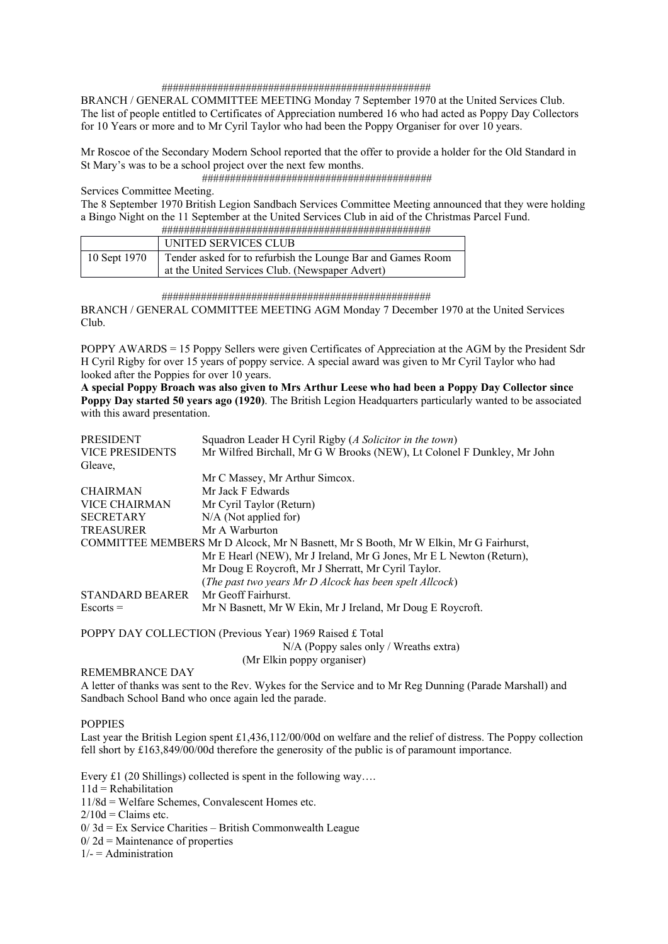#### ################################################

BRANCH / GENERAL COMMITTEE MEETING Monday 7 September 1970 at the United Services Club. The list of people entitled to Certificates of Appreciation numbered 16 who had acted as Poppy Day Collectors for 10 Years or more and to Mr Cyril Taylor who had been the Poppy Organiser for over 10 years.

Mr Roscoe of the Secondary Modern School reported that the offer to provide a holder for the Old Standard in St Mary's was to be a school project over the next few months.

#########################################

Services Committee Meeting.

The 8 September 1970 British Legion Sandbach Services Committee Meeting announced that they were holding a Bingo Night on the 11 September at the United Services Club in aid of the Christmas Parcel Fund. ################################################

|              | UNITED SERVICES CLUB                                        |
|--------------|-------------------------------------------------------------|
| 10 Sept 1970 | Tender asked for to refurbish the Lounge Bar and Games Room |
|              | at the United Services Club. (Newspaper Advert)             |

#### ################################################

BRANCH / GENERAL COMMITTEE MEETING AGM Monday 7 December 1970 at the United Services Club.

POPPY AWARDS = 15 Poppy Sellers were given Certificates of Appreciation at the AGM by the President Sdr H Cyril Rigby for over 15 years of poppy service. A special award was given to Mr Cyril Taylor who had looked after the Poppies for over 10 years.

**A special Poppy Broach was also given to Mrs Arthur Leese who had been a Poppy Day Collector since Poppy Day started 50 years ago (1920)**. The British Legion Headquarters particularly wanted to be associated with this award presentation.

| <b>PRESIDENT</b>       | Squadron Leader H Cyril Rigby (A Solicitor in the town)                              |
|------------------------|--------------------------------------------------------------------------------------|
| <b>VICE PRESIDENTS</b> | Mr Wilfred Birchall, Mr G W Brooks (NEW), Lt Colonel F Dunkley, Mr John              |
| Gleave,                |                                                                                      |
|                        | Mr C Massey, Mr Arthur Simcox.                                                       |
| <b>CHAIRMAN</b>        | Mr Jack F Edwards                                                                    |
| <b>VICE CHAIRMAN</b>   | Mr Cyril Taylor (Return)                                                             |
| <b>SECRETARY</b>       | $N/A$ (Not applied for)                                                              |
| <b>TREASURER</b>       | Mr A Warburton                                                                       |
|                        | COMMITTEE MEMBERS Mr D Alcock, Mr N Basnett, Mr S Booth, Mr W Elkin, Mr G Fairhurst, |
|                        | Mr E Hearl (NEW), Mr J Ireland, Mr G Jones, Mr E L Newton (Return),                  |
|                        | Mr Doug E Roycroft, Mr J Sherratt, Mr Cyril Taylor.                                  |
|                        | (The past two years Mr D Alcock has been spelt Allcock)                              |
| <b>STANDARD BEARER</b> | Mr Geoff Fairhurst.                                                                  |
| $Escorts =$            | Mr N Basnett, Mr W Ekin, Mr J Ireland, Mr Doug E Roycroft.                           |
|                        |                                                                                      |

POPPY DAY COLLECTION (Previous Year) 1969 Raised £ Total

 N/A (Poppy sales only / Wreaths extra) (Mr Elkin poppy organiser)

#### REMEMBRANCE DAY

A letter of thanks was sent to the Rev. Wykes for the Service and to Mr Reg Dunning (Parade Marshall) and Sandbach School Band who once again led the parade.

#### POPPIES

Last year the British Legion spent £1,436,112/00/00d on welfare and the relief of distress. The Poppy collection fell short by £163,849/00/00d therefore the generosity of the public is of paramount importance.

Every £1 (20 Shillings) collected is spent in the following way....

 $11d =$ Rehabilitation

11/8d = Welfare Schemes, Convalescent Homes etc.

 $2/10d =$  Claims etc.

 $0/3d = Ex$  Service Charities – British Commonwealth League

 $0/2d =$ Maintenance of properties

 $1/- =$  Administration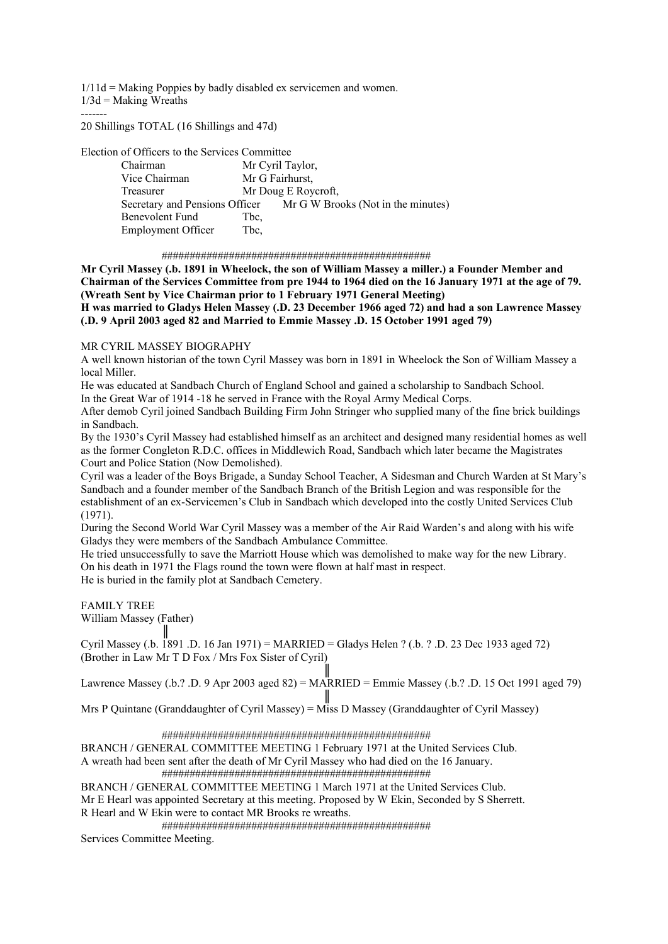$1/11d =$  Making Poppies by badly disabled ex servicemen and women.  $1/3d =$ Making Wreaths

-------

20 Shillings TOTAL (16 Shillings and 47d)

Election of Officers to the Services Committee

| елесной от отнеств то что встутеся сопинцес |                                                                   |
|---------------------------------------------|-------------------------------------------------------------------|
| Chairman                                    | Mr Cyril Taylor,                                                  |
| Vice Chairman                               | Mr G Fairhurst,                                                   |
| Treasurer                                   | Mr Doug E Roycroft,                                               |
|                                             | Secretary and Pensions Officer Mr G W Brooks (Not in the minutes) |
| Benevolent Fund                             | Tbc,                                                              |
| <b>Employment Officer</b>                   | Tbc.                                                              |
|                                             |                                                                   |

################################################

**Mr Cyril Massey (.b. 1891 in Wheelock, the son of William Massey a miller.) a Founder Member and Chairman of the Services Committee from pre 1944 to 1964 died on the 16 January 1971 at the age of 79. (Wreath Sent by Vice Chairman prior to 1 February 1971 General Meeting) H was married to Gladys Helen Massey (.D. 23 December 1966 aged 72) and had a son Lawrence Massey (.D. 9 April 2003 aged 82 and Married to Emmie Massey .D. 15 October 1991 aged 79)** 

# MR CYRIL MASSEY BIOGRAPHY

A well known historian of the town Cyril Massey was born in 1891 in Wheelock the Son of William Massey a local Miller.

He was educated at Sandbach Church of England School and gained a scholarship to Sandbach School. In the Great War of 1914 -18 he served in France with the Royal Army Medical Corps.

After demob Cyril joined Sandbach Building Firm John Stringer who supplied many of the fine brick buildings in Sandbach.

By the 1930's Cyril Massey had established himself as an architect and designed many residential homes as well as the former Congleton R.D.C. offices in Middlewich Road, Sandbach which later became the Magistrates Court and Police Station (Now Demolished).

Cyril was a leader of the Boys Brigade, a Sunday School Teacher, A Sidesman and Church Warden at St Mary's Sandbach and a founder member of the Sandbach Branch of the British Legion and was responsible for the establishment of an ex-Servicemen's Club in Sandbach which developed into the costly United Services Club (1971).

During the Second World War Cyril Massey was a member of the Air Raid Warden's and along with his wife Gladys they were members of the Sandbach Ambulance Committee.

He tried unsuccessfully to save the Marriott House which was demolished to make way for the new Library. On his death in 1971 the Flags round the town were flown at half mast in respect. He is buried in the family plot at Sandbach Cemetery.

FAMILY TREE

William Massey (Father)

 ║ Cyril Massey (.b. 1891 .D. 16 Jan 1971) = MARRIED = Gladys Helen ? (.b. ? .D. 23 Dec 1933 aged 72) (Brother in Law Mr T D Fox / Mrs Fox Sister of Cyril)

 ║ Lawrence Massey (.b.? .D. 9 Apr 2003 aged 82) = MARRIED = Emmie Massey (.b.? .D. 15 Oct 1991 aged 79) ║

Mrs P Quintane (Granddaughter of Cyril Massey) = Miss D Massey (Granddaughter of Cyril Massey)

################################################

BRANCH / GENERAL COMMITTEE MEETING 1 February 1971 at the United Services Club.

A wreath had been sent after the death of Mr Cyril Massey who had died on the 16 January. ################################################

BRANCH / GENERAL COMMITTEE MEETING 1 March 1971 at the United Services Club. Mr E Hearl was appointed Secretary at this meeting. Proposed by W Ekin, Seconded by S Sherrett. R Hearl and W Ekin were to contact MR Brooks re wreaths.

################################################

Services Committee Meeting.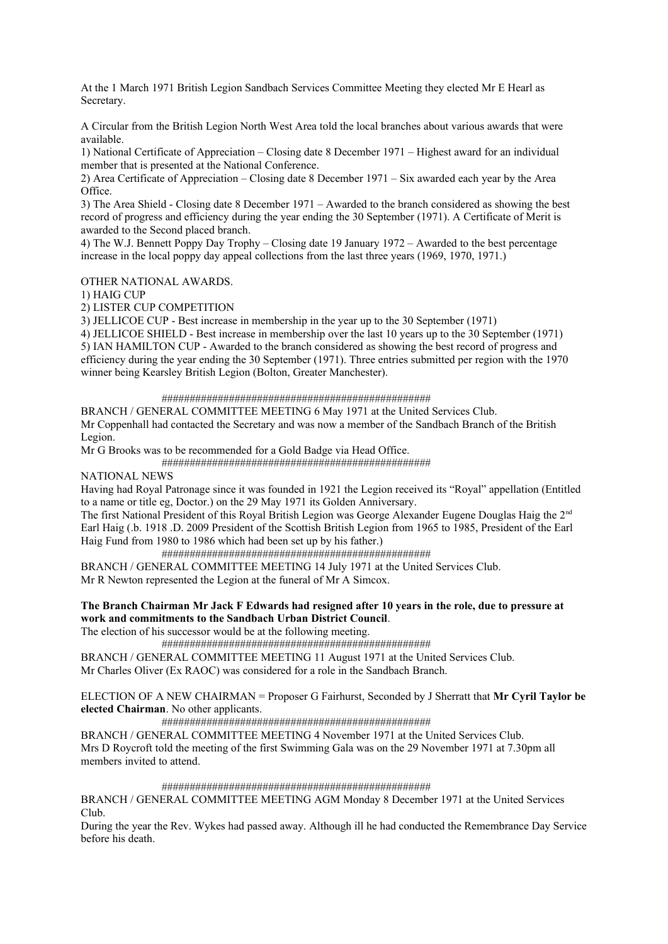At the 1 March 1971 British Legion Sandbach Services Committee Meeting they elected Mr E Hearl as Secretary.

A Circular from the British Legion North West Area told the local branches about various awards that were available.

1) National Certificate of Appreciation – Closing date 8 December 1971 – Highest award for an individual member that is presented at the National Conference.

2) Area Certificate of Appreciation – Closing date 8 December 1971 – Six awarded each year by the Area Office.

3) The Area Shield - Closing date 8 December 1971 – Awarded to the branch considered as showing the best record of progress and efficiency during the year ending the 30 September (1971). A Certificate of Merit is awarded to the Second placed branch.

4) The W.J. Bennett Poppy Day Trophy – Closing date 19 January 1972 – Awarded to the best percentage increase in the local poppy day appeal collections from the last three years (1969, 1970, 1971.)

OTHER NATIONAL AWARDS.

1) HAIG CUP

2) LISTER CUP COMPETITION

3) JELLICOE CUP - Best increase in membership in the year up to the 30 September (1971)

4) JELLICOE SHIELD - Best increase in membership over the last 10 years up to the 30 September (1971) 5) IAN HAMILTON CUP - Awarded to the branch considered as showing the best record of progress and efficiency during the year ending the 30 September (1971). Three entries submitted per region with the 1970 winner being Kearsley British Legion (Bolton, Greater Manchester).

#### ################################################

BRANCH / GENERAL COMMITTEE MEETING 6 May 1971 at the United Services Club. Mr Coppenhall had contacted the Secretary and was now a member of the Sandbach Branch of the British Legion.

Mr G Brooks was to be recommended for a Gold Badge via Head Office.

################################################

### NATIONAL NEWS

Having had Royal Patronage since it was founded in 1921 the Legion received its "Royal" appellation (Entitled to a name or title eg, Doctor.) on the 29 May 1971 its Golden Anniversary.

The first National President of this Royal British Legion was George Alexander Eugene Douglas Haig the 2<sup>nd</sup> Earl Haig (.b. 1918 .D. 2009 President of the Scottish British Legion from 1965 to 1985, President of the Earl Haig Fund from 1980 to 1986 which had been set up by his father.)

 ################################################ BRANCH / GENERAL COMMITTEE MEETING 14 July 1971 at the United Services Club. Mr R Newton represented the Legion at the funeral of Mr A Simcox.

# **The Branch Chairman Mr Jack F Edwards had resigned after 10 years in the role, due to pressure at work and commitments to the Sandbach Urban District Council**.

The election of his successor would be at the following meeting.

################################################

BRANCH / GENERAL COMMITTEE MEETING 11 August 1971 at the United Services Club. Mr Charles Oliver (Ex RAOC) was considered for a role in the Sandbach Branch.

ELECTION OF A NEW CHAIRMAN = Proposer G Fairhurst, Seconded by J Sherratt that **Mr Cyril Taylor be elected Chairman**. No other applicants.

################################################

BRANCH / GENERAL COMMITTEE MEETING 4 November 1971 at the United Services Club. Mrs D Roycroft told the meeting of the first Swimming Gala was on the 29 November 1971 at 7.30pm all members invited to attend.

#### ################################################

BRANCH / GENERAL COMMITTEE MEETING AGM Monday 8 December 1971 at the United Services Club.

During the year the Rev. Wykes had passed away. Although ill he had conducted the Remembrance Day Service before his death.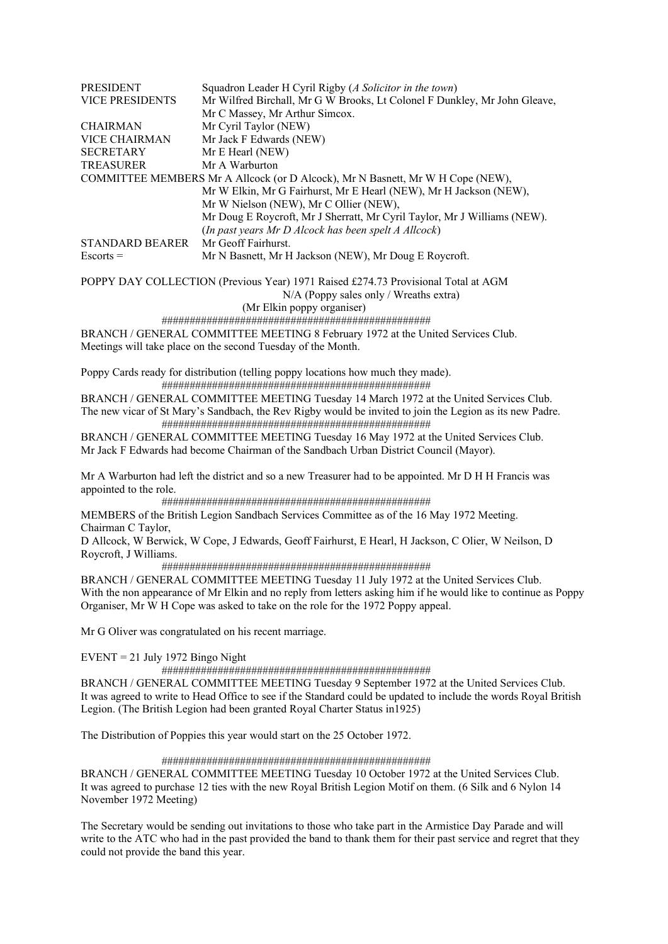| PRESIDENT              | Squadron Leader H Cyril Rigby (A Solicitor in the town)                           |
|------------------------|-----------------------------------------------------------------------------------|
| <b>VICE PRESIDENTS</b> | Mr Wilfred Birchall, Mr G W Brooks, Lt Colonel F Dunkley, Mr John Gleave,         |
|                        | Mr C Massey, Mr Arthur Simcox.                                                    |
| <b>CHAIRMAN</b>        | Mr Cyril Taylor (NEW)                                                             |
| <b>VICE CHAIRMAN</b>   | Mr Jack F Edwards (NEW)                                                           |
| <b>SECRETARY</b>       | Mr E Hearl (NEW)                                                                  |
| <b>TREASURER</b>       | Mr A Warburton                                                                    |
|                        | COMMITTEE MEMBERS Mr A Allcock (or D Alcock), Mr N Basnett, Mr W H Cope (NEW),    |
|                        | Mr W Elkin, Mr G Fairhurst, Mr E Hearl (NEW), Mr H Jackson (NEW),                 |
|                        | Mr W Nielson (NEW), Mr C Ollier (NEW),                                            |
|                        | Mr Doug E Roycroft, Mr J Sherratt, Mr Cyril Taylor, Mr J Williams (NEW).          |
|                        | (In past years Mr D Alcock has been spelt A Allcock)                              |
| <b>STANDARD BEARER</b> | Mr Geoff Fairhurst.                                                               |
| $Escorts =$            | Mr N Basnett, Mr H Jackson (NEW), Mr Doug E Roycroft.                             |
|                        | POPPY DAY COLLECTION (Previous Year) 1971 Raised £274.73 Provisional Total at AGM |
|                        | N/A (Poppy sales only / Wreaths extra)                                            |

(Mr Elkin poppy organiser)

################################################

BRANCH / GENERAL COMMITTEE MEETING 8 February 1972 at the United Services Club. Meetings will take place on the second Tuesday of the Month.

Poppy Cards ready for distribution (telling poppy locations how much they made). ################################################

BRANCH / GENERAL COMMITTEE MEETING Tuesday 14 March 1972 at the United Services Club. The new vicar of St Mary's Sandbach, the Rev Rigby would be invited to join the Legion as its new Padre. ################################################

BRANCH / GENERAL COMMITTEE MEETING Tuesday 16 May 1972 at the United Services Club. Mr Jack F Edwards had become Chairman of the Sandbach Urban District Council (Mayor).

Mr A Warburton had left the district and so a new Treasurer had to be appointed. Mr D H H Francis was appointed to the role.

################################################

MEMBERS of the British Legion Sandbach Services Committee as of the 16 May 1972 Meeting. Chairman C Taylor,

D Allcock, W Berwick, W Cope, J Edwards, Geoff Fairhurst, E Hearl, H Jackson, C Olier, W Neilson, D Roycroft, J Williams.

################################################

BRANCH / GENERAL COMMITTEE MEETING Tuesday 11 July 1972 at the United Services Club. With the non appearance of Mr Elkin and no reply from letters asking him if he would like to continue as Poppy Organiser, Mr W H Cope was asked to take on the role for the 1972 Poppy appeal.

Mr G Oliver was congratulated on his recent marriage.

 $EVENT = 21$  July 1972 Bingo Night

################################################

BRANCH / GENERAL COMMITTEE MEETING Tuesday 9 September 1972 at the United Services Club. It was agreed to write to Head Office to see if the Standard could be updated to include the words Royal British Legion. (The British Legion had been granted Royal Charter Status in1925)

The Distribution of Poppies this year would start on the 25 October 1972.

# ################################################

BRANCH / GENERAL COMMITTEE MEETING Tuesday 10 October 1972 at the United Services Club. It was agreed to purchase 12 ties with the new Royal British Legion Motif on them. (6 Silk and 6 Nylon 14 November 1972 Meeting)

The Secretary would be sending out invitations to those who take part in the Armistice Day Parade and will write to the ATC who had in the past provided the band to thank them for their past service and regret that they could not provide the band this year.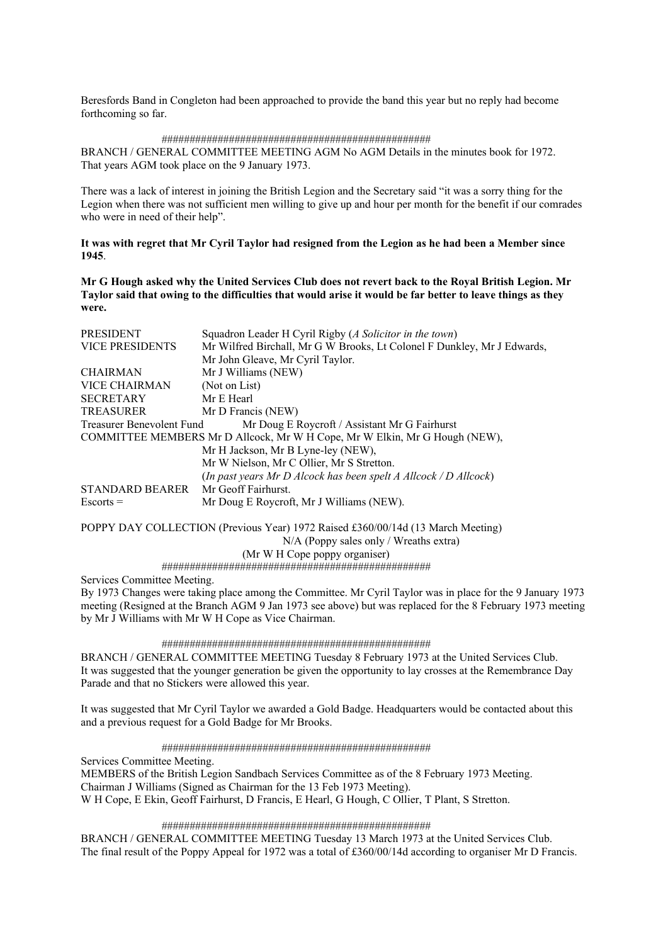Beresfords Band in Congleton had been approached to provide the band this year but no reply had become forthcoming so far.

#### ################################################

BRANCH / GENERAL COMMITTEE MEETING AGM No AGM Details in the minutes book for 1972. That years AGM took place on the 9 January 1973.

There was a lack of interest in joining the British Legion and the Secretary said "it was a sorry thing for the Legion when there was not sufficient men willing to give up and hour per month for the benefit if our comrades who were in need of their help".

**It was with regret that Mr Cyril Taylor had resigned from the Legion as he had been a Member since 1945**.

**Mr G Hough asked why the United Services Club does not revert back to the Royal British Legion. Mr Taylor said that owing to the difficulties that would arise it would be far better to leave things as they were.** 

| PRESIDENT                 | Squadron Leader H Cyril Rigby (A Solicitor in the town)                    |
|---------------------------|----------------------------------------------------------------------------|
| <b>VICE PRESIDENTS</b>    | Mr Wilfred Birchall, Mr G W Brooks, Lt Colonel F Dunkley, Mr J Edwards,    |
|                           | Mr John Gleave, Mr Cyril Taylor.                                           |
| <b>CHAIRMAN</b>           | Mr J Williams (NEW)                                                        |
| VICE CHAIRMAN             | (Not on List)                                                              |
| <b>SECRETARY</b>          | Mr E Hearl                                                                 |
| <b>TREASURER</b>          | Mr D Francis (NEW)                                                         |
| Treasurer Benevolent Fund | Mr Doug E Roycroft / Assistant Mr G Fairhurst                              |
|                           | COMMITTEE MEMBERS Mr D Allcock, Mr W H Cope, Mr W Elkin, Mr G Hough (NEW), |
|                           | Mr H Jackson, Mr B Lyne-ley (NEW),                                         |
|                           | Mr W Nielson, Mr C Ollier, Mr S Stretton.                                  |
|                           | (In past years Mr D Alcock has been spelt A Allcock / D Allcock)           |
| <b>STANDARD BEARER</b>    | Mr Geoff Fairhurst.                                                        |
| $Escorts =$               | Mr Doug E Roycroft, Mr J Williams (NEW).                                   |
|                           |                                                                            |

POPPY DAY COLLECTION (Previous Year) 1972 Raised £360/00/14d (13 March Meeting) N/A (Poppy sales only / Wreaths extra) (Mr W H Cope poppy organiser)

################################################

Services Committee Meeting.

By 1973 Changes were taking place among the Committee. Mr Cyril Taylor was in place for the 9 January 1973 meeting (Resigned at the Branch AGM 9 Jan 1973 see above) but was replaced for the 8 February 1973 meeting by Mr J Williams with Mr W H Cope as Vice Chairman.

#### ################################################

BRANCH / GENERAL COMMITTEE MEETING Tuesday 8 February 1973 at the United Services Club. It was suggested that the younger generation be given the opportunity to lay crosses at the Remembrance Day Parade and that no Stickers were allowed this year.

It was suggested that Mr Cyril Taylor we awarded a Gold Badge. Headquarters would be contacted about this and a previous request for a Gold Badge for Mr Brooks.

################################################

Services Committee Meeting. MEMBERS of the British Legion Sandbach Services Committee as of the 8 February 1973 Meeting. Chairman J Williams (Signed as Chairman for the 13 Feb 1973 Meeting). W H Cope, E Ekin, Geoff Fairhurst, D Francis, E Hearl, G Hough, C Ollier, T Plant, S Stretton.

################################################

BRANCH / GENERAL COMMITTEE MEETING Tuesday 13 March 1973 at the United Services Club. The final result of the Poppy Appeal for 1972 was a total of £360/00/14d according to organiser Mr D Francis.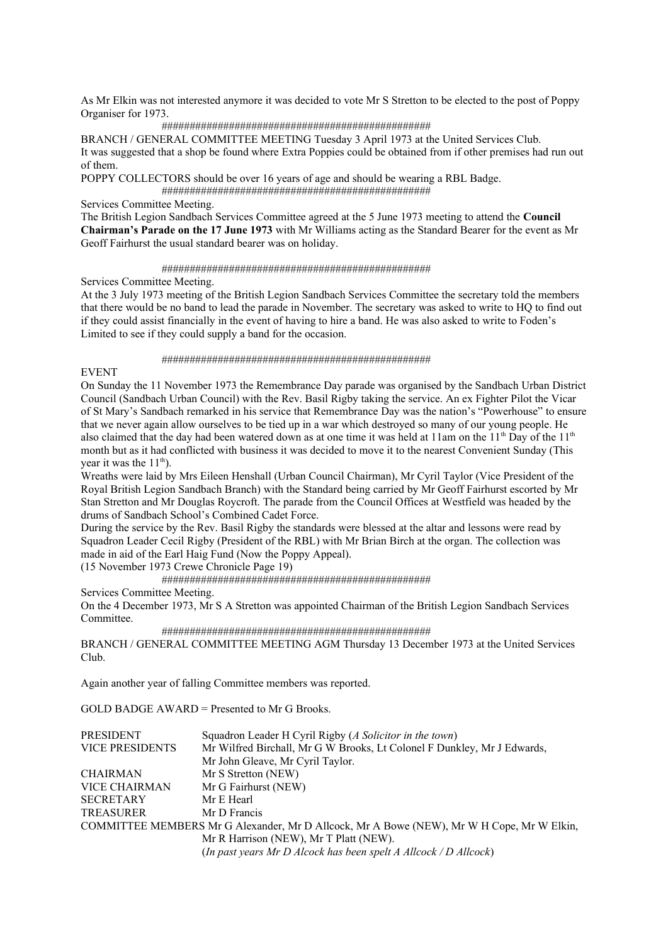As Mr Elkin was not interested anymore it was decided to vote Mr S Stretton to be elected to the post of Poppy Organiser for 1973.

#### ################################################

BRANCH / GENERAL COMMITTEE MEETING Tuesday 3 April 1973 at the United Services Club. It was suggested that a shop be found where Extra Poppies could be obtained from if other premises had run out of them.

POPPY COLLECTORS should be over 16 years of age and should be wearing a RBL Badge.

################################################

Services Committee Meeting.

The British Legion Sandbach Services Committee agreed at the 5 June 1973 meeting to attend the **Council Chairman's Parade on the 17 June 1973** with Mr Williams acting as the Standard Bearer for the event as Mr Geoff Fairhurst the usual standard bearer was on holiday.

#### ################################################

Services Committee Meeting.

At the 3 July 1973 meeting of the British Legion Sandbach Services Committee the secretary told the members that there would be no band to lead the parade in November. The secretary was asked to write to HQ to find out if they could assist financially in the event of having to hire a band. He was also asked to write to Foden's Limited to see if they could supply a band for the occasion.

#### ################################################

EVENT

On Sunday the 11 November 1973 the Remembrance Day parade was organised by the Sandbach Urban District Council (Sandbach Urban Council) with the Rev. Basil Rigby taking the service. An ex Fighter Pilot the Vicar of St Mary's Sandbach remarked in his service that Remembrance Day was the nation's "Powerhouse" to ensure that we never again allow ourselves to be tied up in a war which destroyed so many of our young people. He also claimed that the day had been watered down as at one time it was held at 11am on the  $11<sup>th</sup>$  Day of the  $11<sup>th</sup>$ month but as it had conflicted with business it was decided to move it to the nearest Convenient Sunday (This vear it was the  $11<sup>th</sup>$ .

Wreaths were laid by Mrs Eileen Henshall (Urban Council Chairman), Mr Cyril Taylor (Vice President of the Royal British Legion Sandbach Branch) with the Standard being carried by Mr Geoff Fairhurst escorted by Mr Stan Stretton and Mr Douglas Roycroft. The parade from the Council Offices at Westfield was headed by the drums of Sandbach School's Combined Cadet Force.

During the service by the Rev. Basil Rigby the standards were blessed at the altar and lessons were read by Squadron Leader Cecil Rigby (President of the RBL) with Mr Brian Birch at the organ. The collection was made in aid of the Earl Haig Fund (Now the Poppy Appeal).

(15 November 1973 Crewe Chronicle Page 19)

################################################

Services Committee Meeting.

On the 4 December 1973, Mr S A Stretton was appointed Chairman of the British Legion Sandbach Services Committee.

################################################

BRANCH / GENERAL COMMITTEE MEETING AGM Thursday 13 December 1973 at the United Services Club.

Again another year of falling Committee members was reported.

GOLD BADGE AWARD = Presented to Mr G Brooks.

| PRESIDENT                                                                                 | Squadron Leader H Cyril Rigby (A Solicitor in the town)                 |  |
|-------------------------------------------------------------------------------------------|-------------------------------------------------------------------------|--|
| <b>VICE PRESIDENTS</b>                                                                    | Mr Wilfred Birchall, Mr G W Brooks, Lt Colonel F Dunkley, Mr J Edwards, |  |
|                                                                                           | Mr John Gleave, Mr Cyril Taylor.                                        |  |
| <b>CHAIRMAN</b>                                                                           | Mr S Stretton (NEW)                                                     |  |
| <b>VICE CHAIRMAN</b>                                                                      | Mr G Fairhurst (NEW)                                                    |  |
| <b>SECRETARY</b>                                                                          | Mr E Hearl                                                              |  |
| <b>TREASURER</b>                                                                          | Mr D Francis                                                            |  |
| COMMITTEE MEMBERS Mr G Alexander, Mr D Allcock, Mr A Bowe (NEW), Mr W H Cope, Mr W Elkin, |                                                                         |  |
|                                                                                           | Mr R Harrison (NEW), Mr T Platt (NEW).                                  |  |
|                                                                                           | (In past years Mr D Alcock has been spelt A Allcock / D Allcock)        |  |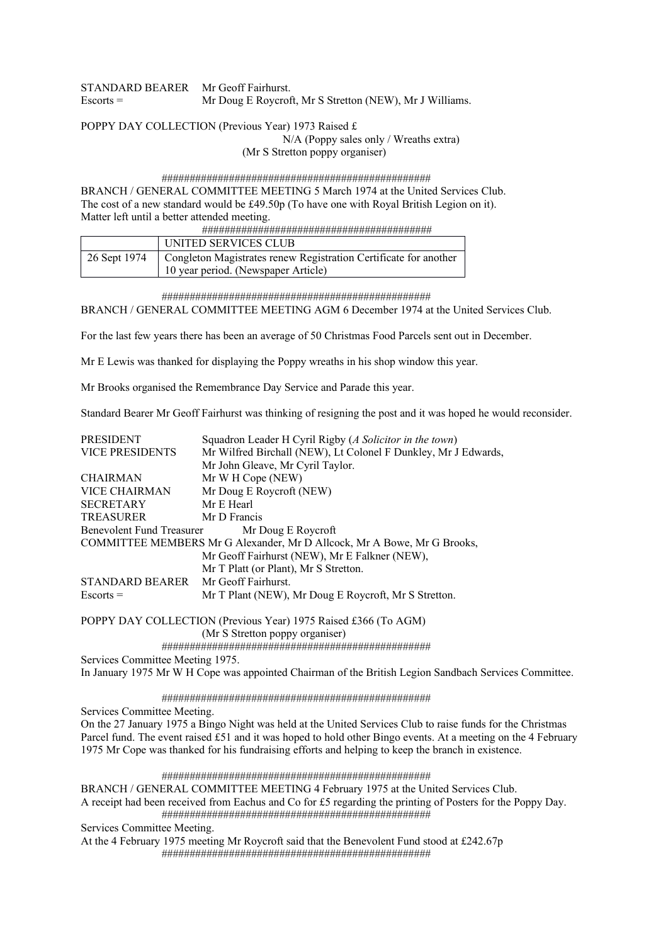| STANDARD BEARER Mr Geoff Fairhurst. |                                                         |
|-------------------------------------|---------------------------------------------------------|
| $Escorts =$                         | Mr Doug E Roycroft, Mr S Stretton (NEW), Mr J Williams. |

POPPY DAY COLLECTION (Previous Year) 1973 Raised £ N/A (Poppy sales only / Wreaths extra)

(Mr S Stretton poppy organiser)

 ################################################ BRANCH / GENERAL COMMITTEE MEETING 5 March 1974 at the United Services Club. The cost of a new standard would be £49.50p (To have one with Royal British Legion on it). Matter left until a better attended meeting.

|              | UNITED SERVICES CLUB                                             |
|--------------|------------------------------------------------------------------|
| 26 Sept 1974 | Congleton Magistrates renew Registration Certificate for another |
|              | 10 year period. (Newspaper Article)                              |

################################################

BRANCH / GENERAL COMMITTEE MEETING AGM 6 December 1974 at the United Services Club.

For the last few years there has been an average of 50 Christmas Food Parcels sent out in December.

Mr E Lewis was thanked for displaying the Poppy wreaths in his shop window this year.

Mr Brooks organised the Remembrance Day Service and Parade this year.

Standard Bearer Mr Geoff Fairhurst was thinking of resigning the post and it was hoped he would reconsider.

| <b>PRESIDENT</b>                 | Squadron Leader H Cyril Rigby (A Solicitor in the town)                 |
|----------------------------------|-------------------------------------------------------------------------|
| <b>VICE PRESIDENTS</b>           | Mr Wilfred Birchall (NEW), Lt Colonel F Dunkley, Mr J Edwards,          |
|                                  | Mr John Gleave, Mr Cyril Taylor.                                        |
| <b>CHAIRMAN</b>                  | Mr W H Cope (NEW)                                                       |
| <b>VICE CHAIRMAN</b>             | Mr Doug E Roycroft (NEW)                                                |
| <b>SECRETARY</b>                 | Mr E Hearl                                                              |
| <b>TREASURER</b>                 | Mr D Francis                                                            |
| <b>Benevolent Fund Treasurer</b> | Mr Doug E Roycroft                                                      |
|                                  | COMMITTEE MEMBERS Mr G Alexander, Mr D Allcock, Mr A Bowe, Mr G Brooks, |
|                                  | Mr Geoff Fairhurst (NEW), Mr E Falkner (NEW),                           |
|                                  | Mr T Platt (or Plant), Mr S Stretton.                                   |
| STANDARD BEARER                  | Mr Geoff Fairhurst.                                                     |
| $Escorts =$                      | Mr T Plant (NEW), Mr Doug E Roycroft, Mr S Stretton.                    |
|                                  | POPPY DAY COLLECTION (Previous Year) 1975 Raised £366 (To AGM)          |
|                                  | (Mr S Stretton poppy organiser)                                         |
|                                  |                                                                         |

Services Committee Meeting 1975.

In January 1975 Mr W H Cope was appointed Chairman of the British Legion Sandbach Services Committee.

#### ################################################

Services Committee Meeting.

On the 27 January 1975 a Bingo Night was held at the United Services Club to raise funds for the Christmas Parcel fund. The event raised £51 and it was hoped to hold other Bingo events. At a meeting on the 4 February 1975 Mr Cope was thanked for his fundraising efforts and helping to keep the branch in existence.

 ################################################ BRANCH / GENERAL COMMITTEE MEETING 4 February 1975 at the United Services Club. A receipt had been received from Eachus and Co for £5 regarding the printing of Posters for the Poppy Day. ################################################ Services Committee Meeting. At the 4 February 1975 meeting Mr Roycroft said that the Benevolent Fund stood at £242.67p

################################################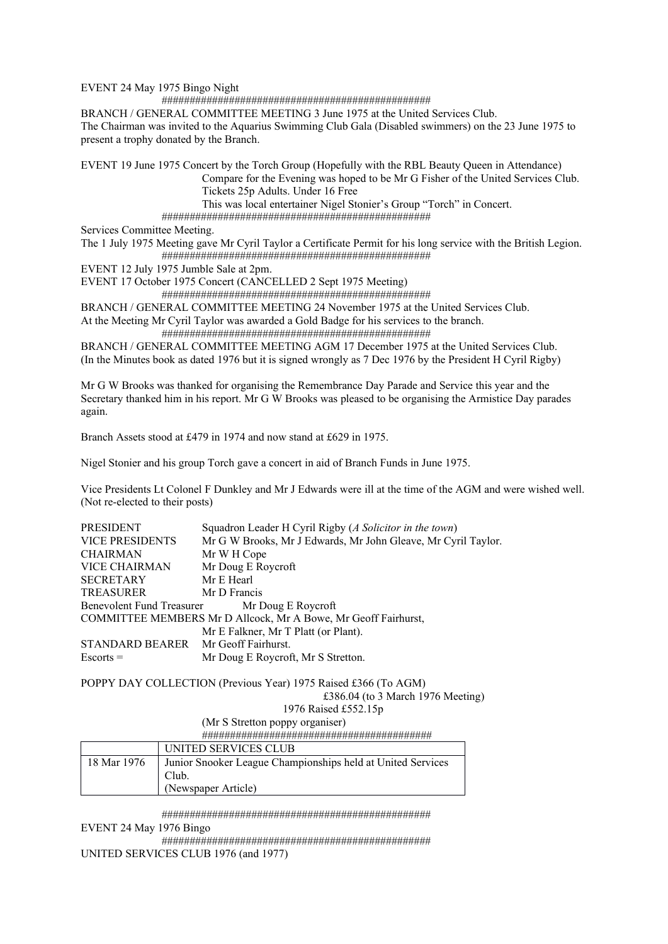EVENT 24 May 1975 Bingo Night

################################################

BRANCH / GENERAL COMMITTEE MEETING 3 June 1975 at the United Services Club.

The Chairman was invited to the Aquarius Swimming Club Gala (Disabled swimmers) on the 23 June 1975 to present a trophy donated by the Branch.

EVENT 19 June 1975 Concert by the Torch Group (Hopefully with the RBL Beauty Queen in Attendance)

 Compare for the Evening was hoped to be Mr G Fisher of the United Services Club. Tickets 25p Adults. Under 16 Free

This was local entertainer Nigel Stonier's Group "Torch" in Concert.

################################################

Services Committee Meeting.

The 1 July 1975 Meeting gave Mr Cyril Taylor a Certificate Permit for his long service with the British Legion. ################################################

EVENT 12 July 1975 Jumble Sale at 2pm.

EVENT 17 October 1975 Concert (CANCELLED 2 Sept 1975 Meeting)

################################################

BRANCH / GENERAL COMMITTEE MEETING 24 November 1975 at the United Services Club.

At the Meeting Mr Cyril Taylor was awarded a Gold Badge for his services to the branch. ################################################

BRANCH / GENERAL COMMITTEE MEETING AGM 17 December 1975 at the United Services Club. (In the Minutes book as dated 1976 but it is signed wrongly as 7 Dec 1976 by the President H Cyril Rigby)

Mr G W Brooks was thanked for organising the Remembrance Day Parade and Service this year and the Secretary thanked him in his report. Mr G W Brooks was pleased to be organising the Armistice Day parades again.

Branch Assets stood at £479 in 1974 and now stand at £629 in 1975.

Nigel Stonier and his group Torch gave a concert in aid of Branch Funds in June 1975.

Vice Presidents Lt Colonel F Dunkley and Mr J Edwards were ill at the time of the AGM and were wished well. (Not re-elected to their posts)

| PRESIDENT                                                      | Squadron Leader H Cyril Rigby (A Solicitor in the town)       |  |
|----------------------------------------------------------------|---------------------------------------------------------------|--|
| <b>VICE PRESIDENTS</b>                                         | Mr G W Brooks, Mr J Edwards, Mr John Gleave, Mr Cyril Taylor. |  |
| <b>CHAIRMAN</b>                                                | Mr W H Cope                                                   |  |
| VICE CHAIRMAN                                                  | Mr Doug E Roycroft                                            |  |
| <b>SECRETARY</b>                                               | Mr E Hearl                                                    |  |
| <b>TREASURER</b>                                               | Mr D Francis                                                  |  |
| Benevolent Fund Treasurer Mr Doug E Roycroft                   |                                                               |  |
| COMMITTEE MEMBERS Mr D Allcock, Mr A Bowe, Mr Geoff Fairhurst, |                                                               |  |
|                                                                | Mr E Falkner, Mr T Platt (or Plant).                          |  |
| STANDARD BEARER Mr Geoff Fairhurst.                            |                                                               |  |
| $Escorts =$                                                    | Mr Doug E Roycroft, Mr S Stretton.                            |  |

POPPY DAY COLLECTION (Previous Year) 1975 Raised £366 (To AGM)

£386.04 (to 3 March 1976 Meeting)

1976 Raised £552.15p

(Mr S Stretton poppy organiser)

#########################################

|             | UNITED SERVICES CLUB                                        |
|-------------|-------------------------------------------------------------|
| 18 Mar 1976 | Junior Snooker League Championships held at United Services |
|             | Club.                                                       |
|             | (Newspaper Article)                                         |

################################################

EVENT 24 May 1976 Bingo

 ################################################ UNITED SERVICES CLUB 1976 (and 1977)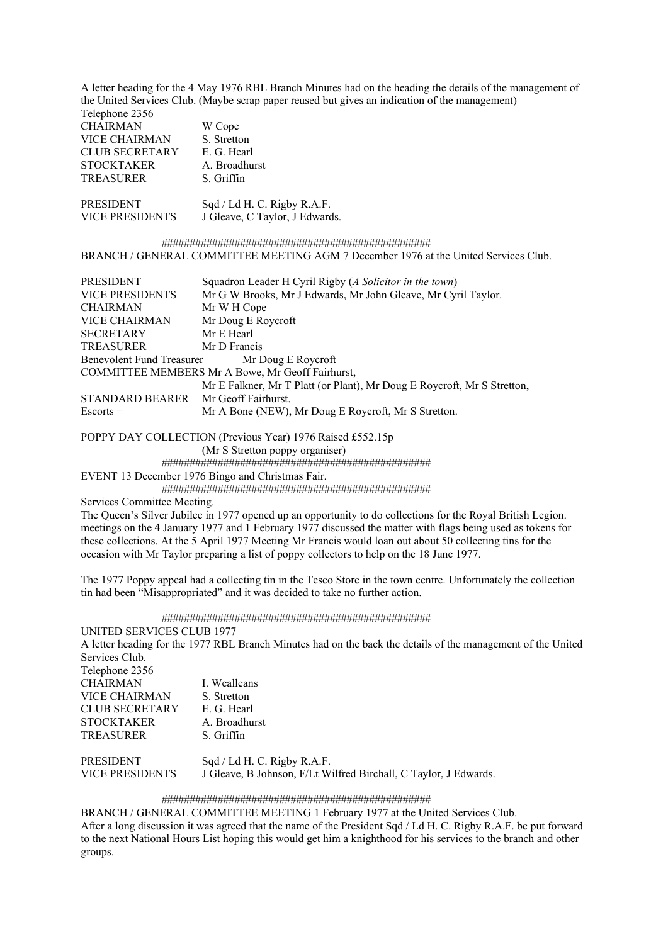A letter heading for the 4 May 1976 RBL Branch Minutes had on the heading the details of the management of the United Services Club. (Maybe scrap paper reused but gives an indication of the management) Telephone 2356

| <b>CHAIRMAN</b>       | W Cope                                            |
|-----------------------|---------------------------------------------------|
| VICE CHAIRMAN         | S. Stretton                                       |
| <b>CLUB SECRETARY</b> | E. G. Hearl                                       |
| <b>STOCKTAKER</b>     | A. Broadhurst                                     |
| TREASURER             | S. Griffin                                        |
|                       |                                                   |
| <b>PRESIDENT</b>      | $S_{\text{od}}/IAH \cap Ri_{\text{orbv}}R \Delta$ |

PRESIDENT Sqd / Ld H. C. Rigby R.A.F. VICE PRESIDENTS J Gleave, C Taylor, J Edwards.

 ################################################ BRANCH / GENERAL COMMITTEE MEETING AGM 7 December 1976 at the United Services Club.

| PRESIDENT                                        | Squadron Leader H Cyril Rigby (A Solicitor in the town)                 |  |  |
|--------------------------------------------------|-------------------------------------------------------------------------|--|--|
| <b>VICE PRESIDENTS</b>                           | Mr G W Brooks, Mr J Edwards, Mr John Gleave, Mr Cyril Taylor.           |  |  |
| <b>CHAIRMAN</b>                                  | Mr W H Cope                                                             |  |  |
| <b>VICE CHAIRMAN</b>                             | Mr Doug E Roycroft                                                      |  |  |
| <b>SECRETARY</b>                                 | Mr E Hearl                                                              |  |  |
| <b>TREASURER</b>                                 | Mr D Francis                                                            |  |  |
| Benevolent Fund Treasurer Mr Doug E Roycroft     |                                                                         |  |  |
| COMMITTEE MEMBERS Mr A Bowe, Mr Geoff Fairhurst, |                                                                         |  |  |
|                                                  | Mr E Falkner, Mr T Platt (or Plant), Mr Doug E Roycroft, Mr S Stretton, |  |  |
| STANDARD BEARER Mr Geoff Fairhurst.              |                                                                         |  |  |
| $Escorts =$                                      | Mr A Bone (NEW), Mr Doug E Roycroft, Mr S Stretton.                     |  |  |

POPPY DAY COLLECTION (Previous Year) 1976 Raised £552.15p

(Mr S Stretton poppy organiser)

################################################

EVENT 13 December 1976 Bingo and Christmas Fair.

################################################

Services Committee Meeting.

The Queen's Silver Jubilee in 1977 opened up an opportunity to do collections for the Royal British Legion. meetings on the 4 January 1977 and 1 February 1977 discussed the matter with flags being used as tokens for these collections. At the 5 April 1977 Meeting Mr Francis would loan out about 50 collecting tins for the occasion with Mr Taylor preparing a list of poppy collectors to help on the 18 June 1977.

The 1977 Poppy appeal had a collecting tin in the Tesco Store in the town centre. Unfortunately the collection tin had been "Misappropriated" and it was decided to take no further action.

################################################

UNITED SERVICES CLUB 1977 A letter heading for the 1977 RBL Branch Minutes had on the back the details of the management of the United Services Club. Telephone 2356 CHAIRMAN I. Wealleans VICE CHAIRMAN S. Stretton CLUB SECRETARY E. G. Hearl STOCKTAKER A. Broadhurst TREASURER S. Griffin PRESIDENT Sqd / Ld H. C. Rigby R.A.F. VICE PRESIDENTS J Gleave, B Johnson, F/Lt Wilfred Birchall, C Taylor, J Edwards.

#### ################################################

BRANCH / GENERAL COMMITTEE MEETING 1 February 1977 at the United Services Club.

After a long discussion it was agreed that the name of the President Sqd / Ld H. C. Rigby R.A.F. be put forward to the next National Hours List hoping this would get him a knighthood for his services to the branch and other groups.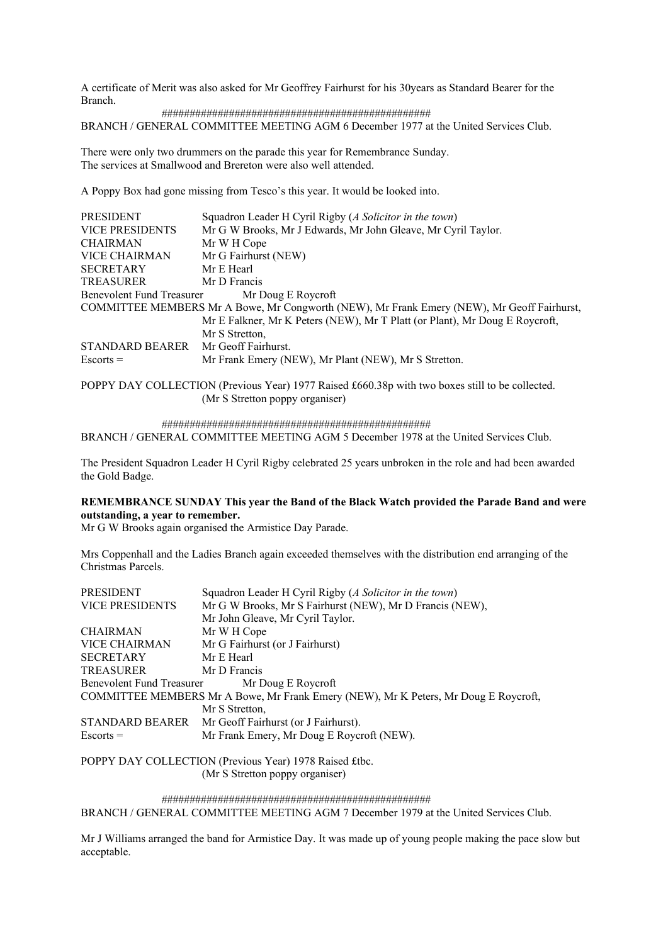A certificate of Merit was also asked for Mr Geoffrey Fairhurst for his 30years as Standard Bearer for the Branch.

 ################################################ BRANCH / GENERAL COMMITTEE MEETING AGM 6 December 1977 at the United Services Club.

There were only two drummers on the parade this year for Remembrance Sunday. The services at Smallwood and Brereton were also well attended.

A Poppy Box had gone missing from Tesco's this year. It would be looked into.

| Squadron Leader H Cyril Rigby (A Solicitor in the town)                                    |
|--------------------------------------------------------------------------------------------|
| Mr G W Brooks, Mr J Edwards, Mr John Gleave, Mr Cyril Taylor.                              |
| Mr W H Cope                                                                                |
| Mr G Fairhurst (NEW)                                                                       |
| Mr E Hearl                                                                                 |
| Mr D Francis                                                                               |
| <b>Benevolent Fund Treasurer</b><br>Mr Doug E Roycroft                                     |
| COMMITTEE MEMBERS Mr A Bowe, Mr Congworth (NEW), Mr Frank Emery (NEW), Mr Geoff Fairhurst, |
| Mr E Falkner, Mr K Peters (NEW), Mr T Platt (or Plant), Mr Doug E Roycroft,                |
| Mr S Stretton,                                                                             |
| STANDARD BEARER Mr Geoff Fairhurst.                                                        |
| Mr Frank Emery (NEW), Mr Plant (NEW), Mr S Stretton.                                       |
|                                                                                            |

POPPY DAY COLLECTION (Previous Year) 1977 Raised £660.38p with two boxes still to be collected. (Mr S Stretton poppy organiser)

################################################

BRANCH / GENERAL COMMITTEE MEETING AGM 5 December 1978 at the United Services Club.

The President Squadron Leader H Cyril Rigby celebrated 25 years unbroken in the role and had been awarded the Gold Badge.

### **REMEMBRANCE SUNDAY This year the Band of the Black Watch provided the Parade Band and were outstanding, a year to remember.**

Mr G W Brooks again organised the Armistice Day Parade.

Mrs Coppenhall and the Ladies Branch again exceeded themselves with the distribution end arranging of the Christmas Parcels.

| <b>PRESIDENT</b>          | Squadron Leader H Cyril Rigby (A Solicitor in the town)                             |
|---------------------------|-------------------------------------------------------------------------------------|
| <b>VICE PRESIDENTS</b>    | Mr G W Brooks, Mr S Fairhurst (NEW), Mr D Francis (NEW),                            |
|                           | Mr John Gleave, Mr Cyril Taylor.                                                    |
| <b>CHAIRMAN</b>           | Mr W H Cope                                                                         |
| <b>VICE CHAIRMAN</b>      | Mr G Fairhurst (or J Fairhurst)                                                     |
| <b>SECRETARY</b>          | Mr E Hearl                                                                          |
| <b>TREASURER</b>          | Mr D Francis                                                                        |
| Benevolent Fund Treasurer | Mr Doug E Roycroft                                                                  |
|                           | COMMITTEE MEMBERS Mr A Bowe, Mr Frank Emery (NEW), Mr K Peters, Mr Doug E Roycroft, |
|                           | Mr S Stretton,                                                                      |
| <b>STANDARD BEARER</b>    | Mr Geoff Fairhurst (or J Fairhurst).                                                |
| $Escorts =$               | Mr Frank Emery, Mr Doug E Roycroft (NEW).                                           |

POPPY DAY COLLECTION (Previous Year) 1978 Raised £tbc. (Mr S Stretton poppy organiser)

 ################################################ BRANCH / GENERAL COMMITTEE MEETING AGM 7 December 1979 at the United Services Club.

Mr J Williams arranged the band for Armistice Day. It was made up of young people making the pace slow but acceptable.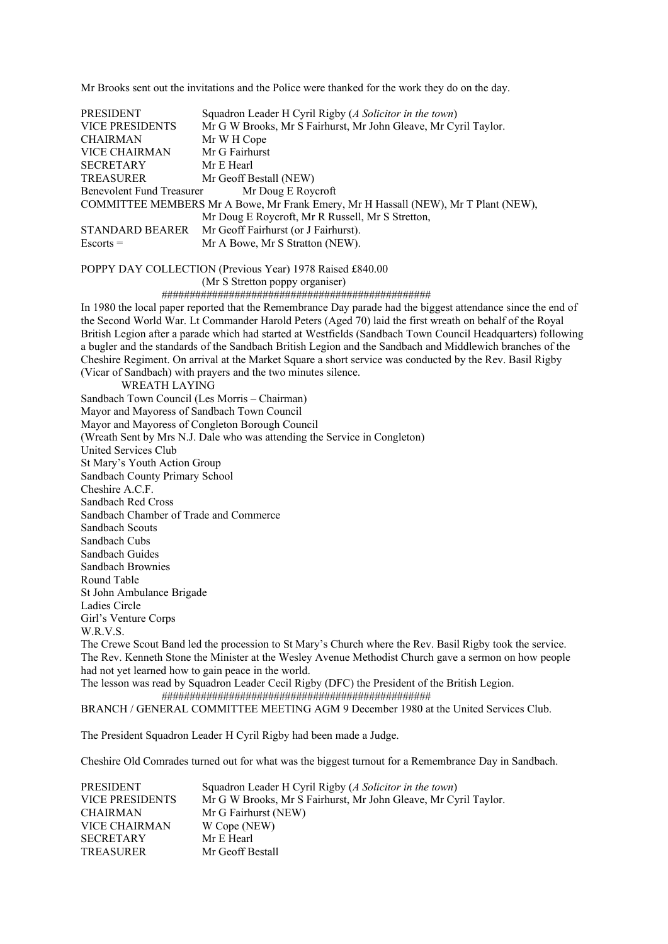Mr Brooks sent out the invitations and the Police were thanked for the work they do on the day.

PRESIDENT Squadron Leader H Cyril Rigby (*A Solicitor in the town*) VICE PRESIDENTS Mr G W Brooks, Mr S Fairhurst, Mr John Gleave, Mr Cyril Taylor. CHAIRMAN Mr W H Cope VICE CHAIRMAN Mr G Fairhurst<br>SECRETARY Mr E Hearl **SECRETARY** TREASURER Mr Geoff Bestall (NEW) Benevolent Fund Treasurer Mr Doug E Roycroft COMMITTEE MEMBERS Mr A Bowe, Mr Frank Emery, Mr H Hassall (NEW), Mr T Plant (NEW), Mr Doug E Roycroft, Mr R Russell, Mr S Stretton, STANDARD BEARER Mr Geoff Fairhurst (or J Fairhurst). Escorts = Mr A Bowe, Mr S Stratton (NEW).

POPPY DAY COLLECTION (Previous Year) 1978 Raised £840.00

(Mr S Stretton poppy organiser)

################################################

In 1980 the local paper reported that the Remembrance Day parade had the biggest attendance since the end of the Second World War. Lt Commander Harold Peters (Aged 70) laid the first wreath on behalf of the Royal British Legion after a parade which had started at Westfields (Sandbach Town Council Headquarters) following a bugler and the standards of the Sandbach British Legion and the Sandbach and Middlewich branches of the Cheshire Regiment. On arrival at the Market Square a short service was conducted by the Rev. Basil Rigby (Vicar of Sandbach) with prayers and the two minutes silence.

WREATH LAYING

Sandbach Town Council (Les Morris – Chairman)

Mayor and Mayoress of Sandbach Town Council

Mayor and Mayoress of Congleton Borough Council

(Wreath Sent by Mrs N.J. Dale who was attending the Service in Congleton)

United Services Club

St Mary's Youth Action Group

Sandbach County Primary School

Cheshire A.C.F.

Sandbach Red Cross

Sandbach Chamber of Trade and Commerce

Sandbach Scouts

Sandbach Cubs

Sandbach Guides Sandbach Brownies

Round Table

St John Ambulance Brigade

Ladies Circle

Girl's Venture Corps

W.R.V.S.

The Crewe Scout Band led the procession to St Mary's Church where the Rev. Basil Rigby took the service. The Rev. Kenneth Stone the Minister at the Wesley Avenue Methodist Church gave a sermon on how people had not yet learned how to gain peace in the world.

The lesson was read by Squadron Leader Cecil Rigby (DFC) the President of the British Legion. ################################################

BRANCH / GENERAL COMMITTEE MEETING AGM 9 December 1980 at the United Services Club.

The President Squadron Leader H Cyril Rigby had been made a Judge.

Cheshire Old Comrades turned out for what was the biggest turnout for a Remembrance Day in Sandbach.

| <b>PRESIDENT</b>       | Squadron Leader H Cyril Rigby (A Solicitor in the town)         |
|------------------------|-----------------------------------------------------------------|
| <b>VICE PRESIDENTS</b> | Mr G W Brooks, Mr S Fairhurst, Mr John Gleave, Mr Cyril Taylor. |
| <b>CHAIRMAN</b>        | Mr G Fairhurst (NEW)                                            |
| <b>VICE CHAIRMAN</b>   | W Cope (NEW)                                                    |
| <b>SECRETARY</b>       | Mr E Hearl                                                      |
| <b>TREASURER</b>       | Mr Geoff Bestall                                                |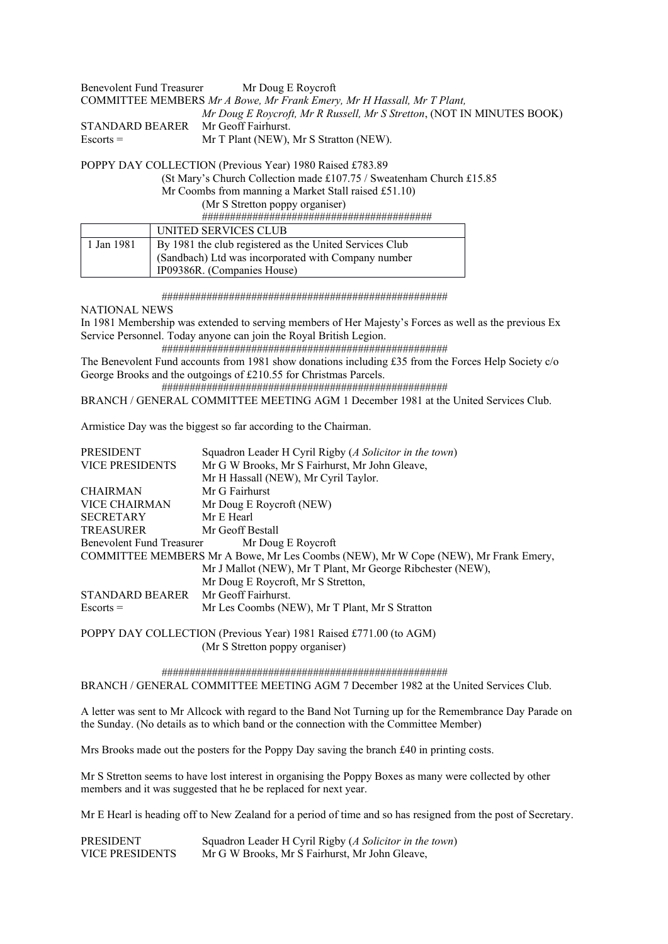| Benevolent Fund Treasurer                                              | Mr Doug E Roycroft                                                     |  |
|------------------------------------------------------------------------|------------------------------------------------------------------------|--|
| COMMITTEE MEMBERS Mr A Bowe, Mr Frank Emery, Mr H Hassall, Mr T Plant, |                                                                        |  |
|                                                                        | Mr Doug E Roycroft, Mr R Russell, Mr S Stretton, (NOT IN MINUTES BOOK) |  |
| <b>STANDARD BEARER</b>                                                 | Mr Geoff Fairhurst.                                                    |  |
| $Esports =$                                                            | Mr T Plant (NEW), Mr S Stratton (NEW).                                 |  |

POPPY DAY COLLECTION (Previous Year) 1980 Raised £783.89

(St Mary's Church Collection made £107.75 / Sweatenham Church £15.85

Mr Coombs from manning a Market Stall raised £51.10)

(Mr S Stretton poppy organiser)

#########################################

|            | UNITED SERVICES CLUB                                    |
|------------|---------------------------------------------------------|
| 1 Jan 1981 | By 1981 the club registered as the United Services Club |
|            | (Sandbach) Ltd was incorporated with Company number     |
|            | IP09386R. (Companies House)                             |

###################################################

NATIONAL NEWS

In 1981 Membership was extended to serving members of Her Majesty's Forces as well as the previous Ex Service Personnel. Today anyone can join the Royal British Legion.

###################################################

The Benevolent Fund accounts from 1981 show donations including £35 from the Forces Help Society c/o George Brooks and the outgoings of £210.55 for Christmas Parcels.

###################################################

BRANCH / GENERAL COMMITTEE MEETING AGM 1 December 1981 at the United Services Club.

Armistice Day was the biggest so far according to the Chairman.

| <b>PRESIDENT</b>          | Squadron Leader H Cyril Rigby (A Solicitor in the town)                            |
|---------------------------|------------------------------------------------------------------------------------|
| <b>VICE PRESIDENTS</b>    | Mr G W Brooks, Mr S Fairhurst, Mr John Gleave,                                     |
|                           | Mr H Hassall (NEW), Mr Cyril Taylor.                                               |
| <b>CHAIRMAN</b>           | Mr G Fairhurst                                                                     |
| <b>VICE CHAIRMAN</b>      | Mr Doug E Roycroft (NEW)                                                           |
| <b>SECRETARY</b>          | Mr E Hearl                                                                         |
| <b>TREASURER</b>          | Mr Geoff Bestall                                                                   |
| Benevolent Fund Treasurer | Mr Doug E Roycroft                                                                 |
|                           | COMMITTEE MEMBERS Mr A Bowe, Mr Les Coombs (NEW), Mr W Cope (NEW), Mr Frank Emery, |
|                           | Mr J Mallot (NEW), Mr T Plant, Mr George Ribchester (NEW),                         |
|                           | Mr Doug E Roycroft, Mr S Stretton,                                                 |
| STANDARD BEARER           | Mr Geoff Fairhurst.                                                                |
| $Escorts =$               | Mr Les Coombs (NEW), Mr T Plant, Mr S Stratton                                     |
|                           |                                                                                    |

POPPY DAY COLLECTION (Previous Year) 1981 Raised £771.00 (to AGM) (Mr S Stretton poppy organiser)

 ################################################### BRANCH / GENERAL COMMITTEE MEETING AGM 7 December 1982 at the United Services Club.

A letter was sent to Mr Allcock with regard to the Band Not Turning up for the Remembrance Day Parade on the Sunday. (No details as to which band or the connection with the Committee Member)

Mrs Brooks made out the posters for the Poppy Day saving the branch £40 in printing costs.

Mr S Stretton seems to have lost interest in organising the Poppy Boxes as many were collected by other members and it was suggested that he be replaced for next year.

Mr E Hearl is heading off to New Zealand for a period of time and so has resigned from the post of Secretary.

| PRESIDENT       | Squadron Leader H Cyril Rigby (A Solicitor in the town) |
|-----------------|---------------------------------------------------------|
| VICE PRESIDENTS | Mr G W Brooks, Mr S Fairhurst, Mr John Gleave,          |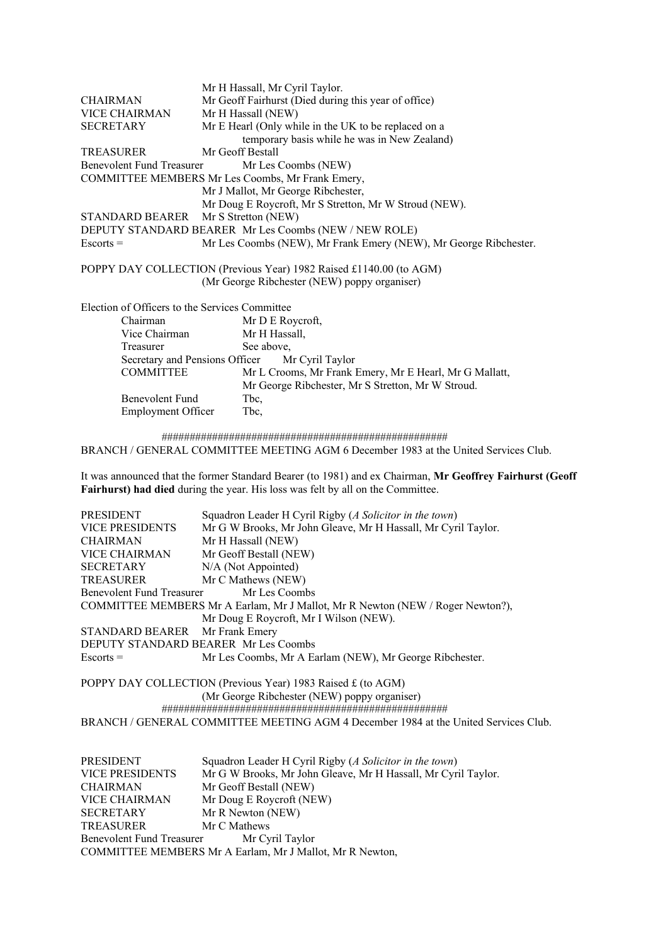|                                                | Mr H Hassall, Mr Cyril Taylor.                                                                                     |
|------------------------------------------------|--------------------------------------------------------------------------------------------------------------------|
| <b>CHAIRMAN</b>                                | Mr Geoff Fairhurst (Died during this year of office)                                                               |
| VICE CHAIRMAN                                  | Mr H Hassall (NEW)                                                                                                 |
| <b>SECRETARY</b>                               | Mr E Hearl (Only while in the UK to be replaced on a                                                               |
|                                                | temporary basis while he was in New Zealand)                                                                       |
| <b>TREASURER</b>                               | Mr Geoff Bestall                                                                                                   |
| <b>Benevolent Fund Treasurer</b>               | Mr Les Coombs (NEW)                                                                                                |
|                                                | COMMITTEE MEMBERS Mr Les Coombs, Mr Frank Emery,                                                                   |
|                                                | Mr J Mallot, Mr George Ribchester,                                                                                 |
|                                                | Mr Doug E Roycroft, Mr S Stretton, Mr W Stroud (NEW).                                                              |
| STANDARD BEARER Mr S Stretton (NEW)            |                                                                                                                    |
|                                                | DEPUTY STANDARD BEARER Mr Les Coombs (NEW / NEW ROLE)                                                              |
| $Escorts =$                                    | Mr Les Coombs (NEW), Mr Frank Emery (NEW), Mr George Ribchester.                                                   |
|                                                | POPPY DAY COLLECTION (Previous Year) 1982 Raised £1140.00 (to AGM)<br>(Mr George Ribchester (NEW) poppy organiser) |
| Election of Officers to the Services Committee |                                                                                                                    |
| Chairman                                       | Mr D E Roycroft,                                                                                                   |
| Vice Chairman                                  | Mr H Hassall,                                                                                                      |
| Treasurer                                      | See above,                                                                                                         |
| Secretary and Pensions Officer                 | Mr Cyril Taylor                                                                                                    |
| <b>COMMITTEE</b>                               | Mr L Crooms, Mr Frank Emery, Mr E Hearl, Mr G Mallatt,                                                             |
|                                                | Mr George Ribchester, Mr S Stretton, Mr W Stroud.                                                                  |
| Benevolent Fund                                | Tbc,                                                                                                               |
| <b>Employment Officer</b>                      | Tbc,                                                                                                               |
|                                                |                                                                                                                    |

 ################################################### BRANCH / GENERAL COMMITTEE MEETING AGM 6 December 1983 at the United Services Club.

It was announced that the former Standard Bearer (to 1981) and ex Chairman, **Mr Geoffrey Fairhurst (Geoff Fairhurst) had died** during the year. His loss was felt by all on the Committee.

| PRESIDENT                                                                               | Squadron Leader H Cyril Rigby (A Solicitor in the town) |  |  |
|-----------------------------------------------------------------------------------------|---------------------------------------------------------|--|--|
| Mr G W Brooks, Mr John Gleave, Mr H Hassall, Mr Cyril Taylor.<br><b>VICE PRESIDENTS</b> |                                                         |  |  |
| Mr H Hassall (NEW)<br><b>CHAIRMAN</b>                                                   |                                                         |  |  |
| VICE CHAIRMAN                                                                           | Mr Geoff Bestall (NEW)                                  |  |  |
| <b>SECRETARY</b>                                                                        | N/A (Not Appointed)                                     |  |  |
| <b>TREASURER</b>                                                                        | Mr C Mathews (NEW)                                      |  |  |
| Mr Les Coombs<br>Benevolent Fund Treasurer                                              |                                                         |  |  |
| COMMITTEE MEMBERS Mr A Earlam, Mr J Mallot, Mr R Newton (NEW / Roger Newton?),          |                                                         |  |  |
| Mr Doug E Roycroft, Mr I Wilson (NEW).                                                  |                                                         |  |  |
| STANDARD BEARER Mr Frank Emery                                                          |                                                         |  |  |
| DEPUTY STANDARD BEARER Mr Les Coombs                                                    |                                                         |  |  |
| $Escorts =$                                                                             | Mr Les Coombs, Mr A Earlam (NEW), Mr George Ribchester. |  |  |
|                                                                                         |                                                         |  |  |

POPPY DAY COLLECTION (Previous Year) 1983 Raised £ (to AGM) (Mr George Ribchester (NEW) poppy organiser) ###################################################

BRANCH / GENERAL COMMITTEE MEETING AGM 4 December 1984 at the United Services Club.

| PRESIDENT<br>Squadron Leader H Cyril Rigby (A Solicitor in the town) |                                                               |  |
|----------------------------------------------------------------------|---------------------------------------------------------------|--|
| <b>VICE PRESIDENTS</b>                                               | Mr G W Brooks, Mr John Gleave, Mr H Hassall, Mr Cyril Taylor. |  |
| <b>CHAIRMAN</b>                                                      | Mr Geoff Bestall (NEW)                                        |  |
| <b>VICE CHAIRMAN</b>                                                 | Mr Doug E Roycroft (NEW)                                      |  |
| <b>SECRETARY</b>                                                     | Mr R Newton (NEW)                                             |  |
| <b>TREASURER</b>                                                     | Mr C Mathews                                                  |  |
| Benevolent Fund Treasurer<br>Mr Cyril Taylor                         |                                                               |  |
| COMMITTEE MEMBERS Mr A Earlam, Mr J Mallot, Mr R Newton,             |                                                               |  |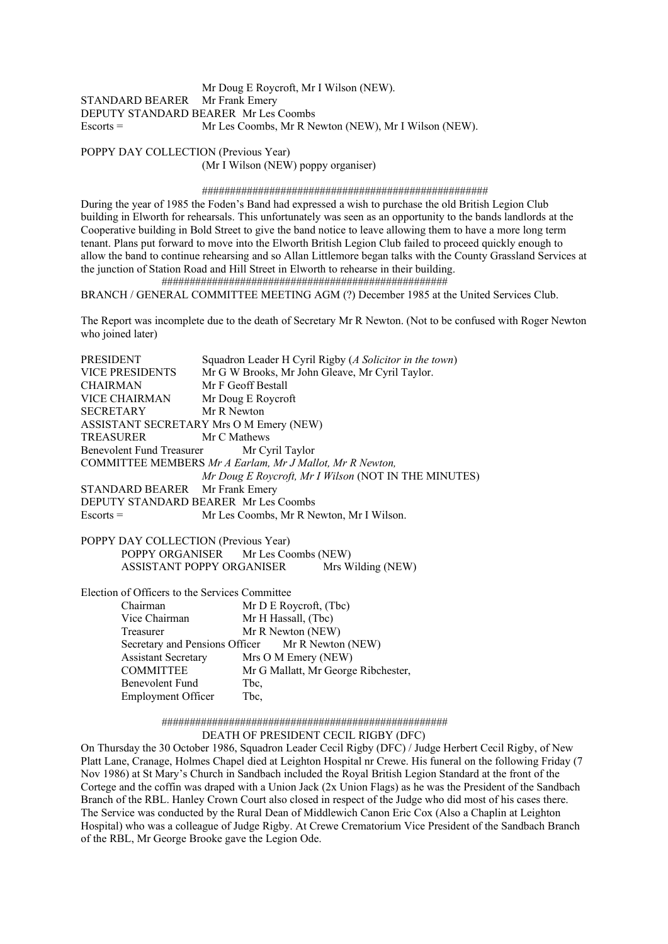Mr Doug E Roycroft, Mr I Wilson (NEW). STANDARD BEARER Mr Frank Emery DEPUTY STANDARD BEARER Mr Les Coombs Escorts = Mr Les Coombs, Mr R Newton (NEW), Mr I Wilson (NEW).

POPPY DAY COLLECTION (Previous Year) (Mr I Wilson (NEW) poppy organiser)

#### ###################################################

During the year of 1985 the Foden's Band had expressed a wish to purchase the old British Legion Club building in Elworth for rehearsals. This unfortunately was seen as an opportunity to the bands landlords at the Cooperative building in Bold Street to give the band notice to leave allowing them to have a more long term tenant. Plans put forward to move into the Elworth British Legion Club failed to proceed quickly enough to allow the band to continue rehearsing and so Allan Littlemore began talks with the County Grassland Services at the junction of Station Road and Hill Street in Elworth to rehearse in their building. ###################################################

BRANCH / GENERAL COMMITTEE MEETING AGM (?) December 1985 at the United Services Club.

The Report was incomplete due to the death of Secretary Mr R Newton. (Not to be confused with Roger Newton who joined later)

| PRESIDENT                                               | Squadron Leader H Cyril Rigby (A Solicitor in the town)  |  |  |
|---------------------------------------------------------|----------------------------------------------------------|--|--|
| VICE PRESIDENTS                                         | Mr G W Brooks, Mr John Gleave, Mr Cyril Taylor.          |  |  |
| <b>CHAIRMAN</b>                                         | Mr F Geoff Bestall                                       |  |  |
| VICE CHAIRMAN Mr Doug E Roycroft                        |                                                          |  |  |
| SECRETARY Mr R Newton                                   |                                                          |  |  |
|                                                         | ASSISTANT SECRETARY Mrs O M Emery (NEW)                  |  |  |
| TREASURER                                               | Mr C Mathews                                             |  |  |
| Benevolent Fund Treasurer<br>Mr Cyril Taylor            |                                                          |  |  |
|                                                         | COMMITTEE MEMBERS Mr A Earlam, Mr J Mallot, Mr R Newton, |  |  |
|                                                         | Mr Doug E Roycroft, Mr I Wilson (NOT IN THE MINUTES)     |  |  |
| STANDARD BEARER Mr Frank Emery                          |                                                          |  |  |
|                                                         | DEPUTY STANDARD BEARER Mr Les Coombs                     |  |  |
| $Escorts =$<br>Mr Les Coombs, Mr R Newton, Mr I Wilson. |                                                          |  |  |
|                                                         |                                                          |  |  |
| POPPY DAY COLLECTION (Previous Year)                    |                                                          |  |  |
| POPPY ORGANISER Mr Les Coombs (NEW)                     |                                                          |  |  |
| ASSISTANT POPPY ORGANISER<br>Mrs Wilding (NEW)          |                                                          |  |  |
|                                                         |                                                          |  |  |
|                                                         | Election of Officers to the Services Committee           |  |  |
| Chairman<br>Mr D E Roycroft, $(The$                     |                                                          |  |  |
| Vice Chairman                                           | Mr H Hassall, (Tbc)                                      |  |  |
| Treasurer                                               | Mr R Newton (NEW)                                        |  |  |
|                                                         | Secretary and Pensions Officer Mr R Newton (NEW)         |  |  |
| <b>Assistant Secretary</b>                              | Mrs O M Emery (NEW)                                      |  |  |
| <b>COMMITTEE</b>                                        | Mr G Mallatt, Mr George Ribchester,                      |  |  |

#### ################################################### DEATH OF PRESIDENT CECIL RIGBY (DFC)

Benevolent Fund Tbc. Employment Officer Tbc,

On Thursday the 30 October 1986, Squadron Leader Cecil Rigby (DFC) / Judge Herbert Cecil Rigby, of New Platt Lane, Cranage, Holmes Chapel died at Leighton Hospital nr Crewe. His funeral on the following Friday (7 Nov 1986) at St Mary's Church in Sandbach included the Royal British Legion Standard at the front of the Cortege and the coffin was draped with a Union Jack (2x Union Flags) as he was the President of the Sandbach Branch of the RBL. Hanley Crown Court also closed in respect of the Judge who did most of his cases there. The Service was conducted by the Rural Dean of Middlewich Canon Eric Cox (Also a Chaplin at Leighton Hospital) who was a colleague of Judge Rigby. At Crewe Crematorium Vice President of the Sandbach Branch of the RBL, Mr George Brooke gave the Legion Ode.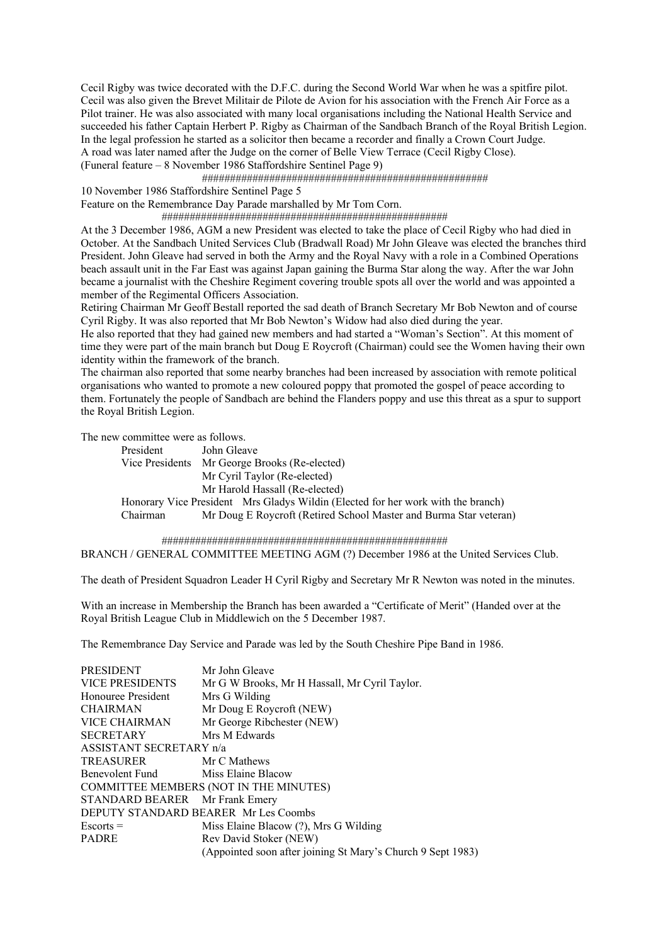Cecil Rigby was twice decorated with the D.F.C. during the Second World War when he was a spitfire pilot. Cecil was also given the Brevet Militair de Pilote de Avion for his association with the French Air Force as a Pilot trainer. He was also associated with many local organisations including the National Health Service and succeeded his father Captain Herbert P. Rigby as Chairman of the Sandbach Branch of the Royal British Legion. In the legal profession he started as a solicitor then became a recorder and finally a Crown Court Judge. A road was later named after the Judge on the corner of Belle View Terrace (Cecil Rigby Close). (Funeral feature – 8 November 1986 Staffordshire Sentinel Page 9)

###################################################

10 November 1986 Staffordshire Sentinel Page 5

Feature on the Remembrance Day Parade marshalled by Mr Tom Corn.

###################################################

At the 3 December 1986, AGM a new President was elected to take the place of Cecil Rigby who had died in October. At the Sandbach United Services Club (Bradwall Road) Mr John Gleave was elected the branches third President. John Gleave had served in both the Army and the Royal Navy with a role in a Combined Operations beach assault unit in the Far East was against Japan gaining the Burma Star along the way. After the war John became a journalist with the Cheshire Regiment covering trouble spots all over the world and was appointed a member of the Regimental Officers Association.

Retiring Chairman Mr Geoff Bestall reported the sad death of Branch Secretary Mr Bob Newton and of course Cyril Rigby. It was also reported that Mr Bob Newton's Widow had also died during the year.

He also reported that they had gained new members and had started a "Woman's Section". At this moment of time they were part of the main branch but Doug E Roycroft (Chairman) could see the Women having their own identity within the framework of the branch.

The chairman also reported that some nearby branches had been increased by association with remote political organisations who wanted to promote a new coloured poppy that promoted the gospel of peace according to them. Fortunately the people of Sandbach are behind the Flanders poppy and use this threat as a spur to support the Royal British Legion.

The new committee were as follows.

President John Gleave Vice Presidents Mr George Brooks (Re-elected) Mr Cyril Taylor (Re-elected) Mr Harold Hassall (Re-elected) Honorary Vice President Mrs Gladys Wildin (Elected for her work with the branch) Chairman Mr Doug E Roycroft (Retired School Master and Burma Star veteran)

 ################################################### BRANCH / GENERAL COMMITTEE MEETING AGM (?) December 1986 at the United Services Club.

The death of President Squadron Leader H Cyril Rigby and Secretary Mr R Newton was noted in the minutes.

With an increase in Membership the Branch has been awarded a "Certificate of Merit" (Handed over at the Royal British League Club in Middlewich on the 5 December 1987.

The Remembrance Day Service and Parade was led by the South Cheshire Pipe Band in 1986.

| <b>PRESIDENT</b>                       | Mr John Gleave                                              |  |
|----------------------------------------|-------------------------------------------------------------|--|
| <b>VICE PRESIDENTS</b>                 | Mr G W Brooks, Mr H Hassall, Mr Cyril Taylor.               |  |
| Honouree President                     | Mrs G Wilding                                               |  |
| <b>CHAIRMAN</b>                        | Mr Doug E Roycroft (NEW)                                    |  |
| <b>VICE CHAIRMAN</b>                   | Mr George Ribchester (NEW)                                  |  |
| Mrs M Edwards<br><b>SECRETARY</b>      |                                                             |  |
| ASSISTANT SECRETARY n/a                |                                                             |  |
| <b>TREASURER</b>                       | Mr C Mathews                                                |  |
| Benevolent Fund<br>Miss Elaine Blacow  |                                                             |  |
| COMMITTEE MEMBERS (NOT IN THE MINUTES) |                                                             |  |
| STANDARD BEARER Mr Frank Emery         |                                                             |  |
| DEPUTY STANDARD BEARER Mr Les Coombs   |                                                             |  |
| $Escorts =$                            | Miss Elaine Blacow (?), Mrs G Wilding                       |  |
| <b>PADRE</b>                           | Rev David Stoker (NEW)                                      |  |
|                                        | (Appointed soon after joining St Mary's Church 9 Sept 1983) |  |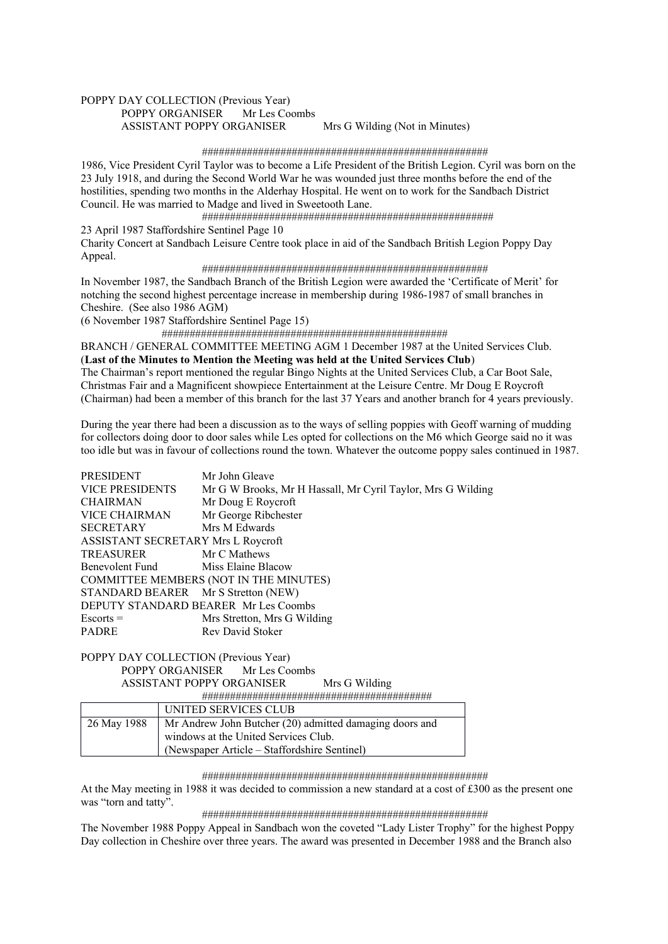# POPPY DAY COLLECTION (Previous Year) POPPY ORGANISER Mr Les Coombs ASSISTANT POPPY ORGANISER Mrs G Wilding (Not in Minutes)

#### ###################################################

1986, Vice President Cyril Taylor was to become a Life President of the British Legion. Cyril was born on the 23 July 1918, and during the Second World War he was wounded just three months before the end of the hostilities, spending two months in the Alderhay Hospital. He went on to work for the Sandbach District Council. He was married to Madge and lived in Sweetooth Lane.

####################################################

# 23 April 1987 Staffordshire Sentinel Page 10

Charity Concert at Sandbach Leisure Centre took place in aid of the Sandbach British Legion Poppy Day Appeal.

#### ###################################################

In November 1987, the Sandbach Branch of the British Legion were awarded the 'Certificate of Merit' for notching the second highest percentage increase in membership during 1986-1987 of small branches in Cheshire. (See also 1986 AGM)

(6 November 1987 Staffordshire Sentinel Page 15)

###################################################

BRANCH / GENERAL COMMITTEE MEETING AGM 1 December 1987 at the United Services Club. (**Last of the Minutes to Mention the Meeting was held at the United Services Club**) The Chairman's report mentioned the regular Bingo Nights at the United Services Club, a Car Boot Sale,

Christmas Fair and a Magnificent showpiece Entertainment at the Leisure Centre. Mr Doug E Roycroft (Chairman) had been a member of this branch for the last 37 Years and another branch for 4 years previously.

During the year there had been a discussion as to the ways of selling poppies with Geoff warning of mudding for collectors doing door to door sales while Les opted for collections on the M6 which George said no it was too idle but was in favour of collections round the town. Whatever the outcome poppy sales continued in 1987.

| Mr John Gleave                                              |  |  |
|-------------------------------------------------------------|--|--|
| Mr G W Brooks, Mr H Hassall, Mr Cyril Taylor, Mrs G Wilding |  |  |
| Mr Doug E Roycroft                                          |  |  |
| Mr George Ribchester                                        |  |  |
| Mrs M Edwards                                               |  |  |
| ASSISTANT SECRETARY Mrs L Roycroft                          |  |  |
| Mr C Mathews                                                |  |  |
| <b>Benevolent Fund</b> Miss Elaine Blacow                   |  |  |
| COMMITTEE MEMBERS (NOT IN THE MINUTES)                      |  |  |
| STANDARD BEARER Mr S Stretton (NEW)                         |  |  |
| DEPUTY STANDARD BEARER Mr Les Coombs                        |  |  |
| Mrs Stretton, Mrs G Wilding                                 |  |  |
| Rev David Stoker                                            |  |  |
|                                                             |  |  |

#### POPPY DAY COLLECTION (Previous Year) POPPY ORGANISER Mr Les Coombs ASSISTANT POPPY ORGANISER Mrs G Wilding #########################################

|             | UNITED SERVICES CLUB                                    |  |  |
|-------------|---------------------------------------------------------|--|--|
| 26 May 1988 | Mr Andrew John Butcher (20) admitted damaging doors and |  |  |
|             | windows at the United Services Club.                    |  |  |
|             | (Newspaper Article – Staffordshire Sentinel)            |  |  |

#### ###################################################

At the May meeting in 1988 it was decided to commission a new standard at a cost of £300 as the present one was "torn and tatty".

#### ###################################################

The November 1988 Poppy Appeal in Sandbach won the coveted "Lady Lister Trophy" for the highest Poppy Day collection in Cheshire over three years. The award was presented in December 1988 and the Branch also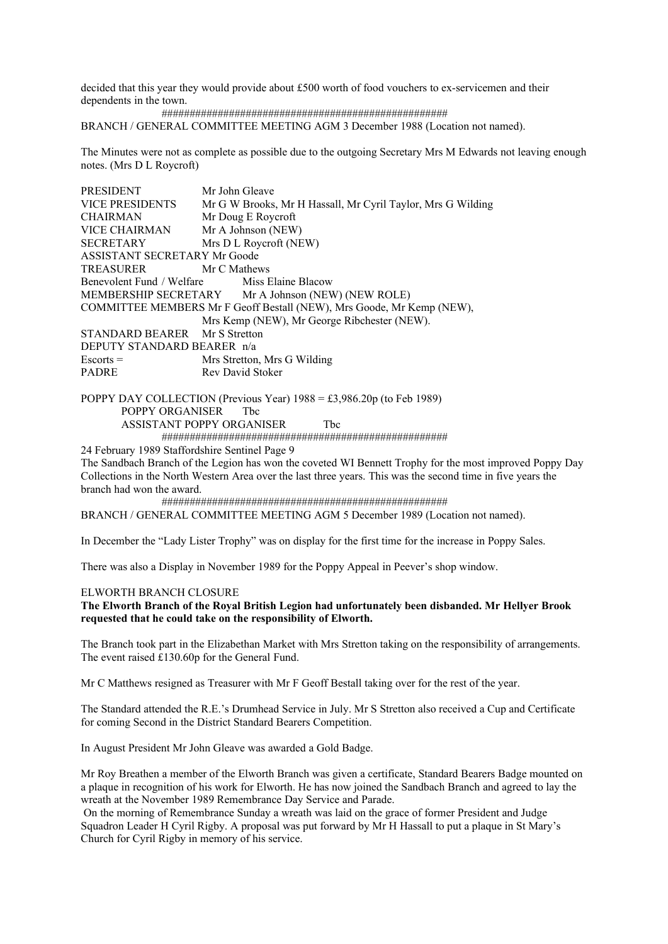decided that this year they would provide about £500 worth of food vouchers to ex-servicemen and their dependents in the town.

###################################################

BRANCH / GENERAL COMMITTEE MEETING AGM 3 December 1988 (Location not named).

The Minutes were not as complete as possible due to the outgoing Secretary Mrs M Edwards not leaving enough notes. (Mrs D L Roycroft)

| <b>PRESIDENT</b>                                    | Mr John Gleave                                                        |  |
|-----------------------------------------------------|-----------------------------------------------------------------------|--|
| <b>VICE PRESIDENTS</b>                              | Mr G W Brooks, Mr H Hassall, Mr Cyril Taylor, Mrs G Wilding           |  |
| <b>CHAIRMAN</b>                                     | Mr Doug E Roycroft                                                    |  |
| VICE CHAIRMAN                                       | Mr A Johnson (NEW)                                                    |  |
| <b>SECRETARY</b>                                    | Mrs D L Roycroft (NEW)                                                |  |
| ASSISTANT SECRETARY Mr Goode                        |                                                                       |  |
| TREASURER                                           | Mr C Mathews                                                          |  |
| <b>Benevolent Fund / Welfare</b> Miss Elaine Blacow |                                                                       |  |
| MEMBERSHIP SECRETARY Mr A Johnson (NEW) (NEW ROLE)  |                                                                       |  |
|                                                     | COMMITTEE MEMBERS Mr F Geoff Bestall (NEW), Mrs Goode, Mr Kemp (NEW), |  |
|                                                     | Mrs Kemp (NEW), Mr George Ribchester (NEW).                           |  |
| STANDARD BEARER Mr S Stretton                       |                                                                       |  |
| DEPUTY STANDARD BEARER n/a                          |                                                                       |  |
| $Escorts =$                                         | Mrs Stretton, Mrs G Wilding                                           |  |
| <b>PADRE</b>                                        | Rev David Stoker                                                      |  |
|                                                     |                                                                       |  |

POPPY DAY COLLECTION (Previous Year)  $1988 = \text{\textsterling}3,986.20p$  (to Feb 1989) POPPY ORGANISER Tbc ASSISTANT POPPY ORGANISER Tbc ###################################################

24 February 1989 Staffordshire Sentinel Page 9

The Sandbach Branch of the Legion has won the coveted WI Bennett Trophy for the most improved Poppy Day Collections in the North Western Area over the last three years. This was the second time in five years the branch had won the award.

 ################################################### BRANCH / GENERAL COMMITTEE MEETING AGM 5 December 1989 (Location not named).

In December the "Lady Lister Trophy" was on display for the first time for the increase in Poppy Sales.

There was also a Display in November 1989 for the Poppy Appeal in Peever's shop window.

#### ELWORTH BRANCH CLOSURE

### **The Elworth Branch of the Royal British Legion had unfortunately been disbanded. Mr Hellyer Brook requested that he could take on the responsibility of Elworth.**

The Branch took part in the Elizabethan Market with Mrs Stretton taking on the responsibility of arrangements. The event raised £130.60p for the General Fund.

Mr C Matthews resigned as Treasurer with Mr F Geoff Bestall taking over for the rest of the year.

The Standard attended the R.E.'s Drumhead Service in July. Mr S Stretton also received a Cup and Certificate for coming Second in the District Standard Bearers Competition.

In August President Mr John Gleave was awarded a Gold Badge.

Mr Roy Breathen a member of the Elworth Branch was given a certificate, Standard Bearers Badge mounted on a plaque in recognition of his work for Elworth. He has now joined the Sandbach Branch and agreed to lay the wreath at the November 1989 Remembrance Day Service and Parade.

 On the morning of Remembrance Sunday a wreath was laid on the grace of former President and Judge Squadron Leader H Cyril Rigby. A proposal was put forward by Mr H Hassall to put a plaque in St Mary's Church for Cyril Rigby in memory of his service.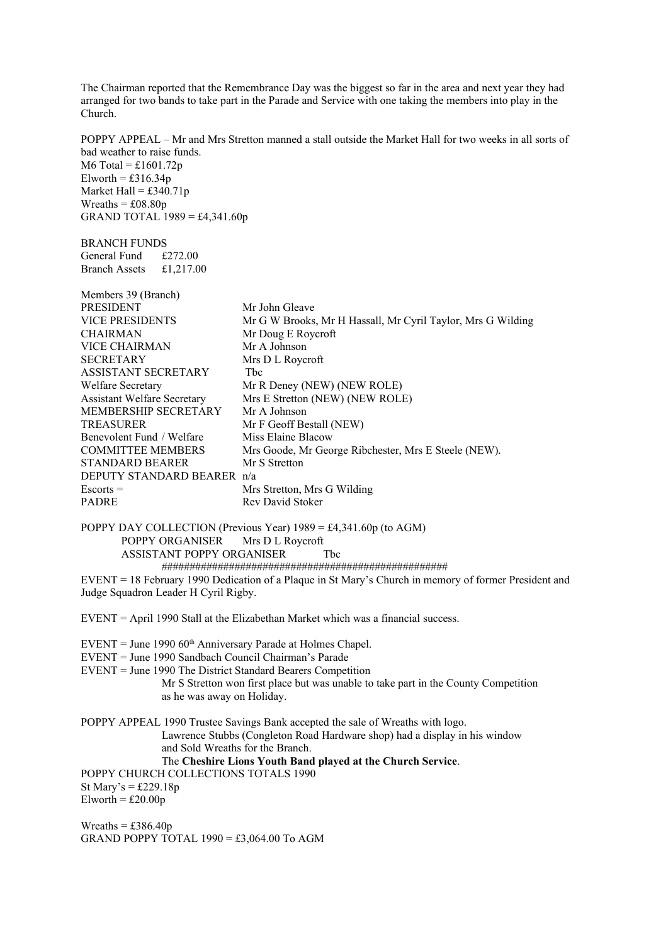The Chairman reported that the Remembrance Day was the biggest so far in the area and next year they had arranged for two bands to take part in the Parade and Service with one taking the members into play in the Church.

POPPY APPEAL – Mr and Mrs Stretton manned a stall outside the Market Hall for two weeks in all sorts of bad weather to raise funds. M6 Total =  $£1601.72p$ 

Elworth =  $£316.34p$ Market Hall =  $£340.71p$ Wreaths  $= £08.80p$ GRAND TOTAL  $1989 = £4,341.60p$ 

BRANCH FUNDS General Fund £272.00 Branch Assets £1,217.00

| Members 39 (Branch)                |                                                             |
|------------------------------------|-------------------------------------------------------------|
| <b>PRESIDENT</b>                   | Mr John Gleave                                              |
| <b>VICE PRESIDENTS</b>             | Mr G W Brooks, Mr H Hassall, Mr Cyril Taylor, Mrs G Wilding |
| <b>CHAIRMAN</b>                    | Mr Doug E Roycroft                                          |
| <b>VICE CHAIRMAN</b>               | Mr A Johnson                                                |
| <b>SECRETARY</b>                   | Mrs D L Roycroft                                            |
| <b>ASSISTANT SECRETARY</b>         | <b>Thc</b>                                                  |
| <b>Welfare Secretary</b>           | Mr R Deney (NEW) (NEW ROLE)                                 |
| <b>Assistant Welfare Secretary</b> | Mrs E Stretton (NEW) (NEW ROLE)                             |
| MEMBERSHIP SECRETARY               | Mr A Johnson                                                |
| <b>TREASURER</b>                   | Mr F Geoff Bestall (NEW)                                    |
| Benevolent Fund / Welfare          | Miss Elaine Blacow                                          |
| <b>COMMITTEE MEMBERS</b>           | Mrs Goode, Mr George Ribchester, Mrs E Steele (NEW).        |
| <b>STANDARD BEARER</b>             | Mr S Stretton                                               |
| DEPUTY STANDARD BEARER n/a         |                                                             |
| $Escorts =$                        | Mrs Stretton, Mrs G Wilding                                 |
| <b>PADRE</b>                       | Rev David Stoker                                            |

POPPY DAY COLLECTION (Previous Year)  $1989 = \text{\textsterling}4,341.60\text{p}$  (to AGM) POPPY ORGANISER Mrs D L Roycroft ASSISTANT POPPY ORGANISER Tbc ###################################################

EVENT = 18 February 1990 Dedication of a Plaque in St Mary's Church in memory of former President and Judge Squadron Leader H Cyril Rigby.

EVENT = April 1990 Stall at the Elizabethan Market which was a financial success.

 $EVENT = June 1990 60<sup>th</sup> Anniversary Parade at Holmes Chapel.$ 

EVENT = June 1990 Sandbach Council Chairman's Parade

EVENT = June 1990 The District Standard Bearers Competition

 Mr S Stretton won first place but was unable to take part in the County Competition as he was away on Holiday.

POPPY APPEAL 1990 Trustee Savings Bank accepted the sale of Wreaths with logo. Lawrence Stubbs (Congleton Road Hardware shop) had a display in his window and Sold Wreaths for the Branch. The **Cheshire Lions Youth Band played at the Church Service**.

POPPY CHURCH COLLECTIONS TOTALS 1990

St Mary's =  $\text{\pounds}229.18p$  $Elworth = £20.00p$ 

Wreaths  $=$  £386.40p GRAND POPPY TOTAL  $1990 = £3,064.00$  To AGM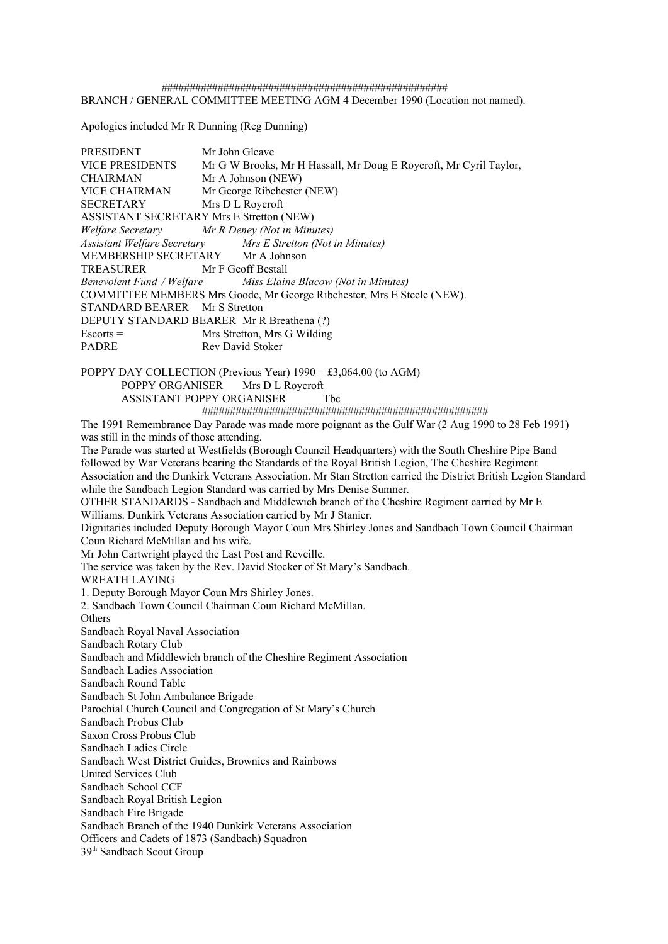################################################### BRANCH / GENERAL COMMITTEE MEETING AGM 4 December 1990 (Location not named).

Apologies included Mr R Dunning (Reg Dunning)

PRESIDENT Mr John Gleave VICE PRESIDENTS Mr G W Brooks, Mr H Hassall, Mr Doug E Roycroft, Mr Cyril Taylor, CHAIRMAN Mr A Johnson (NEW) VICE CHAIRMAN Mr George Ribchester (NEW) SECRETARY Mrs D L Roycroft ASSISTANT SECRETARY Mrs E Stretton (NEW) *Welfare Secretary Mr R Deney (Not in Minutes) Assistant Welfare Secretary Mrs E Stretton (Not in Minutes)* MEMBERSHIP SECRETARY Mr A Johnson TREASURER Mr F Geoff Bestall *Benevolent Fund / Welfare Miss Elaine Blacow (Not in Minutes)* COMMITTEE MEMBERS Mrs Goode, Mr George Ribchester, Mrs E Steele (NEW). STANDARD BEARER Mr S Stretton DEPUTY STANDARD BEARER Mr R Breathena (?) Escorts = Mrs Stretton, Mrs G Wilding PADRE Rev David Stoker POPPY DAY COLLECTION (Previous Year) 1990 = £3,064.00 (to AGM) POPPY ORGANISER Mrs D L Roycroft ASSISTANT POPPY ORGANISER Tbc ################################################### The 1991 Remembrance Day Parade was made more poignant as the Gulf War (2 Aug 1990 to 28 Feb 1991) was still in the minds of those attending. The Parade was started at Westfields (Borough Council Headquarters) with the South Cheshire Pipe Band followed by War Veterans bearing the Standards of the Royal British Legion, The Cheshire Regiment Association and the Dunkirk Veterans Association. Mr Stan Stretton carried the District British Legion Standard while the Sandbach Legion Standard was carried by Mrs Denise Sumner. OTHER STANDARDS - Sandbach and Middlewich branch of the Cheshire Regiment carried by Mr E Williams. Dunkirk Veterans Association carried by Mr J Stanier.

Dignitaries included Deputy Borough Mayor Coun Mrs Shirley Jones and Sandbach Town Council Chairman Coun Richard McMillan and his wife.

Mr John Cartwright played the Last Post and Reveille.

The service was taken by the Rev. David Stocker of St Mary's Sandbach.

WREATH LAYING

1. Deputy Borough Mayor Coun Mrs Shirley Jones.

2. Sandbach Town Council Chairman Coun Richard McMillan. **Others** 

Sandbach Royal Naval Association

Sandbach Rotary Club

Sandbach and Middlewich branch of the Cheshire Regiment Association

Sandbach Ladies Association

Sandbach Round Table

Sandbach St John Ambulance Brigade

Parochial Church Council and Congregation of St Mary's Church

Sandbach Probus Club

Saxon Cross Probus Club

Sandbach Ladies Circle

Sandbach West District Guides, Brownies and Rainbows

United Services Club

Sandbach School CCF

Sandbach Royal British Legion

Sandbach Fire Brigade

Sandbach Branch of the 1940 Dunkirk Veterans Association

Officers and Cadets of 1873 (Sandbach) Squadron

39<sup>th</sup> Sandbach Scout Group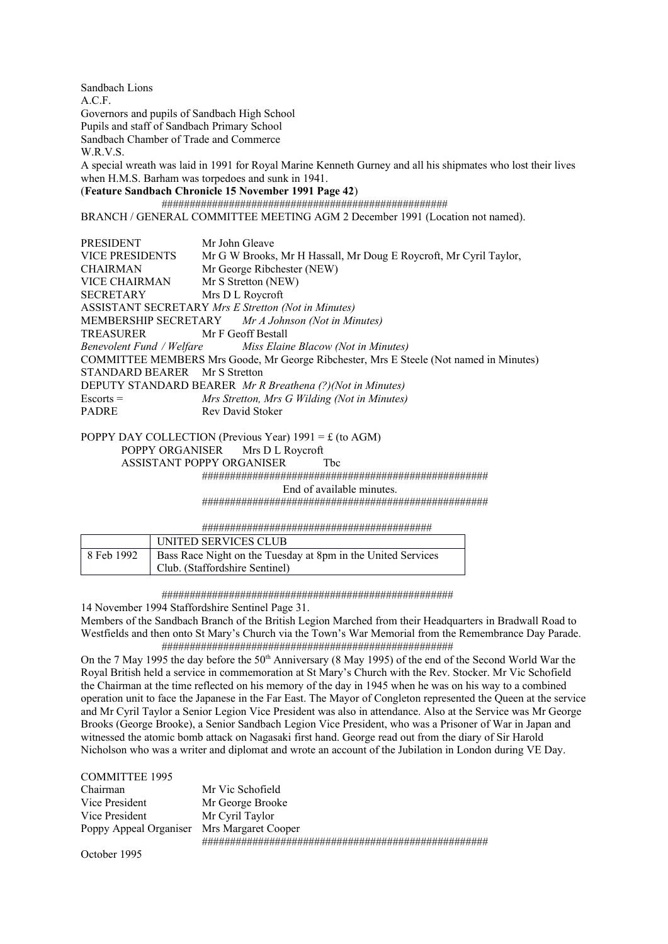Sandbach Lions A.C.F. Governors and pupils of Sandbach High School Pupils and staff of Sandbach Primary School Sandbach Chamber of Trade and Commerce W.R.V.S. A special wreath was laid in 1991 for Royal Marine Kenneth Gurney and all his shipmates who lost their lives when H.M.S. Barham was torpedoes and sunk in 1941. (**Feature Sandbach Chronicle 15 November 1991 Page 42**) ################################################### BRANCH / GENERAL COMMITTEE MEETING AGM 2 December 1991 (Location not named). PRESIDENT Mr John Gleave VICE PRESIDENTS Mr G W Brooks, Mr H Hassall, Mr Doug E Roycroft, Mr Cyril Taylor, CHAIRMAN Mr George Ribchester (NEW) VICE CHAIRMAN Mr S Stretton (NEW) SECRETARY Mrs D L Roycroft ASSISTANT SECRETARY *Mrs E Stretton (Not in Minutes)* MEMBERSHIP SECRETARY *Mr A Johnson (Not in Minutes)* TREASURER Mr F Geoff Bestall *Benevolent Fund / Welfare Miss Elaine Blacow (Not in Minutes)* COMMITTEE MEMBERS Mrs Goode, Mr George Ribchester, Mrs E Steele (Not named in Minutes) STANDARD BEARER Mr S Stretton DEPUTY STANDARD BEARER *Mr R Breathena (?)(Not in Minutes)*

Escorts = *Mrs Stretton, Mrs G Wilding (Not in Minutes)* PADRE Rev David Stoker

POPPY DAY COLLECTION (Previous Year)  $1991 = \text{\textsterling}$  (to AGM)

POPPY ORGANISER Mrs D L Roycroft ASSISTANT POPPY ORGANISER The

 ################################################### End of available minutes.

###################################################

#########################################

|                         | UNITED SERVICES CLUB                                                                           |
|-------------------------|------------------------------------------------------------------------------------------------|
| <sup>1</sup> 8 Feb 1992 | Bass Race Night on the Tuesday at 8pm in the United Services<br>Club. (Staffordshire Sentinel) |

####################################################

14 November 1994 Staffordshire Sentinel Page 31.

Members of the Sandbach Branch of the British Legion Marched from their Headquarters in Bradwall Road to Westfields and then onto St Mary's Church via the Town's War Memorial from the Remembrance Day Parade. ####################################################

On the 7 May 1995 the day before the 50<sup>th</sup> Anniversary (8 May 1995) of the end of the Second World War the Royal British held a service in commemoration at St Mary's Church with the Rev. Stocker. Mr Vic Schofield the Chairman at the time reflected on his memory of the day in 1945 when he was on his way to a combined operation unit to face the Japanese in the Far East. The Mayor of Congleton represented the Queen at the service and Mr Cyril Taylor a Senior Legion Vice President was also in attendance. Also at the Service was Mr George Brooks (George Brooke), a Senior Sandbach Legion Vice President, who was a Prisoner of War in Japan and witnessed the atomic bomb attack on Nagasaki first hand. George read out from the diary of Sir Harold Nicholson who was a writer and diplomat and wrote an account of the Jubilation in London during VE Day.

#### COMMITTEE 1995

| Chairman                                   | Mr Vic Schofield |
|--------------------------------------------|------------------|
| Vice President                             | Mr George Brooke |
| Vice President                             | Mr Cyril Taylor  |
| Poppy Appeal Organiser Mrs Margaret Cooper |                  |
|                                            |                  |

October 1995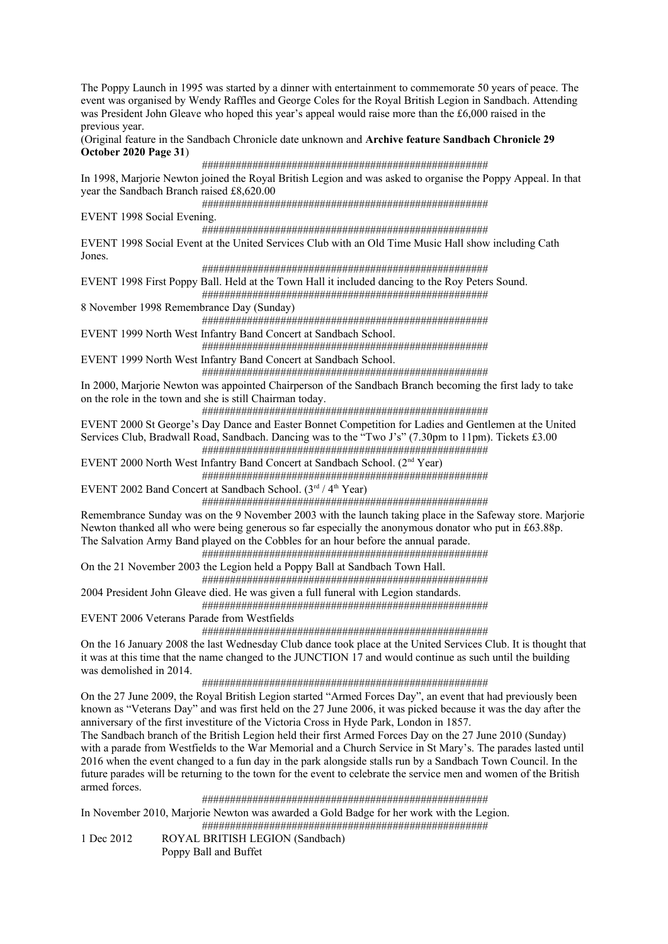The Poppy Launch in 1995 was started by a dinner with entertainment to commemorate 50 years of peace. The event was organised by Wendy Raffles and George Coles for the Royal British Legion in Sandbach. Attending was President John Gleave who hoped this year's appeal would raise more than the £6,000 raised in the previous year.

# (Original feature in the Sandbach Chronicle date unknown and **Archive feature Sandbach Chronicle 29 October 2020 Page 31**)

 ################################################### In 1998, Marjorie Newton joined the Royal British Legion and was asked to organise the Poppy Appeal. In that year the Sandbach Branch raised £8,620.00

###################################################

EVENT 1998 Social Evening.

###################################################

EVENT 1998 Social Event at the United Services Club with an Old Time Music Hall show including Cath Jones.

###################################################

EVENT 1998 First Poppy Ball. Held at the Town Hall it included dancing to the Roy Peters Sound.

###################################################

8 November 1998 Remembrance Day (Sunday)

 ################################################### EVENT 1999 North West Infantry Band Concert at Sandbach School.

###################################################

EVENT 1999 North West Infantry Band Concert at Sandbach School.

 ################################################### In 2000, Marjorie Newton was appointed Chairperson of the Sandbach Branch becoming the first lady to take on the role in the town and she is still Chairman today.

###################################################

EVENT 2000 St George's Day Dance and Easter Bonnet Competition for Ladies and Gentlemen at the United Services Club, Bradwall Road, Sandbach. Dancing was to the "Two J's" (7.30pm to 11pm). Tickets £3.00

###################################################

EVENT 2000 North West Infantry Band Concert at Sandbach School. (2nd Year)

###################################################

EVENT 2002 Band Concert at Sandbach School.  $(3<sup>rd</sup> / 4<sup>th</sup> Year)$ ###################################################

Remembrance Sunday was on the 9 November 2003 with the launch taking place in the Safeway store. Marjorie Newton thanked all who were being generous so far especially the anonymous donator who put in £63.88p. The Salvation Army Band played on the Cobbles for an hour before the annual parade.

###################################################

On the 21 November 2003 the Legion held a Poppy Ball at Sandbach Town Hall. ###################################################

2004 President John Gleave died. He was given a full funeral with Legion standards. ###################################################

EVENT 2006 Veterans Parade from Westfields

###################################################

On the 16 January 2008 the last Wednesday Club dance took place at the United Services Club. It is thought that it was at this time that the name changed to the JUNCTION 17 and would continue as such until the building was demolished in 2014.

###################################################

On the 27 June 2009, the Royal British Legion started "Armed Forces Day", an event that had previously been known as "Veterans Day" and was first held on the 27 June 2006, it was picked because it was the day after the anniversary of the first investiture of the Victoria Cross in Hyde Park, London in 1857.

The Sandbach branch of the British Legion held their first Armed Forces Day on the 27 June 2010 (Sunday) with a parade from Westfields to the War Memorial and a Church Service in St Mary's. The parades lasted until 2016 when the event changed to a fun day in the park alongside stalls run by a Sandbach Town Council. In the future parades will be returning to the town for the event to celebrate the service men and women of the British armed forces.

###################################################

In November 2010, Marjorie Newton was awarded a Gold Badge for her work with the Legion.

###################################################

1 Dec 2012 ROYAL BRITISH LEGION (Sandbach) Poppy Ball and Buffet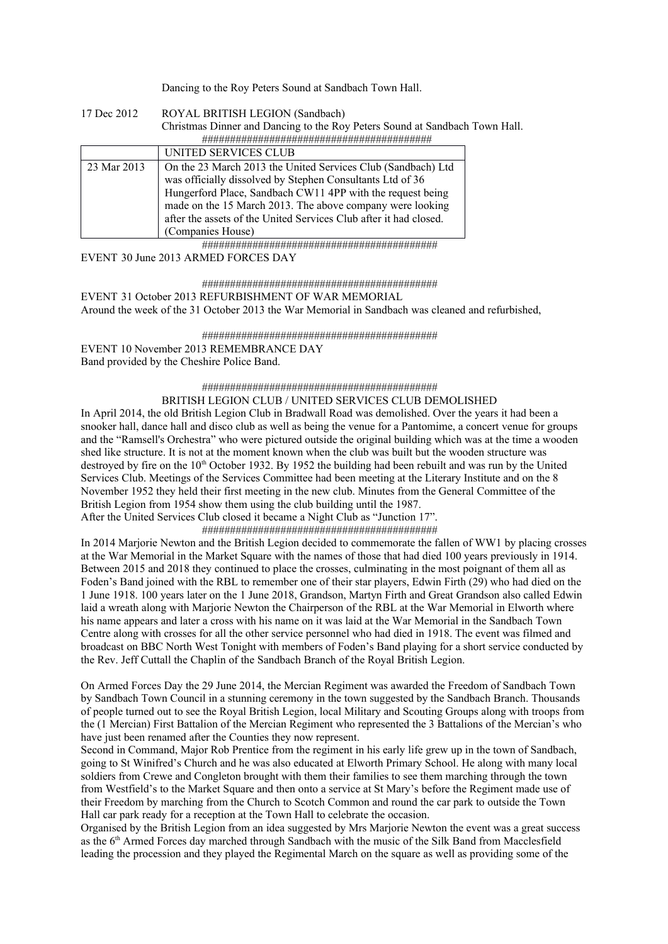Dancing to the Roy Peters Sound at Sandbach Town Hall.

| 17 Dec 2012 | ROYAL BRITISH LEGION (Sandbach)                                             |  |
|-------------|-----------------------------------------------------------------------------|--|
|             | Christmas Dinner and Dancing to the Roy Peters Sound at Sandbach Town Hall. |  |
|             |                                                                             |  |
|             | UNITED SERVICES CLUB                                                        |  |
| 23 Mar 2013 | On the 23 March 2013 the United Services Club (Sandbach) Ltd                |  |
|             | was officially dissolved by Stephen Consultants Ltd of 36                   |  |
|             | Hungerford Place, Sandbach CW11 4PP with the request being                  |  |
|             | made on the 15 March 2013. The above company were looking                   |  |
|             | after the assets of the United Services Club after it had closed.           |  |
|             | (Companies House)                                                           |  |

##########################################

EVENT 30 June 2013 ARMED FORCES DAY

##########################################

EVENT 31 October 2013 REFURBISHMENT OF WAR MEMORIAL Around the week of the 31 October 2013 the War Memorial in Sandbach was cleaned and refurbished,

 ########################################## EVENT 10 November 2013 REMEMBRANCE DAY Band provided by the Cheshire Police Band.

> ########################################## BRITISH LEGION CLUB / UNITED SERVICES CLUB DEMOLISHED

In April 2014, the old British Legion Club in Bradwall Road was demolished. Over the years it had been a snooker hall, dance hall and disco club as well as being the venue for a Pantomime, a concert venue for groups and the "Ramsell's Orchestra" who were pictured outside the original building which was at the time a wooden shed like structure. It is not at the moment known when the club was built but the wooden structure was destroyed by fire on the 10<sup>th</sup> October 1932. By 1952 the building had been rebuilt and was run by the United Services Club. Meetings of the Services Committee had been meeting at the Literary Institute and on the 8 November 1952 they held their first meeting in the new club. Minutes from the General Committee of the British Legion from 1954 show them using the club building until the 1987.

After the United Services Club closed it became a Night Club as "Junction 17".

##########################################

In 2014 Marjorie Newton and the British Legion decided to commemorate the fallen of WW1 by placing crosses at the War Memorial in the Market Square with the names of those that had died 100 years previously in 1914. Between 2015 and 2018 they continued to place the crosses, culminating in the most poignant of them all as Foden's Band joined with the RBL to remember one of their star players, Edwin Firth (29) who had died on the 1 June 1918. 100 years later on the 1 June 2018, Grandson, Martyn Firth and Great Grandson also called Edwin laid a wreath along with Marjorie Newton the Chairperson of the RBL at the War Memorial in Elworth where his name appears and later a cross with his name on it was laid at the War Memorial in the Sandbach Town Centre along with crosses for all the other service personnel who had died in 1918. The event was filmed and broadcast on BBC North West Tonight with members of Foden's Band playing for a short service conducted by the Rev. Jeff Cuttall the Chaplin of the Sandbach Branch of the Royal British Legion.

On Armed Forces Day the 29 June 2014, the Mercian Regiment was awarded the Freedom of Sandbach Town by Sandbach Town Council in a stunning ceremony in the town suggested by the Sandbach Branch. Thousands of people turned out to see the Royal British Legion, local Military and Scouting Groups along with troops from the (1 Mercian) First Battalion of the Mercian Regiment who represented the 3 Battalions of the Mercian's who have just been renamed after the Counties they now represent.

Second in Command, Major Rob Prentice from the regiment in his early life grew up in the town of Sandbach, going to St Winifred's Church and he was also educated at Elworth Primary School. He along with many local soldiers from Crewe and Congleton brought with them their families to see them marching through the town from Westfield's to the Market Square and then onto a service at St Mary's before the Regiment made use of their Freedom by marching from the Church to Scotch Common and round the car park to outside the Town Hall car park ready for a reception at the Town Hall to celebrate the occasion.

Organised by the British Legion from an idea suggested by Mrs Marjorie Newton the event was a great success as the 6th Armed Forces day marched through Sandbach with the music of the Silk Band from Macclesfield leading the procession and they played the Regimental March on the square as well as providing some of the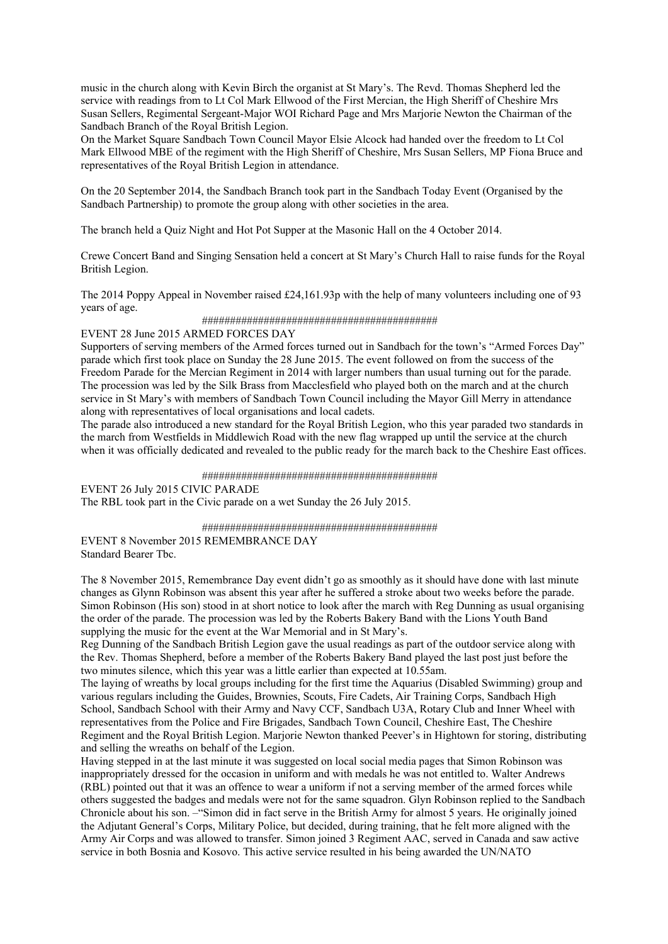music in the church along with Kevin Birch the organist at St Mary's. The Revd. Thomas Shepherd led the service with readings from to Lt Col Mark Ellwood of the First Mercian, the High Sheriff of Cheshire Mrs Susan Sellers, Regimental Sergeant-Major WOI Richard Page and Mrs Marjorie Newton the Chairman of the Sandbach Branch of the Royal British Legion.

On the Market Square Sandbach Town Council Mayor Elsie Alcock had handed over the freedom to Lt Col Mark Ellwood MBE of the regiment with the High Sheriff of Cheshire, Mrs Susan Sellers, MP Fiona Bruce and representatives of the Royal British Legion in attendance.

On the 20 September 2014, the Sandbach Branch took part in the Sandbach Today Event (Organised by the Sandbach Partnership) to promote the group along with other societies in the area.

The branch held a Quiz Night and Hot Pot Supper at the Masonic Hall on the 4 October 2014.

Crewe Concert Band and Singing Sensation held a concert at St Mary's Church Hall to raise funds for the Royal British Legion.

The 2014 Poppy Appeal in November raised £24,161.93p with the help of many volunteers including one of 93 years of age.

#### ##########################################

#### EVENT 28 June 2015 ARMED FORCES DAY

Supporters of serving members of the Armed forces turned out in Sandbach for the town's "Armed Forces Day" parade which first took place on Sunday the 28 June 2015. The event followed on from the success of the Freedom Parade for the Mercian Regiment in 2014 with larger numbers than usual turning out for the parade. The procession was led by the Silk Brass from Macclesfield who played both on the march and at the church service in St Mary's with members of Sandbach Town Council including the Mayor Gill Merry in attendance along with representatives of local organisations and local cadets.

The parade also introduced a new standard for the Royal British Legion, who this year paraded two standards in the march from Westfields in Middlewich Road with the new flag wrapped up until the service at the church when it was officially dedicated and revealed to the public ready for the march back to the Cheshire East offices.

#### ##########################################

EVENT 26 July 2015 CIVIC PARADE The RBL took part in the Civic parade on a wet Sunday the 26 July 2015.

##########################################

EVENT 8 November 2015 REMEMBRANCE DAY Standard Bearer Tbc.

The 8 November 2015, Remembrance Day event didn't go as smoothly as it should have done with last minute changes as Glynn Robinson was absent this year after he suffered a stroke about two weeks before the parade. Simon Robinson (His son) stood in at short notice to look after the march with Reg Dunning as usual organising the order of the parade. The procession was led by the Roberts Bakery Band with the Lions Youth Band supplying the music for the event at the War Memorial and in St Mary's.

Reg Dunning of the Sandbach British Legion gave the usual readings as part of the outdoor service along with the Rev. Thomas Shepherd, before a member of the Roberts Bakery Band played the last post just before the two minutes silence, which this year was a little earlier than expected at 10.55am.

The laying of wreaths by local groups including for the first time the Aquarius (Disabled Swimming) group and various regulars including the Guides, Brownies, Scouts, Fire Cadets, Air Training Corps, Sandbach High School, Sandbach School with their Army and Navy CCF, Sandbach U3A, Rotary Club and Inner Wheel with representatives from the Police and Fire Brigades, Sandbach Town Council, Cheshire East, The Cheshire Regiment and the Royal British Legion. Marjorie Newton thanked Peever's in Hightown for storing, distributing and selling the wreaths on behalf of the Legion.

Having stepped in at the last minute it was suggested on local social media pages that Simon Robinson was inappropriately dressed for the occasion in uniform and with medals he was not entitled to. Walter Andrews (RBL) pointed out that it was an offence to wear a uniform if not a serving member of the armed forces while others suggested the badges and medals were not for the same squadron. Glyn Robinson replied to the Sandbach Chronicle about his son. –"Simon did in fact serve in the British Army for almost 5 years. He originally joined the Adjutant General's Corps, Military Police, but decided, during training, that he felt more aligned with the Army Air Corps and was allowed to transfer. Simon joined 3 Regiment AAC, served in Canada and saw active service in both Bosnia and Kosovo. This active service resulted in his being awarded the UN/NATO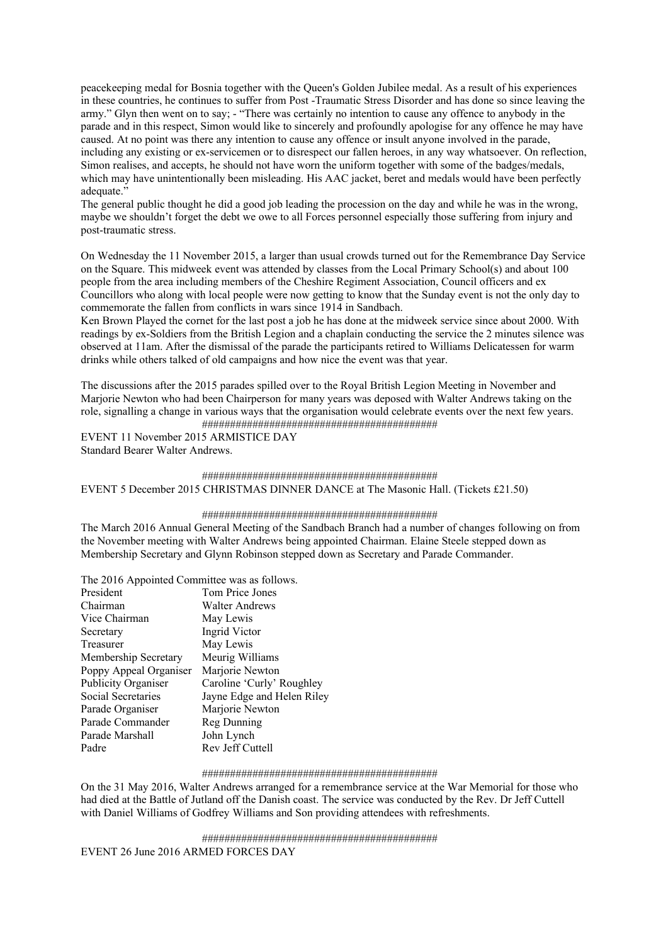peacekeeping medal for Bosnia together with the Queen's Golden Jubilee medal. As a result of his experiences in these countries, he continues to suffer from Post -Traumatic Stress Disorder and has done so since leaving the army." Glyn then went on to say; - "There was certainly no intention to cause any offence to anybody in the parade and in this respect, Simon would like to sincerely and profoundly apologise for any offence he may have caused. At no point was there any intention to cause any offence or insult anyone involved in the parade, including any existing or ex-servicemen or to disrespect our fallen heroes, in any way whatsoever. On reflection, Simon realises, and accepts, he should not have worn the uniform together with some of the badges/medals, which may have unintentionally been misleading. His AAC jacket, beret and medals would have been perfectly adequate."

The general public thought he did a good job leading the procession on the day and while he was in the wrong, maybe we shouldn't forget the debt we owe to all Forces personnel especially those suffering from injury and post-traumatic stress.

On Wednesday the 11 November 2015, a larger than usual crowds turned out for the Remembrance Day Service on the Square. This midweek event was attended by classes from the Local Primary School(s) and about 100 people from the area including members of the Cheshire Regiment Association, Council officers and ex Councillors who along with local people were now getting to know that the Sunday event is not the only day to commemorate the fallen from conflicts in wars since 1914 in Sandbach.

Ken Brown Played the cornet for the last post a job he has done at the midweek service since about 2000. With readings by ex-Soldiers from the British Legion and a chaplain conducting the service the 2 minutes silence was observed at 11am. After the dismissal of the parade the participants retired to Williams Delicatessen for warm drinks while others talked of old campaigns and how nice the event was that year.

The discussions after the 2015 parades spilled over to the Royal British Legion Meeting in November and Marjorie Newton who had been Chairperson for many years was deposed with Walter Andrews taking on the role, signalling a change in various ways that the organisation would celebrate events over the next few years. ##########################################

EVENT 11 November 2015 ARMISTICE DAY Standard Bearer Walter Andrews.

# ########################################## EVENT 5 December 2015 CHRISTMAS DINNER DANCE at The Masonic Hall. (Tickets £21.50)

#### ##########################################

The March 2016 Annual General Meeting of the Sandbach Branch had a number of changes following on from the November meeting with Walter Andrews being appointed Chairman. Elaine Steele stepped down as Membership Secretary and Glynn Robinson stepped down as Secretary and Parade Commander.

The 2016 Appointed Committee was as follows.

| President              | Tom Price Jones            |
|------------------------|----------------------------|
| Chairman               | <b>Walter Andrews</b>      |
| Vice Chairman          | May Lewis                  |
| Secretary              | Ingrid Victor              |
| Treasurer              | May Lewis                  |
| Membership Secretary   | Meurig Williams            |
| Poppy Appeal Organiser | Marjorie Newton            |
| Publicity Organiser    | Caroline 'Curly' Roughley  |
| Social Secretaries     | Jayne Edge and Helen Riley |
| Parade Organiser       | Marjorie Newton            |
| Parade Commander       | Reg Dunning                |
| Parade Marshall        | John Lynch                 |
| Padre                  | Rev Jeff Cuttell           |

#### ##########################################

On the 31 May 2016, Walter Andrews arranged for a remembrance service at the War Memorial for those who had died at the Battle of Jutland off the Danish coast. The service was conducted by the Rev. Dr Jeff Cuttell with Daniel Williams of Godfrey Williams and Son providing attendees with refreshments.

##########################################

EVENT 26 June 2016 ARMED FORCES DAY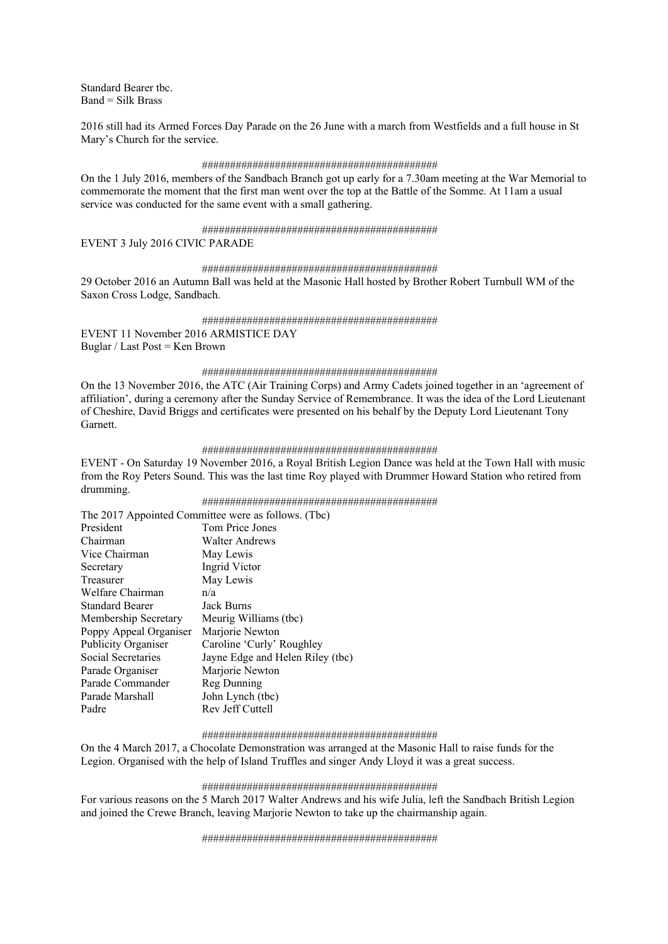Standard Bearer tbc.  $Band = Silk$  Brass

2016 still had its Armed Forces Day Parade on the 26 June with a march from Westfields and a full house in St Mary's Church for the service.

#### ##########################################

On the 1 July 2016, members of the Sandbach Branch got up early for a 7.30am meeting at the War Memorial to commemorate the moment that the first man went over the top at the Battle of the Somme. At 11am a usual service was conducted for the same event with a small gathering.

#### ##########################################

EVENT 3 July 2016 CIVIC PARADE

#### ##########################################

29 October 2016 an Autumn Ball was held at the Masonic Hall hosted by Brother Robert Turnbull WM of the Saxon Cross Lodge, Sandbach.

#### ##########################################

EVENT 11 November 2016 ARMISTICE DAY Buglar / Last Post = Ken Brown

#### ##########################################

On the 13 November 2016, the ATC (Air Training Corps) and Army Cadets joined together in an 'agreement of affiliation', during a ceremony after the Sunday Service of Remembrance. It was the idea of the Lord Lieutenant of Cheshire, David Briggs and certificates were presented on his behalf by the Deputy Lord Lieutenant Tony Garnett.

#### ##########################################

EVENT - On Saturday 19 November 2016, a Royal British Legion Dance was held at the Town Hall with music from the Roy Peters Sound. This was the last time Roy played with Drummer Howard Station who retired from drumming.

##########################################

|                            | The 2017 Appointed Committee were as follows. (Tbc) |
|----------------------------|-----------------------------------------------------|
| President                  | Tom Price Jones                                     |
| Chairman                   | Walter Andrews                                      |
| Vice Chairman              | May Lewis                                           |
| Secretary                  | Ingrid Victor                                       |
| Treasurer                  | May Lewis                                           |
| Welfare Chairman           | n/a                                                 |
| <b>Standard Bearer</b>     | Jack Burns                                          |
| Membership Secretary       | Meurig Williams (tbc)                               |
| Poppy Appeal Organiser     | Marjorie Newton                                     |
| <b>Publicity Organiser</b> | Caroline 'Curly' Roughley                           |
| Social Secretaries         | Jayne Edge and Helen Riley (tbc)                    |
| Parade Organiser           | Marjorie Newton                                     |
| Parade Commander           | Reg Dunning                                         |
| Parade Marshall            | John Lynch (tbc)                                    |
| Padre                      | Rev Jeff Cuttell                                    |

#### ##########################################

On the 4 March 2017, a Chocolate Demonstration was arranged at the Masonic Hall to raise funds for the Legion. Organised with the help of Island Truffles and singer Andy Lloyd it was a great success.

#### ##########################################

For various reasons on the 5 March 2017 Walter Andrews and his wife Julia, left the Sandbach British Legion and joined the Crewe Branch, leaving Marjorie Newton to take up the chairmanship again.

##########################################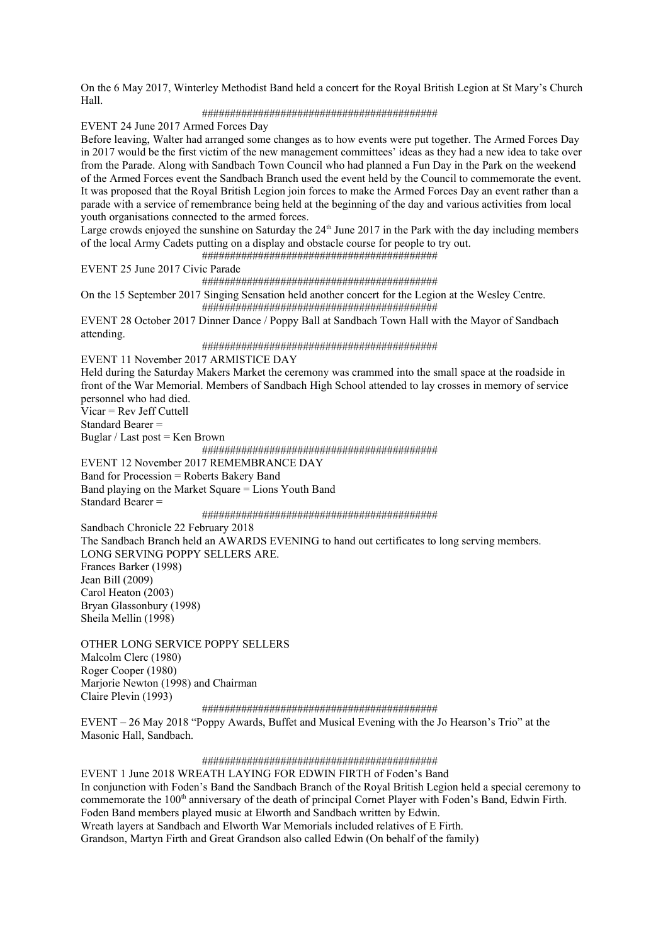On the 6 May 2017, Winterley Methodist Band held a concert for the Royal British Legion at St Mary's Church Hall.

##########################################

EVENT 24 June 2017 Armed Forces Day

Before leaving, Walter had arranged some changes as to how events were put together. The Armed Forces Day in 2017 would be the first victim of the new management committees' ideas as they had a new idea to take over from the Parade. Along with Sandbach Town Council who had planned a Fun Day in the Park on the weekend of the Armed Forces event the Sandbach Branch used the event held by the Council to commemorate the event. It was proposed that the Royal British Legion join forces to make the Armed Forces Day an event rather than a parade with a service of remembrance being held at the beginning of the day and various activities from local youth organisations connected to the armed forces.

Large crowds enjoyed the sunshine on Saturday the  $24<sup>th</sup>$  June 2017 in the Park with the day including members of the local Army Cadets putting on a display and obstacle course for people to try out.

##########################################

EVENT 25 June 2017 Civic Parade

##########################################

On the 15 September 2017 Singing Sensation held another concert for the Legion at the Wesley Centre. ##########################################

EVENT 28 October 2017 Dinner Dance / Poppy Ball at Sandbach Town Hall with the Mayor of Sandbach attending.

##########################################

EVENT 11 November 2017 ARMISTICE DAY

Held during the Saturday Makers Market the ceremony was crammed into the small space at the roadside in front of the War Memorial. Members of Sandbach High School attended to lay crosses in memory of service personnel who had died.

Vicar = Rev Jeff Cuttell

Standard Bearer =

Buglar / Last post = Ken Brown

##########################################

EVENT 12 November 2017 REMEMBRANCE DAY Band for Procession = Roberts Bakery Band Band playing on the Market Square = Lions Youth Band Standard Bearer =

##########################################

Sandbach Chronicle 22 February 2018 The Sandbach Branch held an AWARDS EVENING to hand out certificates to long serving members. LONG SERVING POPPY SELLERS ARE. Frances Barker (1998) Jean Bill (2009) Carol Heaton (2003) Bryan Glassonbury (1998) Sheila Mellin (1998)

OTHER LONG SERVICE POPPY SELLERS Malcolm Clerc (1980) Roger Cooper (1980) Marjorie Newton (1998) and Chairman Claire Plevin (1993)

##########################################

EVENT – 26 May 2018 "Poppy Awards, Buffet and Musical Evening with the Jo Hearson's Trio" at the Masonic Hall, Sandbach.

##########################################

EVENT 1 June 2018 WREATH LAYING FOR EDWIN FIRTH of Foden's Band In conjunction with Foden's Band the Sandbach Branch of the Royal British Legion held a special ceremony to commemorate the 100<sup>th</sup> anniversary of the death of principal Cornet Player with Foden's Band, Edwin Firth. Foden Band members played music at Elworth and Sandbach written by Edwin. Wreath layers at Sandbach and Elworth War Memorials included relatives of E Firth. Grandson, Martyn Firth and Great Grandson also called Edwin (On behalf of the family)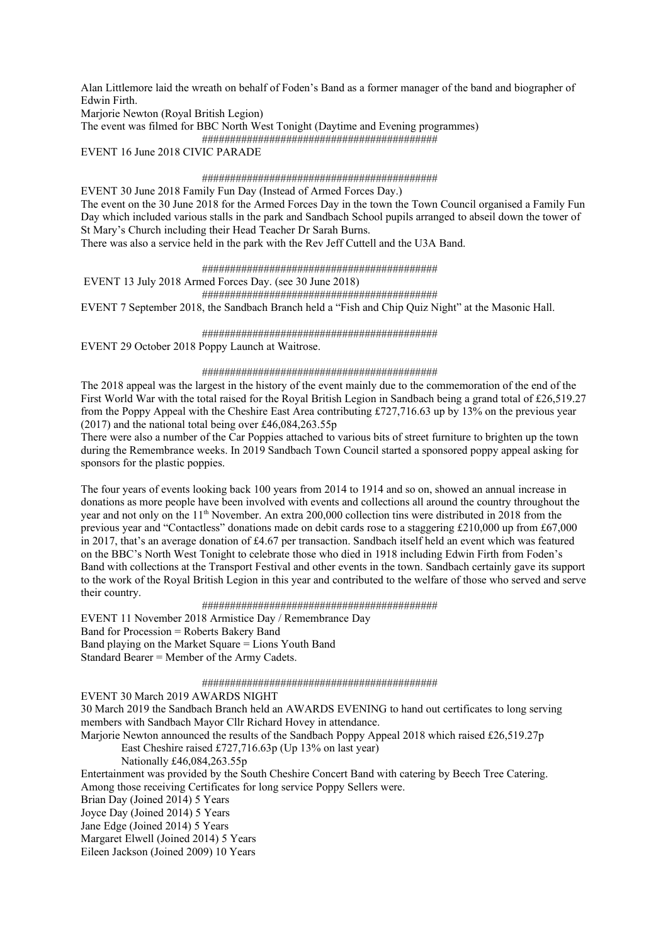Alan Littlemore laid the wreath on behalf of Foden's Band as a former manager of the band and biographer of Edwin Firth.

Mariorie Newton (Royal British Legion)

The event was filmed for BBC North West Tonight (Daytime and Evening programmes)

##########################################

EVENT 16 June 2018 CIVIC PARADE

#### ##########################################

EVENT 30 June 2018 Family Fun Day (Instead of Armed Forces Day.) The event on the 30 June 2018 for the Armed Forces Day in the town the Town Council organised a Family Fun Day which included various stalls in the park and Sandbach School pupils arranged to abseil down the tower of St Mary's Church including their Head Teacher Dr Sarah Burns.

There was also a service held in the park with the Rev Jeff Cuttell and the U3A Band.

##########################################

EVENT 13 July 2018 Armed Forces Day. (see 30 June 2018)

##########################################

EVENT 7 September 2018, the Sandbach Branch held a "Fish and Chip Quiz Night" at the Masonic Hall.

#### ##########################################

EVENT 29 October 2018 Poppy Launch at Waitrose.

#### ##########################################

The 2018 appeal was the largest in the history of the event mainly due to the commemoration of the end of the First World War with the total raised for the Royal British Legion in Sandbach being a grand total of £26,519.27 from the Poppy Appeal with the Cheshire East Area contributing  $\text{\textsterling}727,716.63$  up by 13% on the previous year (2017) and the national total being over £46,084,263.55p

There were also a number of the Car Poppies attached to various bits of street furniture to brighten up the town during the Remembrance weeks. In 2019 Sandbach Town Council started a sponsored poppy appeal asking for sponsors for the plastic poppies.

The four years of events looking back 100 years from 2014 to 1914 and so on, showed an annual increase in donations as more people have been involved with events and collections all around the country throughout the year and not only on the 11<sup>th</sup> November. An extra 200,000 collection tins were distributed in 2018 from the previous year and "Contactless" donations made on debit cards rose to a staggering £210,000 up from £67,000 in 2017, that's an average donation of £4.67 per transaction. Sandbach itself held an event which was featured on the BBC's North West Tonight to celebrate those who died in 1918 including Edwin Firth from Foden's Band with collections at the Transport Festival and other events in the town. Sandbach certainly gave its support to the work of the Royal British Legion in this year and contributed to the welfare of those who served and serve their country.

### ##########################################

EVENT 11 November 2018 Armistice Day / Remembrance Day Band for Procession = Roberts Bakery Band Band playing on the Market Square = Lions Youth Band Standard Bearer = Member of the Army Cadets.

#### ##########################################

EVENT 30 March 2019 AWARDS NIGHT 30 March 2019 the Sandbach Branch held an AWARDS EVENING to hand out certificates to long serving members with Sandbach Mayor Cllr Richard Hovey in attendance. Marjorie Newton announced the results of the Sandbach Poppy Appeal 2018 which raised £26,519.27p East Cheshire raised £727,716.63p (Up 13% on last year) Nationally £46,084,263.55p Entertainment was provided by the South Cheshire Concert Band with catering by Beech Tree Catering. Among those receiving Certificates for long service Poppy Sellers were. Brian Day (Joined 2014) 5 Years Joyce Day (Joined 2014) 5 Years Jane Edge (Joined 2014) 5 Years Margaret Elwell (Joined 2014) 5 Years Eileen Jackson (Joined 2009) 10 Years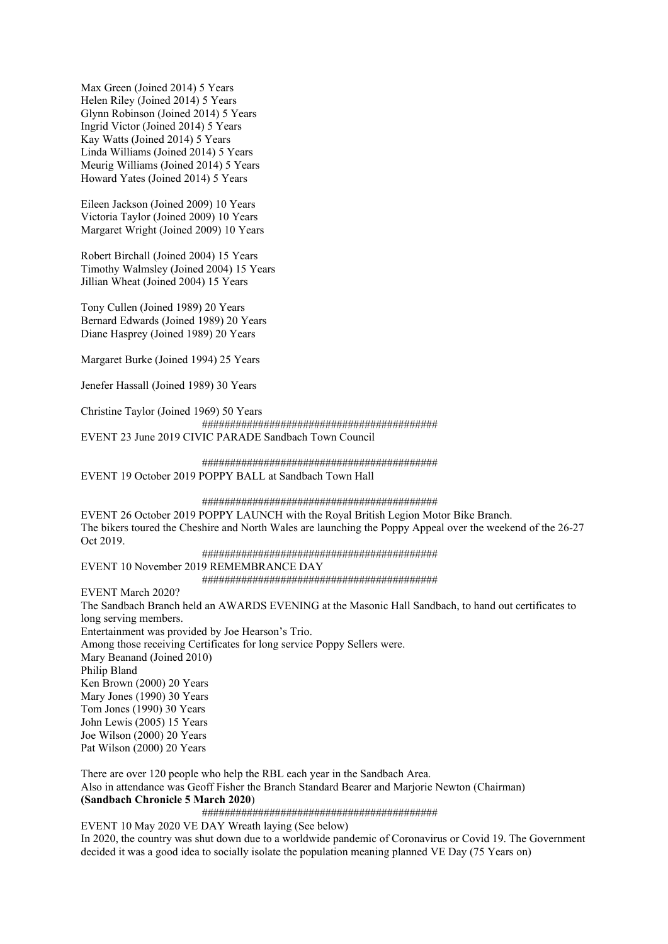Max Green (Joined 2014) 5 Years Helen Riley (Joined 2014) 5 Years Glynn Robinson (Joined 2014) 5 Years Ingrid Victor (Joined 2014) 5 Years Kay Watts (Joined 2014) 5 Years Linda Williams (Joined 2014) 5 Years Meurig Williams (Joined 2014) 5 Years Howard Yates (Joined 2014) 5 Years

Eileen Jackson (Joined 2009) 10 Years Victoria Taylor (Joined 2009) 10 Years Margaret Wright (Joined 2009) 10 Years

Robert Birchall (Joined 2004) 15 Years Timothy Walmsley (Joined 2004) 15 Years Jillian Wheat (Joined 2004) 15 Years

Tony Cullen (Joined 1989) 20 Years Bernard Edwards (Joined 1989) 20 Years Diane Hasprey (Joined 1989) 20 Years

Margaret Burke (Joined 1994) 25 Years

Jenefer Hassall (Joined 1989) 30 Years

Christine Taylor (Joined 1969) 50 Years ##########################################

EVENT 23 June 2019 CIVIC PARADE Sandbach Town Council

##########################################

EVENT 19 October 2019 POPPY BALL at Sandbach Town Hall

##########################################

EVENT 26 October 2019 POPPY LAUNCH with the Royal British Legion Motor Bike Branch. The bikers toured the Cheshire and North Wales are launching the Poppy Appeal over the weekend of the 26-27 Oct 2019.

##########################################

EVENT 10 November 2019 REMEMBRANCE DAY ##########################################

EVENT March 2020?

The Sandbach Branch held an AWARDS EVENING at the Masonic Hall Sandbach, to hand out certificates to long serving members. Entertainment was provided by Joe Hearson's Trio. Among those receiving Certificates for long service Poppy Sellers were. Mary Beanand (Joined 2010) Philip Bland Ken Brown (2000) 20 Years Mary Jones (1990) 30 Years Tom Jones (1990) 30 Years John Lewis (2005) 15 Years Joe Wilson (2000) 20 Years Pat Wilson (2000) 20 Years

There are over 120 people who help the RBL each year in the Sandbach Area. Also in attendance was Geoff Fisher the Branch Standard Bearer and Marjorie Newton (Chairman) **(Sandbach Chronicle 5 March 2020**)

##########################################

EVENT 10 May 2020 VE DAY Wreath laying (See below) In 2020, the country was shut down due to a worldwide pandemic of Coronavirus or Covid 19. The Government decided it was a good idea to socially isolate the population meaning planned VE Day (75 Years on)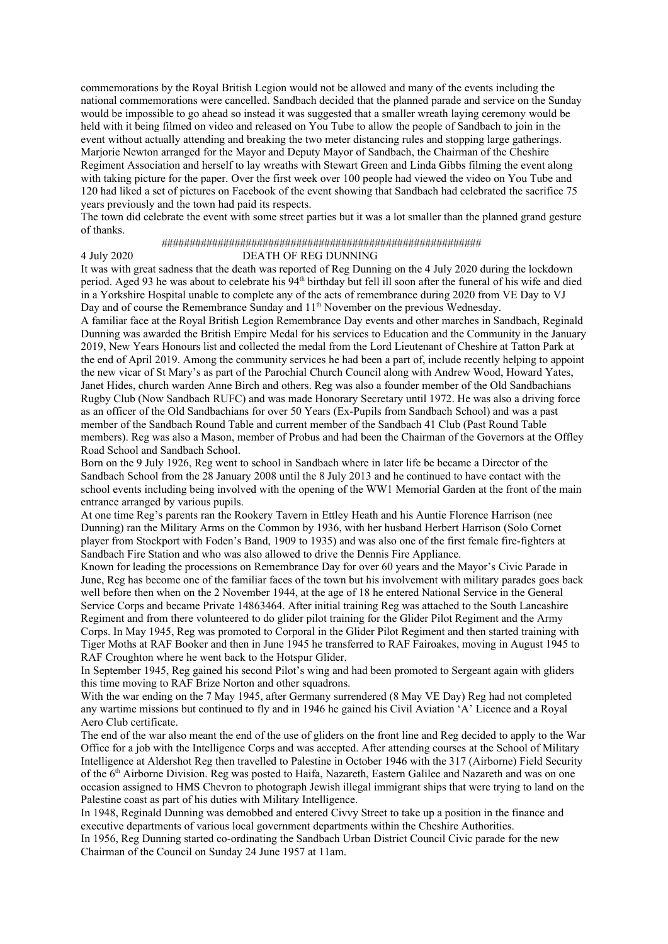commemorations by the Royal British Legion would not be allowed and many of the events including the national commemorations were cancelled. Sandbach decided that the planned parade and service on the Sunday would be impossible to go ahead so instead it was suggested that a smaller wreath laying ceremony would be held with it being filmed on video and released on You Tube to allow the people of Sandbach to join in the event without actually attending and breaking the two meter distancing rules and stopping large gatherings. Marjorie Newton arranged for the Mayor and Deputy Mayor of Sandbach, the Chairman of the Cheshire Regiment Association and herself to lay wreaths with Stewart Green and Linda Gibbs filming the event along with taking picture for the paper. Over the first week over 100 people had viewed the video on You Tube and 120 had liked a set of pictures on Facebook of the event showing that Sandbach had celebrated the sacrifice 75 years previously and the town had paid its respects.

The town did celebrate the event with some street parties but it was a lot smaller than the planned grand gesture of thanks.

# #########################################################

### DEATH OF REG DUNNING

It was with great sadness that the death was reported of Reg Dunning on the 4 July 2020 during the lockdown period. Aged 93 he was about to celebrate his 94<sup>th</sup> birthday but fell ill soon after the funeral of his wife and died in a Yorkshire Hospital unable to complete any of the acts of remembrance during 2020 from VE Day to VJ Day and of course the Remembrance Sunday and 11<sup>th</sup> November on the previous Wednesday.

A familiar face at the Royal British Legion Remembrance Day events and other marches in Sandbach, Reginald Dunning was awarded the British Empire Medal for his services to Education and the Community in the January 2019, New Years Honours list and collected the medal from the Lord Lieutenant of Cheshire at Tatton Park at the end of April 2019. Among the community services he had been a part of, include recently helping to appoint the new vicar of St Mary's as part of the Parochial Church Council along with Andrew Wood, Howard Yates, Janet Hides, church warden Anne Birch and others. Reg was also a founder member of the Old Sandbachians Rugby Club (Now Sandbach RUFC) and was made Honorary Secretary until 1972. He was also a driving force as an officer of the Old Sandbachians for over 50 Years (Ex-Pupils from Sandbach School) and was a past member of the Sandbach Round Table and current member of the Sandbach 41 Club (Past Round Table members). Reg was also a Mason, member of Probus and had been the Chairman of the Governors at the Offley Road School and Sandbach School.

Born on the 9 July 1926, Reg went to school in Sandbach where in later life be became a Director of the Sandbach School from the 28 January 2008 until the 8 July 2013 and he continued to have contact with the school events including being involved with the opening of the WW1 Memorial Garden at the front of the main entrance arranged by various pupils.

At one time Reg's parents ran the Rookery Tavern in Ettley Heath and his Auntie Florence Harrison (nee Dunning) ran the Military Arms on the Common by 1936, with her husband Herbert Harrison (Solo Cornet player from Stockport with Foden's Band, 1909 to 1935) and was also one of the first female fire-fighters at Sandbach Fire Station and who was also allowed to drive the Dennis Fire Appliance.

Known for leading the processions on Remembrance Day for over 60 years and the Mayor's Civic Parade in June, Reg has become one of the familiar faces of the town but his involvement with military parades goes back well before then when on the 2 November 1944, at the age of 18 he entered National Service in the General Service Corps and became Private 14863464. After initial training Reg was attached to the South Lancashire Regiment and from there volunteered to do glider pilot training for the Glider Pilot Regiment and the Army Corps. In May 1945, Reg was promoted to Corporal in the Glider Pilot Regiment and then started training with Tiger Moths at RAF Booker and then in June 1945 he transferred to RAF Fairoakes, moving in August 1945 to RAF Croughton where he went back to the Hotspur Glider.

In September 1945, Reg gained his second Pilot's wing and had been promoted to Sergeant again with gliders this time moving to RAF Brize Norton and other squadrons.

With the war ending on the 7 May 1945, after Germany surrendered (8 May VE Day) Reg had not completed any wartime missions but continued to fly and in 1946 he gained his Civil Aviation 'A' Licence and a Royal Aero Club certificate.

The end of the war also meant the end of the use of gliders on the front line and Reg decided to apply to the War Office for a job with the Intelligence Corps and was accepted. After attending courses at the School of Military Intelligence at Aldershot Reg then travelled to Palestine in October 1946 with the 317 (Airborne) Field Security of the 6th Airborne Division. Reg was posted to Haifa, Nazareth, Eastern Galilee and Nazareth and was on one occasion assigned to HMS Chevron to photograph Jewish illegal immigrant ships that were trying to land on the Palestine coast as part of his duties with Military Intelligence.

In 1948, Reginald Dunning was demobbed and entered Civvy Street to take up a position in the finance and executive departments of various local government departments within the Cheshire Authorities.

In 1956, Reg Dunning started co-ordinating the Sandbach Urban District Council Civic parade for the new Chairman of the Council on Sunday 24 June 1957 at 11am.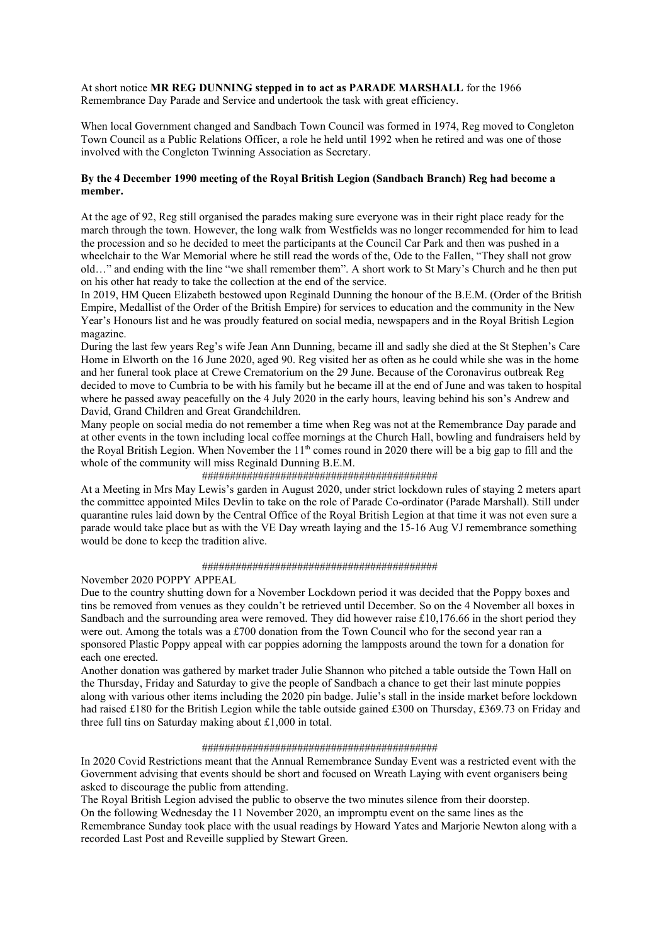At short notice **MR REG DUNNING stepped in to act as PARADE MARSHALL** for the 1966 Remembrance Day Parade and Service and undertook the task with great efficiency.

When local Government changed and Sandbach Town Council was formed in 1974, Reg moved to Congleton Town Council as a Public Relations Officer, a role he held until 1992 when he retired and was one of those involved with the Congleton Twinning Association as Secretary.

# **By the 4 December 1990 meeting of the Royal British Legion (Sandbach Branch) Reg had become a member.**

At the age of 92, Reg still organised the parades making sure everyone was in their right place ready for the march through the town. However, the long walk from Westfields was no longer recommended for him to lead the procession and so he decided to meet the participants at the Council Car Park and then was pushed in a wheelchair to the War Memorial where he still read the words of the, Ode to the Fallen, "They shall not grow old…" and ending with the line "we shall remember them". A short work to St Mary's Church and he then put on his other hat ready to take the collection at the end of the service.

In 2019, HM Queen Elizabeth bestowed upon Reginald Dunning the honour of the B.E.M. (Order of the British Empire, Medallist of the Order of the British Empire) for services to education and the community in the New Year's Honours list and he was proudly featured on social media, newspapers and in the Royal British Legion magazine.

During the last few years Reg's wife Jean Ann Dunning, became ill and sadly she died at the St Stephen's Care Home in Elworth on the 16 June 2020, aged 90. Reg visited her as often as he could while she was in the home and her funeral took place at Crewe Crematorium on the 29 June. Because of the Coronavirus outbreak Reg decided to move to Cumbria to be with his family but he became ill at the end of June and was taken to hospital where he passed away peacefully on the 4 July 2020 in the early hours, leaving behind his son's Andrew and David, Grand Children and Great Grandchildren.

Many people on social media do not remember a time when Reg was not at the Remembrance Day parade and at other events in the town including local coffee mornings at the Church Hall, bowling and fundraisers held by the Royal British Legion. When November the  $11<sup>th</sup>$  comes round in 2020 there will be a big gap to fill and the whole of the community will miss Reginald Dunning B.E.M.

### ##########################################

At a Meeting in Mrs May Lewis's garden in August 2020, under strict lockdown rules of staying 2 meters apart the committee appointed Miles Devlin to take on the role of Parade Co-ordinator (Parade Marshall). Still under quarantine rules laid down by the Central Office of the Royal British Legion at that time it was not even sure a parade would take place but as with the VE Day wreath laying and the 15-16 Aug VJ remembrance something would be done to keep the tradition alive.

#### ##########################################

November 2020 POPPY APPEAL

Due to the country shutting down for a November Lockdown period it was decided that the Poppy boxes and tins be removed from venues as they couldn't be retrieved until December. So on the 4 November all boxes in Sandbach and the surrounding area were removed. They did however raise  $£10,176.66$  in the short period they were out. Among the totals was a £700 donation from the Town Council who for the second year ran a sponsored Plastic Poppy appeal with car poppies adorning the lampposts around the town for a donation for each one erected.

Another donation was gathered by market trader Julie Shannon who pitched a table outside the Town Hall on the Thursday, Friday and Saturday to give the people of Sandbach a chance to get their last minute poppies along with various other items including the 2020 pin badge. Julie's stall in the inside market before lockdown had raised £180 for the British Legion while the table outside gained £300 on Thursday, £369.73 on Friday and three full tins on Saturday making about £1,000 in total.

#### ##########################################

In 2020 Covid Restrictions meant that the Annual Remembrance Sunday Event was a restricted event with the Government advising that events should be short and focused on Wreath Laying with event organisers being asked to discourage the public from attending.

The Royal British Legion advised the public to observe the two minutes silence from their doorstep. On the following Wednesday the 11 November 2020, an impromptu event on the same lines as the Remembrance Sunday took place with the usual readings by Howard Yates and Marjorie Newton along with a recorded Last Post and Reveille supplied by Stewart Green.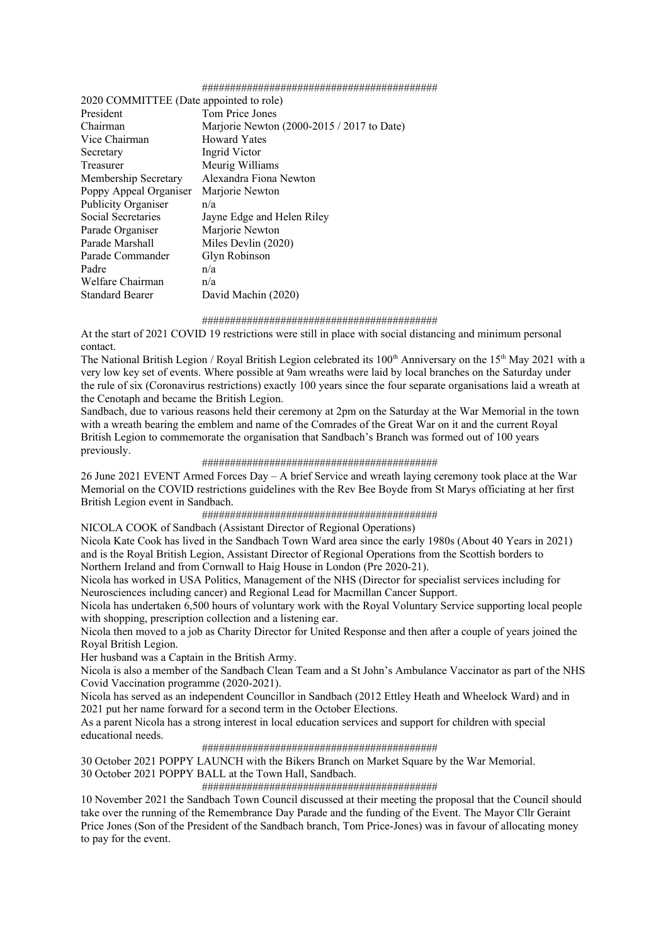#### ##########################################

| 2020 COMMITTEE (Date appointed to role) |                                            |
|-----------------------------------------|--------------------------------------------|
| President                               | Tom Price Jones                            |
| Chairman                                | Marjorie Newton (2000-2015 / 2017 to Date) |
| Vice Chairman                           | <b>Howard Yates</b>                        |
| Secretary                               | Ingrid Victor                              |
| Treasurer                               | Meurig Williams                            |
| Membership Secretary                    | Alexandra Fiona Newton                     |
| Poppy Appeal Organiser                  | Marjorie Newton                            |
| Publicity Organiser                     | n/a                                        |
| Social Secretaries                      | Jayne Edge and Helen Riley                 |
| Parade Organiser                        | Marjorie Newton                            |
| Parade Marshall                         | Miles Devlin (2020)                        |
| Parade Commander                        | Glyn Robinson                              |
| Padre                                   | n/a                                        |
| Welfare Chairman                        | n/a                                        |
| <b>Standard Bearer</b>                  | David Machin (2020)                        |

#### ##########################################

At the start of 2021 COVID 19 restrictions were still in place with social distancing and minimum personal contact.

The National British Legion / Royal British Legion celebrated its  $100<sup>th</sup>$  Anniversary on the  $15<sup>th</sup>$  May 2021 with a very low key set of events. Where possible at 9am wreaths were laid by local branches on the Saturday under the rule of six (Coronavirus restrictions) exactly 100 years since the four separate organisations laid a wreath at the Cenotaph and became the British Legion.

Sandbach, due to various reasons held their ceremony at 2pm on the Saturday at the War Memorial in the town with a wreath bearing the emblem and name of the Comrades of the Great War on it and the current Royal British Legion to commemorate the organisation that Sandbach's Branch was formed out of 100 years previously.

#### ##########################################

26 June 2021 EVENT Armed Forces Day – A brief Service and wreath laying ceremony took place at the War Memorial on the COVID restrictions guidelines with the Rev Bee Boyde from St Marys officiating at her first British Legion event in Sandbach.

#### ##########################################

# NICOLA COOK of Sandbach (Assistant Director of Regional Operations)

Nicola Kate Cook has lived in the Sandbach Town Ward area since the early 1980s (About 40 Years in 2021) and is the Royal British Legion, Assistant Director of Regional Operations from the Scottish borders to Northern Ireland and from Cornwall to Haig House in London (Pre 2020-21).

Nicola has worked in USA Politics, Management of the NHS (Director for specialist services including for Neurosciences including cancer) and Regional Lead for Macmillan Cancer Support.

Nicola has undertaken 6,500 hours of voluntary work with the Royal Voluntary Service supporting local people with shopping, prescription collection and a listening ear.

Nicola then moved to a job as Charity Director for United Response and then after a couple of years joined the Royal British Legion.

Her husband was a Captain in the British Army.

Nicola is also a member of the Sandbach Clean Team and a St John's Ambulance Vaccinator as part of the NHS Covid Vaccination programme (2020-2021).

Nicola has served as an independent Councillor in Sandbach (2012 Ettley Heath and Wheelock Ward) and in 2021 put her name forward for a second term in the October Elections.

As a parent Nicola has a strong interest in local education services and support for children with special educational needs.

#### ##########################################

30 October 2021 POPPY LAUNCH with the Bikers Branch on Market Square by the War Memorial. 30 October 2021 POPPY BALL at the Town Hall, Sandbach.

##########################################

10 November 2021 the Sandbach Town Council discussed at their meeting the proposal that the Council should take over the running of the Remembrance Day Parade and the funding of the Event. The Mayor Cllr Geraint Price Jones (Son of the President of the Sandbach branch, Tom Price-Jones) was in favour of allocating money to pay for the event.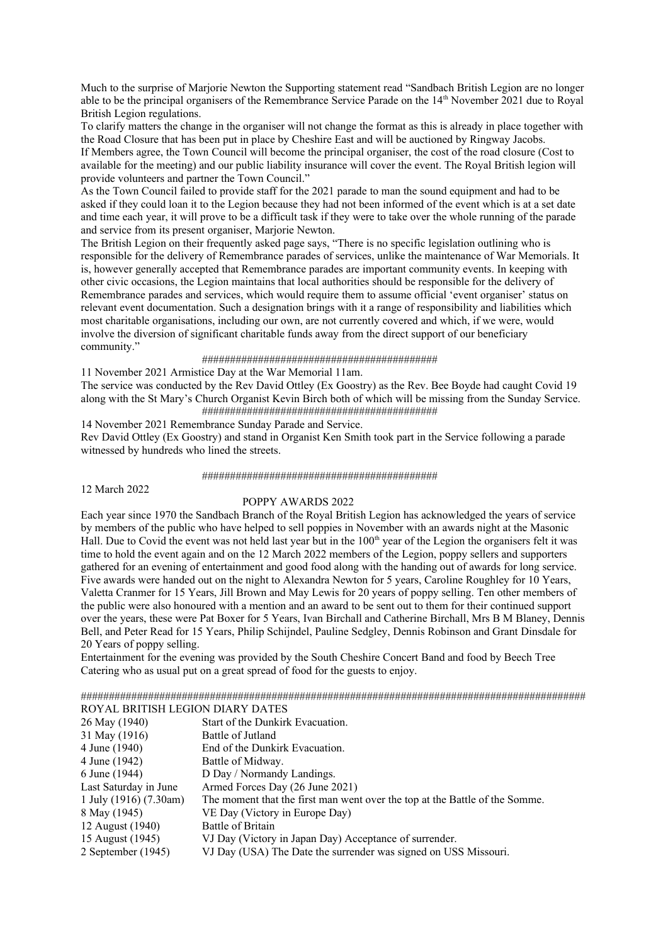Much to the surprise of Marjorie Newton the Supporting statement read "Sandbach British Legion are no longer able to be the principal organisers of the Remembrance Service Parade on the 14th November 2021 due to Royal British Legion regulations.

To clarify matters the change in the organiser will not change the format as this is already in place together with the Road Closure that has been put in place by Cheshire East and will be auctioned by Ringway Jacobs.

If Members agree, the Town Council will become the principal organiser, the cost of the road closure (Cost to available for the meeting) and our public liability insurance will cover the event. The Royal British legion will provide volunteers and partner the Town Council."

As the Town Council failed to provide staff for the 2021 parade to man the sound equipment and had to be asked if they could loan it to the Legion because they had not been informed of the event which is at a set date and time each year, it will prove to be a difficult task if they were to take over the whole running of the parade and service from its present organiser, Marjorie Newton.

The British Legion on their frequently asked page says, "There is no specific legislation outlining who is responsible for the delivery of Remembrance parades of services, unlike the maintenance of War Memorials. It is, however generally accepted that Remembrance parades are important community events. In keeping with other civic occasions, the Legion maintains that local authorities should be responsible for the delivery of Remembrance parades and services, which would require them to assume official 'event organiser' status on relevant event documentation. Such a designation brings with it a range of responsibility and liabilities which most charitable organisations, including our own, are not currently covered and which, if we were, would involve the diversion of significant charitable funds away from the direct support of our beneficiary community."

#### ##########################################

11 November 2021 Armistice Day at the War Memorial 11am.

The service was conducted by the Rev David Ottley (Ex Goostry) as the Rev. Bee Boyde had caught Covid 19 along with the St Mary's Church Organist Kevin Birch both of which will be missing from the Sunday Service. ##########################################

14 November 2021 Remembrance Sunday Parade and Service.

Rev David Ottley (Ex Goostry) and stand in Organist Ken Smith took part in the Service following a parade witnessed by hundreds who lined the streets.

##########################################

12 March 2022

#### POPPY AWARDS 2022

Each year since 1970 the Sandbach Branch of the Royal British Legion has acknowledged the years of service by members of the public who have helped to sell poppies in November with an awards night at the Masonic Hall. Due to Covid the event was not held last year but in the 100<sup>th</sup> year of the Legion the organisers felt it was time to hold the event again and on the 12 March 2022 members of the Legion, poppy sellers and supporters gathered for an evening of entertainment and good food along with the handing out of awards for long service. Five awards were handed out on the night to Alexandra Newton for 5 years, Caroline Roughley for 10 Years, Valetta Cranmer for 15 Years, Jill Brown and May Lewis for 20 years of poppy selling. Ten other members of the public were also honoured with a mention and an award to be sent out to them for their continued support over the years, these were Pat Boxer for 5 Years, Ivan Birchall and Catherine Birchall, Mrs B M Blaney, Dennis Bell, and Peter Read for 15 Years, Philip Schijndel, Pauline Sedgley, Dennis Robinson and Grant Dinsdale for 20 Years of poppy selling.

Entertainment for the evening was provided by the South Cheshire Concert Band and food by Beech Tree Catering who as usual put on a great spread of food for the guests to enjoy.

########################################################################################## ROYAL BRITISH LEGION DIARY DATES

| 26 May (1940)          | Start of the Dunkirk Evacuation.                                            |
|------------------------|-----------------------------------------------------------------------------|
| 31 May (1916)          | Battle of Jutland                                                           |
| 4 June (1940)          | End of the Dunkirk Evacuation.                                              |
| 4 June (1942)          | Battle of Midway.                                                           |
| 6 June (1944)          | D Day / Normandy Landings.                                                  |
| Last Saturday in June  | Armed Forces Day (26 June 2021)                                             |
| 1 July (1916) (7.30am) | The moment that the first man went over the top at the Battle of the Somme. |
| 8 May (1945)           | VE Day (Victory in Europe Day)                                              |
| 12 August (1940)       | Battle of Britain                                                           |
| 15 August (1945)       | VJ Day (Victory in Japan Day) Acceptance of surrender.                      |
| 2 September (1945)     | VJ Day (USA) The Date the surrender was signed on USS Missouri.             |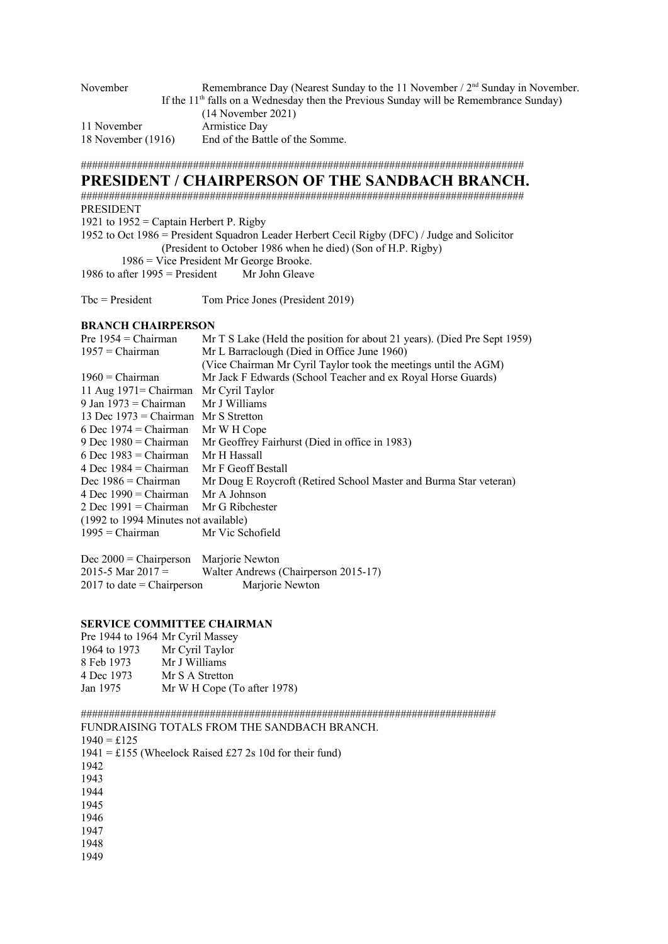| November           | Remembrance Day (Nearest Sunday to the 11 November / $2nd$ Sunday in November.          |
|--------------------|-----------------------------------------------------------------------------------------|
|                    | If the $11th$ falls on a Wednesday then the Previous Sunday will be Remembrance Sunday) |
|                    | $(14$ November 2021)                                                                    |
| 11 November        | Armistice Day                                                                           |
| 18 November (1916) | End of the Battle of the Somme.                                                         |
|                    |                                                                                         |

###############################################################################

# **PRESIDENT / CHAIRPERSON OF THE SANDBACH BRANCH.**

############################################################################### PRESIDENT 1921 to  $1952$  = Captain Herbert P. Rigby

1952 to Oct 1986 = President Squadron Leader Herbert Cecil Rigby (DFC) / Judge and Solicitor (President to October 1986 when he died) (Son of H.P. Rigby)

1986 = Vice President Mr George Brooke.

1986 to after  $1995$  = President Mr John Gleave

Tbc = President Tom Price Jones (President 2019)

# **BRANCH CHAIRPERSON**

| Pre $1954$ = Chairman                | Mr T S Lake (Held the position for about 21 years). (Died Pre Sept 1959) |
|--------------------------------------|--------------------------------------------------------------------------|
| $1957$ = Chairman                    | Mr L Barraclough (Died in Office June 1960)                              |
|                                      | (Vice Chairman Mr Cyril Taylor took the meetings until the AGM)          |
| $1960 = Chairman$                    | Mr Jack F Edwards (School Teacher and ex Royal Horse Guards)             |
| 11 Aug $1971 = Chairman$             | Mr Cyril Taylor                                                          |
| 9 Jan 1973 = Chairman                | Mr J Williams                                                            |
| 13 Dec $1973$ = Chairman             | Mr S Stretton                                                            |
| 6 Dec 1974 = Chairman                | Mr W H Cope                                                              |
| 9 Dec $1980 =$ Chairman              | Mr Geoffrey Fairhurst (Died in office in 1983)                           |
| 6 Dec $1983$ = Chairman              | Mr H Hassall                                                             |
| 4 Dec $1984 = Chairman$              | Mr F Geoff Bestall                                                       |
| Dec $1986$ = Chairman                | Mr Doug E Roycroft (Retired School Master and Burma Star veteran)        |
| 4 Dec $1990 = Chairman$              | Mr A Johnson                                                             |
| 2 Dec $1991 = Chairman$              | Mr G Ribchester                                                          |
| (1992 to 1994 Minutes not available) |                                                                          |
| $1995 = Chairman$                    | Mr Vic Schofield                                                         |
|                                      |                                                                          |

Dec 2000 = Chairperson Marjorie Newton 2015-5 Mar  $2017 =$  Walter Andrews (Chairperson 2015-17) 2017 to date = Chairperson Marjorie Newton

# **SERVICE COMMITTEE CHAIRMAN**

| Pre 1944 to 1964 Mr Cyril Massey |
|----------------------------------|
| Mr Cyril Taylor                  |
| Mr J Williams                    |
| Mr S A Stretton                  |
| Mr W H Cope (To after 1978)      |
|                                  |

########################################################################## FUNDRAISING TOTALS FROM THE SANDBACH BRANCH.

 $1940 = \pounds125$ 1941 = £155 (Wheelock Raised £27 2s 10d for their fund) 1942 1943 1944 1945 1946 1947 1948 1949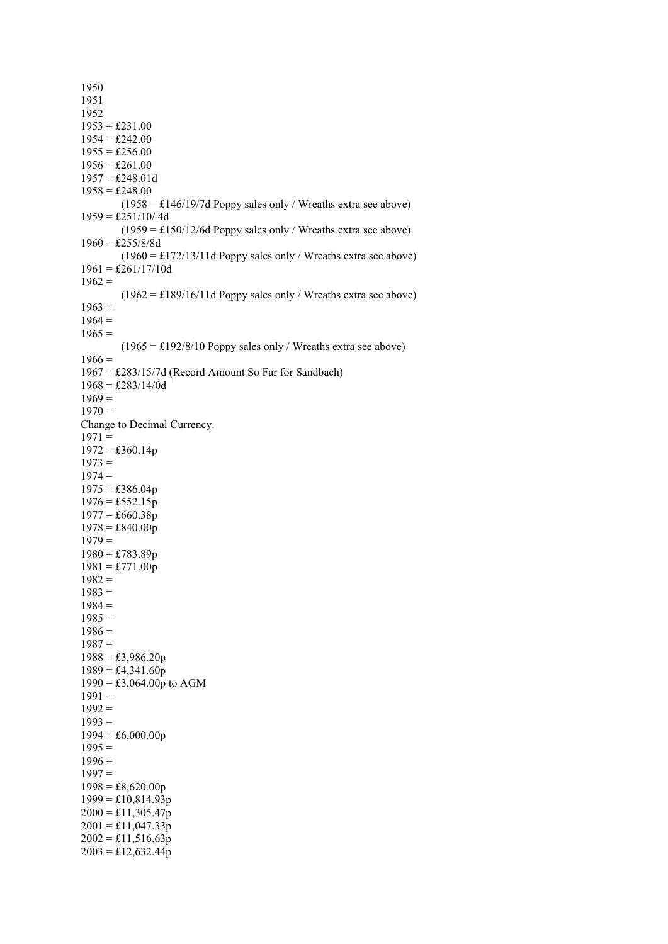1950 1951 1952  $1953 = \pounds231.00$  $1954 = \text{\pounds}242.00$  $1955 = \text{\pounds}256.00$  $1956 = \text{\pounds}261.00$  $1957 = \text{\pounds}248.01d$  $1958 = \text{\pounds}248.00$  $(1958 = \text{\textsterling}146/19/7d$  Poppy sales only / Wreaths extra see above)  $1959 = \pounds251/10/4d$  $(1959 = \text{\textsterling}150/12/6d$  Poppy sales only / Wreaths extra see above)  $1960 = \pounds255/8/8d$  $(1960 = \pounds172/13/11d$  Poppy sales only / Wreaths extra see above)  $1961 = \text{\pounds}261/17/10d$  $1962 =$  $(1962 = \text{\textsterling}189/16/11d$  Poppy sales only / Wreaths extra see above)  $1963 =$  $1964 =$  $1965 =$  $(1965 = \pounds192/8/10$  Poppy sales only / Wreaths extra see above)  $1966 =$ 1967 = £283/15/7d (Record Amount So Far for Sandbach)  $1968 = \pounds 283/14/0d$  $1969 =$  $1970 =$ Change to Decimal Currency.  $1971 =$  $1972 = \text{\pounds}360.14p$  $1973 =$  $1974 =$  $1975 = \text{\textsterling}386.04p$  $1976 = \text{\textsterling}552.15p$  $1977 = \text{\pounds}660.38p$  $1978 = \pounds840.00p$  $1979 =$  $1980 = \pounds 783.89p$  $1981 = \pounds771.00p$  $1982 =$  $1983 =$  $1984 =$  $1985 =$  $1986 =$  $1987 =$  $1988 = \pounds3,986.20p$  $1989 = \text{\pounds}4,341.60p$  $1990 = \text{\textsterling}3,064.00p$  to AGM  $1991 =$  $1992 =$  $1993 =$  $1994 = \text{\pounds}6,000.00p$  $1995 =$  $1996 =$  $1997 =$  $1998 = \text{\pounds}8,620.00p$  $1999 = \pounds10,814.93p$  $2000 = \pounds11,305.47p$  $2001 = \pounds11,047.33p$  $2002 = \pounds11,516.63p$  $2003 = \pounds12,632.44p$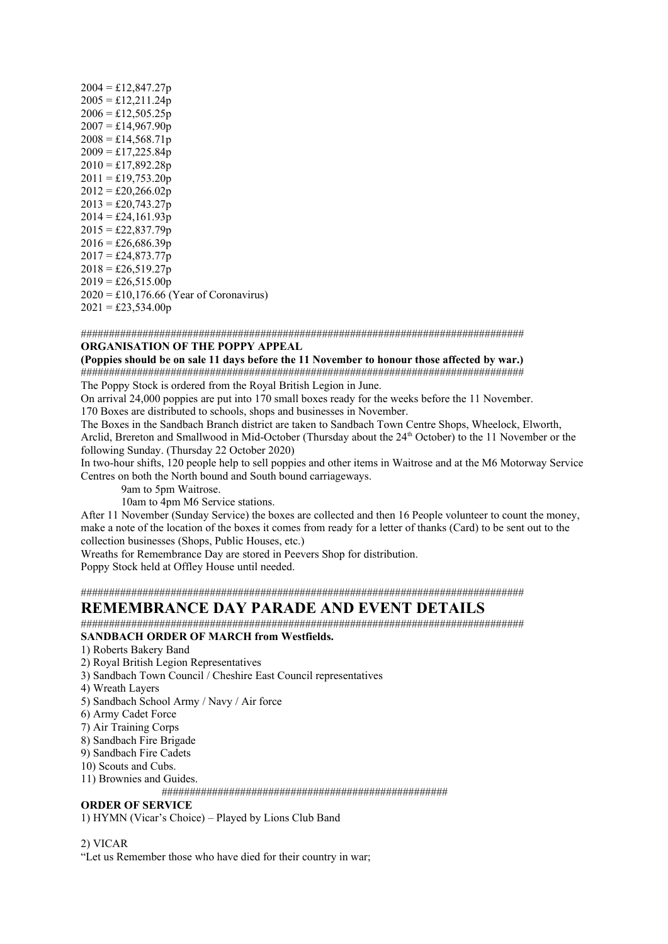| $2004 = \pounds12,847.27p$                                   |
|--------------------------------------------------------------|
| $2005 = \pounds12,211.24p$                                   |
| $2006 = \pounds12,505.25p$                                   |
| $2007 = \pounds14,967.90p$                                   |
| $2008 = \pounds14,568.71p$                                   |
| $2009 = \pounds17,225.84p$                                   |
| $2010 = \pounds17,892.28p$                                   |
| $2011 = \pounds19,753.20p$                                   |
| $2012 = \pounds 20, 266.02p$                                 |
| $2013 = \pounds 20,743.27p$                                  |
| $2014 = \pounds24,161.93p$                                   |
| $2015 = \pounds22,837.79p$                                   |
| $2016 = \pounds 26,686.39p$                                  |
| $2017 = \pounds24,873.77p$                                   |
| $2018 = \pounds 26,519.27p$                                  |
| $2019 = \text{\pounds}26,515.00p$                            |
| $2020 = \text{\textsterling}10,176.66$ (Year of Coronavirus) |
| $2021 = \text{\textsterling}23,534.00p$                      |

############################################################################### **ORGANISATION OF THE POPPY APPEAL** 

**(Poppies should be on sale 11 days before the 11 November to honour those affected by war.)** ############################################################################### The Poppy Stock is ordered from the Royal British Legion in June.

On arrival 24,000 poppies are put into 170 small boxes ready for the weeks before the 11 November. 170 Boxes are distributed to schools, shops and businesses in November.

The Boxes in the Sandbach Branch district are taken to Sandbach Town Centre Shops, Wheelock, Elworth, Arclid, Brereton and Smallwood in Mid-October (Thursday about the 24<sup>th</sup> October) to the 11 November or the following Sunday. (Thursday 22 October 2020)

In two-hour shifts, 120 people help to sell poppies and other items in Waitrose and at the M6 Motorway Service Centres on both the North bound and South bound carriageways.

9am to 5pm Waitrose.

10am to 4pm M6 Service stations.

After 11 November (Sunday Service) the boxes are collected and then 16 People volunteer to count the money, make a note of the location of the boxes it comes from ready for a letter of thanks (Card) to be sent out to the collection businesses (Shops, Public Houses, etc.)

Wreaths for Remembrance Day are stored in Peevers Shop for distribution.

Poppy Stock held at Offley House until needed.

###############################################################################

### **REMEMBRANCE DAY PARADE AND EVENT DETAILS**

############################################################################### **SANDBACH ORDER OF MARCH from Westfields.** 

- 1) Roberts Bakery Band
- 2) Royal British Legion Representatives
- 3) Sandbach Town Council / Cheshire East Council representatives
- 4) Wreath Layers
- 5) Sandbach School Army / Navy / Air force
- 6) Army Cadet Force
- 7) Air Training Corps
- 8) Sandbach Fire Brigade
- 9) Sandbach Fire Cadets
- 10) Scouts and Cubs.
- 11) Brownies and Guides.

###################################################

#### **ORDER OF SERVICE**

1) HYMN (Vicar's Choice) – Played by Lions Club Band

#### 2) VICAR

"Let us Remember those who have died for their country in war;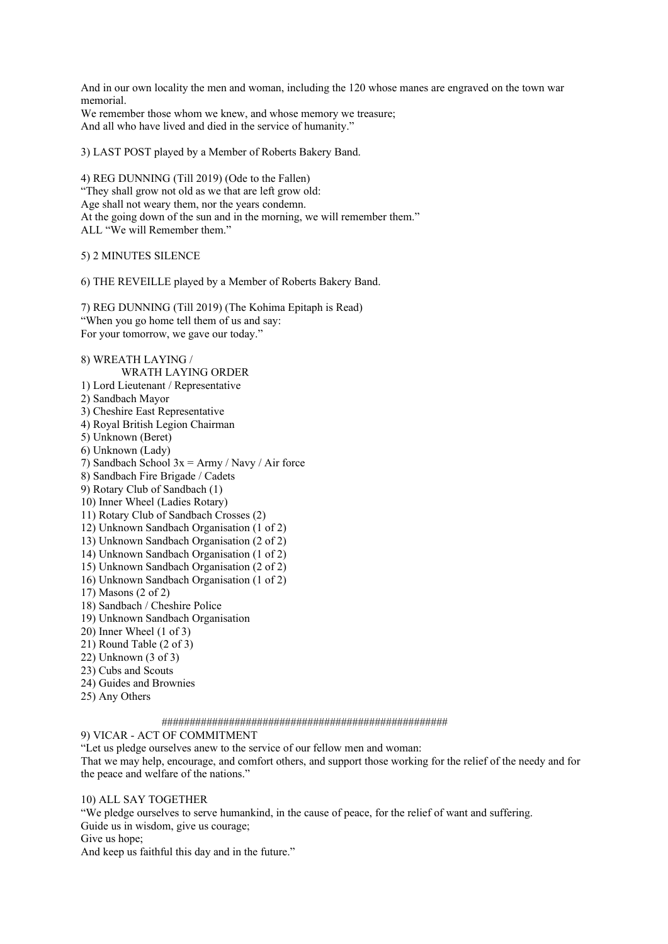And in our own locality the men and woman, including the 120 whose manes are engraved on the town war memorial.

We remember those whom we knew, and whose memory we treasure; And all who have lived and died in the service of humanity."

3) LAST POST played by a Member of Roberts Bakery Band.

4) REG DUNNING (Till 2019) (Ode to the Fallen) "They shall grow not old as we that are left grow old: Age shall not weary them, nor the years condemn. At the going down of the sun and in the morning, we will remember them." ALL "We will Remember them."

5) 2 MINUTES SILENCE

6) THE REVEILLE played by a Member of Roberts Bakery Band.

7) REG DUNNING (Till 2019) (The Kohima Epitaph is Read) "When you go home tell them of us and say: For your tomorrow, we gave our today."

8) WREATH LAYING / WRATH LAYING ORDER 1) Lord Lieutenant / Representative 2) Sandbach Mayor 3) Cheshire East Representative 4) Royal British Legion Chairman 5) Unknown (Beret) 6) Unknown (Lady) 7) Sandbach School  $3x = Army / Navy / Air$  force 8) Sandbach Fire Brigade / Cadets 9) Rotary Club of Sandbach (1) 10) Inner Wheel (Ladies Rotary) 11) Rotary Club of Sandbach Crosses (2) 12) Unknown Sandbach Organisation (1 of 2) 13) Unknown Sandbach Organisation (2 of 2) 14) Unknown Sandbach Organisation (1 of 2) 15) Unknown Sandbach Organisation (2 of 2) 16) Unknown Sandbach Organisation (1 of 2) 17) Masons (2 of 2) 18) Sandbach / Cheshire Police 19) Unknown Sandbach Organisation 20) Inner Wheel (1 of 3) 21) Round Table (2 of 3) 22) Unknown (3 of 3) 23) Cubs and Scouts 24) Guides and Brownies 25) Any Others ###################################################

#### 9) VICAR - ACT OF COMMITMENT

"Let us pledge ourselves anew to the service of our fellow men and woman:

That we may help, encourage, and comfort others, and support those working for the relief of the needy and for the peace and welfare of the nations."

#### 10) ALL SAY TOGETHER

"We pledge ourselves to serve humankind, in the cause of peace, for the relief of want and suffering. Guide us in wisdom, give us courage;

Give us hope;

And keep us faithful this day and in the future."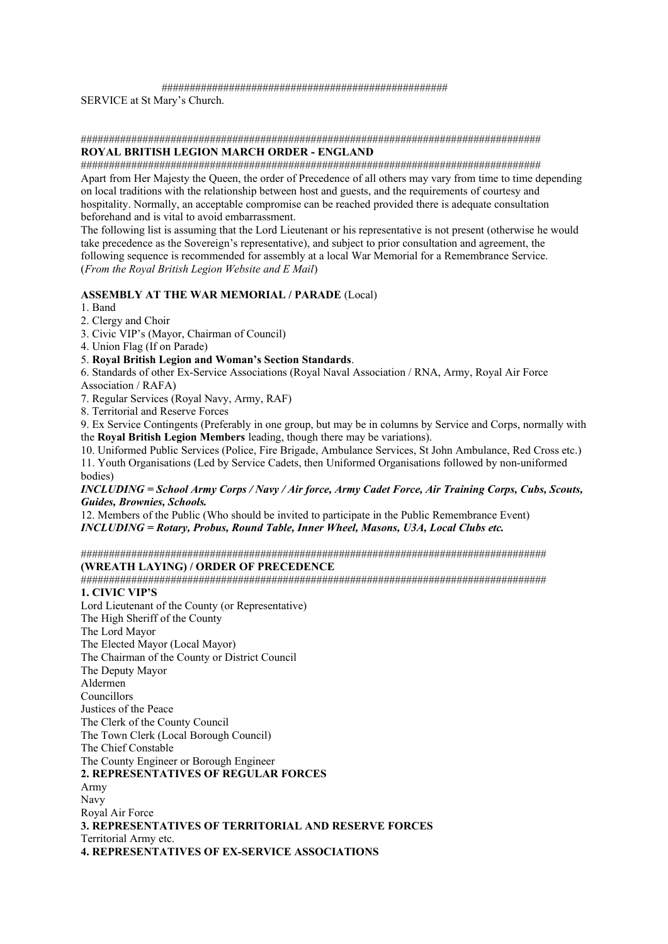#### ###################################################

SERVICE at St Mary's Church.

### ##################################################################################

### **ROYAL BRITISH LEGION MARCH ORDER - ENGLAND**

################################################################################## Apart from Her Majesty the Queen, the order of Precedence of all others may vary from time to time depending on local traditions with the relationship between host and guests, and the requirements of courtesy and hospitality. Normally, an acceptable compromise can be reached provided there is adequate consultation beforehand and is vital to avoid embarrassment.

The following list is assuming that the Lord Lieutenant or his representative is not present (otherwise he would take precedence as the Sovereign's representative), and subject to prior consultation and agreement, the following sequence is recommended for assembly at a local War Memorial for a Remembrance Service. (*From the Royal British Legion Website and E Mail*)

#### **ASSEMBLY AT THE WAR MEMORIAL / PARADE** (Local)

1. Band

2. Clergy and Choir

3. Civic VIP's (Mayor, Chairman of Council)

4. Union Flag (If on Parade)

#### 5. **Royal British Legion and Woman's Section Standards**.

6. Standards of other Ex-Service Associations (Royal Naval Association / RNA, Army, Royal Air Force Association / RAFA)

7. Regular Services (Royal Navy, Army, RAF)

8. Territorial and Reserve Forces

9. Ex Service Contingents (Preferably in one group, but may be in columns by Service and Corps, normally with the **Royal British Legion Members** leading, though there may be variations).

10. Uniformed Public Services (Police, Fire Brigade, Ambulance Services, St John Ambulance, Red Cross etc.) 11. Youth Organisations (Led by Service Cadets, then Uniformed Organisations followed by non-uniformed bodies)

*INCLUDING = School Army Corps / Navy / Air force, Army Cadet Force, Air Training Corps, Cubs, Scouts, Guides, Brownies, Schools.* 

12. Members of the Public (Who should be invited to participate in the Public Remembrance Event) *INCLUDING = Rotary, Probus, Round Table, Inner Wheel, Masons, U3A, Local Clubs etc.*

###################################################################################

#### **(WREATH LAYING) / ORDER OF PRECEDENCE**

################################################################################### **1. CIVIC VIP'S** 

Lord Lieutenant of the County (or Representative) The High Sheriff of the County The Lord Mayor The Elected Mayor (Local Mayor) The Chairman of the County or District Council The Deputy Mayor Aldermen Councillors Justices of the Peace The Clerk of the County Council The Town Clerk (Local Borough Council) The Chief Constable The County Engineer or Borough Engineer **2. REPRESENTATIVES OF REGULAR FORCES**  Army Navy Royal Air Force **3. REPRESENTATIVES OF TERRITORIAL AND RESERVE FORCES** Territorial Army etc. **4. REPRESENTATIVES OF EX-SERVICE ASSOCIATIONS**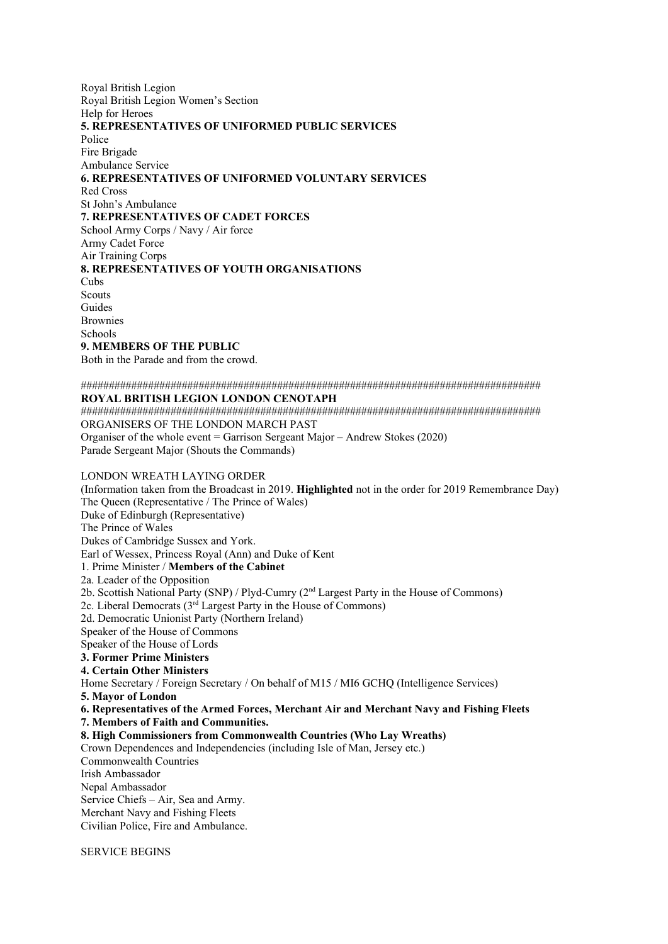Royal British Legion Royal British Legion Women's Section Help for Heroes **5. REPRESENTATIVES OF UNIFORMED PUBLIC SERVICES** Police Fire Brigade Ambulance Service **6. REPRESENTATIVES OF UNIFORMED VOLUNTARY SERVICES** Red Cross St John's Ambulance **7. REPRESENTATIVES OF CADET FORCES** School Army Corps / Navy / Air force Army Cadet Force Air Training Corps **8. REPRESENTATIVES OF YOUTH ORGANISATIONS** Cubs **Scouts** Guides Brownies Schools **9. MEMBERS OF THE PUBLIC**  Both in the Parade and from the crowd.

################################################################################## **ROYAL BRITISH LEGION LONDON CENOTAPH**  ################################################################################## ORGANISERS OF THE LONDON MARCH PAST Organiser of the whole event = Garrison Sergeant Major – Andrew Stokes (2020) Parade Sergeant Major (Shouts the Commands)

LONDON WREATH LAYING ORDER (Information taken from the Broadcast in 2019. **Highlighted** not in the order for 2019 Remembrance Day) The Queen (Representative / The Prince of Wales) Duke of Edinburgh (Representative) The Prince of Wales Dukes of Cambridge Sussex and York. Earl of Wessex, Princess Royal (Ann) and Duke of Kent 1. Prime Minister / **Members of the Cabinet** 2a. Leader of the Opposition 2b. Scottish National Party (SNP) / Plyd-Cumry (2nd Largest Party in the House of Commons) 2c. Liberal Democrats  $(3<sup>rd</sup>$  Largest Party in the House of Commons) 2d. Democratic Unionist Party (Northern Ireland) Speaker of the House of Commons Speaker of the House of Lords **3. Former Prime Ministers 4. Certain Other Ministers**  Home Secretary / Foreign Secretary / On behalf of M15 / MI6 GCHQ (Intelligence Services) **5. Mayor of London 6. Representatives of the Armed Forces, Merchant Air and Merchant Navy and Fishing Fleets 7. Members of Faith and Communities. 8. High Commissioners from Commonwealth Countries (Who Lay Wreaths)**  Crown Dependences and Independencies (including Isle of Man, Jersey etc.) Commonwealth Countries Irish Ambassador Nepal Ambassador Service Chiefs – Air, Sea and Army. Merchant Navy and Fishing Fleets Civilian Police, Fire and Ambulance.

SERVICE BEGINS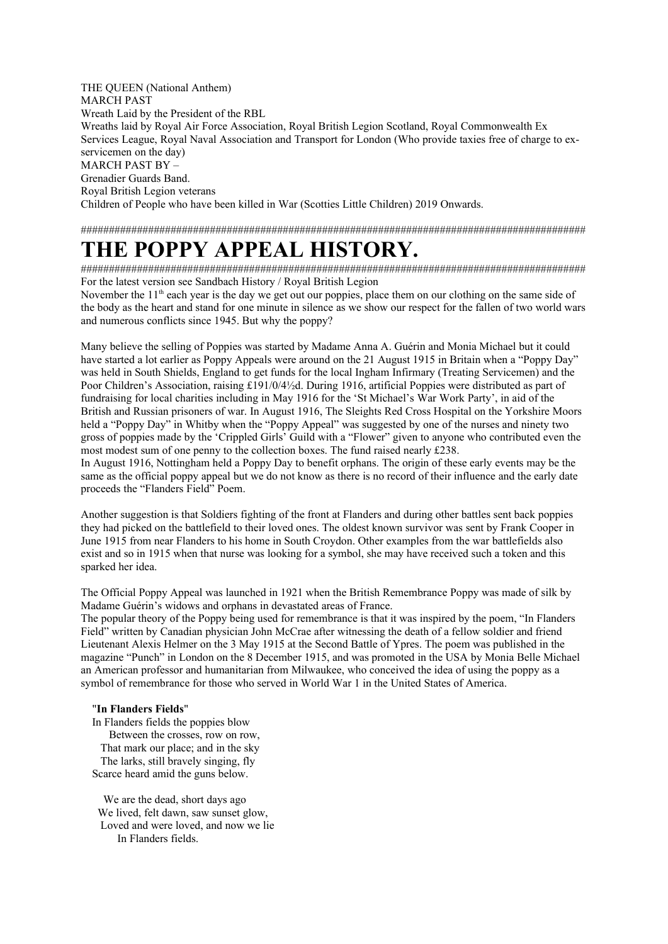THE QUEEN (National Anthem) MARCH PAST Wreath Laid by the President of the RBL Wreaths laid by Royal Air Force Association, Royal British Legion Scotland, Royal Commonwealth Ex Services League, Royal Naval Association and Transport for London (Who provide taxies free of charge to exservicemen on the day) MARCH PAST BY – Grenadier Guards Band. Royal British Legion veterans Children of People who have been killed in War (Scotties Little Children) 2019 Onwards.

##########################################################################################

## **THE POPPY APPEAL HISTORY.**

########################################################################################## For the latest version see Sandbach History / Royal British Legion

November the 11<sup>th</sup> each year is the day we get out our poppies, place them on our clothing on the same side of the body as the heart and stand for one minute in silence as we show our respect for the fallen of two world wars and numerous conflicts since 1945. But why the poppy?

Many believe the selling of Poppies was started by Madame Anna A. Guérin and Monia Michael but it could have started a lot earlier as Poppy Appeals were around on the 21 August 1915 in Britain when a "Poppy Day" was held in South Shields, England to get funds for the local Ingham Infirmary (Treating Servicemen) and the Poor Children's Association, raising £191/0/4½d. During 1916, artificial Poppies were distributed as part of fundraising for local charities including in May 1916 for the 'St Michael's War Work Party', in aid of the British and Russian prisoners of war. In August 1916, The Sleights Red Cross Hospital on the Yorkshire Moors held a "Poppy Day" in Whitby when the "Poppy Appeal" was suggested by one of the nurses and ninety two gross of poppies made by the 'Crippled Girls' Guild with a "Flower" given to anyone who contributed even the most modest sum of one penny to the collection boxes. The fund raised nearly £238.

In August 1916, Nottingham held a Poppy Day to benefit orphans. The origin of these early events may be the same as the official poppy appeal but we do not know as there is no record of their influence and the early date proceeds the "Flanders Field" Poem.

Another suggestion is that Soldiers fighting of the front at Flanders and during other battles sent back poppies they had picked on the battlefield to their loved ones. The oldest known survivor was sent by Frank Cooper in June 1915 from near Flanders to his home in South Croydon. Other examples from the war battlefields also exist and so in 1915 when that nurse was looking for a symbol, she may have received such a token and this sparked her idea.

The Official Poppy Appeal was launched in 1921 when the British Remembrance Poppy was made of silk by Madame Guérin's widows and orphans in devastated areas of France.

The popular theory of the Poppy being used for remembrance is that it was inspired by the poem, "In Flanders Field" written by Canadian physician John McCrae after witnessing the death of a fellow soldier and friend Lieutenant Alexis Helmer on the 3 May 1915 at the Second Battle of Ypres. The poem was published in the magazine "Punch" in London on the 8 December 1915, and was promoted in the USA by Monia Belle Michael an American professor and humanitarian from Milwaukee, who conceived the idea of using the poppy as a symbol of remembrance for those who served in World War 1 in the United States of America.

#### "**In Flanders Fields**"

In Flanders fields the poppies blow Between the crosses, row on row, That mark our place; and in the sky The larks, still bravely singing, fly Scarce heard amid the guns below.

We are the dead, short days ago We lived, felt dawn, saw sunset glow, Loved and were loved, and now we lie In Flanders fields.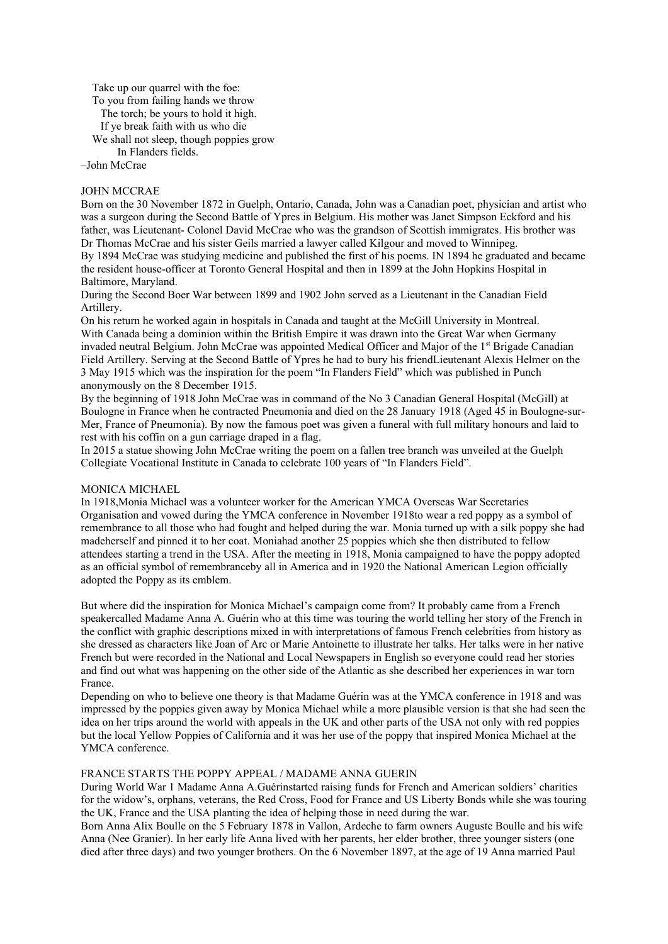Take up our quarrel with the foe:

To you from failing hands we throw

The torch; be yours to hold it high.

If ye break faith with us who die

We shall not sleep, though poppies grow

In Flanders fields.

### –John McCrae

### JOHN MCCRAE

Born on the 30 November 1872 in Guelph, Ontario, Canada, John was a Canadian poet, physician and artist who was a surgeon during the Second Battle of Ypres in Belgium. His mother was Janet Simpson Eckford and his father, was Lieutenant- Colonel David McCrae who was the grandson of Scottish immigrates. His brother was Dr Thomas McCrae and his sister Geils married a lawyer called Kilgour and moved to Winnipeg. By 1894 McCrae was studying medicine and published the first of his poems. IN 1894 he graduated and became the resident house-officer at Toronto General Hospital and then in 1899 at the John Hopkins Hospital in Baltimore, Maryland.

During the Second Boer War between 1899 and 1902 John served as a Lieutenant in the Canadian Field Artillery.

On his return he worked again in hospitals in Canada and taught at the McGill University in Montreal. With Canada being a dominion within the British Empire it was drawn into the Great War when Germany invaded neutral Belgium. John McCrae was appointed Medical Officer and Major of the 1<sup>st</sup> Brigade Canadian Field Artillery. Serving at the Second Battle of Ypres he had to bury his friendLieutenant Alexis Helmer on the 3 May 1915 which was the inspiration for the poem "In Flanders Field" which was published in Punch anonymously on the 8 December 1915.

By the beginning of 1918 John McCrae was in command of the No 3 Canadian General Hospital (McGill) at Boulogne in France when he contracted Pneumonia and died on the 28 January 1918 (Aged 45 in Boulogne-sur-Mer, France of Pneumonia). By now the famous poet was given a funeral with full military honours and laid to rest with his coffin on a gun carriage draped in a flag.

In 2015 a statue showing John McCrae writing the poem on a fallen tree branch was unveiled at the Guelph Collegiate Vocational Institute in Canada to celebrate 100 years of "In Flanders Field".

#### MONICA MICHAEL

In 1918,Monia Michael was a volunteer worker for the American YMCA Overseas War Secretaries Organisation and vowed during the YMCA conference in November 1918to wear a red poppy as a symbol of remembrance to all those who had fought and helped during the war. Monia turned up with a silk poppy she had madeherself and pinned it to her coat. Moniahad another 25 poppies which she then distributed to fellow attendees starting a trend in the USA. After the meeting in 1918, Monia campaigned to have the poppy adopted as an official symbol of remembranceby all in America and in 1920 the National American Legion officially adopted the Poppy as its emblem.

But where did the inspiration for Monica Michael's campaign come from? It probably came from a French speakercalled Madame Anna A. Guérin who at this time was touring the world telling her story of the French in the conflict with graphic descriptions mixed in with interpretations of famous French celebrities from history as she dressed as characters like Joan of Arc or Marie Antoinette to illustrate her talks. Her talks were in her native French but were recorded in the National and Local Newspapers in English so everyone could read her stories and find out what was happening on the other side of the Atlantic as she described her experiences in war torn France.

Depending on who to believe one theory is that Madame Guérin was at the YMCA conference in 1918 and was impressed by the poppies given away by Monica Michael while a more plausible version is that she had seen the idea on her trips around the world with appeals in the UK and other parts of the USA not only with red poppies but the local Yellow Poppies of California and it was her use of the poppy that inspired Monica Michael at the YMCA conference.

#### FRANCE STARTS THE POPPY APPEAL / MADAME ANNA GUERIN

During World War 1 Madame Anna A.Guérinstarted raising funds for French and American soldiers' charities for the widow's, orphans, veterans, the Red Cross, Food for France and US Liberty Bonds while she was touring the UK, France and the USA planting the idea of helping those in need during the war.

Born Anna Alix Boulle on the 5 February 1878 in Vallon, Ardeche to farm owners Auguste Boulle and his wife Anna (Nee Granier). In her early life Anna lived with her parents, her elder brother, three younger sisters (one died after three days) and two younger brothers. On the 6 November 1897, at the age of 19 Anna married Paul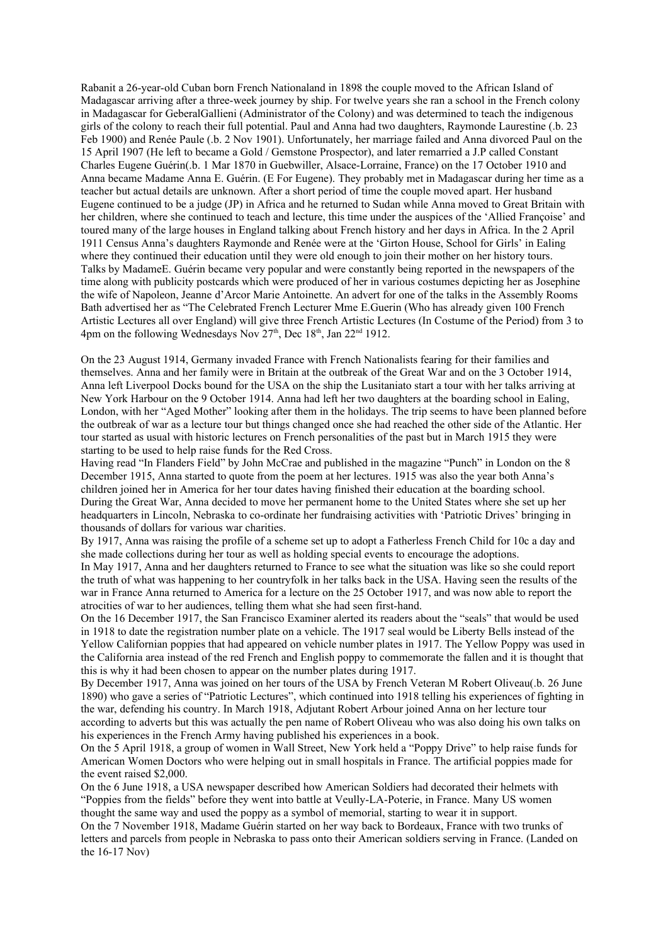Rabanit a 26-year-old Cuban born French Nationaland in 1898 the couple moved to the African Island of Madagascar arriving after a three-week journey by ship. For twelve years she ran a school in the French colony in Madagascar for GeberalGallieni (Administrator of the Colony) and was determined to teach the indigenous girls of the colony to reach their full potential. Paul and Anna had two daughters, Raymonde Laurestine (.b. 23 Feb 1900) and Renée Paule (.b. 2 Nov 1901). Unfortunately, her marriage failed and Anna divorced Paul on the 15 April 1907 (He left to became a Gold / Gemstone Prospector), and later remarried a J.P called Constant Charles Eugene Guérin(.b. 1 Mar 1870 in Guebwiller, Alsace-Lorraine, France) on the 17 October 1910 and Anna became Madame Anna E. Guérin. (E For Eugene). They probably met in Madagascar during her time as a teacher but actual details are unknown. After a short period of time the couple moved apart. Her husband Eugene continued to be a judge (JP) in Africa and he returned to Sudan while Anna moved to Great Britain with her children, where she continued to teach and lecture, this time under the auspices of the 'Allied Françoise' and toured many of the large houses in England talking about French history and her days in Africa. In the 2 April 1911 Census Anna's daughters Raymonde and Renée were at the 'Girton House, School for Girls' in Ealing where they continued their education until they were old enough to join their mother on her history tours. Talks by MadameE. Guérin became very popular and were constantly being reported in the newspapers of the time along with publicity postcards which were produced of her in various costumes depicting her as Josephine the wife of Napoleon, Jeanne d'Arcor Marie Antoinette. An advert for one of the talks in the Assembly Rooms Bath advertised her as "The Celebrated French Lecturer Mme E.Guerin (Who has already given 100 French Artistic Lectures all over England) will give three French Artistic Lectures (In Costume of the Period) from 3 to 4pm on the following Wednesdays Nov 27<sup>th</sup>, Dec 18<sup>th</sup>, Jan 22<sup>nd</sup> 1912.

On the 23 August 1914, Germany invaded France with French Nationalists fearing for their families and themselves. Anna and her family were in Britain at the outbreak of the Great War and on the 3 October 1914, Anna left Liverpool Docks bound for the USA on the ship the Lusitaniato start a tour with her talks arriving at New York Harbour on the 9 October 1914. Anna had left her two daughters at the boarding school in Ealing, London, with her "Aged Mother" looking after them in the holidays. The trip seems to have been planned before the outbreak of war as a lecture tour but things changed once she had reached the other side of the Atlantic. Her tour started as usual with historic lectures on French personalities of the past but in March 1915 they were starting to be used to help raise funds for the Red Cross.

Having read "In Flanders Field" by John McCrae and published in the magazine "Punch" in London on the 8 December 1915, Anna started to quote from the poem at her lectures. 1915 was also the year both Anna's children joined her in America for her tour dates having finished their education at the boarding school. During the Great War, Anna decided to move her permanent home to the United States where she set up her headquarters in Lincoln, Nebraska to co-ordinate her fundraising activities with 'Patriotic Drives' bringing in thousands of dollars for various war charities.

By 1917, Anna was raising the profile of a scheme set up to adopt a Fatherless French Child for 10c a day and she made collections during her tour as well as holding special events to encourage the adoptions.

In May 1917, Anna and her daughters returned to France to see what the situation was like so she could report the truth of what was happening to her countryfolk in her talks back in the USA. Having seen the results of the war in France Anna returned to America for a lecture on the 25 October 1917, and was now able to report the atrocities of war to her audiences, telling them what she had seen first-hand.

On the 16 December 1917, the San Francisco Examiner alerted its readers about the "seals" that would be used in 1918 to date the registration number plate on a vehicle. The 1917 seal would be Liberty Bells instead of the Yellow Californian poppies that had appeared on vehicle number plates in 1917. The Yellow Poppy was used in the California area instead of the red French and English poppy to commemorate the fallen and it is thought that this is why it had been chosen to appear on the number plates during 1917.

By December 1917, Anna was joined on her tours of the USA by French Veteran M Robert Oliveau(.b. 26 June 1890) who gave a series of "Patriotic Lectures", which continued into 1918 telling his experiences of fighting in the war, defending his country. In March 1918, Adjutant Robert Arbour joined Anna on her lecture tour according to adverts but this was actually the pen name of Robert Oliveau who was also doing his own talks on his experiences in the French Army having published his experiences in a book.

On the 5 April 1918, a group of women in Wall Street, New York held a "Poppy Drive" to help raise funds for American Women Doctors who were helping out in small hospitals in France. The artificial poppies made for the event raised \$2,000.

On the 6 June 1918, a USA newspaper described how American Soldiers had decorated their helmets with "Poppies from the fields" before they went into battle at Veully-LA-Poterie, in France. Many US women thought the same way and used the poppy as a symbol of memorial, starting to wear it in support.

On the 7 November 1918, Madame Guérin started on her way back to Bordeaux, France with two trunks of letters and parcels from people in Nebraska to pass onto their American soldiers serving in France. (Landed on the 16-17 Nov)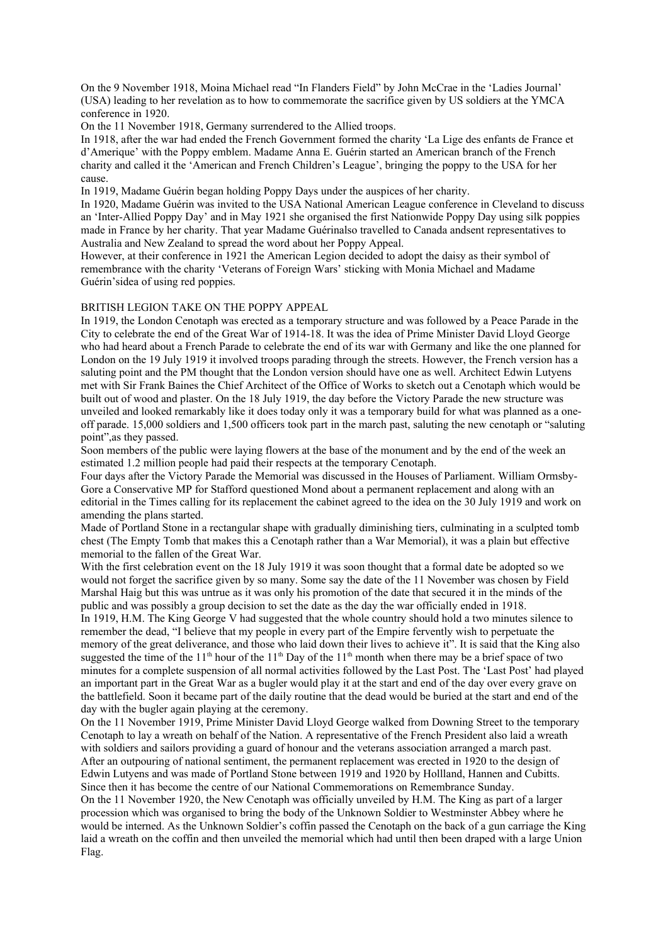On the 9 November 1918, Moina Michael read "In Flanders Field" by John McCrae in the 'Ladies Journal' (USA) leading to her revelation as to how to commemorate the sacrifice given by US soldiers at the YMCA conference in 1920.

On the 11 November 1918, Germany surrendered to the Allied troops.

In 1918, after the war had ended the French Government formed the charity 'La Lige des enfants de France et d'Amerique' with the Poppy emblem. Madame Anna E. Guérin started an American branch of the French charity and called it the 'American and French Children's League', bringing the poppy to the USA for her cause.

In 1919, Madame Guérin began holding Poppy Days under the auspices of her charity.

In 1920, Madame Guérin was invited to the USA National American League conference in Cleveland to discuss an 'Inter-Allied Poppy Day' and in May 1921 she organised the first Nationwide Poppy Day using silk poppies made in France by her charity. That year Madame Guérinalso travelled to Canada andsent representatives to Australia and New Zealand to spread the word about her Poppy Appeal.

However, at their conference in 1921 the American Legion decided to adopt the daisy as their symbol of remembrance with the charity 'Veterans of Foreign Wars' sticking with Monia Michael and Madame Guérin'sidea of using red poppies.

#### BRITISH LEGION TAKE ON THE POPPY APPEAL

In 1919, the London Cenotaph was erected as a temporary structure and was followed by a Peace Parade in the City to celebrate the end of the Great War of 1914-18. It was the idea of Prime Minister David Lloyd George who had heard about a French Parade to celebrate the end of its war with Germany and like the one planned for London on the 19 July 1919 it involved troops parading through the streets. However, the French version has a saluting point and the PM thought that the London version should have one as well. Architect Edwin Lutyens met with Sir Frank Baines the Chief Architect of the Office of Works to sketch out a Cenotaph which would be built out of wood and plaster. On the 18 July 1919, the day before the Victory Parade the new structure was unveiled and looked remarkably like it does today only it was a temporary build for what was planned as a oneoff parade. 15,000 soldiers and 1,500 officers took part in the march past, saluting the new cenotaph or "saluting point",as they passed.

Soon members of the public were laying flowers at the base of the monument and by the end of the week an estimated 1.2 million people had paid their respects at the temporary Cenotaph.

Four days after the Victory Parade the Memorial was discussed in the Houses of Parliament. William Ormsby-Gore a Conservative MP for Stafford questioned Mond about a permanent replacement and along with an editorial in the Times calling for its replacement the cabinet agreed to the idea on the 30 July 1919 and work on amending the plans started.

Made of Portland Stone in a rectangular shape with gradually diminishing tiers, culminating in a sculpted tomb chest (The Empty Tomb that makes this a Cenotaph rather than a War Memorial), it was a plain but effective memorial to the fallen of the Great War.

With the first celebration event on the 18 July 1919 it was soon thought that a formal date be adopted so we would not forget the sacrifice given by so many. Some say the date of the 11 November was chosen by Field Marshal Haig but this was untrue as it was only his promotion of the date that secured it in the minds of the public and was possibly a group decision to set the date as the day the war officially ended in 1918.

In 1919, H.M. The King George V had suggested that the whole country should hold a two minutes silence to remember the dead, "I believe that my people in every part of the Empire fervently wish to perpetuate the memory of the great deliverance, and those who laid down their lives to achieve it". It is said that the King also suggested the time of the 11<sup>th</sup> hour of the 11<sup>th</sup> Day of the 11<sup>th</sup> month when there may be a brief space of two minutes for a complete suspension of all normal activities followed by the Last Post. The 'Last Post' had played an important part in the Great War as a bugler would play it at the start and end of the day over every grave on the battlefield. Soon it became part of the daily routine that the dead would be buried at the start and end of the day with the bugler again playing at the ceremony.

On the 11 November 1919, Prime Minister David Lloyd George walked from Downing Street to the temporary Cenotaph to lay a wreath on behalf of the Nation. A representative of the French President also laid a wreath with soldiers and sailors providing a guard of honour and the veterans association arranged a march past. After an outpouring of national sentiment, the permanent replacement was erected in 1920 to the design of Edwin Lutyens and was made of Portland Stone between 1919 and 1920 by Hollland, Hannen and Cubitts. Since then it has become the centre of our National Commemorations on Remembrance Sunday.

On the 11 November 1920, the New Cenotaph was officially unveiled by H.M. The King as part of a larger procession which was organised to bring the body of the Unknown Soldier to Westminster Abbey where he would be interned. As the Unknown Soldier's coffin passed the Cenotaph on the back of a gun carriage the King laid a wreath on the coffin and then unveiled the memorial which had until then been draped with a large Union Flag.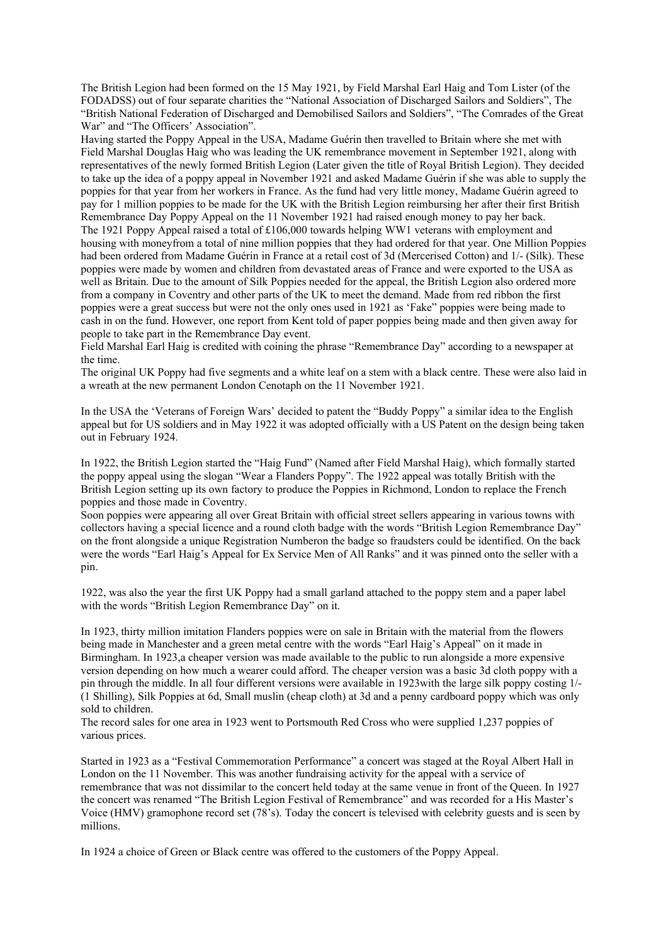The British Legion had been formed on the 15 May 1921, by Field Marshal Earl Haig and Tom Lister (of the FODADSS) out of four separate charities the "National Association of Discharged Sailors and Soldiers", The "British National Federation of Discharged and Demobilised Sailors and Soldiers", "The Comrades of the Great War" and "The Officers' Association".

Having started the Poppy Appeal in the USA, Madame Guérin then travelled to Britain where she met with Field Marshal Douglas Haig who was leading the UK remembrance movement in September 1921, along with representatives of the newly formed British Legion (Later given the title of Royal British Legion). They decided to take up the idea of a poppy appeal in November 1921 and asked Madame Guérin if she was able to supply the poppies for that year from her workers in France. As the fund had very little money, Madame Guérin agreed to pay for 1 million poppies to be made for the UK with the British Legion reimbursing her after their first British Remembrance Day Poppy Appeal on the 11 November 1921 had raised enough money to pay her back. The 1921 Poppy Appeal raised a total of £106,000 towards helping WW1 veterans with employment and housing with moneyfrom a total of nine million poppies that they had ordered for that year. One Million Poppies had been ordered from Madame Guérin in France at a retail cost of 3d (Mercerised Cotton) and 1/- (Silk). These poppies were made by women and children from devastated areas of France and were exported to the USA as well as Britain. Due to the amount of Silk Poppies needed for the appeal, the British Legion also ordered more from a company in Coventry and other parts of the UK to meet the demand. Made from red ribbon the first poppies were a great success but were not the only ones used in 1921 as 'Fake" poppies were being made to cash in on the fund. However, one report from Kent told of paper poppies being made and then given away for people to take part in the Remembrance Day event.

Field Marshal Earl Haig is credited with coining the phrase "Remembrance Day" according to a newspaper at the time.

The original UK Poppy had five segments and a white leaf on a stem with a black centre. These were also laid in a wreath at the new permanent London Cenotaph on the 11 November 1921.

In the USA the 'Veterans of Foreign Wars' decided to patent the "Buddy Poppy" a similar idea to the English appeal but for US soldiers and in May 1922 it was adopted officially with a US Patent on the design being taken out in February 1924.

In 1922, the British Legion started the "Haig Fund" (Named after Field Marshal Haig), which formally started the poppy appeal using the slogan "Wear a Flanders Poppy". The 1922 appeal was totally British with the British Legion setting up its own factory to produce the Poppies in Richmond, London to replace the French poppies and those made in Coventry.

Soon poppies were appearing all over Great Britain with official street sellers appearing in various towns with collectors having a special licence and a round cloth badge with the words "British Legion Remembrance Day" on the front alongside a unique Registration Numberon the badge so fraudsters could be identified. On the back were the words "Earl Haig's Appeal for Ex Service Men of All Ranks" and it was pinned onto the seller with a pin.

1922, was also the year the first UK Poppy had a small garland attached to the poppy stem and a paper label with the words "British Legion Remembrance Day" on it.

In 1923, thirty million imitation Flanders poppies were on sale in Britain with the material from the flowers being made in Manchester and a green metal centre with the words "Earl Haig's Appeal" on it made in Birmingham. In 1923,a cheaper version was made available to the public to run alongside a more expensive version depending on how much a wearer could afford. The cheaper version was a basic 3d cloth poppy with a pin through the middle. In all four different versions were available in 1923with the large silk poppy costing 1/- (1 Shilling), Silk Poppies at 6d, Small muslin (cheap cloth) at 3d and a penny cardboard poppy which was only sold to children.

The record sales for one area in 1923 went to Portsmouth Red Cross who were supplied 1,237 poppies of various prices.

Started in 1923 as a "Festival Commemoration Performance" a concert was staged at the Royal Albert Hall in London on the 11 November. This was another fundraising activity for the appeal with a service of remembrance that was not dissimilar to the concert held today at the same venue in front of the Queen. In 1927 the concert was renamed "The British Legion Festival of Remembrance" and was recorded for a His Master's Voice (HMV) gramophone record set (78's). Today the concert is televised with celebrity guests and is seen by millions.

In 1924 a choice of Green or Black centre was offered to the customers of the Poppy Appeal.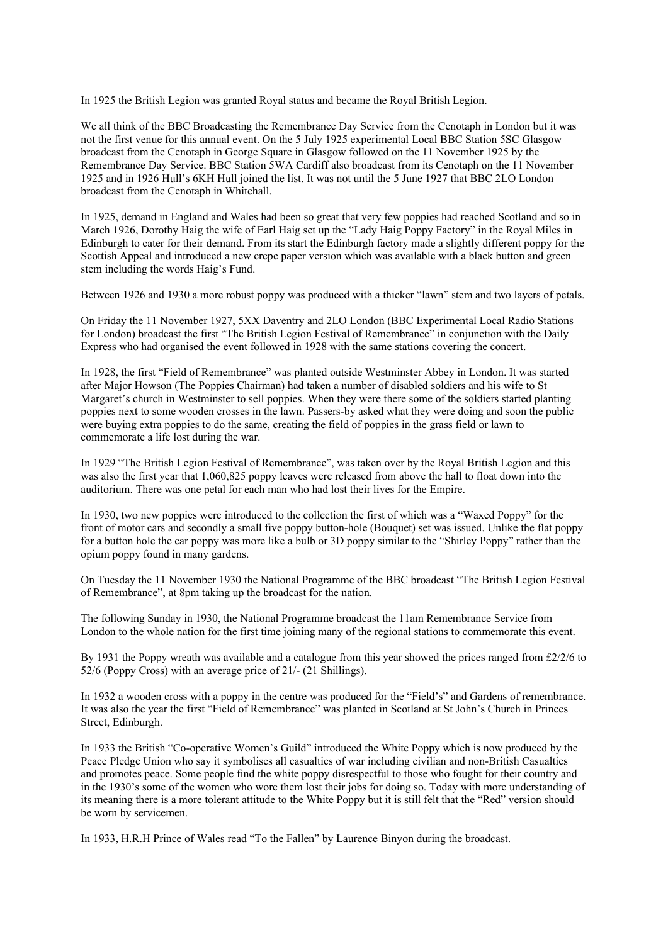In 1925 the British Legion was granted Royal status and became the Royal British Legion.

We all think of the BBC Broadcasting the Remembrance Day Service from the Cenotaph in London but it was not the first venue for this annual event. On the 5 July 1925 experimental Local BBC Station 5SC Glasgow broadcast from the Cenotaph in George Square in Glasgow followed on the 11 November 1925 by the Remembrance Day Service. BBC Station 5WA Cardiff also broadcast from its Cenotaph on the 11 November 1925 and in 1926 Hull's 6KH Hull joined the list. It was not until the 5 June 1927 that BBC 2LO London broadcast from the Cenotaph in Whitehall.

In 1925, demand in England and Wales had been so great that very few poppies had reached Scotland and so in March 1926, Dorothy Haig the wife of Earl Haig set up the "Lady Haig Poppy Factory" in the Royal Miles in Edinburgh to cater for their demand. From its start the Edinburgh factory made a slightly different poppy for the Scottish Appeal and introduced a new crepe paper version which was available with a black button and green stem including the words Haig's Fund.

Between 1926 and 1930 a more robust poppy was produced with a thicker "lawn" stem and two layers of petals.

On Friday the 11 November 1927, 5XX Daventry and 2LO London (BBC Experimental Local Radio Stations for London) broadcast the first "The British Legion Festival of Remembrance" in conjunction with the Daily Express who had organised the event followed in 1928 with the same stations covering the concert.

In 1928, the first "Field of Remembrance" was planted outside Westminster Abbey in London. It was started after Major Howson (The Poppies Chairman) had taken a number of disabled soldiers and his wife to St Margaret's church in Westminster to sell poppies. When they were there some of the soldiers started planting poppies next to some wooden crosses in the lawn. Passers-by asked what they were doing and soon the public were buying extra poppies to do the same, creating the field of poppies in the grass field or lawn to commemorate a life lost during the war.

In 1929 "The British Legion Festival of Remembrance", was taken over by the Royal British Legion and this was also the first year that 1,060,825 poppy leaves were released from above the hall to float down into the auditorium. There was one petal for each man who had lost their lives for the Empire.

In 1930, two new poppies were introduced to the collection the first of which was a "Waxed Poppy" for the front of motor cars and secondly a small five poppy button-hole (Bouquet) set was issued. Unlike the flat poppy for a button hole the car poppy was more like a bulb or 3D poppy similar to the "Shirley Poppy" rather than the opium poppy found in many gardens.

On Tuesday the 11 November 1930 the National Programme of the BBC broadcast "The British Legion Festival of Remembrance", at 8pm taking up the broadcast for the nation.

The following Sunday in 1930, the National Programme broadcast the 11am Remembrance Service from London to the whole nation for the first time joining many of the regional stations to commemorate this event.

By 1931 the Poppy wreath was available and a catalogue from this year showed the prices ranged from £2/2/6 to 52/6 (Poppy Cross) with an average price of 21/- (21 Shillings).

In 1932 a wooden cross with a poppy in the centre was produced for the "Field's" and Gardens of remembrance. It was also the year the first "Field of Remembrance" was planted in Scotland at St John's Church in Princes Street, Edinburgh.

In 1933 the British "Co-operative Women's Guild" introduced the White Poppy which is now produced by the Peace Pledge Union who say it symbolises all casualties of war including civilian and non-British Casualties and promotes peace. Some people find the white poppy disrespectful to those who fought for their country and in the 1930's some of the women who wore them lost their jobs for doing so. Today with more understanding of its meaning there is a more tolerant attitude to the White Poppy but it is still felt that the "Red" version should be worn by servicemen.

In 1933, H.R.H Prince of Wales read "To the Fallen" by Laurence Binyon during the broadcast.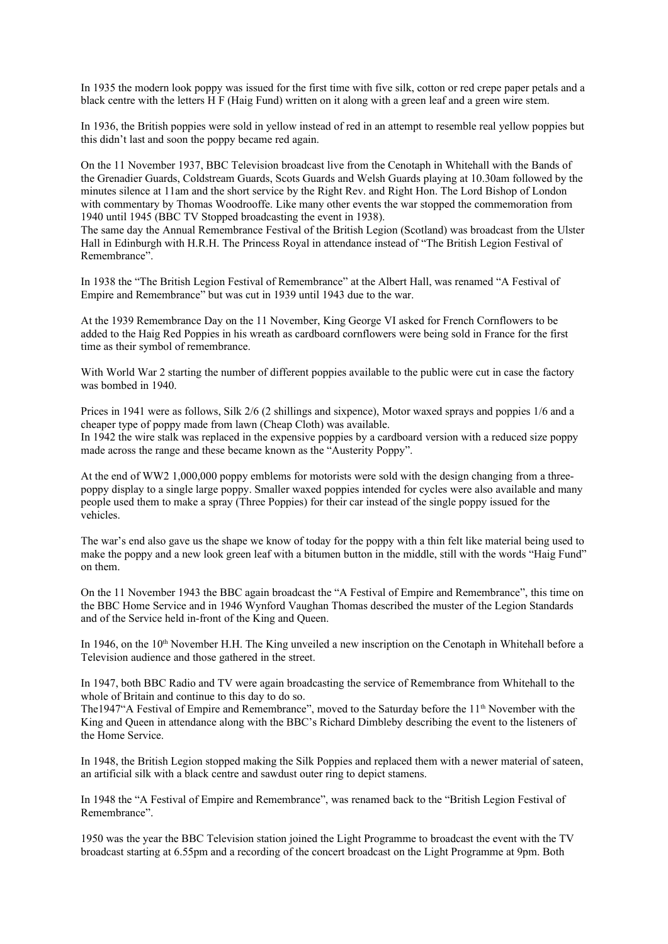In 1935 the modern look poppy was issued for the first time with five silk, cotton or red crepe paper petals and a black centre with the letters H F (Haig Fund) written on it along with a green leaf and a green wire stem.

In 1936, the British poppies were sold in yellow instead of red in an attempt to resemble real yellow poppies but this didn't last and soon the poppy became red again.

On the 11 November 1937, BBC Television broadcast live from the Cenotaph in Whitehall with the Bands of the Grenadier Guards, Coldstream Guards, Scots Guards and Welsh Guards playing at 10.30am followed by the minutes silence at 11am and the short service by the Right Rev. and Right Hon. The Lord Bishop of London with commentary by Thomas Woodrooffe. Like many other events the war stopped the commemoration from 1940 until 1945 (BBC TV Stopped broadcasting the event in 1938).

The same day the Annual Remembrance Festival of the British Legion (Scotland) was broadcast from the Ulster Hall in Edinburgh with H.R.H. The Princess Royal in attendance instead of "The British Legion Festival of Remembrance".

In 1938 the "The British Legion Festival of Remembrance" at the Albert Hall, was renamed "A Festival of Empire and Remembrance" but was cut in 1939 until 1943 due to the war.

At the 1939 Remembrance Day on the 11 November, King George VI asked for French Cornflowers to be added to the Haig Red Poppies in his wreath as cardboard cornflowers were being sold in France for the first time as their symbol of remembrance.

With World War 2 starting the number of different poppies available to the public were cut in case the factory was bombed in 1940.

Prices in 1941 were as follows, Silk 2/6 (2 shillings and sixpence), Motor waxed sprays and poppies 1/6 and a cheaper type of poppy made from lawn (Cheap Cloth) was available. In 1942 the wire stalk was replaced in the expensive poppies by a cardboard version with a reduced size poppy made across the range and these became known as the "Austerity Poppy".

At the end of WW2 1,000,000 poppy emblems for motorists were sold with the design changing from a threepoppy display to a single large poppy. Smaller waxed poppies intended for cycles were also available and many people used them to make a spray (Three Poppies) for their car instead of the single poppy issued for the vehicles.

The war's end also gave us the shape we know of today for the poppy with a thin felt like material being used to make the poppy and a new look green leaf with a bitumen button in the middle, still with the words "Haig Fund" on them.

On the 11 November 1943 the BBC again broadcast the "A Festival of Empire and Remembrance", this time on the BBC Home Service and in 1946 Wynford Vaughan Thomas described the muster of the Legion Standards and of the Service held in-front of the King and Queen.

In 1946, on the  $10<sup>th</sup>$  November H.H. The King unveiled a new inscription on the Cenotaph in Whitehall before a Television audience and those gathered in the street.

In 1947, both BBC Radio and TV were again broadcasting the service of Remembrance from Whitehall to the whole of Britain and continue to this day to do so.

The1947"A Festival of Empire and Remembrance", moved to the Saturday before the 11<sup>th</sup> November with the King and Queen in attendance along with the BBC's Richard Dimbleby describing the event to the listeners of the Home Service.

In 1948, the British Legion stopped making the Silk Poppies and replaced them with a newer material of sateen, an artificial silk with a black centre and sawdust outer ring to depict stamens.

In 1948 the "A Festival of Empire and Remembrance", was renamed back to the "British Legion Festival of Remembrance".

1950 was the year the BBC Television station joined the Light Programme to broadcast the event with the TV broadcast starting at 6.55pm and a recording of the concert broadcast on the Light Programme at 9pm. Both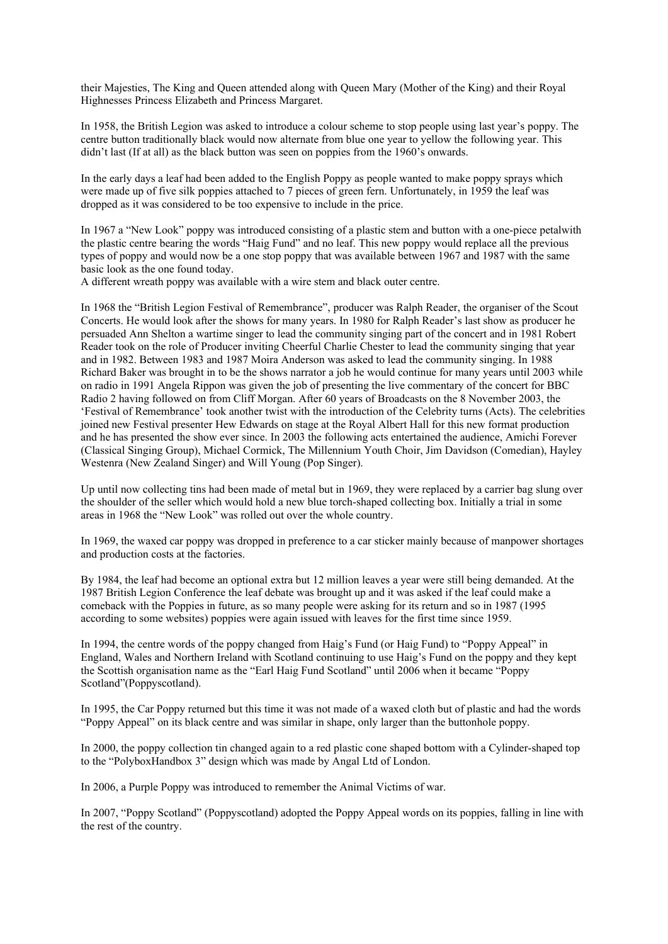their Majesties, The King and Queen attended along with Queen Mary (Mother of the King) and their Royal Highnesses Princess Elizabeth and Princess Margaret.

In 1958, the British Legion was asked to introduce a colour scheme to stop people using last year's poppy. The centre button traditionally black would now alternate from blue one year to yellow the following year. This didn't last (If at all) as the black button was seen on poppies from the 1960's onwards.

In the early days a leaf had been added to the English Poppy as people wanted to make poppy sprays which were made up of five silk poppies attached to 7 pieces of green fern. Unfortunately, in 1959 the leaf was dropped as it was considered to be too expensive to include in the price.

In 1967 a "New Look" poppy was introduced consisting of a plastic stem and button with a one-piece petalwith the plastic centre bearing the words "Haig Fund" and no leaf. This new poppy would replace all the previous types of poppy and would now be a one stop poppy that was available between 1967 and 1987 with the same basic look as the one found today.

A different wreath poppy was available with a wire stem and black outer centre.

In 1968 the "British Legion Festival of Remembrance", producer was Ralph Reader, the organiser of the Scout Concerts. He would look after the shows for many years. In 1980 for Ralph Reader's last show as producer he persuaded Ann Shelton a wartime singer to lead the community singing part of the concert and in 1981 Robert Reader took on the role of Producer inviting Cheerful Charlie Chester to lead the community singing that year and in 1982. Between 1983 and 1987 Moira Anderson was asked to lead the community singing. In 1988 Richard Baker was brought in to be the shows narrator a job he would continue for many years until 2003 while on radio in 1991 Angela Rippon was given the job of presenting the live commentary of the concert for BBC Radio 2 having followed on from Cliff Morgan. After 60 years of Broadcasts on the 8 November 2003, the 'Festival of Remembrance' took another twist with the introduction of the Celebrity turns (Acts). The celebrities joined new Festival presenter Hew Edwards on stage at the Royal Albert Hall for this new format production and he has presented the show ever since. In 2003 the following acts entertained the audience, Amichi Forever (Classical Singing Group), Michael Cormick, The Millennium Youth Choir, Jim Davidson (Comedian), Hayley Westenra (New Zealand Singer) and Will Young (Pop Singer).

Up until now collecting tins had been made of metal but in 1969, they were replaced by a carrier bag slung over the shoulder of the seller which would hold a new blue torch-shaped collecting box. Initially a trial in some areas in 1968 the "New Look" was rolled out over the whole country.

In 1969, the waxed car poppy was dropped in preference to a car sticker mainly because of manpower shortages and production costs at the factories.

By 1984, the leaf had become an optional extra but 12 million leaves a year were still being demanded. At the 1987 British Legion Conference the leaf debate was brought up and it was asked if the leaf could make a comeback with the Poppies in future, as so many people were asking for its return and so in 1987 (1995 according to some websites) poppies were again issued with leaves for the first time since 1959.

In 1994, the centre words of the poppy changed from Haig's Fund (or Haig Fund) to "Poppy Appeal" in England, Wales and Northern Ireland with Scotland continuing to use Haig's Fund on the poppy and they kept the Scottish organisation name as the "Earl Haig Fund Scotland" until 2006 when it became "Poppy Scotland"(Poppyscotland).

In 1995, the Car Poppy returned but this time it was not made of a waxed cloth but of plastic and had the words "Poppy Appeal" on its black centre and was similar in shape, only larger than the buttonhole poppy.

In 2000, the poppy collection tin changed again to a red plastic cone shaped bottom with a Cylinder-shaped top to the "PolyboxHandbox 3" design which was made by Angal Ltd of London.

In 2006, a Purple Poppy was introduced to remember the Animal Victims of war.

In 2007, "Poppy Scotland" (Poppyscotland) adopted the Poppy Appeal words on its poppies, falling in line with the rest of the country.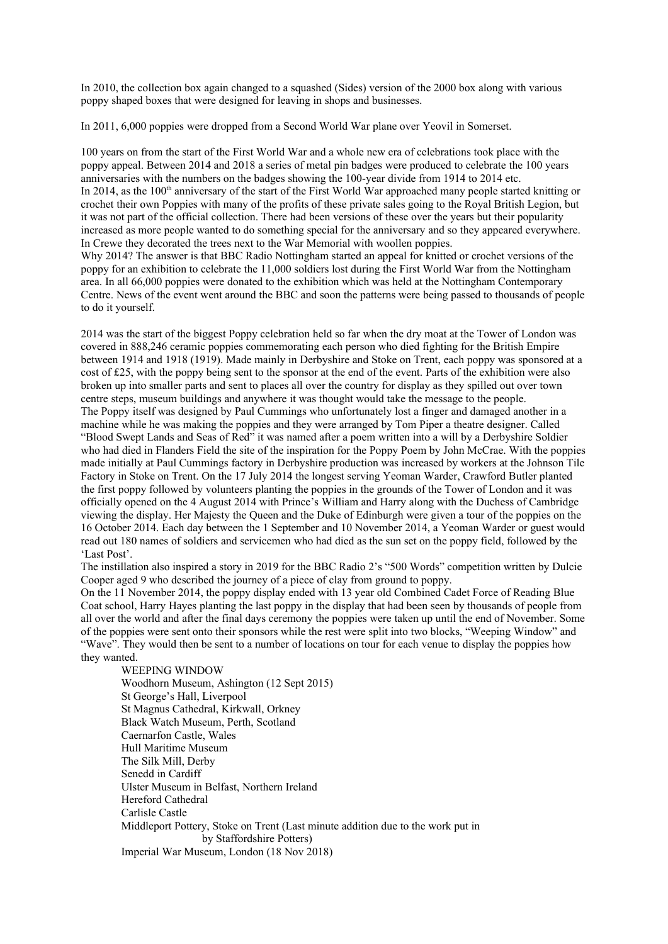In 2010, the collection box again changed to a squashed (Sides) version of the 2000 box along with various poppy shaped boxes that were designed for leaving in shops and businesses.

In 2011, 6,000 poppies were dropped from a Second World War plane over Yeovil in Somerset.

100 years on from the start of the First World War and a whole new era of celebrations took place with the poppy appeal. Between 2014 and 2018 a series of metal pin badges were produced to celebrate the 100 years anniversaries with the numbers on the badges showing the 100-year divide from 1914 to 2014 etc. In 2014, as the  $100<sup>th</sup>$  anniversary of the start of the First World War approached many people started knitting or crochet their own Poppies with many of the profits of these private sales going to the Royal British Legion, but it was not part of the official collection. There had been versions of these over the years but their popularity increased as more people wanted to do something special for the anniversary and so they appeared everywhere. In Crewe they decorated the trees next to the War Memorial with woollen poppies.

Why 2014? The answer is that BBC Radio Nottingham started an appeal for knitted or crochet versions of the poppy for an exhibition to celebrate the 11,000 soldiers lost during the First World War from the Nottingham area. In all 66,000 poppies were donated to the exhibition which was held at the Nottingham Contemporary Centre. News of the event went around the BBC and soon the patterns were being passed to thousands of people to do it yourself.

2014 was the start of the biggest Poppy celebration held so far when the dry moat at the Tower of London was covered in 888,246 ceramic poppies commemorating each person who died fighting for the British Empire between 1914 and 1918 (1919). Made mainly in Derbyshire and Stoke on Trent, each poppy was sponsored at a cost of £25, with the poppy being sent to the sponsor at the end of the event. Parts of the exhibition were also broken up into smaller parts and sent to places all over the country for display as they spilled out over town centre steps, museum buildings and anywhere it was thought would take the message to the people. The Poppy itself was designed by Paul Cummings who unfortunately lost a finger and damaged another in a machine while he was making the poppies and they were arranged by Tom Piper a theatre designer. Called "Blood Swept Lands and Seas of Red" it was named after a poem written into a will by a Derbyshire Soldier who had died in Flanders Field the site of the inspiration for the Poppy Poem by John McCrae. With the poppies made initially at Paul Cummings factory in Derbyshire production was increased by workers at the Johnson Tile Factory in Stoke on Trent. On the 17 July 2014 the longest serving Yeoman Warder, Crawford Butler planted the first poppy followed by volunteers planting the poppies in the grounds of the Tower of London and it was officially opened on the 4 August 2014 with Prince's William and Harry along with the Duchess of Cambridge viewing the display. Her Majesty the Queen and the Duke of Edinburgh were given a tour of the poppies on the 16 October 2014. Each day between the 1 September and 10 November 2014, a Yeoman Warder or guest would read out 180 names of soldiers and servicemen who had died as the sun set on the poppy field, followed by the 'Last Post'.

The instillation also inspired a story in 2019 for the BBC Radio 2's "500 Words" competition written by Dulcie Cooper aged 9 who described the journey of a piece of clay from ground to poppy.

On the 11 November 2014, the poppy display ended with 13 year old Combined Cadet Force of Reading Blue Coat school, Harry Hayes planting the last poppy in the display that had been seen by thousands of people from all over the world and after the final days ceremony the poppies were taken up until the end of November. Some of the poppies were sent onto their sponsors while the rest were split into two blocks, "Weeping Window" and "Wave". They would then be sent to a number of locations on tour for each venue to display the poppies how they wanted.

WEEPING WINDOW Woodhorn Museum, Ashington (12 Sept 2015) St George's Hall, Liverpool St Magnus Cathedral, Kirkwall, Orkney Black Watch Museum, Perth, Scotland Caernarfon Castle, Wales Hull Maritime Museum The Silk Mill, Derby Senedd in Cardiff Ulster Museum in Belfast, Northern Ireland Hereford Cathedral Carlisle Castle Middleport Pottery, Stoke on Trent (Last minute addition due to the work put in by Staffordshire Potters) Imperial War Museum, London (18 Nov 2018)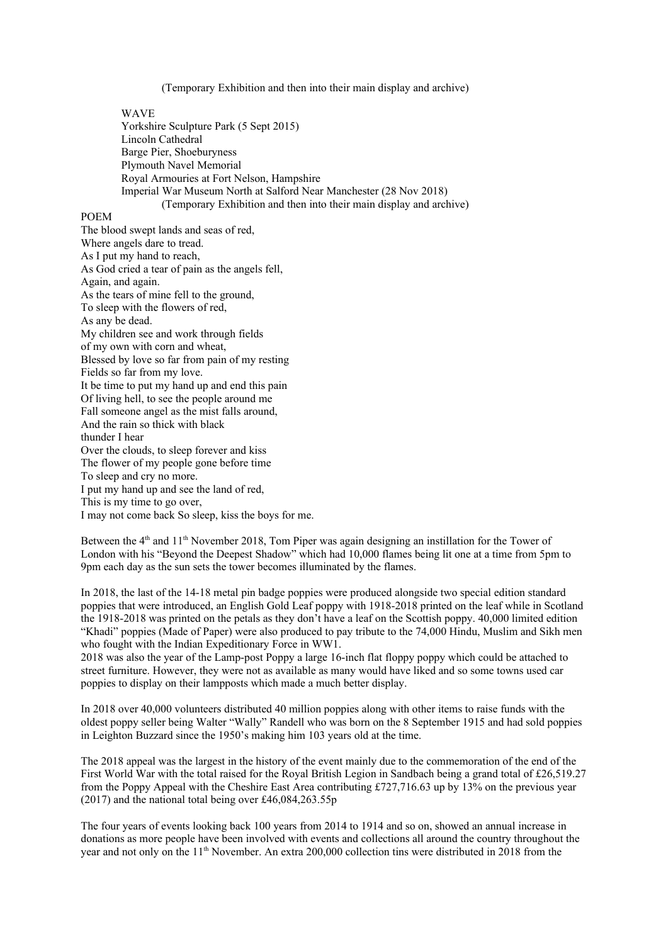(Temporary Exhibition and then into their main display and archive)

WAVE

Yorkshire Sculpture Park (5 Sept 2015) Lincoln Cathedral Barge Pier, Shoeburyness Plymouth Navel Memorial Royal Armouries at Fort Nelson, Hampshire Imperial War Museum North at Salford Near Manchester (28 Nov 2018) (Temporary Exhibition and then into their main display and archive)

#### POEM

The blood swept lands and seas of red, Where angels dare to tread. As I put my hand to reach, As God cried a tear of pain as the angels fell, Again, and again. As the tears of mine fell to the ground, To sleep with the flowers of red, As any be dead. My children see and work through fields of my own with corn and wheat, Blessed by love so far from pain of my resting Fields so far from my love. It be time to put my hand up and end this pain Of living hell, to see the people around me Fall someone angel as the mist falls around, And the rain so thick with black thunder I hear Over the clouds, to sleep forever and kiss The flower of my people gone before time To sleep and cry no more. I put my hand up and see the land of red, This is my time to go over, I may not come back So sleep, kiss the boys for me.

Between the  $4<sup>th</sup>$  and  $11<sup>th</sup>$  November 2018, Tom Piper was again designing an instillation for the Tower of London with his "Beyond the Deepest Shadow" which had 10,000 flames being lit one at a time from 5pm to 9pm each day as the sun sets the tower becomes illuminated by the flames.

In 2018, the last of the 14-18 metal pin badge poppies were produced alongside two special edition standard poppies that were introduced, an English Gold Leaf poppy with 1918-2018 printed on the leaf while in Scotland the 1918-2018 was printed on the petals as they don't have a leaf on the Scottish poppy. 40,000 limited edition "Khadi" poppies (Made of Paper) were also produced to pay tribute to the 74,000 Hindu, Muslim and Sikh men who fought with the Indian Expeditionary Force in WW1.

2018 was also the year of the Lamp-post Poppy a large 16-inch flat floppy poppy which could be attached to street furniture. However, they were not as available as many would have liked and so some towns used car poppies to display on their lampposts which made a much better display.

In 2018 over 40,000 volunteers distributed 40 million poppies along with other items to raise funds with the oldest poppy seller being Walter "Wally" Randell who was born on the 8 September 1915 and had sold poppies in Leighton Buzzard since the 1950's making him 103 years old at the time.

The 2018 appeal was the largest in the history of the event mainly due to the commemoration of the end of the First World War with the total raised for the Royal British Legion in Sandbach being a grand total of £26,519.27 from the Poppy Appeal with the Cheshire East Area contributing £727,716.63 up by 13% on the previous year (2017) and the national total being over £46,084,263.55p

The four years of events looking back 100 years from 2014 to 1914 and so on, showed an annual increase in donations as more people have been involved with events and collections all around the country throughout the year and not only on the 11<sup>th</sup> November. An extra 200,000 collection tins were distributed in 2018 from the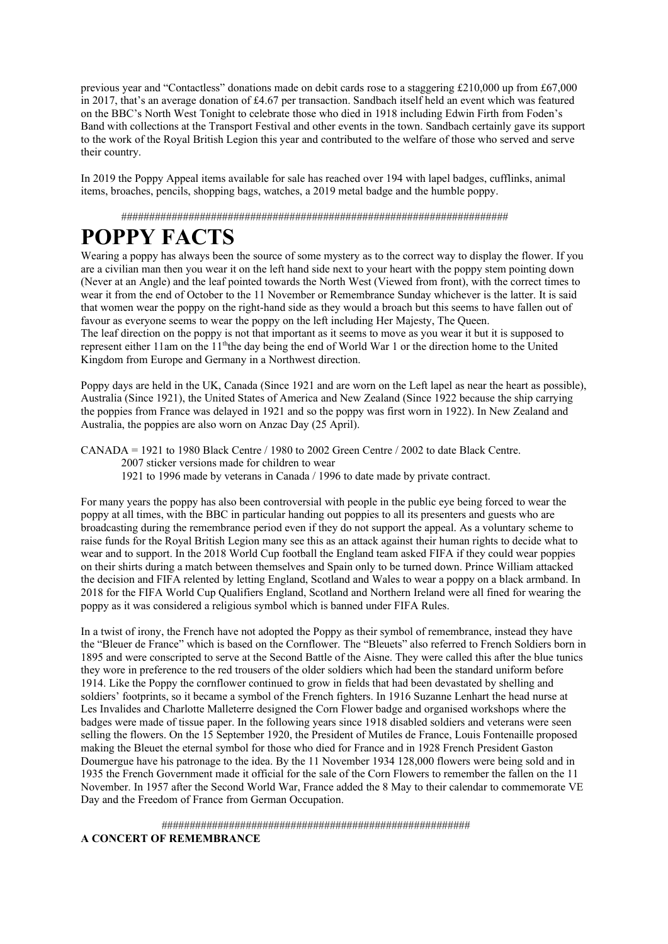previous year and "Contactless" donations made on debit cards rose to a staggering £210,000 up from £67,000 in 2017, that's an average donation of £4.67 per transaction. Sandbach itself held an event which was featured on the BBC's North West Tonight to celebrate those who died in 1918 including Edwin Firth from Foden's Band with collections at the Transport Festival and other events in the town. Sandbach certainly gave its support to the work of the Royal British Legion this year and contributed to the welfare of those who served and serve their country.

In 2019 the Poppy Appeal items available for sale has reached over 194 with lapel badges, cufflinks, animal items, broaches, pencils, shopping bags, watches, a 2019 metal badge and the humble poppy.

#####################################################################

## **POPPY FACTS**

Wearing a poppy has always been the source of some mystery as to the correct way to display the flower. If you are a civilian man then you wear it on the left hand side next to your heart with the poppy stem pointing down (Never at an Angle) and the leaf pointed towards the North West (Viewed from front), with the correct times to wear it from the end of October to the 11 November or Remembrance Sunday whichever is the latter. It is said that women wear the poppy on the right-hand side as they would a broach but this seems to have fallen out of favour as everyone seems to wear the poppy on the left including Her Majesty, The Queen. The leaf direction on the poppy is not that important as it seems to move as you wear it but it is supposed to represent either 11am on the 11<sup>th</sup>the day being the end of World War 1 or the direction home to the United Kingdom from Europe and Germany in a Northwest direction.

Poppy days are held in the UK, Canada (Since 1921 and are worn on the Left lapel as near the heart as possible), Australia (Since 1921), the United States of America and New Zealand (Since 1922 because the ship carrying the poppies from France was delayed in 1921 and so the poppy was first worn in 1922). In New Zealand and Australia, the poppies are also worn on Anzac Day (25 April).

CANADA = 1921 to 1980 Black Centre / 1980 to 2002 Green Centre / 2002 to date Black Centre. 2007 sticker versions made for children to wear 1921 to 1996 made by veterans in Canada / 1996 to date made by private contract.

For many years the poppy has also been controversial with people in the public eye being forced to wear the poppy at all times, with the BBC in particular handing out poppies to all its presenters and guests who are broadcasting during the remembrance period even if they do not support the appeal. As a voluntary scheme to raise funds for the Royal British Legion many see this as an attack against their human rights to decide what to wear and to support. In the 2018 World Cup football the England team asked FIFA if they could wear poppies on their shirts during a match between themselves and Spain only to be turned down. Prince William attacked the decision and FIFA relented by letting England, Scotland and Wales to wear a poppy on a black armband. In 2018 for the FIFA World Cup Qualifiers England, Scotland and Northern Ireland were all fined for wearing the poppy as it was considered a religious symbol which is banned under FIFA Rules.

In a twist of irony, the French have not adopted the Poppy as their symbol of remembrance, instead they have the "Bleuer de France" which is based on the Cornflower. The "Bleuets" also referred to French Soldiers born in 1895 and were conscripted to serve at the Second Battle of the Aisne. They were called this after the blue tunics they wore in preference to the red trousers of the older soldiers which had been the standard uniform before 1914. Like the Poppy the cornflower continued to grow in fields that had been devastated by shelling and soldiers' footprints, so it became a symbol of the French fighters. In 1916 Suzanne Lenhart the head nurse at Les Invalides and Charlotte Malleterre designed the Corn Flower badge and organised workshops where the badges were made of tissue paper. In the following years since 1918 disabled soldiers and veterans were seen selling the flowers. On the 15 September 1920, the President of Mutiles de France, Louis Fontenaille proposed making the Bleuet the eternal symbol for those who died for France and in 1928 French President Gaston Doumergue have his patronage to the idea. By the 11 November 1934 128,000 flowers were being sold and in 1935 the French Government made it official for the sale of the Corn Flowers to remember the fallen on the 11 November. In 1957 after the Second World War, France added the 8 May to their calendar to commemorate VE Day and the Freedom of France from German Occupation.

####################################################### **A CONCERT OF REMEMBRANCE**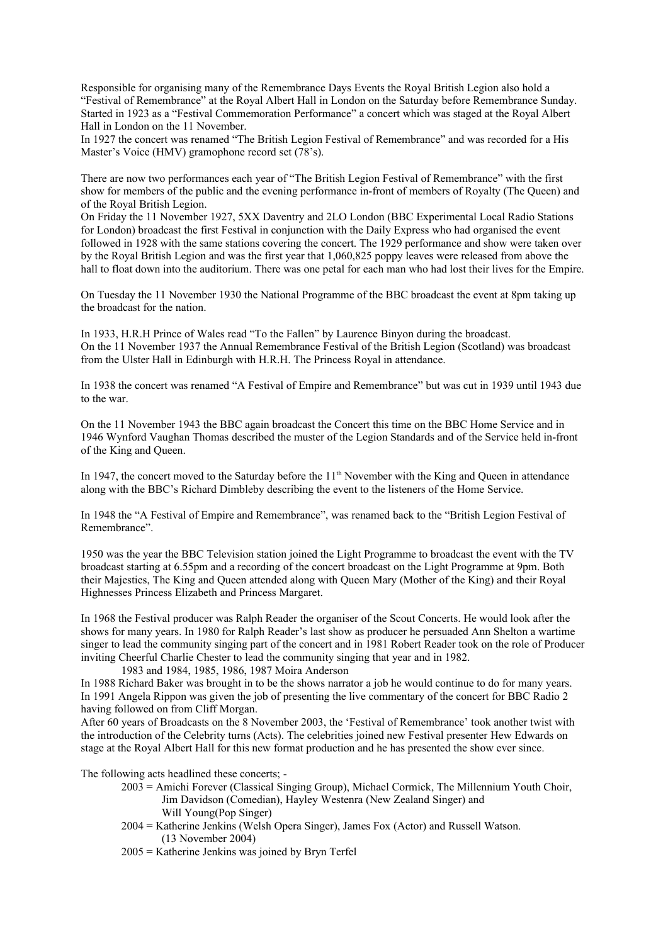Responsible for organising many of the Remembrance Days Events the Royal British Legion also hold a "Festival of Remembrance" at the Royal Albert Hall in London on the Saturday before Remembrance Sunday. Started in 1923 as a "Festival Commemoration Performance" a concert which was staged at the Royal Albert Hall in London on the 11 November.

In 1927 the concert was renamed "The British Legion Festival of Remembrance" and was recorded for a His Master's Voice (HMV) gramophone record set (78's).

There are now two performances each year of "The British Legion Festival of Remembrance" with the first show for members of the public and the evening performance in-front of members of Royalty (The Queen) and of the Royal British Legion.

On Friday the 11 November 1927, 5XX Daventry and 2LO London (BBC Experimental Local Radio Stations for London) broadcast the first Festival in conjunction with the Daily Express who had organised the event followed in 1928 with the same stations covering the concert. The 1929 performance and show were taken over by the Royal British Legion and was the first year that 1,060,825 poppy leaves were released from above the hall to float down into the auditorium. There was one petal for each man who had lost their lives for the Empire.

On Tuesday the 11 November 1930 the National Programme of the BBC broadcast the event at 8pm taking up the broadcast for the nation.

In 1933, H.R.H Prince of Wales read "To the Fallen" by Laurence Binyon during the broadcast. On the 11 November 1937 the Annual Remembrance Festival of the British Legion (Scotland) was broadcast from the Ulster Hall in Edinburgh with H.R.H. The Princess Royal in attendance.

In 1938 the concert was renamed "A Festival of Empire and Remembrance" but was cut in 1939 until 1943 due to the war.

On the 11 November 1943 the BBC again broadcast the Concert this time on the BBC Home Service and in 1946 Wynford Vaughan Thomas described the muster of the Legion Standards and of the Service held in-front of the King and Queen.

In 1947, the concert moved to the Saturday before the 11<sup>th</sup> November with the King and Queen in attendance along with the BBC's Richard Dimbleby describing the event to the listeners of the Home Service.

In 1948 the "A Festival of Empire and Remembrance", was renamed back to the "British Legion Festival of Remembrance".

1950 was the year the BBC Television station joined the Light Programme to broadcast the event with the TV broadcast starting at 6.55pm and a recording of the concert broadcast on the Light Programme at 9pm. Both their Majesties, The King and Queen attended along with Queen Mary (Mother of the King) and their Royal Highnesses Princess Elizabeth and Princess Margaret.

In 1968 the Festival producer was Ralph Reader the organiser of the Scout Concerts. He would look after the shows for many years. In 1980 for Ralph Reader's last show as producer he persuaded Ann Shelton a wartime singer to lead the community singing part of the concert and in 1981 Robert Reader took on the role of Producer inviting Cheerful Charlie Chester to lead the community singing that year and in 1982.

1983 and 1984, 1985, 1986, 1987 Moira Anderson

In 1988 Richard Baker was brought in to be the shows narrator a job he would continue to do for many years. In 1991 Angela Rippon was given the job of presenting the live commentary of the concert for BBC Radio 2 having followed on from Cliff Morgan.

After 60 years of Broadcasts on the 8 November 2003, the 'Festival of Remembrance' took another twist with the introduction of the Celebrity turns (Acts). The celebrities joined new Festival presenter Hew Edwards on stage at the Royal Albert Hall for this new format production and he has presented the show ever since.

The following acts headlined these concerts; -

- 2003 = Amichi Forever (Classical Singing Group), Michael Cormick, The Millennium Youth Choir, Jim Davidson (Comedian), Hayley Westenra (New Zealand Singer) and Will Young(Pop Singer)
- 2004 = Katherine Jenkins (Welsh Opera Singer), James Fox (Actor) and Russell Watson. (13 November 2004)
- 2005 = Katherine Jenkins was joined by Bryn Terfel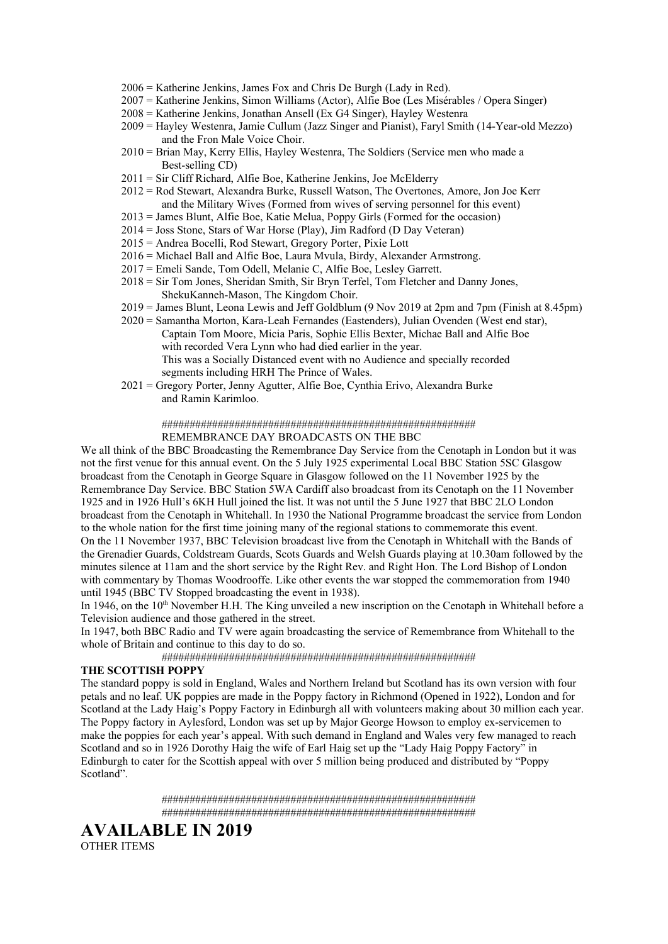- 2006 = Katherine Jenkins, James Fox and Chris De Burgh (Lady in Red).
- 2007 = Katherine Jenkins, Simon Williams (Actor), Alfie Boe (Les Misérables / Opera Singer)
- 2008 = Katherine Jenkins, Jonathan Ansell (Ex G4 Singer), Hayley Westenra
- 2009 = Hayley Westenra, Jamie Cullum (Jazz Singer and Pianist), Faryl Smith (14-Year-old Mezzo) and the Fron Male Voice Choir.
- 2010 = Brian May, Kerry Ellis, Hayley Westenra, The Soldiers (Service men who made a Best-selling CD)
- 2011 = Sir Cliff Richard, Alfie Boe, Katherine Jenkins, Joe McElderry
- 2012 = Rod Stewart, Alexandra Burke, Russell Watson, The Overtones, Amore, Jon Joe Kerr and the Military Wives (Formed from wives of serving personnel for this event)
- 2013 = James Blunt, Alfie Boe, Katie Melua, Poppy Girls (Formed for the occasion)
- 2014 = Joss Stone, Stars of War Horse (Play), Jim Radford (D Day Veteran)
- 2015 = Andrea Bocelli, Rod Stewart, Gregory Porter, Pixie Lott
- 2016 = Michael Ball and Alfie Boe, Laura Mvula, Birdy, Alexander Armstrong.
- 2017 = Emeli Sande, Tom Odell, Melanie C, Alfie Boe, Lesley Garrett.
- 2018 = Sir Tom Jones, Sheridan Smith, Sir Bryn Terfel, Tom Fletcher and Danny Jones, ShekuKanneh-Mason, The Kingdom Choir.
- 2019 = James Blunt, Leona Lewis and Jeff Goldblum (9 Nov 2019 at 2pm and 7pm (Finish at 8.45pm)
- 2020 = Samantha Morton, Kara-Leah Fernandes (Eastenders), Julian Ovenden (West end star), Captain Tom Moore, Micia Paris, Sophie Ellis Bexter, Michae Ball and Alfie Boe with recorded Vera Lynn who had died earlier in the year. This was a Socially Distanced event with no Audience and specially recorded segments including HRH The Prince of Wales.
- 2021 = Gregory Porter, Jenny Agutter, Alfie Boe, Cynthia Erivo, Alexandra Burke and Ramin Karimloo.

### ######################################################## REMEMBRANCE DAY BROADCASTS ON THE BBC

We all think of the BBC Broadcasting the Remembrance Day Service from the Cenotaph in London but it was not the first venue for this annual event. On the 5 July 1925 experimental Local BBC Station 5SC Glasgow broadcast from the Cenotaph in George Square in Glasgow followed on the 11 November 1925 by the Remembrance Day Service. BBC Station 5WA Cardiff also broadcast from its Cenotaph on the 11 November 1925 and in 1926 Hull's 6KH Hull joined the list. It was not until the 5 June 1927 that BBC 2LO London broadcast from the Cenotaph in Whitehall. In 1930 the National Programme broadcast the service from London to the whole nation for the first time joining many of the regional stations to commemorate this event. On the 11 November 1937, BBC Television broadcast live from the Cenotaph in Whitehall with the Bands of the Grenadier Guards, Coldstream Guards, Scots Guards and Welsh Guards playing at 10.30am followed by the minutes silence at 11am and the short service by the Right Rev. and Right Hon. The Lord Bishop of London with commentary by Thomas Woodrooffe. Like other events the war stopped the commemoration from 1940 until 1945 (BBC TV Stopped broadcasting the event in 1938).

In 1946, on the 10<sup>th</sup> November H.H. The King unveiled a new inscription on the Cenotaph in Whitehall before a Television audience and those gathered in the street.

In 1947, both BBC Radio and TV were again broadcasting the service of Remembrance from Whitehall to the whole of Britain and continue to this day to do so.

########################################################

#### **THE SCOTTISH POPPY**

The standard poppy is sold in England, Wales and Northern Ireland but Scotland has its own version with four petals and no leaf. UK poppies are made in the Poppy factory in Richmond (Opened in 1922), London and for Scotland at the Lady Haig's Poppy Factory in Edinburgh all with volunteers making about 30 million each year. The Poppy factory in Aylesford, London was set up by Major George Howson to employ ex-servicemen to make the poppies for each year's appeal. With such demand in England and Wales very few managed to reach Scotland and so in 1926 Dorothy Haig the wife of Earl Haig set up the "Lady Haig Poppy Factory" in Edinburgh to cater for the Scottish appeal with over 5 million being produced and distributed by "Poppy Scotland".

> ######################################################## ########################################################

### **AVAILABLE IN 2019**  OTHER ITEMS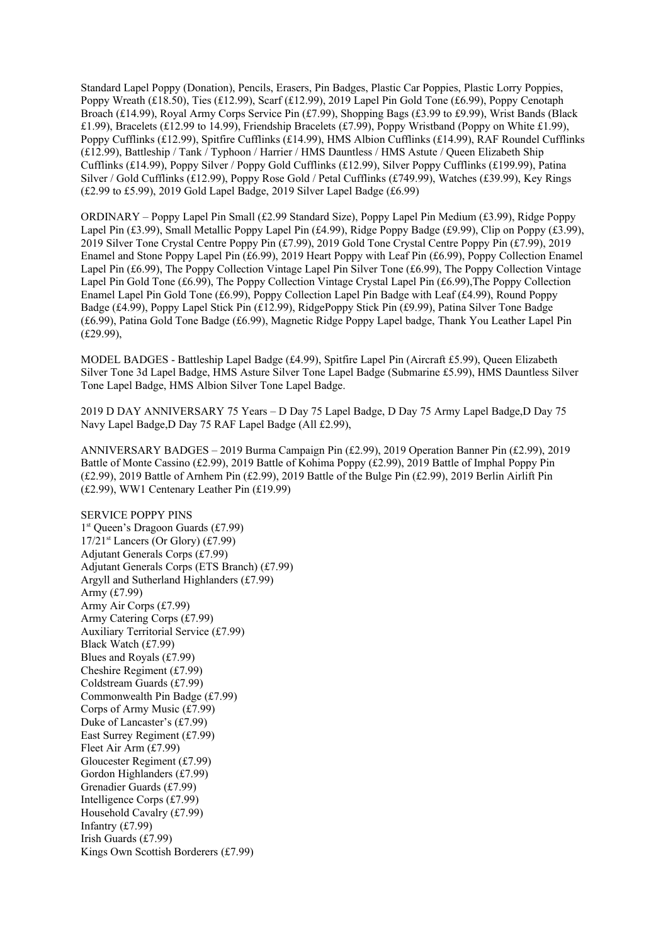Standard Lapel Poppy (Donation), Pencils, Erasers, Pin Badges, Plastic Car Poppies, Plastic Lorry Poppies, Poppy Wreath (£18.50), Ties (£12.99), Scarf (£12.99), 2019 Lapel Pin Gold Tone (£6.99), Poppy Cenotaph Broach (£14.99), Royal Army Corps Service Pin (£7.99), Shopping Bags (£3.99 to £9.99), Wrist Bands (Black £1.99), Bracelets (£12.99 to 14.99), Friendship Bracelets (£7.99), Poppy Wristband (Poppy on White £1.99), Poppy Cufflinks (£12.99), Spitfire Cufflinks (£14.99), HMS Albion Cufflinks (£14.99), RAF Roundel Cufflinks (£12.99), Battleship / Tank / Typhoon / Harrier / HMS Dauntless / HMS Astute / Queen Elizabeth Ship Cufflinks (£14.99), Poppy Silver / Poppy Gold Cufflinks (£12.99), Silver Poppy Cufflinks (£199.99), Patina Silver / Gold Cufflinks (£12.99), Poppy Rose Gold / Petal Cufflinks (£749.99), Watches (£39.99), Key Rings (£2.99 to £5.99), 2019 Gold Lapel Badge, 2019 Silver Lapel Badge (£6.99)

ORDINARY – Poppy Lapel Pin Small (£2.99 Standard Size), Poppy Lapel Pin Medium (£3.99), Ridge Poppy Lapel Pin (£3.99), Small Metallic Poppy Lapel Pin (£4.99), Ridge Poppy Badge (£9.99), Clip on Poppy (£3.99), 2019 Silver Tone Crystal Centre Poppy Pin (£7.99), 2019 Gold Tone Crystal Centre Poppy Pin (£7.99), 2019 Enamel and Stone Poppy Lapel Pin (£6.99), 2019 Heart Poppy with Leaf Pin (£6.99), Poppy Collection Enamel Lapel Pin (£6.99), The Poppy Collection Vintage Lapel Pin Silver Tone (£6.99), The Poppy Collection Vintage Lapel Pin Gold Tone (£6.99), The Poppy Collection Vintage Crystal Lapel Pin (£6.99),The Poppy Collection Enamel Lapel Pin Gold Tone (£6.99), Poppy Collection Lapel Pin Badge with Leaf (£4.99), Round Poppy Badge (£4.99), Poppy Lapel Stick Pin (£12.99), RidgePoppy Stick Pin (£9.99), Patina Silver Tone Badge (£6.99), Patina Gold Tone Badge (£6.99), Magnetic Ridge Poppy Lapel badge, Thank You Leather Lapel Pin (£29.99),

MODEL BADGES - Battleship Lapel Badge (£4.99), Spitfire Lapel Pin (Aircraft £5.99), Queen Elizabeth Silver Tone 3d Lapel Badge, HMS Asture Silver Tone Lapel Badge (Submarine £5.99), HMS Dauntless Silver Tone Lapel Badge, HMS Albion Silver Tone Lapel Badge.

2019 D DAY ANNIVERSARY 75 Years – D Day 75 Lapel Badge, D Day 75 Army Lapel Badge,D Day 75 Navy Lapel Badge,D Day 75 RAF Lapel Badge (All £2.99),

ANNIVERSARY BADGES – 2019 Burma Campaign Pin (£2.99), 2019 Operation Banner Pin (£2.99), 2019 Battle of Monte Cassino (£2.99), 2019 Battle of Kohima Poppy (£2.99), 2019 Battle of Imphal Poppy Pin (£2.99), 2019 Battle of Arnhem Pin (£2.99), 2019 Battle of the Bulge Pin (£2.99), 2019 Berlin Airlift Pin (£2.99), WW1 Centenary Leather Pin (£19.99)

SERVICE POPPY PINS 1 st Queen's Dragoon Guards (£7.99)  $17/21$ <sup>st</sup> Lancers (Or Glory) (£7.99) Adjutant Generals Corps (£7.99) Adjutant Generals Corps (ETS Branch) (£7.99) Argyll and Sutherland Highlanders (£7.99) Army (£7.99) Army Air Corps (£7.99) Army Catering Corps (£7.99) Auxiliary Territorial Service (£7.99) Black Watch (£7.99) Blues and Royals (£7.99) Cheshire Regiment (£7.99) Coldstream Guards (£7.99) Commonwealth Pin Badge (£7.99) Corps of Army Music (£7.99) Duke of Lancaster's (£7.99) East Surrey Regiment (£7.99) Fleet Air Arm (£7.99) Gloucester Regiment (£7.99) Gordon Highlanders (£7.99) Grenadier Guards (£7.99) Intelligence Corps (£7.99) Household Cavalry (£7.99) Infantry (£7.99) Irish Guards (£7.99) Kings Own Scottish Borderers (£7.99)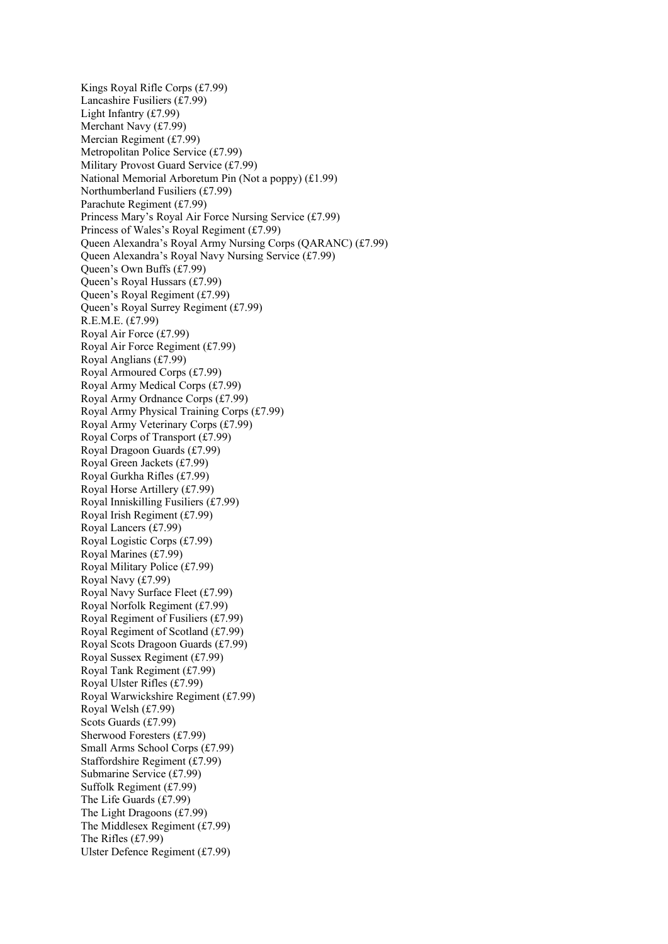Kings Royal Rifle Corps (£7.99) Lancashire Fusiliers (£7.99) Light Infantry (£7.99) Merchant Navy (£7.99) Mercian Regiment (£7.99) Metropolitan Police Service (£7.99) Military Provost Guard Service (£7.99) National Memorial Arboretum Pin (Not a poppy) (£1.99) Northumberland Fusiliers (£7.99) Parachute Regiment (£7.99) Princess Mary's Royal Air Force Nursing Service (£7.99) Princess of Wales's Royal Regiment (£7.99) Queen Alexandra's Royal Army Nursing Corps (QARANC) (£7.99) Queen Alexandra's Royal Navy Nursing Service (£7.99) Queen's Own Buffs (£7.99) Queen's Royal Hussars (£7.99) Queen's Royal Regiment (£7.99) Queen's Royal Surrey Regiment (£7.99) R.E.M.E. (£7.99) Royal Air Force (£7.99) Royal Air Force Regiment (£7.99) Royal Anglians (£7.99) Royal Armoured Corps (£7.99) Royal Army Medical Corps (£7.99) Royal Army Ordnance Corps (£7.99) Royal Army Physical Training Corps (£7.99) Royal Army Veterinary Corps (£7.99) Royal Corps of Transport (£7.99) Royal Dragoon Guards (£7.99) Royal Green Jackets (£7.99) Royal Gurkha Rifles (£7.99) Royal Horse Artillery (£7.99) Royal Inniskilling Fusiliers (£7.99) Royal Irish Regiment (£7.99) Royal Lancers (£7.99) Royal Logistic Corps (£7.99) Royal Marines (£7.99) Royal Military Police (£7.99) Royal Navy (£7.99) Royal Navy Surface Fleet (£7.99) Royal Norfolk Regiment (£7.99) Royal Regiment of Fusiliers (£7.99) Royal Regiment of Scotland (£7.99) Royal Scots Dragoon Guards (£7.99) Royal Sussex Regiment (£7.99) Royal Tank Regiment (£7.99) Royal Ulster Rifles (£7.99) Royal Warwickshire Regiment (£7.99) Royal Welsh (£7.99) Scots Guards (£7.99) Sherwood Foresters (£7.99) Small Arms School Corps (£7.99) Staffordshire Regiment (£7.99) Submarine Service (£7.99) Suffolk Regiment (£7.99) The Life Guards (£7.99) The Light Dragoons (£7.99) The Middlesex Regiment (£7.99) The Rifles (£7.99) Ulster Defence Regiment (£7.99)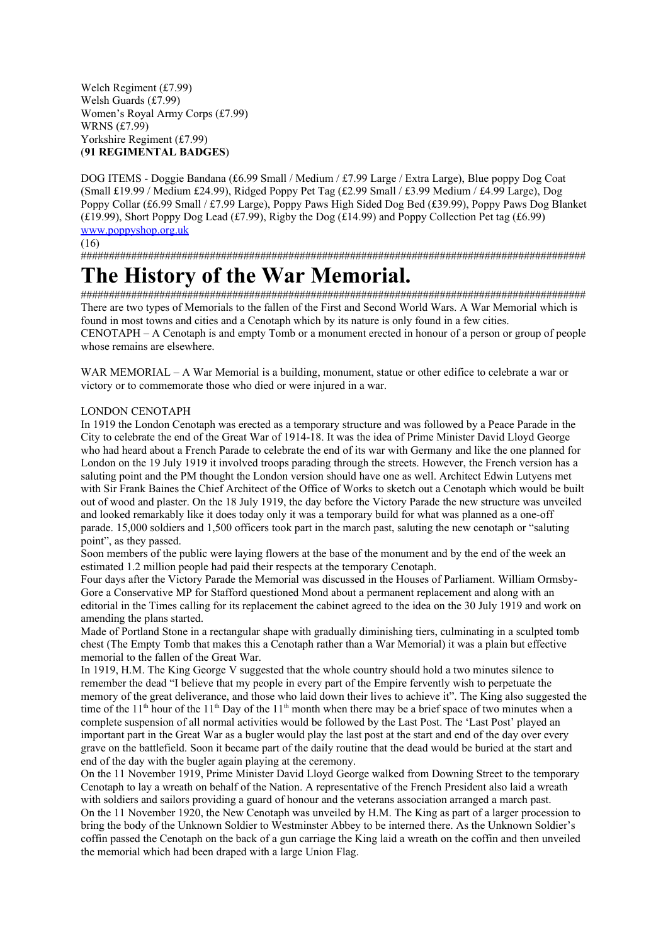Welch Regiment (£7.99) Welsh Guards (£7.99) Women's Royal Army Corps (£7.99) WRNS (£7.99) Yorkshire Regiment (£7.99) (**91 REGIMENTAL BADGES**)

DOG ITEMS - Doggie Bandana (£6.99 Small / Medium / £7.99 Large / Extra Large), Blue poppy Dog Coat (Small £19.99 / Medium £24.99), Ridged Poppy Pet Tag (£2.99 Small / £3.99 Medium / £4.99 Large), Dog Poppy Collar (£6.99 Small / £7.99 Large), Poppy Paws High Sided Dog Bed (£39.99), Poppy Paws Dog Blanket (£19.99), Short Poppy Dog Lead (£7.99), Rigby the Dog (£14.99) and Poppy Collection Pet tag (£6.99) [www.poppyshop.org.uk](http://www.poppyshop.org.uk/)

(16)

##########################################################################################

## **The History of the War Memorial.**

########################################################################################## There are two types of Memorials to the fallen of the First and Second World Wars. A War Memorial which is found in most towns and cities and a Cenotaph which by its nature is only found in a few cities. CENOTAPH – A Cenotaph is and empty Tomb or a monument erected in honour of a person or group of people whose remains are elsewhere.

WAR MEMORIAL – A War Memorial is a building, monument, statue or other edifice to celebrate a war or victory or to commemorate those who died or were injured in a war.

### LONDON CENOTAPH

In 1919 the London Cenotaph was erected as a temporary structure and was followed by a Peace Parade in the City to celebrate the end of the Great War of 1914-18. It was the idea of Prime Minister David Lloyd George who had heard about a French Parade to celebrate the end of its war with Germany and like the one planned for London on the 19 July 1919 it involved troops parading through the streets. However, the French version has a saluting point and the PM thought the London version should have one as well. Architect Edwin Lutyens met with Sir Frank Baines the Chief Architect of the Office of Works to sketch out a Cenotaph which would be built out of wood and plaster. On the 18 July 1919, the day before the Victory Parade the new structure was unveiled and looked remarkably like it does today only it was a temporary build for what was planned as a one-off parade. 15,000 soldiers and 1,500 officers took part in the march past, saluting the new cenotaph or "saluting point", as they passed.

Soon members of the public were laying flowers at the base of the monument and by the end of the week an estimated 1.2 million people had paid their respects at the temporary Cenotaph.

Four days after the Victory Parade the Memorial was discussed in the Houses of Parliament. William Ormsby-Gore a Conservative MP for Stafford questioned Mond about a permanent replacement and along with an editorial in the Times calling for its replacement the cabinet agreed to the idea on the 30 July 1919 and work on amending the plans started.

Made of Portland Stone in a rectangular shape with gradually diminishing tiers, culminating in a sculpted tomb chest (The Empty Tomb that makes this a Cenotaph rather than a War Memorial) it was a plain but effective memorial to the fallen of the Great War.

In 1919, H.M. The King George V suggested that the whole country should hold a two minutes silence to remember the dead "I believe that my people in every part of the Empire fervently wish to perpetuate the memory of the great deliverance, and those who laid down their lives to achieve it". The King also suggested the time of the 11<sup>th</sup> hour of the 11<sup>th</sup> Day of the 11<sup>th</sup> month when there may be a brief space of two minutes when a complete suspension of all normal activities would be followed by the Last Post. The 'Last Post' played an important part in the Great War as a bugler would play the last post at the start and end of the day over every grave on the battlefield. Soon it became part of the daily routine that the dead would be buried at the start and end of the day with the bugler again playing at the ceremony.

On the 11 November 1919, Prime Minister David Lloyd George walked from Downing Street to the temporary Cenotaph to lay a wreath on behalf of the Nation. A representative of the French President also laid a wreath with soldiers and sailors providing a guard of honour and the veterans association arranged a march past. On the 11 November 1920, the New Cenotaph was unveiled by H.M. The King as part of a larger procession to bring the body of the Unknown Soldier to Westminster Abbey to be interned there. As the Unknown Soldier's coffin passed the Cenotaph on the back of a gun carriage the King laid a wreath on the coffin and then unveiled the memorial which had been draped with a large Union Flag.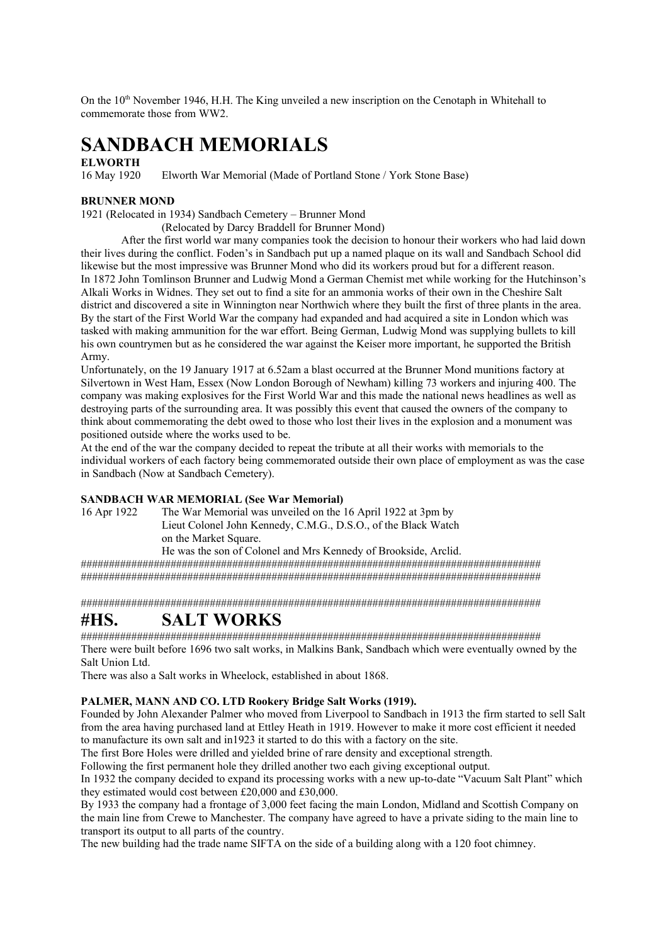On the  $10<sup>th</sup>$  November 1946, H.H. The King unveiled a new inscription on the Cenotaph in Whitehall to commemorate those from WW2.

## **SANDBACH MEMORIALS**

#### **ELWORTH**

16 May 1920 Elworth War Memorial (Made of Portland Stone / York Stone Base)

#### **BRUNNER MOND**

1921 (Relocated in 1934) Sandbach Cemetery – Brunner Mond

(Relocated by Darcy Braddell for Brunner Mond)

After the first world war many companies took the decision to honour their workers who had laid down their lives during the conflict. Foden's in Sandbach put up a named plaque on its wall and Sandbach School did likewise but the most impressive was Brunner Mond who did its workers proud but for a different reason. In 1872 John Tomlinson Brunner and Ludwig Mond a German Chemist met while working for the Hutchinson's Alkali Works in Widnes. They set out to find a site for an ammonia works of their own in the Cheshire Salt district and discovered a site in Winnington near Northwich where they built the first of three plants in the area. By the start of the First World War the company had expanded and had acquired a site in London which was tasked with making ammunition for the war effort. Being German, Ludwig Mond was supplying bullets to kill his own countrymen but as he considered the war against the Keiser more important, he supported the British Army.

Unfortunately, on the 19 January 1917 at 6.52am a blast occurred at the Brunner Mond munitions factory at Silvertown in West Ham, Essex (Now London Borough of Newham) killing 73 workers and injuring 400. The company was making explosives for the First World War and this made the national news headlines as well as destroying parts of the surrounding area. It was possibly this event that caused the owners of the company to think about commemorating the debt owed to those who lost their lives in the explosion and a monument was positioned outside where the works used to be.

At the end of the war the company decided to repeat the tribute at all their works with memorials to the individual workers of each factory being commemorated outside their own place of employment as was the case in Sandbach (Now at Sandbach Cemetery).

#### **SANDBACH WAR MEMORIAL (See War Memorial)**

16 Apr 1922 The War Memorial was unveiled on the 16 April 1922 at 3pm by Lieut Colonel John Kennedy, C.M.G., D.S.O., of the Black Watch on the Market Square.

He was the son of Colonel and Mrs Kennedy of Brookside, Arclid.

################################################################################## ##################################################################################

##################################################################################

### **#HS. SALT WORKS**

################################################################################## There were built before 1696 two salt works, in Malkins Bank, Sandbach which were eventually owned by the Salt Union Ltd.

There was also a Salt works in Wheelock, established in about 1868.

#### **PALMER, MANN AND CO. LTD Rookery Bridge Salt Works (1919).**

Founded by John Alexander Palmer who moved from Liverpool to Sandbach in 1913 the firm started to sell Salt from the area having purchased land at Ettley Heath in 1919. However to make it more cost efficient it needed to manufacture its own salt and in1923 it started to do this with a factory on the site.

The first Bore Holes were drilled and yielded brine of rare density and exceptional strength.

Following the first permanent hole they drilled another two each giving exceptional output.

In 1932 the company decided to expand its processing works with a new up-to-date "Vacuum Salt Plant" which they estimated would cost between £20,000 and £30,000.

By 1933 the company had a frontage of 3,000 feet facing the main London, Midland and Scottish Company on the main line from Crewe to Manchester. The company have agreed to have a private siding to the main line to transport its output to all parts of the country.

The new building had the trade name SIFTA on the side of a building along with a 120 foot chimney.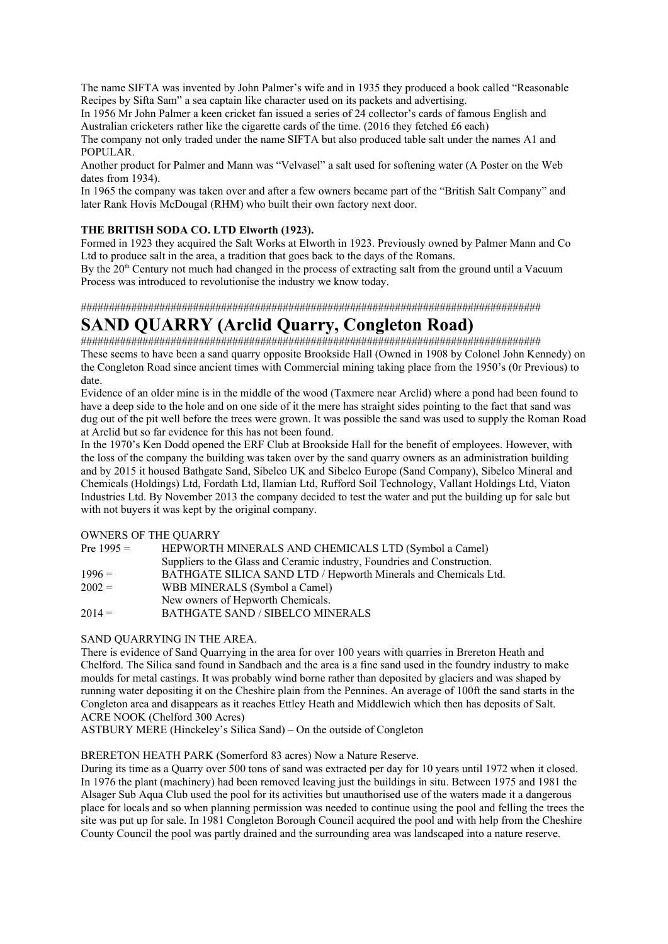The name SIFTA was invented by John Palmer's wife and in 1935 they produced a book called "Reasonable Recipes by Sifta Sam" a sea captain like character used on its packets and advertising.

In 1956 Mr John Palmer a keen cricket fan issued a series of 24 collector's cards of famous English and Australian cricketers rather like the cigarette cards of the time. (2016 they fetched £6 each)

The company not only traded under the name SIFTA but also produced table salt under the names A1 and POPULAR.

Another product for Palmer and Mann was "Velvasel" a salt used for softening water (A Poster on the Web dates from 1934).

In 1965 the company was taken over and after a few owners became part of the "British Salt Company" and later Rank Hovis McDougal (RHM) who built their own factory next door.

#### **THE BRITISH SODA CO. LTD Elworth (1923).**

Formed in 1923 they acquired the Salt Works at Elworth in 1923. Previously owned by Palmer Mann and Co Ltd to produce salt in the area, a tradition that goes back to the days of the Romans.

By the 20<sup>th</sup> Century not much had changed in the process of extracting salt from the ground until a Vacuum Process was introduced to revolutionise the industry we know today.

### ################################################################################## **SAND QUARRY (Arclid Quarry, Congleton Road)**

################################################################################## These seems to have been a sand quarry opposite Brookside Hall (Owned in 1908 by Colonel John Kennedy) on the Congleton Road since ancient times with Commercial mining taking place from the 1950's (0r Previous) to date.

Evidence of an older mine is in the middle of the wood (Taxmere near Arclid) where a pond had been found to have a deep side to the hole and on one side of it the mere has straight sides pointing to the fact that sand was dug out of the pit well before the trees were grown. It was possible the sand was used to supply the Roman Road at Arclid but so far evidence for this has not been found.

In the 1970's Ken Dodd opened the ERF Club at Brookside Hall for the benefit of employees. However, with the loss of the company the building was taken over by the sand quarry owners as an administration building and by 2015 it housed Bathgate Sand, Sibelco UK and Sibelco Europe (Sand Company), Sibelco Mineral and Chemicals (Holdings) Ltd, Fordath Ltd, Ilamian Ltd, Rufford Soil Technology, Vallant Holdings Ltd, Viaton Industries Ltd. By November 2013 the company decided to test the water and put the building up for sale but with not buyers it was kept by the original company.

#### OWNERS OF THE QUARRY

| Pre $1995 =$ | HEPWORTH MINERALS AND CHEMICALS LTD (Symbol a Camel)                     |
|--------------|--------------------------------------------------------------------------|
|              | Suppliers to the Glass and Ceramic industry, Foundries and Construction. |
| $1996 =$     | BATHGATE SILICA SAND LTD / Hepworth Minerals and Chemicals Ltd.          |
| $2002 =$     | WBB MINERALS (Symbol a Camel)                                            |
|              | New owners of Hepworth Chemicals.                                        |
| $2014 =$     | BATHGATE SAND / SIBELCO MINERALS                                         |

#### SAND QUARRYING IN THE AREA.

There is evidence of Sand Quarrying in the area for over 100 years with quarries in Brereton Heath and Chelford. The Silica sand found in Sandbach and the area is a fine sand used in the foundry industry to make moulds for metal castings. It was probably wind borne rather than deposited by glaciers and was shaped by running water depositing it on the Cheshire plain from the Pennines. An average of 100ft the sand starts in the Congleton area and disappears as it reaches Ettley Heath and Middlewich which then has deposits of Salt. ACRE NOOK (Chelford 300 Acres)

ASTBURY MERE (Hinckeley's Silica Sand) – On the outside of Congleton

#### BRERETON HEATH PARK (Somerford 83 acres) Now a Nature Reserve.

During its time as a Quarry over 500 tons of sand was extracted per day for 10 years until 1972 when it closed. In 1976 the plant (machinery) had been removed leaving just the buildings in situ. Between 1975 and 1981 the Alsager Sub Aqua Club used the pool for its activities but unauthorised use of the waters made it a dangerous place for locals and so when planning permission was needed to continue using the pool and felling the trees the site was put up for sale. In 1981 Congleton Borough Council acquired the pool and with help from the Cheshire County Council the pool was partly drained and the surrounding area was landscaped into a nature reserve.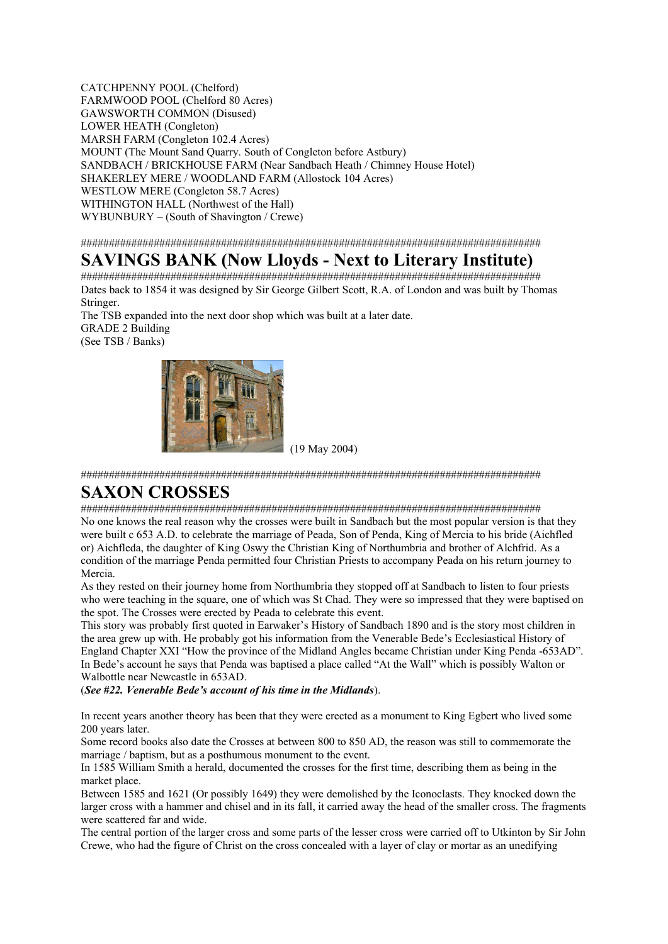CATCHPENNY POOL (Chelford) FARMWOOD POOL (Chelford 80 Acres) GAWSWORTH COMMON (Disused) LOWER HEATH (Congleton) MARSH FARM (Congleton 102.4 Acres) MOUNT (The Mount Sand Quarry. South of Congleton before Astbury) SANDBACH / BRICKHOUSE FARM (Near Sandbach Heath / Chimney House Hotel) SHAKERLEY MERE / WOODLAND FARM (Allostock 104 Acres) WESTLOW MERE (Congleton 58.7 Acres) WITHINGTON HALL (Northwest of the Hall) WYBUNBURY – (South of Shavington / Crewe)

##################################################################################

### **SAVINGS BANK (Now Lloyds - Next to Literary Institute)**

################################################################################## Dates back to 1854 it was designed by Sir George Gilbert Scott, R.A. of London and was built by Thomas Stringer.

The TSB expanded into the next door shop which was built at a later date. GRADE 2 Building (See TSB / Banks)



(19 May 2004)

##################################################################################

### **SAXON CROSSES**

##################################################################################

No one knows the real reason why the crosses were built in Sandbach but the most popular version is that they were built c 653 A.D. to celebrate the marriage of Peada, Son of Penda, King of Mercia to his bride (Aichfled or) Aichfleda, the daughter of King Oswy the Christian King of Northumbria and brother of Alchfrid. As a condition of the marriage Penda permitted four Christian Priests to accompany Peada on his return journey to Mercia.

As they rested on their journey home from Northumbria they stopped off at Sandbach to listen to four priests who were teaching in the square, one of which was St Chad. They were so impressed that they were baptised on the spot. The Crosses were erected by Peada to celebrate this event.

This story was probably first quoted in Earwaker's History of Sandbach 1890 and is the story most children in the area grew up with. He probably got his information from the Venerable Bede's Ecclesiastical History of England Chapter XXI "How the province of the Midland Angles became Christian under King Penda -653AD". In Bede's account he says that Penda was baptised a place called "At the Wall" which is possibly Walton or Walbottle near Newcastle in 653AD.

(*See #22. Venerable Bede's account of his time in the Midlands*).

In recent years another theory has been that they were erected as a monument to King Egbert who lived some 200 years later.

Some record books also date the Crosses at between 800 to 850 AD, the reason was still to commemorate the marriage / baptism, but as a posthumous monument to the event.

In 1585 William Smith a herald, documented the crosses for the first time, describing them as being in the market place.

Between 1585 and 1621 (Or possibly 1649) they were demolished by the Iconoclasts. They knocked down the larger cross with a hammer and chisel and in its fall, it carried away the head of the smaller cross. The fragments were scattered far and wide.

The central portion of the larger cross and some parts of the lesser cross were carried off to Utkinton by Sir John Crewe, who had the figure of Christ on the cross concealed with a layer of clay or mortar as an unedifying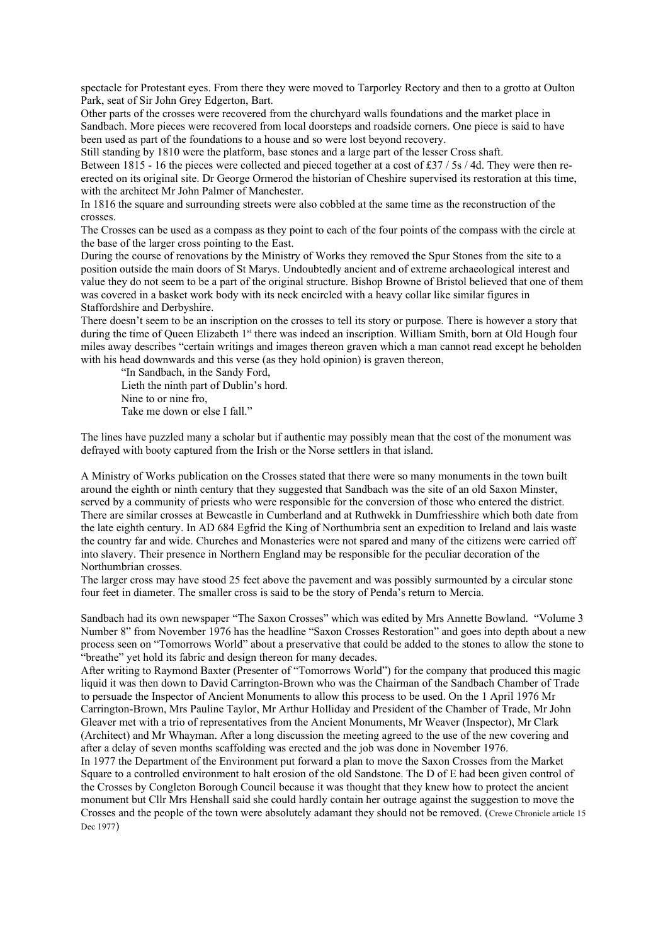spectacle for Protestant eyes. From there they were moved to Tarporley Rectory and then to a grotto at Oulton Park, seat of Sir John Grey Edgerton, Bart.

Other parts of the crosses were recovered from the churchyard walls foundations and the market place in Sandbach. More pieces were recovered from local doorsteps and roadside corners. One piece is said to have been used as part of the foundations to a house and so were lost beyond recovery.

Still standing by 1810 were the platform, base stones and a large part of the lesser Cross shaft.

Between 1815 - 16 the pieces were collected and pieced together at a cost of £37 / 5s / 4d. They were then reerected on its original site. Dr George Ormerod the historian of Cheshire supervised its restoration at this time, with the architect Mr John Palmer of Manchester.

In 1816 the square and surrounding streets were also cobbled at the same time as the reconstruction of the crosses.

The Crosses can be used as a compass as they point to each of the four points of the compass with the circle at the base of the larger cross pointing to the East.

During the course of renovations by the Ministry of Works they removed the Spur Stones from the site to a position outside the main doors of St Marys. Undoubtedly ancient and of extreme archaeological interest and value they do not seem to be a part of the original structure. Bishop Browne of Bristol believed that one of them was covered in a basket work body with its neck encircled with a heavy collar like similar figures in Staffordshire and Derbyshire.

There doesn't seem to be an inscription on the crosses to tell its story or purpose. There is however a story that during the time of Queen Elizabeth 1<sup>st</sup> there was indeed an inscription. William Smith, born at Old Hough four miles away describes "certain writings and images thereon graven which a man cannot read except he beholden with his head downwards and this verse (as they hold opinion) is graven thereon,

"In Sandbach, in the Sandy Ford, Lieth the ninth part of Dublin's hord. Nine to or nine fro, Take me down or else I fall."

The lines have puzzled many a scholar but if authentic may possibly mean that the cost of the monument was defrayed with booty captured from the Irish or the Norse settlers in that island.

A Ministry of Works publication on the Crosses stated that there were so many monuments in the town built around the eighth or ninth century that they suggested that Sandbach was the site of an old Saxon Minster, served by a community of priests who were responsible for the conversion of those who entered the district. There are similar crosses at Bewcastle in Cumberland and at Ruthwekk in Dumfriesshire which both date from the late eighth century. In AD 684 Egfrid the King of Northumbria sent an expedition to Ireland and lais waste the country far and wide. Churches and Monasteries were not spared and many of the citizens were carried off into slavery. Their presence in Northern England may be responsible for the peculiar decoration of the Northumbrian crosses.

The larger cross may have stood 25 feet above the pavement and was possibly surmounted by a circular stone four feet in diameter. The smaller cross is said to be the story of Penda's return to Mercia.

Sandbach had its own newspaper "The Saxon Crosses" which was edited by Mrs Annette Bowland. "Volume 3 Number 8" from November 1976 has the headline "Saxon Crosses Restoration" and goes into depth about a new process seen on "Tomorrows World" about a preservative that could be added to the stones to allow the stone to "breathe" yet hold its fabric and design thereon for many decades.

After writing to Raymond Baxter (Presenter of "Tomorrows World") for the company that produced this magic liquid it was then down to David Carrington-Brown who was the Chairman of the Sandbach Chamber of Trade to persuade the Inspector of Ancient Monuments to allow this process to be used. On the 1 April 1976 Mr Carrington-Brown, Mrs Pauline Taylor, Mr Arthur Holliday and President of the Chamber of Trade, Mr John Gleaver met with a trio of representatives from the Ancient Monuments, Mr Weaver (Inspector), Mr Clark (Architect) and Mr Whayman. After a long discussion the meeting agreed to the use of the new covering and after a delay of seven months scaffolding was erected and the job was done in November 1976.

In 1977 the Department of the Environment put forward a plan to move the Saxon Crosses from the Market Square to a controlled environment to halt erosion of the old Sandstone. The D of E had been given control of the Crosses by Congleton Borough Council because it was thought that they knew how to protect the ancient monument but Cllr Mrs Henshall said she could hardly contain her outrage against the suggestion to move the Crosses and the people of the town were absolutely adamant they should not be removed. (Crewe Chronicle article 15 Dec 1977)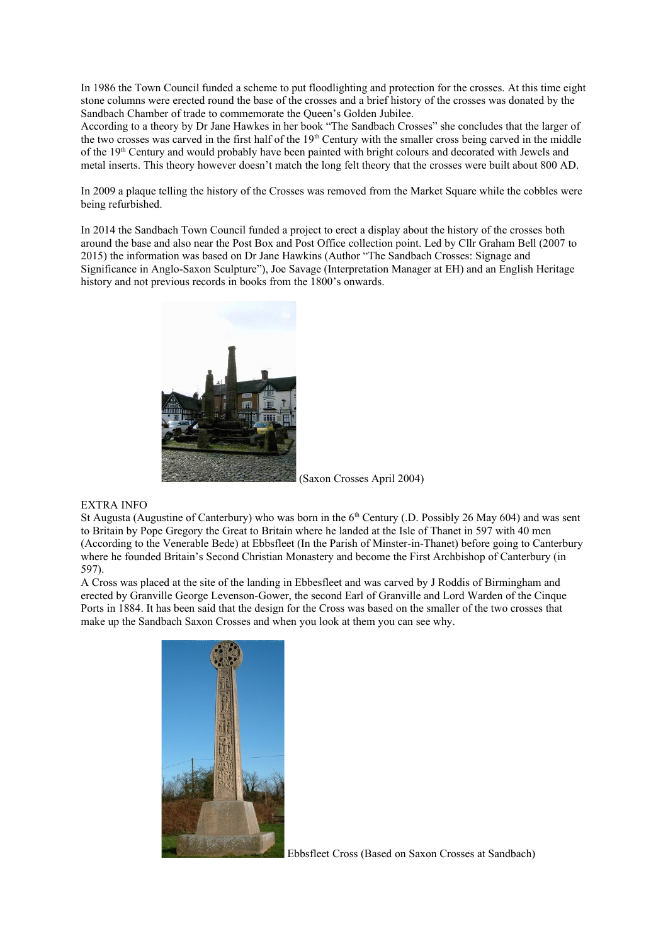In 1986 the Town Council funded a scheme to put floodlighting and protection for the crosses. At this time eight stone columns were erected round the base of the crosses and a brief history of the crosses was donated by the Sandbach Chamber of trade to commemorate the Queen's Golden Jubilee.

According to a theory by Dr Jane Hawkes in her book "The Sandbach Crosses" she concludes that the larger of the two crosses was carved in the first half of the 19<sup>th</sup> Century with the smaller cross being carved in the middle of the 19<sup>th</sup> Century and would probably have been painted with bright colours and decorated with Jewels and metal inserts. This theory however doesn't match the long felt theory that the crosses were built about 800 AD.

In 2009 a plaque telling the history of the Crosses was removed from the Market Square while the cobbles were being refurbished.

In 2014 the Sandbach Town Council funded a project to erect a display about the history of the crosses both around the base and also near the Post Box and Post Office collection point. Led by Cllr Graham Bell (2007 to 2015) the information was based on Dr Jane Hawkins (Author "The Sandbach Crosses: Signage and Significance in Anglo-Saxon Sculpture"), Joe Savage (Interpretation Manager at EH) and an English Heritage history and not previous records in books from the 1800's onwards.



(Saxon Crosses April 2004)

#### EXTRA INFO

St Augusta (Augustine of Canterbury) who was born in the  $6<sup>th</sup>$  Century (.D. Possibly 26 May 604) and was sent to Britain by Pope Gregory the Great to Britain where he landed at the Isle of Thanet in 597 with 40 men (According to the Venerable Bede) at Ebbsfleet (In the Parish of Minster-in-Thanet) before going to Canterbury where he founded Britain's Second Christian Monastery and become the First Archbishop of Canterbury (in 597).

A Cross was placed at the site of the landing in Ebbesfleet and was carved by J Roddis of Birmingham and erected by Granville George Levenson-Gower, the second Earl of Granville and Lord Warden of the Cinque Ports in 1884. It has been said that the design for the Cross was based on the smaller of the two crosses that make up the Sandbach Saxon Crosses and when you look at them you can see why.



Ebbsfleet Cross (Based on Saxon Crosses at Sandbach)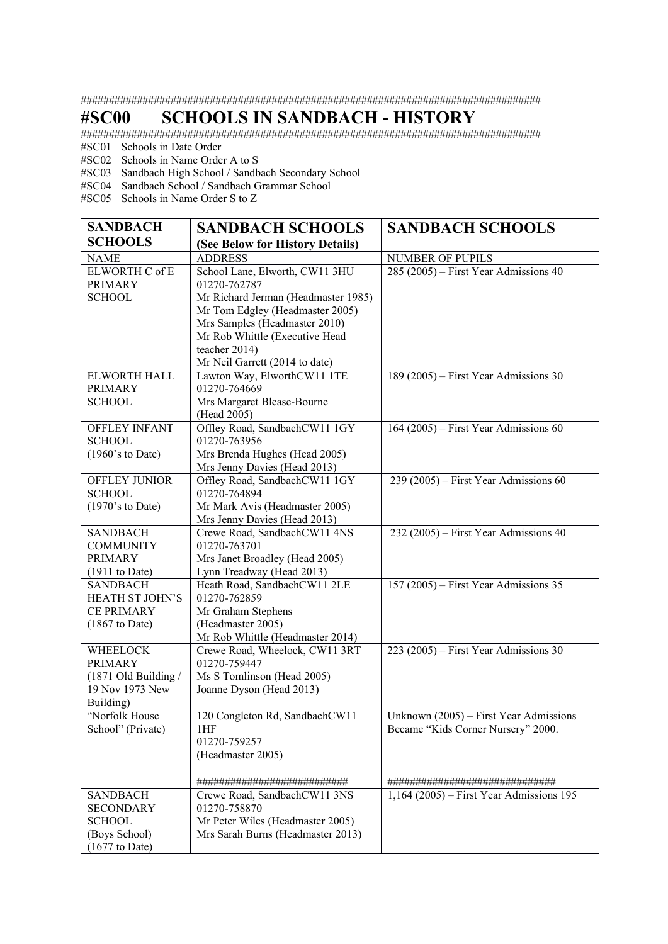##################################################################################

### **#SC00 SCHOOLS IN SANDBACH - HISTORY**

##################################################################################

#SC01 Schools in Date Order

#SC02 Schools in Name Order A to S

#SC03 Sandbach High School / Sandbach Secondary School

#SC04 Sandbach School / Sandbach Grammar School

#SC05 Schools in Name Order S to Z

| <b>SANDBACH</b>                 | <b>SANDBACH SCHOOLS</b>                                            | <b>SANDBACH SCHOOLS</b>                    |
|---------------------------------|--------------------------------------------------------------------|--------------------------------------------|
| <b>SCHOOLS</b>                  | (See Below for History Details)                                    |                                            |
| <b>NAME</b>                     | <b>ADDRESS</b>                                                     | NUMBER OF PUPILS                           |
| ELWORTH C of E                  | School Lane, Elworth, CW11 3HU                                     | 285 (2005) – First Year Admissions 40      |
| <b>PRIMARY</b>                  | 01270-762787                                                       |                                            |
| <b>SCHOOL</b>                   | Mr Richard Jerman (Headmaster 1985)                                |                                            |
|                                 | Mr Tom Edgley (Headmaster 2005)                                    |                                            |
|                                 | Mrs Samples (Headmaster 2010)                                      |                                            |
|                                 | Mr Rob Whittle (Executive Head                                     |                                            |
|                                 | teacher 2014)                                                      |                                            |
|                                 | Mr Neil Garrett (2014 to date)                                     |                                            |
| ELWORTH HALL                    | Lawton Way, ElworthCW11 1TE<br>01270-764669                        | 189 (2005) – First Year Admissions 30      |
| <b>PRIMARY</b><br><b>SCHOOL</b> | Mrs Margaret Blease-Bourne                                         |                                            |
|                                 | (Head 2005)                                                        |                                            |
| <b>OFFLEY INFANT</b>            | Offley Road, SandbachCW11 1GY                                      | 164 (2005) – First Year Admissions 60      |
| <b>SCHOOL</b>                   | 01270-763956                                                       |                                            |
| $(1960)$ 's to Date)            | Mrs Brenda Hughes (Head 2005)                                      |                                            |
|                                 | Mrs Jenny Davies (Head 2013)                                       |                                            |
| OFFLEY JUNIOR                   | Offley Road, SandbachCW11 1GY                                      | 239 (2005) – First Year Admissions 60      |
| <b>SCHOOL</b>                   | 01270-764894                                                       |                                            |
| $(1970)$ 's to Date)            | Mr Mark Avis (Headmaster 2005)                                     |                                            |
|                                 | Mrs Jenny Davies (Head 2013)                                       |                                            |
| <b>SANDBACH</b>                 | Crewe Road, SandbachCW11 4NS                                       | 232 (2005) – First Year Admissions 40      |
| <b>COMMUNITY</b>                | 01270-763701                                                       |                                            |
| <b>PRIMARY</b>                  | Mrs Janet Broadley (Head 2005)                                     |                                            |
| $(1911$ to Date)                | Lynn Treadway (Head 2013)                                          |                                            |
| <b>SANDBACH</b>                 | Heath Road, SandbachCW11 2LE                                       | 157 (2005) – First Year Admissions 35      |
| HEATH ST JOHN'S                 | 01270-762859                                                       |                                            |
| <b>CE PRIMARY</b>               | Mr Graham Stephens                                                 |                                            |
| $(1867 \text{ to Date})$        | (Headmaster 2005)                                                  |                                            |
| <b>WHEELOCK</b>                 | Mr Rob Whittle (Headmaster 2014)<br>Crewe Road, Wheelock, CW11 3RT | 223 (2005) – First Year Admissions 30      |
| <b>PRIMARY</b>                  | 01270-759447                                                       |                                            |
| (1871 Old Building /            | Ms S Tomlinson (Head 2005)                                         |                                            |
| 19 Nov 1973 New                 | Joanne Dyson (Head 2013)                                           |                                            |
| Building)                       |                                                                    |                                            |
| "Norfolk House                  | 120 Congleton Rd, SandbachCW11                                     | Unknown (2005) – First Year Admissions     |
| School" (Private)               | 1HF                                                                | Became "Kids Corner Nursery" 2000.         |
|                                 | 01270-759257                                                       |                                            |
|                                 | (Headmaster 2005)                                                  |                                            |
|                                 |                                                                    |                                            |
|                                 | ##########################                                         |                                            |
| <b>SANDBACH</b>                 | Crewe Road, SandbachCW11 3NS                                       | $1,164$ (2005) – First Year Admissions 195 |
| <b>SECONDARY</b>                | 01270-758870                                                       |                                            |
| <b>SCHOOL</b>                   | Mr Peter Wiles (Headmaster 2005)                                   |                                            |
| (Boys School)                   | Mrs Sarah Burns (Headmaster 2013)                                  |                                            |
| $(1677$ to Date)                |                                                                    |                                            |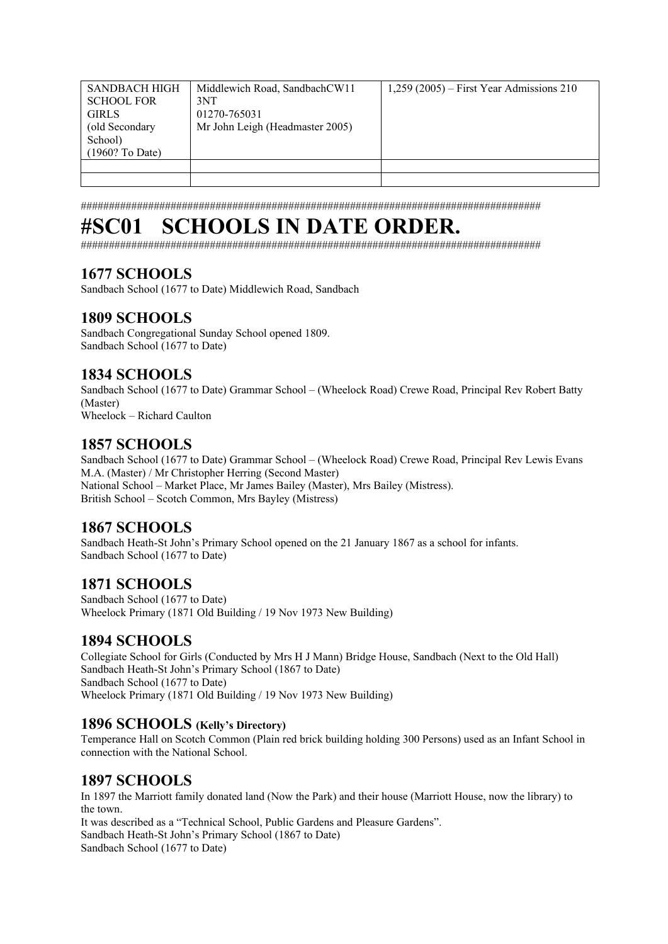| <b>SANDBACH HIGH</b><br><b>SCHOOL FOR</b><br><b>GIRLS</b><br>(old Secondary<br>School) | Middlewich Road, SandbachCW11<br>3NT<br>01270-765031<br>Mr John Leigh (Headmaster 2005) | $1,259$ (2005) – First Year Admissions 210 |
|----------------------------------------------------------------------------------------|-----------------------------------------------------------------------------------------|--------------------------------------------|
| (1960? To Date)                                                                        |                                                                                         |                                            |
|                                                                                        |                                                                                         |                                            |
|                                                                                        |                                                                                         |                                            |

##################################################################################

## **#SC01 SCHOOLS IN DATE ORDER.**

##################################################################################

### **1677 SCHOOLS**

Sandbach School (1677 to Date) Middlewich Road, Sandbach

### **1809 SCHOOLS**

Sandbach Congregational Sunday School opened 1809. Sandbach School (1677 to Date)

### **1834 SCHOOLS**

Sandbach School (1677 to Date) Grammar School – (Wheelock Road) Crewe Road, Principal Rev Robert Batty (Master)

Wheelock – Richard Caulton

### **1857 SCHOOLS**

Sandbach School (1677 to Date) Grammar School – (Wheelock Road) Crewe Road, Principal Rev Lewis Evans M.A. (Master) / Mr Christopher Herring (Second Master) National School – Market Place, Mr James Bailey (Master), Mrs Bailey (Mistress). British School – Scotch Common, Mrs Bayley (Mistress)

### **1867 SCHOOLS**

Sandbach Heath-St John's Primary School opened on the 21 January 1867 as a school for infants. Sandbach School (1677 to Date)

### **1871 SCHOOLS**

Sandbach School (1677 to Date) Wheelock Primary (1871 Old Building / 19 Nov 1973 New Building)

### **1894 SCHOOLS**

Collegiate School for Girls (Conducted by Mrs H J Mann) Bridge House, Sandbach (Next to the Old Hall) Sandbach Heath-St John's Primary School (1867 to Date) Sandbach School (1677 to Date) Wheelock Primary (1871 Old Building / 19 Nov 1973 New Building)

### **1896 SCHOOLS (Kelly's Directory)**

Temperance Hall on Scotch Common (Plain red brick building holding 300 Persons) used as an Infant School in connection with the National School.

### **1897 SCHOOLS**

In 1897 the Marriott family donated land (Now the Park) and their house (Marriott House, now the library) to the town.

It was described as a "Technical School, Public Gardens and Pleasure Gardens". Sandbach Heath-St John's Primary School (1867 to Date) Sandbach School (1677 to Date)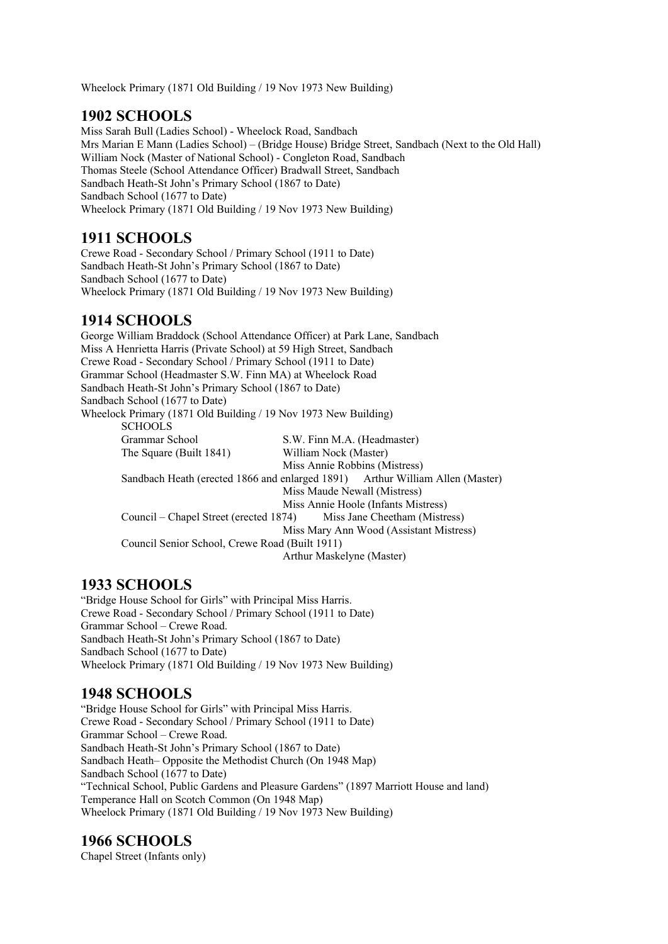Wheelock Primary (1871 Old Building / 19 Nov 1973 New Building)

### **1902 SCHOOLS**

Miss Sarah Bull (Ladies School) - Wheelock Road, Sandbach Mrs Marian E Mann (Ladies School) – (Bridge House) Bridge Street, Sandbach (Next to the Old Hall) William Nock (Master of National School) - Congleton Road, Sandbach Thomas Steele (School Attendance Officer) Bradwall Street, Sandbach Sandbach Heath-St John's Primary School (1867 to Date) Sandbach School (1677 to Date) Wheelock Primary (1871 Old Building / 19 Nov 1973 New Building)

### **1911 SCHOOLS**

Crewe Road - Secondary School / Primary School (1911 to Date) Sandbach Heath-St John's Primary School (1867 to Date) Sandbach School (1677 to Date) Wheelock Primary (1871 Old Building / 19 Nov 1973 New Building)

### **1914 SCHOOLS**

George William Braddock (School Attendance Officer) at Park Lane, Sandbach Miss A Henrietta Harris (Private School) at 59 High Street, Sandbach Crewe Road - Secondary School / Primary School (1911 to Date) Grammar School (Headmaster S.W. Finn MA) at Wheelock Road Sandbach Heath-St John's Primary School (1867 to Date) Sandbach School (1677 to Date) Wheelock Primary (1871 Old Building / 19 Nov 1973 New Building) SCHOOLS Grammar School S.W. Finn M.A. (Headmaster) The Square (Built 1841) William Nock (Master) Miss Annie Robbins (Mistress) Sandbach Heath (erected 1866 and enlarged 1891) Arthur William Allen (Master) Miss Maude Newall (Mistress) Miss Annie Hoole (Infants Mistress) Council – Chapel Street (erected 1874) Miss Jane Cheetham (Mistress) Miss Mary Ann Wood (Assistant Mistress) Council Senior School, Crewe Road (Built 1911) Arthur Maskelyne (Master)

### **1933 SCHOOLS**

"Bridge House School for Girls" with Principal Miss Harris. Crewe Road - Secondary School / Primary School (1911 to Date) Grammar School – Crewe Road. Sandbach Heath-St John's Primary School (1867 to Date) Sandbach School (1677 to Date) Wheelock Primary (1871 Old Building / 19 Nov 1973 New Building)

### **1948 SCHOOLS**

"Bridge House School for Girls" with Principal Miss Harris. Crewe Road - Secondary School / Primary School (1911 to Date) Grammar School – Crewe Road. Sandbach Heath-St John's Primary School (1867 to Date) Sandbach Heath– Opposite the Methodist Church (On 1948 Map) Sandbach School (1677 to Date) "Technical School, Public Gardens and Pleasure Gardens" (1897 Marriott House and land) Temperance Hall on Scotch Common (On 1948 Map) Wheelock Primary (1871 Old Building / 19 Nov 1973 New Building)

### **1966 SCHOOLS**

Chapel Street (Infants only)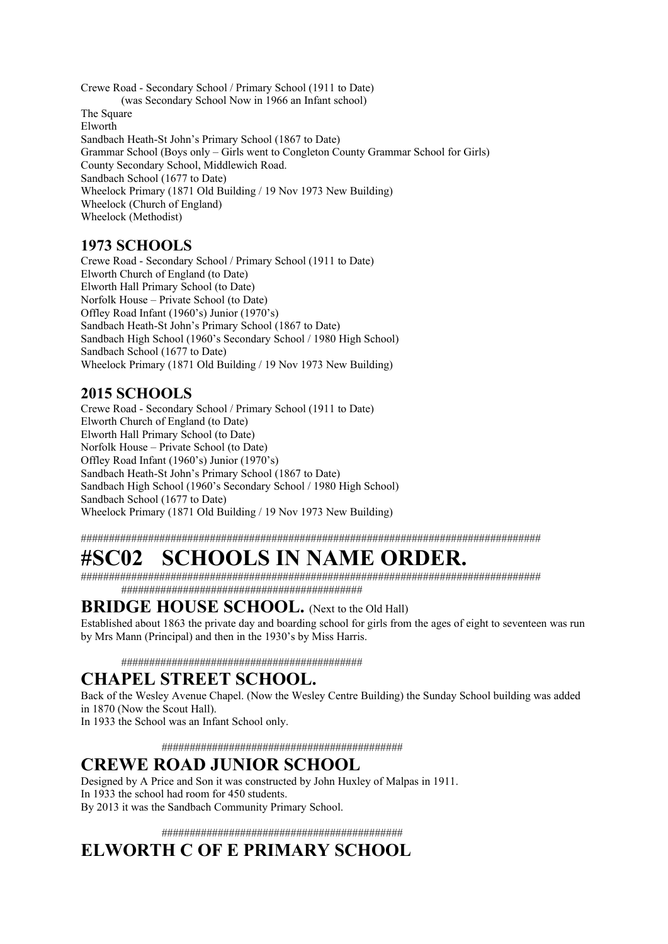Crewe Road - Secondary School / Primary School (1911 to Date) (was Secondary School Now in 1966 an Infant school) The Square Elworth Sandbach Heath-St John's Primary School (1867 to Date) Grammar School (Boys only – Girls went to Congleton County Grammar School for Girls) County Secondary School, Middlewich Road. Sandbach School (1677 to Date) Wheelock Primary (1871 Old Building / 19 Nov 1973 New Building) Wheelock (Church of England) Wheelock (Methodist)

### **1973 SCHOOLS**

Crewe Road - Secondary School / Primary School (1911 to Date) Elworth Church of England (to Date) Elworth Hall Primary School (to Date) Norfolk House – Private School (to Date) Offley Road Infant (1960's) Junior (1970's) Sandbach Heath-St John's Primary School (1867 to Date) Sandbach High School (1960's Secondary School / 1980 High School) Sandbach School (1677 to Date) Wheelock Primary (1871 Old Building / 19 Nov 1973 New Building)

### **2015 SCHOOLS**

Crewe Road - Secondary School / Primary School (1911 to Date) Elworth Church of England (to Date) Elworth Hall Primary School (to Date) Norfolk House – Private School (to Date) Offley Road Infant (1960's) Junior (1970's) Sandbach Heath-St John's Primary School (1867 to Date) Sandbach High School (1960's Secondary School / 1980 High School) Sandbach School (1677 to Date) Wheelock Primary (1871 Old Building / 19 Nov 1973 New Building)

##################################################################################

# **#SC02 SCHOOLS IN NAME ORDER.**

################################################################################## ###########################################

### **BRIDGE HOUSE SCHOOL.** (Next to the Old Hall)

Established about 1863 the private day and boarding school for girls from the ages of eight to seventeen was run by Mrs Mann (Principal) and then in the 1930's by Miss Harris.

###########################################

### **CHAPEL STREET SCHOOL.**

Back of the Wesley Avenue Chapel. (Now the Wesley Centre Building) the Sunday School building was added in 1870 (Now the Scout Hall).

In 1933 the School was an Infant School only.

###########################################

### **CREWE ROAD JUNIOR SCHOOL**

Designed by A Price and Son it was constructed by John Huxley of Malpas in 1911. In 1933 the school had room for 450 students. By 2013 it was the Sandbach Community Primary School.

###########################################

## **ELWORTH C OF E PRIMARY SCHOOL**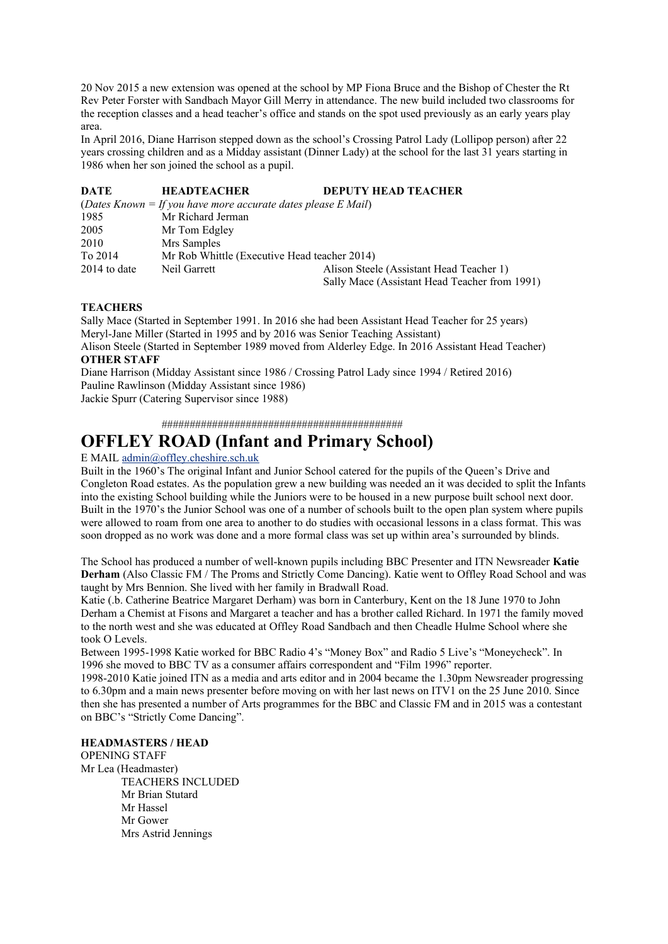20 Nov 2015 a new extension was opened at the school by MP Fiona Bruce and the Bishop of Chester the Rt Rev Peter Forster with Sandbach Mayor Gill Merry in attendance. The new build included two classrooms for the reception classes and a head teacher's office and stands on the spot used previously as an early years play area.

In April 2016, Diane Harrison stepped down as the school's Crossing Patrol Lady (Lollipop person) after 22 years crossing children and as a Midday assistant (Dinner Lady) at the school for the last 31 years starting in 1986 when her son joined the school as a pupil.

| DATE           | <b>HEADTEACHER</b>                                            | <b>DEPUTY HEAD TEACHER</b>                    |
|----------------|---------------------------------------------------------------|-----------------------------------------------|
|                | (Dates Known = If you have more accurate dates please E Mail) |                                               |
| 1985           | Mr Richard Jerman                                             |                                               |
| 2005           | Mr Tom Edgley                                                 |                                               |
| 2010           | Mrs Samples                                                   |                                               |
| To 2014        | Mr Rob Whittle (Executive Head teacher 2014)                  |                                               |
| $2014$ to date | Neil Garrett                                                  | Alison Steele (Assistant Head Teacher 1)      |
|                |                                                               | Sally Mace (Assistant Head Teacher from 1991) |

### **TEACHERS**

Sally Mace (Started in September 1991. In 2016 she had been Assistant Head Teacher for 25 years) Meryl-Jane Miller (Started in 1995 and by 2016 was Senior Teaching Assistant) Alison Steele (Started in September 1989 moved from Alderley Edge. In 2016 Assistant Head Teacher) **OTHER STAFF**  Diane Harrison (Midday Assistant since 1986 / Crossing Patrol Lady since 1994 / Retired 2016)

Pauline Rawlinson (Midday Assistant since 1986)

Jackie Spurr (Catering Supervisor since 1988)

###########################################

### **OFFLEY ROAD (Infant and Primary School)**

#### E MAIL [admin@offley.cheshire.sch.uk](mailto:admin@offley.cheshire.sch.uk)

Built in the 1960's The original Infant and Junior School catered for the pupils of the Queen's Drive and Congleton Road estates. As the population grew a new building was needed an it was decided to split the Infants into the existing School building while the Juniors were to be housed in a new purpose built school next door. Built in the 1970's the Junior School was one of a number of schools built to the open plan system where pupils were allowed to roam from one area to another to do studies with occasional lessons in a class format. This was soon dropped as no work was done and a more formal class was set up within area's surrounded by blinds.

The School has produced a number of well-known pupils including BBC Presenter and ITN Newsreader **Katie Derham** (Also Classic FM / The Proms and Strictly Come Dancing). Katie went to Offley Road School and was taught by Mrs Bennion. She lived with her family in Bradwall Road.

Katie (.b. Catherine Beatrice Margaret Derham) was born in Canterbury, Kent on the 18 June 1970 to John Derham a Chemist at Fisons and Margaret a teacher and has a brother called Richard. In 1971 the family moved to the north west and she was educated at Offley Road Sandbach and then Cheadle Hulme School where she took O Levels.

Between 1995-1998 Katie worked for BBC Radio 4's "Money Box" and Radio 5 Live's "Moneycheck". In 1996 she moved to BBC TV as a consumer affairs correspondent and "Film 1996" reporter.

1998-2010 Katie joined ITN as a media and arts editor and in 2004 became the 1.30pm Newsreader progressing to 6.30pm and a main news presenter before moving on with her last news on ITV1 on the 25 June 2010. Since then she has presented a number of Arts programmes for the BBC and Classic FM and in 2015 was a contestant on BBC's "Strictly Come Dancing".

#### **HEADMASTERS / HEAD**

OPENING STAFF Mr Lea (Headmaster) TEACHERS INCLUDED Mr Brian Stutard Mr Hassel Mr Gower Mrs Astrid Jennings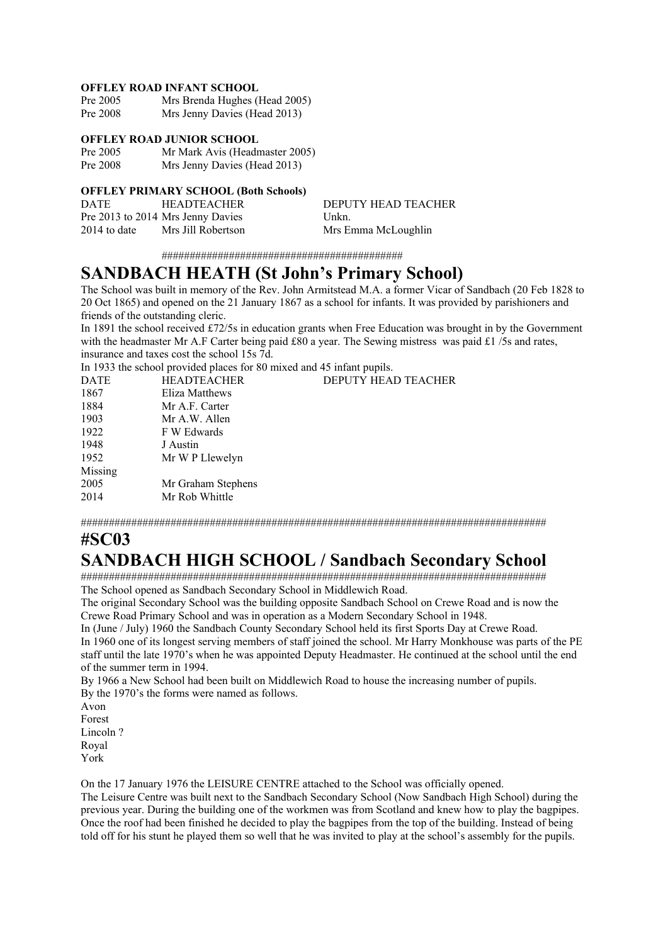#### **OFFLEY ROAD INFANT SCHOOL**

| Pre 2005 | Mrs Brenda Hughes (Head 2005) |
|----------|-------------------------------|
| Pre 2008 | Mrs Jenny Davies (Head 2013)  |

#### **OFFLEY ROAD JUNIOR SCHOOL**

Pre 2005 Mr Mark Avis (Headmaster 2005)<br>Pre 2008 Mrs Jenny Davies (Head 2013) Mrs Jenny Davies (Head 2013)

#### **OFFLEY PRIMARY SCHOOL (Both Schools)**

| <b>DATE</b>    | <b>HEADTEACHER</b>                | DEPUTY HEAD TEACHER |
|----------------|-----------------------------------|---------------------|
|                | Pre 2013 to 2014 Mrs Jenny Davies | Unkn.               |
| $2014$ to date | Mrs Jill Robertson                | Mrs Emma McLoughlin |

###########################################

### **SANDBACH HEATH (St John's Primary School)**

The School was built in memory of the Rev. John Armitstead M.A. a former Vicar of Sandbach (20 Feb 1828 to 20 Oct 1865) and opened on the 21 January 1867 as a school for infants. It was provided by parishioners and friends of the outstanding cleric.

In 1891 the school received £72/5s in education grants when Free Education was brought in by the Government with the headmaster Mr A.F Carter being paid £80 a year. The Sewing mistress was paid £1 /5s and rates, insurance and taxes cost the school 15s 7d.

In 1933 the school provided places for 80 mixed and 45 infant pupils.

| <b>HEADTEACHER</b> | <b>DEPUTY HEAD TEACHER</b> |
|--------------------|----------------------------|
| Eliza Matthews     |                            |
| Mr A.F. Carter     |                            |
| Mr A.W. Allen      |                            |
| F W Edwards        |                            |
| J Austin           |                            |
| Mr W P Llewelyn    |                            |
|                    |                            |
| Mr Graham Stephens |                            |
| Mr Rob Whittle     |                            |
|                    |                            |

###################################################################################

### **#SC03**

## **SANDBACH HIGH SCHOOL / Sandbach Secondary School**

################################################################################### The School opened as Sandbach Secondary School in Middlewich Road.

The original Secondary School was the building opposite Sandbach School on Crewe Road and is now the Crewe Road Primary School and was in operation as a Modern Secondary School in 1948.

In (June / July) 1960 the Sandbach County Secondary School held its first Sports Day at Crewe Road. In 1960 one of its longest serving members of staff joined the school. Mr Harry Monkhouse was parts of the PE staff until the late 1970's when he was appointed Deputy Headmaster. He continued at the school until the end of the summer term in 1994.

By 1966 a New School had been built on Middlewich Road to house the increasing number of pupils. By the 1970's the forms were named as follows.

Avon Forest Lincoln ? Royal York

On the 17 January 1976 the LEISURE CENTRE attached to the School was officially opened.

The Leisure Centre was built next to the Sandbach Secondary School (Now Sandbach High School) during the previous year. During the building one of the workmen was from Scotland and knew how to play the bagpipes. Once the roof had been finished he decided to play the bagpipes from the top of the building. Instead of being told off for his stunt he played them so well that he was invited to play at the school's assembly for the pupils.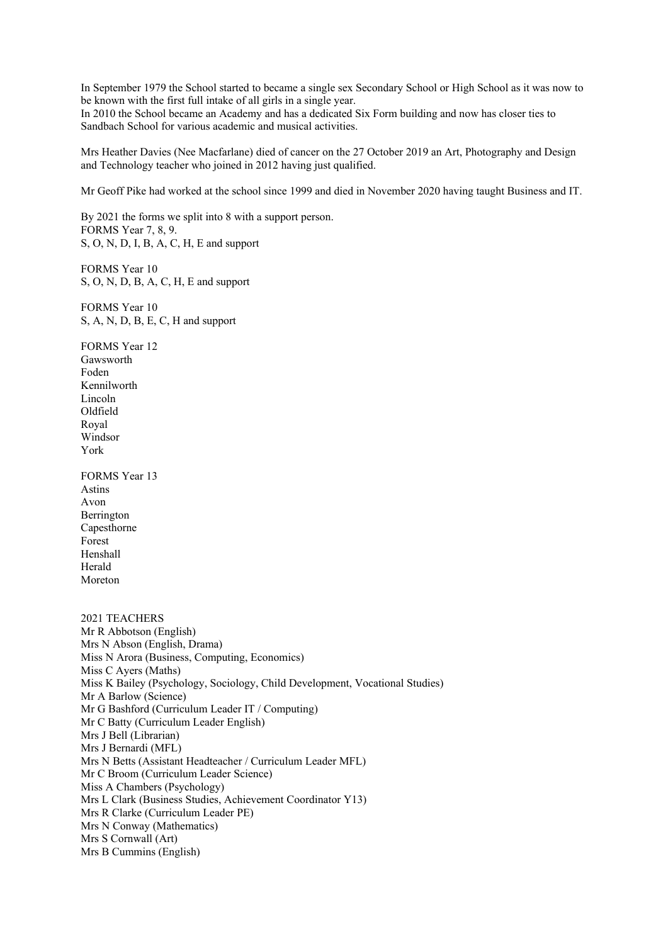In September 1979 the School started to became a single sex Secondary School or High School as it was now to be known with the first full intake of all girls in a single year.

In 2010 the School became an Academy and has a dedicated Six Form building and now has closer ties to Sandbach School for various academic and musical activities.

Mrs Heather Davies (Nee Macfarlane) died of cancer on the 27 October 2019 an Art, Photography and Design and Technology teacher who joined in 2012 having just qualified.

Mr Geoff Pike had worked at the school since 1999 and died in November 2020 having taught Business and IT.

By 2021 the forms we split into 8 with a support person. FORMS Year 7, 8, 9. S, O, N, D, I, B, A, C, H, E and support

FORMS Year 10 S, O, N, D, B, A, C, H, E and support

FORMS Year 10 S, A, N, D, B, E, C, H and support

FORMS Year 12 Gawsworth Foden Kennilworth Lincoln Oldfield Royal Windsor York

FORMS Year 13 Astins Avon Berrington Capesthorne Forest Henshall Herald Moreton

2021 TEACHERS Mr R Abbotson (English) Mrs N Abson (English, Drama) Miss N Arora (Business, Computing, Economics) Miss C Ayers (Maths) Miss K Bailey (Psychology, Sociology, Child Development, Vocational Studies) Mr A Barlow (Science) Mr G Bashford (Curriculum Leader IT / Computing) Mr C Batty (Curriculum Leader English) Mrs J Bell (Librarian) Mrs J Bernardi (MFL) Mrs N Betts (Assistant Headteacher / Curriculum Leader MFL) Mr C Broom (Curriculum Leader Science) Miss A Chambers (Psychology) Mrs L Clark (Business Studies, Achievement Coordinator Y13) Mrs R Clarke (Curriculum Leader PE) Mrs N Conway (Mathematics) Mrs S Cornwall (Art) Mrs B Cummins (English)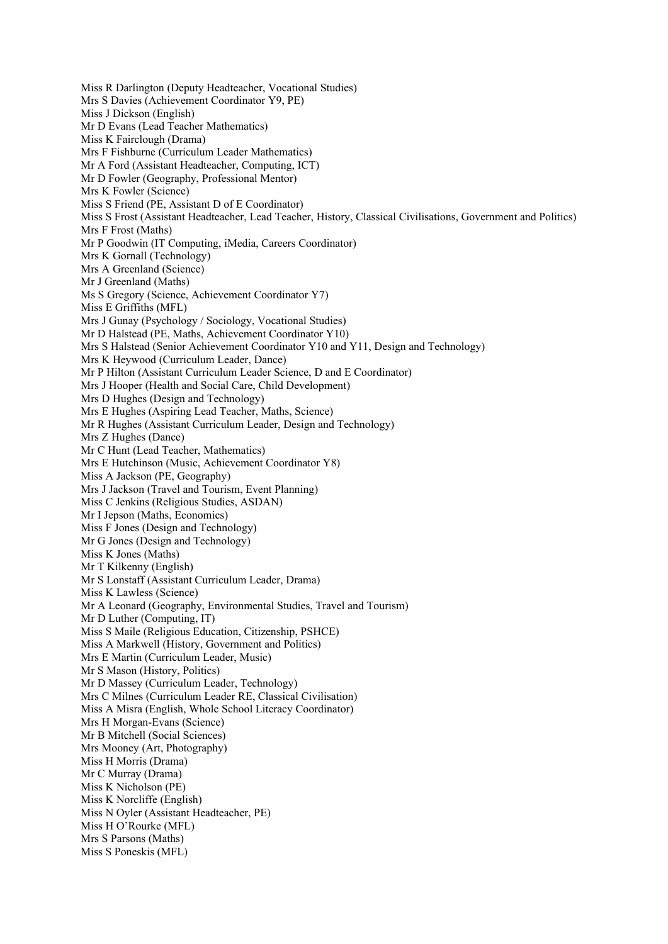Miss R Darlington (Deputy Headteacher, Vocational Studies) Mrs S Davies (Achievement Coordinator Y9, PE) Miss J Dickson (English) Mr D Evans (Lead Teacher Mathematics) Miss K Fairclough (Drama) Mrs F Fishburne (Curriculum Leader Mathematics) Mr A Ford (Assistant Headteacher, Computing, ICT) Mr D Fowler (Geography, Professional Mentor) Mrs K Fowler (Science) Miss S Friend (PE, Assistant D of E Coordinator) Miss S Frost (Assistant Headteacher, Lead Teacher, History, Classical Civilisations, Government and Politics) Mrs F Frost (Maths) Mr P Goodwin (IT Computing, iMedia, Careers Coordinator) Mrs K Gornall (Technology) Mrs A Greenland (Science) Mr J Greenland (Maths) Ms S Gregory (Science, Achievement Coordinator Y7) Miss E Griffiths (MFL) Mrs J Gunay (Psychology / Sociology, Vocational Studies) Mr D Halstead (PE, Maths, Achievement Coordinator Y10) Mrs S Halstead (Senior Achievement Coordinator Y10 and Y11, Design and Technology) Mrs K Heywood (Curriculum Leader, Dance) Mr P Hilton (Assistant Curriculum Leader Science, D and E Coordinator) Mrs J Hooper (Health and Social Care, Child Development) Mrs D Hughes (Design and Technology) Mrs E Hughes (Aspiring Lead Teacher, Maths, Science) Mr R Hughes (Assistant Curriculum Leader, Design and Technology) Mrs Z Hughes (Dance) Mr C Hunt (Lead Teacher, Mathematics) Mrs E Hutchinson (Music, Achievement Coordinator Y8) Miss A Jackson (PE, Geography) Mrs J Jackson (Travel and Tourism, Event Planning) Miss C Jenkins (Religious Studies, ASDAN) Mr I Jepson (Maths, Economics) Miss F Jones (Design and Technology) Mr G Jones (Design and Technology) Miss K Jones (Maths) Mr T Kilkenny (English) Mr S Lonstaff (Assistant Curriculum Leader, Drama) Miss K Lawless (Science) Mr A Leonard (Geography, Environmental Studies, Travel and Tourism) Mr D Luther (Computing, IT) Miss S Maile (Religious Education, Citizenship, PSHCE) Miss A Markwell (History, Government and Politics) Mrs E Martin (Curriculum Leader, Music) Mr S Mason (History, Politics) Mr D Massey (Curriculum Leader, Technology) Mrs C Milnes (Curriculum Leader RE, Classical Civilisation) Miss A Misra (English, Whole School Literacy Coordinator) Mrs H Morgan-Evans (Science) Mr B Mitchell (Social Sciences) Mrs Mooney (Art, Photography) Miss H Morris (Drama) Mr C Murray (Drama) Miss K Nicholson (PE) Miss K Norcliffe (English) Miss N Oyler (Assistant Headteacher, PE) Miss H O'Rourke (MFL) Mrs S Parsons (Maths) Miss S Poneskis (MFL)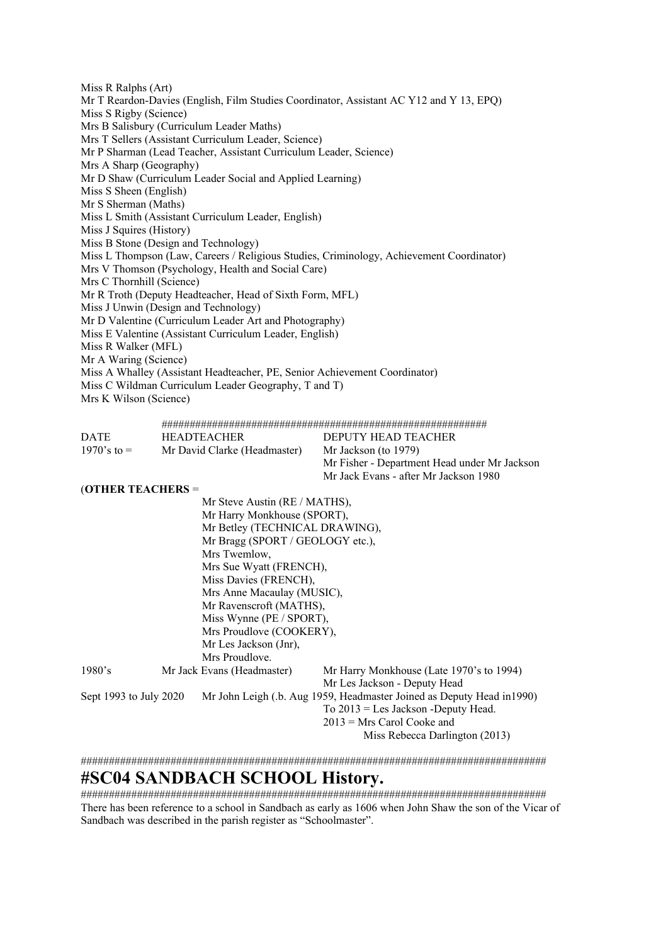Miss R Ralphs (Art) Mr T Reardon-Davies (English, Film Studies Coordinator, Assistant AC Y12 and Y 13, EPQ) Miss S Rigby (Science) Mrs B Salisbury (Curriculum Leader Maths) Mrs T Sellers (Assistant Curriculum Leader, Science) Mr P Sharman (Lead Teacher, Assistant Curriculum Leader, Science) Mrs A Sharp (Geography) Mr D Shaw (Curriculum Leader Social and Applied Learning) Miss S Sheen (English) Mr S Sherman (Maths) Miss L Smith (Assistant Curriculum Leader, English) Miss J Squires (History) Miss B Stone (Design and Technology) Miss L Thompson (Law, Careers / Religious Studies, Criminology, Achievement Coordinator) Mrs V Thomson (Psychology, Health and Social Care) Mrs C Thornhill (Science) Mr R Troth (Deputy Headteacher, Head of Sixth Form, MFL) Miss J Unwin (Design and Technology) Mr D Valentine (Curriculum Leader Art and Photography) Miss E Valentine (Assistant Curriculum Leader, English) Miss R Walker (MFL) Mr A Waring (Science) Miss A Whalley (Assistant Headteacher, PE, Senior Achievement Coordinator) Miss C Wildman Curriculum Leader Geography, T and T) Mrs K Wilson (Science)

##########################################################

| <b>DATE</b>    | <b>HEADTEACHER</b>           | DEPUTY HEAD TEACHER                          |
|----------------|------------------------------|----------------------------------------------|
| $1970$ 's to = | Mr David Clarke (Headmaster) | Mr Jackson (to 1979)                         |
|                |                              | Mr Fisher - Department Head under Mr Jackson |
|                |                              | Mr Jack Evans - after Mr Jackson 1980        |

(**OTHER TEACHERS** =

|                        | Mr Steve Austin (RE / MATHS),    |                                                                        |
|------------------------|----------------------------------|------------------------------------------------------------------------|
|                        | Mr Harry Monkhouse (SPORT),      |                                                                        |
|                        | Mr Betley (TECHNICAL DRAWING),   |                                                                        |
|                        | Mr Bragg (SPORT / GEOLOGY etc.), |                                                                        |
|                        | Mrs Twemlow,                     |                                                                        |
|                        | Mrs Sue Wyatt (FRENCH),          |                                                                        |
|                        | Miss Davies (FRENCH),            |                                                                        |
|                        | Mrs Anne Macaulay (MUSIC),       |                                                                        |
|                        | Mr Ravenscroft (MATHS),          |                                                                        |
|                        | Miss Wynne (PE / SPORT),         |                                                                        |
|                        | Mrs Proudlove (COOKERY),         |                                                                        |
|                        | Mr Les Jackson (Jnr),            |                                                                        |
|                        | Mrs Proudlove.                   |                                                                        |
| 1980's                 | Mr Jack Evans (Headmaster)       | Mr Harry Monkhouse (Late 1970's to 1994)                               |
|                        |                                  | Mr Les Jackson - Deputy Head                                           |
| Sept 1993 to July 2020 |                                  | Mr John Leigh (.b. Aug 1959, Headmaster Joined as Deputy Head in 1990) |
|                        |                                  | $To 2013 = Les Jackson -Deputy Head.$                                  |
|                        |                                  | $2013$ = Mrs Carol Cooke and                                           |
|                        |                                  | Miss Rebecca Darlington (2013)                                         |

###################################################################################

### **#SC04 SANDBACH SCHOOL History.**

################################################################################### There has been reference to a school in Sandbach as early as 1606 when John Shaw the son of the Vicar of Sandbach was described in the parish register as "Schoolmaster".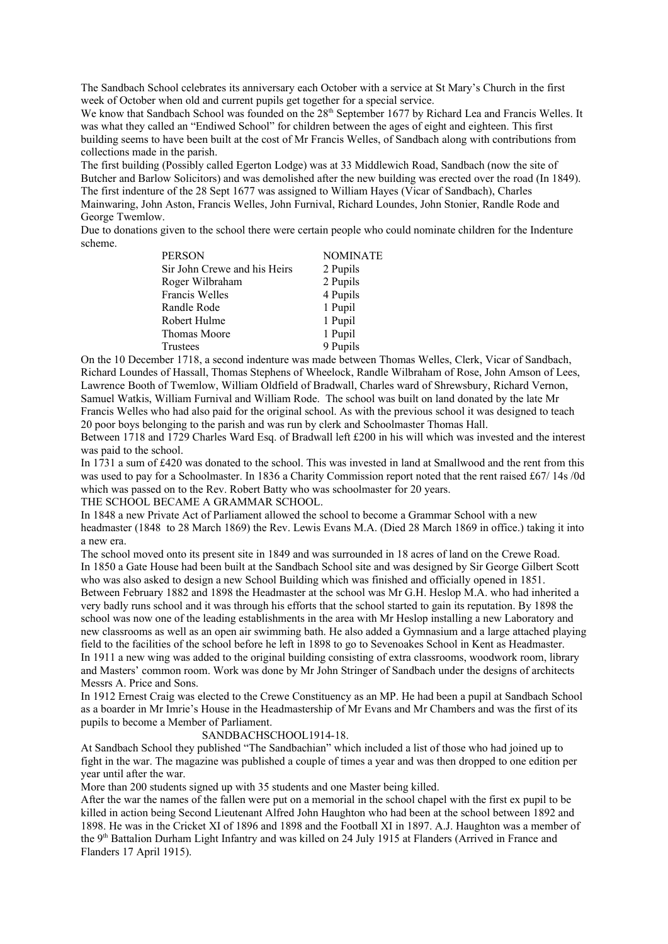The Sandbach School celebrates its anniversary each October with a service at St Mary's Church in the first week of October when old and current pupils get together for a special service.

We know that Sandbach School was founded on the 28<sup>th</sup> September 1677 by Richard Lea and Francis Welles. It was what they called an "Endiwed School" for children between the ages of eight and eighteen. This first building seems to have been built at the cost of Mr Francis Welles, of Sandbach along with contributions from collections made in the parish.

The first building (Possibly called Egerton Lodge) was at 33 Middlewich Road, Sandbach (now the site of Butcher and Barlow Solicitors) and was demolished after the new building was erected over the road (In 1849). The first indenture of the 28 Sept 1677 was assigned to William Hayes (Vicar of Sandbach), Charles Mainwaring, John Aston, Francis Welles, John Furnival, Richard Loundes, John Stonier, Randle Rode and George Twemlow.

Due to donations given to the school there were certain people who could nominate children for the Indenture scheme.

| <b>PERSON</b>                | <b>NOMINATE</b> |
|------------------------------|-----------------|
| Sir John Crewe and his Heirs | 2 Pupils        |
| Roger Wilbraham              | 2 Pupils        |
| Francis Welles               | 4 Pupils        |
| Randle Rode                  | 1 Pupil         |
| Robert Hulme                 | 1 Pupil         |
| Thomas Moore                 | 1 Pupil         |
| Trustees                     | 9 Pupils        |

On the 10 December 1718, a second indenture was made between Thomas Welles, Clerk, Vicar of Sandbach, Richard Loundes of Hassall, Thomas Stephens of Wheelock, Randle Wilbraham of Rose, John Amson of Lees, Lawrence Booth of Twemlow, William Oldfield of Bradwall, Charles ward of Shrewsbury, Richard Vernon, Samuel Watkis, William Furnival and William Rode. The school was built on land donated by the late Mr Francis Welles who had also paid for the original school. As with the previous school it was designed to teach 20 poor boys belonging to the parish and was run by clerk and Schoolmaster Thomas Hall.

Between 1718 and 1729 Charles Ward Esq. of Bradwall left £200 in his will which was invested and the interest was paid to the school.

In 1731 a sum of £420 was donated to the school. This was invested in land at Smallwood and the rent from this was used to pay for a Schoolmaster. In 1836 a Charity Commission report noted that the rent raised £67/ 14s /0d which was passed on to the Rev. Robert Batty who was schoolmaster for 20 years.

THE SCHOOL BECAME A GRAMMAR SCHOOL.

In 1848 a new Private Act of Parliament allowed the school to become a Grammar School with a new headmaster (1848 to 28 March 1869) the Rev. Lewis Evans M.A. (Died 28 March 1869 in office.) taking it into a new era.

The school moved onto its present site in 1849 and was surrounded in 18 acres of land on the Crewe Road. In 1850 a Gate House had been built at the Sandbach School site and was designed by Sir George Gilbert Scott who was also asked to design a new School Building which was finished and officially opened in 1851. Between February 1882 and 1898 the Headmaster at the school was Mr G.H. Heslop M.A. who had inherited a very badly runs school and it was through his efforts that the school started to gain its reputation. By 1898 the school was now one of the leading establishments in the area with Mr Heslop installing a new Laboratory and new classrooms as well as an open air swimming bath. He also added a Gymnasium and a large attached playing field to the facilities of the school before he left in 1898 to go to Sevenoakes School in Kent as Headmaster. In 1911 a new wing was added to the original building consisting of extra classrooms, woodwork room, library and Masters' common room. Work was done by Mr John Stringer of Sandbach under the designs of architects Messrs A. Price and Sons.

In 1912 Ernest Craig was elected to the Crewe Constituency as an MP. He had been a pupil at Sandbach School as a boarder in Mr Imrie's House in the Headmastership of Mr Evans and Mr Chambers and was the first of its pupils to become a Member of Parliament.

#### SANDBACHSCHOOL1914-18.

At Sandbach School they published "The Sandbachian" which included a list of those who had joined up to fight in the war. The magazine was published a couple of times a year and was then dropped to one edition per year until after the war.

More than 200 students signed up with 35 students and one Master being killed.

After the war the names of the fallen were put on a memorial in the school chapel with the first ex pupil to be killed in action being Second Lieutenant Alfred John Haughton who had been at the school between 1892 and 1898. He was in the Cricket XI of 1896 and 1898 and the Football XI in 1897. A.J. Haughton was a member of the 9<sup>th</sup> Battalion Durham Light Infantry and was killed on 24 July 1915 at Flanders (Arrived in France and Flanders 17 April 1915).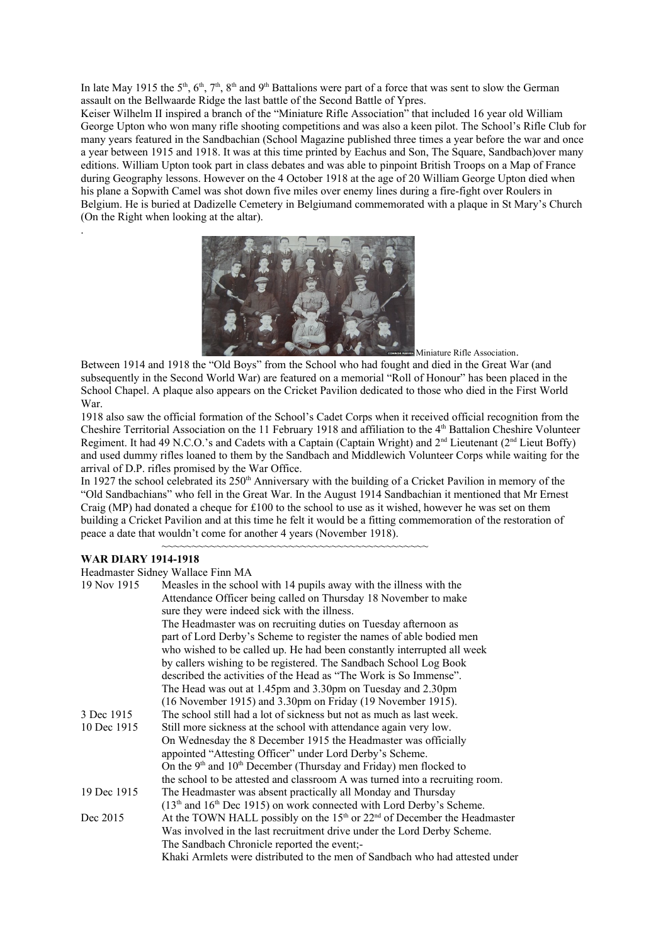In late May 1915 the  $5<sup>th</sup>$ ,  $6<sup>th</sup>$ ,  $7<sup>th</sup>$ ,  $8<sup>th</sup>$  and  $9<sup>th</sup>$  Battalions were part of a force that was sent to slow the German assault on the Bellwaarde Ridge the last battle of the Second Battle of Ypres.

Keiser Wilhelm II inspired a branch of the "Miniature Rifle Association" that included 16 year old William George Upton who won many rifle shooting competitions and was also a keen pilot. The School's Rifle Club for many years featured in the Sandbachian (School Magazine published three times a year before the war and once a year between 1915 and 1918. It was at this time printed by Eachus and Son, The Square, Sandbach)over many editions. William Upton took part in class debates and was able to pinpoint British Troops on a Map of France during Geography lessons. However on the 4 October 1918 at the age of 20 William George Upton died when his plane a Sopwith Camel was shot down five miles over enemy lines during a fire-fight over Roulers in Belgium. He is buried at Dadizelle Cemetery in Belgiumand commemorated with a plaque in St Mary's Church (On the Right when looking at the altar).



Miniature Rifle Association.

Between 1914 and 1918 the "Old Boys" from the School who had fought and died in the Great War (and subsequently in the Second World War) are featured on a memorial "Roll of Honour" has been placed in the School Chapel. A plaque also appears on the Cricket Pavilion dedicated to those who died in the First World War.

1918 also saw the official formation of the School's Cadet Corps when it received official recognition from the Cheshire Territorial Association on the 11 February 1918 and affiliation to the 4th Battalion Cheshire Volunteer Regiment. It had 49 N.C.O.'s and Cadets with a Captain (Captain Wright) and 2<sup>nd</sup> Lieutenant (2<sup>nd</sup> Lieut Boffy) and used dummy rifles loaned to them by the Sandbach and Middlewich Volunteer Corps while waiting for the arrival of D.P. rifles promised by the War Office.

In 1927 the school celebrated its  $250<sup>th</sup>$  Anniversary with the building of a Cricket Pavilion in memory of the "Old Sandbachians" who fell in the Great War. In the August 1914 Sandbachian it mentioned that Mr Ernest Craig (MP) had donated a cheque for  $£100$  to the school to use as it wished, however he was set on them building a Cricket Pavilion and at this time he felt it would be a fitting commemoration of the restoration of peace a date that wouldn't come for another 4 years (November 1918).

~~~~~~~~~~~~~~~~~~~~~~~~~~~~~~~~~~~~~~~~~~~~

#### **WAR DIARY 1914-1918**

.

|             | Headmaster Sidney Wallace Finn MA                                            |
|-------------|------------------------------------------------------------------------------|
| 19 Nov 1915 | Measles in the school with 14 pupils away with the illness with the          |
|             | Attendance Officer being called on Thursday 18 November to make              |
|             | sure they were indeed sick with the illness.                                 |
|             | The Headmaster was on recruiting duties on Tuesday afternoon as              |
|             | part of Lord Derby's Scheme to register the names of able bodied men         |
|             | who wished to be called up. He had been constantly interrupted all week      |
|             | by callers wishing to be registered. The Sandbach School Log Book            |
|             | described the activities of the Head as "The Work is So Immense".            |
|             | The Head was out at 1.45pm and 3.30pm on Tuesday and 2.30pm                  |
|             | (16 November 1915) and 3.30pm on Friday (19 November 1915).                  |
| 3 Dec 1915  | The school still had a lot of sickness but not as much as last week.         |
| 10 Dec 1915 | Still more sickness at the school with attendance again very low.            |
|             | On Wednesday the 8 December 1915 the Headmaster was officially               |
|             | appointed "Attesting Officer" under Lord Derby's Scheme.                     |
|             | On the $9th$ and $10th$ December (Thursday and Friday) men flocked to        |
|             | the school to be attested and classroom A was turned into a recruiting room. |
| 19 Dec 1915 | The Headmaster was absent practically all Monday and Thursday                |
|             | $(13th$ and $16th$ Dec 1915) on work connected with Lord Derby's Scheme.     |
| Dec 2015    | At the TOWN HALL possibly on the $15th$ or $22nd$ of December the Headmaster |
|             | Was involved in the last recruitment drive under the Lord Derby Scheme.      |
|             | The Sandbach Chronicle reported the event;-                                  |
|             | Khaki Armlets were distributed to the men of Sandbach who had attested under |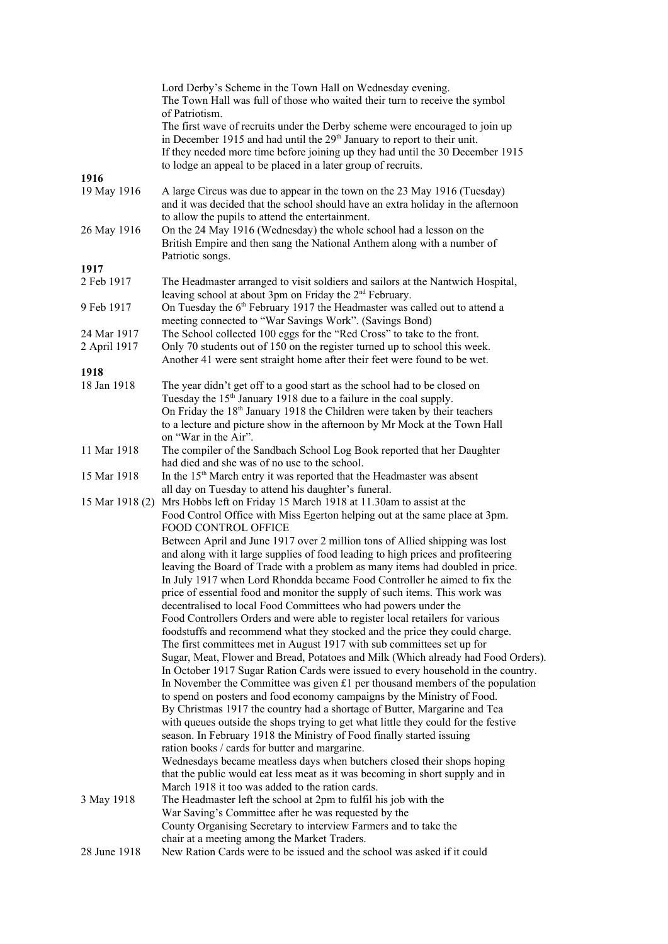|                 | Lord Derby's Scheme in the Town Hall on Wednesday evening.<br>The Town Hall was full of those who waited their turn to receive the symbol<br>of Patriotism.<br>The first wave of recruits under the Derby scheme were encouraged to join up<br>in December 1915 and had until the 29 <sup>th</sup> January to report to their unit.<br>If they needed more time before joining up they had until the 30 December 1915<br>to lodge an appeal to be placed in a later group of recruits. |  |
|-----------------|----------------------------------------------------------------------------------------------------------------------------------------------------------------------------------------------------------------------------------------------------------------------------------------------------------------------------------------------------------------------------------------------------------------------------------------------------------------------------------------|--|
| 1916            |                                                                                                                                                                                                                                                                                                                                                                                                                                                                                        |  |
| 19 May 1916     | A large Circus was due to appear in the town on the 23 May 1916 (Tuesday)<br>and it was decided that the school should have an extra holiday in the afternoon<br>to allow the pupils to attend the entertainment.                                                                                                                                                                                                                                                                      |  |
| 26 May 1916     | On the 24 May 1916 (Wednesday) the whole school had a lesson on the<br>British Empire and then sang the National Anthem along with a number of                                                                                                                                                                                                                                                                                                                                         |  |
| 1917            | Patriotic songs.                                                                                                                                                                                                                                                                                                                                                                                                                                                                       |  |
| 2 Feb 1917      | The Headmaster arranged to visit soldiers and sailors at the Nantwich Hospital,                                                                                                                                                                                                                                                                                                                                                                                                        |  |
| 9 Feb 1917      | leaving school at about 3pm on Friday the 2 <sup>nd</sup> February.<br>On Tuesday the 6 <sup>th</sup> February 1917 the Headmaster was called out to attend a                                                                                                                                                                                                                                                                                                                          |  |
|                 | meeting connected to "War Savings Work". (Savings Bond)                                                                                                                                                                                                                                                                                                                                                                                                                                |  |
| 24 Mar 1917     | The School collected 100 eggs for the "Red Cross" to take to the front.                                                                                                                                                                                                                                                                                                                                                                                                                |  |
| 2 April 1917    | Only 70 students out of 150 on the register turned up to school this week.                                                                                                                                                                                                                                                                                                                                                                                                             |  |
|                 | Another 41 were sent straight home after their feet were found to be wet.                                                                                                                                                                                                                                                                                                                                                                                                              |  |
| 1918            |                                                                                                                                                                                                                                                                                                                                                                                                                                                                                        |  |
| 18 Jan 1918     | The year didn't get off to a good start as the school had to be closed on                                                                                                                                                                                                                                                                                                                                                                                                              |  |
|                 | Tuesday the 15 <sup>th</sup> January 1918 due to a failure in the coal supply.                                                                                                                                                                                                                                                                                                                                                                                                         |  |
|                 | On Friday the 18 <sup>th</sup> January 1918 the Children were taken by their teachers                                                                                                                                                                                                                                                                                                                                                                                                  |  |
|                 | to a lecture and picture show in the afternoon by Mr Mock at the Town Hall                                                                                                                                                                                                                                                                                                                                                                                                             |  |
|                 | on "War in the Air".                                                                                                                                                                                                                                                                                                                                                                                                                                                                   |  |
| 11 Mar 1918     | The compiler of the Sandbach School Log Book reported that her Daughter<br>had died and she was of no use to the school.                                                                                                                                                                                                                                                                                                                                                               |  |
| 15 Mar 1918     | In the 15 <sup>th</sup> March entry it was reported that the Headmaster was absent                                                                                                                                                                                                                                                                                                                                                                                                     |  |
|                 | all day on Tuesday to attend his daughter's funeral.                                                                                                                                                                                                                                                                                                                                                                                                                                   |  |
| 15 Mar 1918 (2) | Mrs Hobbs left on Friday 15 March 1918 at 11.30am to assist at the                                                                                                                                                                                                                                                                                                                                                                                                                     |  |
|                 | Food Control Office with Miss Egerton helping out at the same place at 3pm.                                                                                                                                                                                                                                                                                                                                                                                                            |  |
|                 | FOOD CONTROL OFFICE                                                                                                                                                                                                                                                                                                                                                                                                                                                                    |  |
|                 | Between April and June 1917 over 2 million tons of Allied shipping was lost                                                                                                                                                                                                                                                                                                                                                                                                            |  |
|                 | and along with it large supplies of food leading to high prices and profiteering                                                                                                                                                                                                                                                                                                                                                                                                       |  |
|                 | leaving the Board of Trade with a problem as many items had doubled in price.                                                                                                                                                                                                                                                                                                                                                                                                          |  |
|                 | In July 1917 when Lord Rhondda became Food Controller he aimed to fix the                                                                                                                                                                                                                                                                                                                                                                                                              |  |
|                 | price of essential food and monitor the supply of such items. This work was                                                                                                                                                                                                                                                                                                                                                                                                            |  |
|                 | decentralised to local Food Committees who had powers under the                                                                                                                                                                                                                                                                                                                                                                                                                        |  |
|                 | Food Controllers Orders and were able to register local retailers for various                                                                                                                                                                                                                                                                                                                                                                                                          |  |
|                 | foodstuffs and recommend what they stocked and the price they could charge.                                                                                                                                                                                                                                                                                                                                                                                                            |  |
|                 | The first committees met in August 1917 with sub committees set up for                                                                                                                                                                                                                                                                                                                                                                                                                 |  |
|                 | Sugar, Meat, Flower and Bread, Potatoes and Milk (Which already had Food Orders).<br>In October 1917 Sugar Ration Cards were issued to every household in the country.                                                                                                                                                                                                                                                                                                                 |  |
|                 | In November the Committee was given $£1$ per thousand members of the population                                                                                                                                                                                                                                                                                                                                                                                                        |  |
|                 | to spend on posters and food economy campaigns by the Ministry of Food.                                                                                                                                                                                                                                                                                                                                                                                                                |  |
|                 | By Christmas 1917 the country had a shortage of Butter, Margarine and Tea                                                                                                                                                                                                                                                                                                                                                                                                              |  |
|                 | with queues outside the shops trying to get what little they could for the festive                                                                                                                                                                                                                                                                                                                                                                                                     |  |
|                 | season. In February 1918 the Ministry of Food finally started issuing                                                                                                                                                                                                                                                                                                                                                                                                                  |  |
|                 | ration books / cards for butter and margarine.                                                                                                                                                                                                                                                                                                                                                                                                                                         |  |
|                 | Wednesdays became meatless days when butchers closed their shops hoping                                                                                                                                                                                                                                                                                                                                                                                                                |  |
|                 | that the public would eat less meat as it was becoming in short supply and in                                                                                                                                                                                                                                                                                                                                                                                                          |  |
|                 | March 1918 it too was added to the ration cards.                                                                                                                                                                                                                                                                                                                                                                                                                                       |  |
| 3 May 1918      | The Headmaster left the school at 2pm to fulfil his job with the                                                                                                                                                                                                                                                                                                                                                                                                                       |  |
|                 | War Saving's Committee after he was requested by the                                                                                                                                                                                                                                                                                                                                                                                                                                   |  |
|                 | County Organising Secretary to interview Farmers and to take the<br>chair at a meeting among the Market Traders.                                                                                                                                                                                                                                                                                                                                                                       |  |
| 28 June 1918    | New Ration Cards were to be issued and the school was asked if it could                                                                                                                                                                                                                                                                                                                                                                                                                |  |
|                 |                                                                                                                                                                                                                                                                                                                                                                                                                                                                                        |  |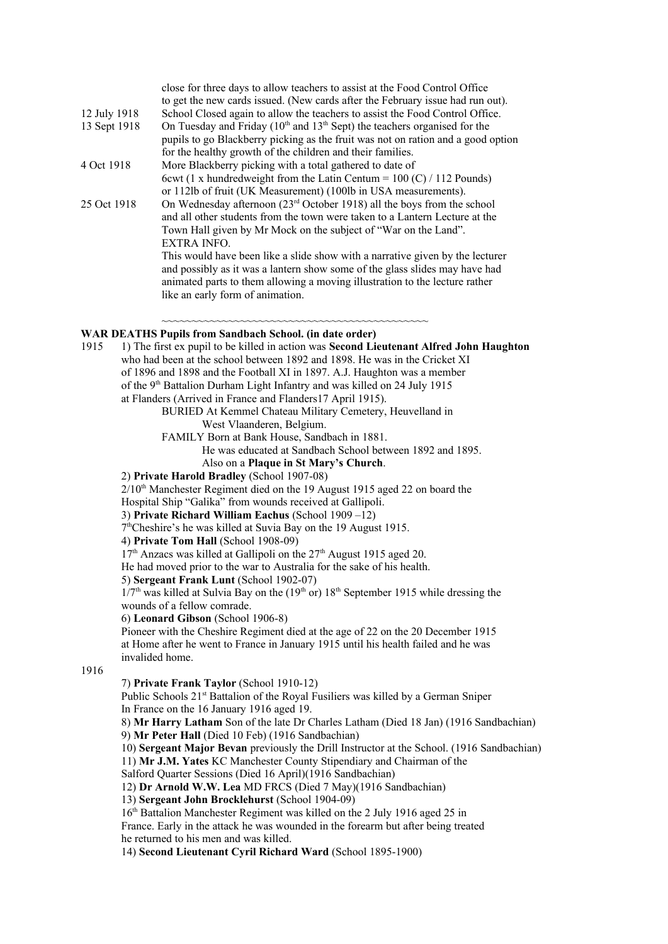| 12 July 1918<br>13 Sept 1918 | close for three days to allow teachers to assist at the Food Control Office<br>to get the new cards issued. (New cards after the February issue had run out).<br>School Closed again to allow the teachers to assist the Food Control Office.<br>On Tuesday and Friday ( $10th$ and $13th$ Sept) the teachers organised for the<br>pupils to go Blackberry picking as the fruit was not on ration and a good option<br>for the healthy growth of the children and their families. |  |
|------------------------------|-----------------------------------------------------------------------------------------------------------------------------------------------------------------------------------------------------------------------------------------------------------------------------------------------------------------------------------------------------------------------------------------------------------------------------------------------------------------------------------|--|
| 4 Oct 1918                   | More Blackberry picking with a total gathered to date of                                                                                                                                                                                                                                                                                                                                                                                                                          |  |
|                              | 6 cwt (1 x hundredweight from the Latin Centum = $100$ (C) / 112 Pounds)                                                                                                                                                                                                                                                                                                                                                                                                          |  |
|                              | or 112lb of fruit (UK Measurement) (100lb in USA measurements).                                                                                                                                                                                                                                                                                                                                                                                                                   |  |
| 25 Oct 1918                  | On Wednesday afternoon (23 <sup>rd</sup> October 1918) all the boys from the school                                                                                                                                                                                                                                                                                                                                                                                               |  |
|                              | and all other students from the town were taken to a Lantern Lecture at the                                                                                                                                                                                                                                                                                                                                                                                                       |  |
|                              | Town Hall given by Mr Mock on the subject of "War on the Land".                                                                                                                                                                                                                                                                                                                                                                                                                   |  |
|                              | EXTRA INFO.                                                                                                                                                                                                                                                                                                                                                                                                                                                                       |  |
|                              | This would have been like a slide show with a narrative given by the lecturer                                                                                                                                                                                                                                                                                                                                                                                                     |  |
|                              | and possibly as it was a lantern show some of the glass slides may have had                                                                                                                                                                                                                                                                                                                                                                                                       |  |
|                              | animated parts to them allowing a moving illustration to the lecture rather                                                                                                                                                                                                                                                                                                                                                                                                       |  |
|                              | like an early form of animation.                                                                                                                                                                                                                                                                                                                                                                                                                                                  |  |
|                              |                                                                                                                                                                                                                                                                                                                                                                                                                                                                                   |  |

~~~~~~~~~~~~~~~~~~~~~~~~~~~~~~~~~~~~~~~~~~~~

#### **WAR DEATHS Pupils from Sandbach School. (in date order)**

| 1915 | 1) The first ex pupil to be killed in action was Second Lieutenant Alfred John Haughton                                        |
|------|--------------------------------------------------------------------------------------------------------------------------------|
|      | who had been at the school between 1892 and 1898. He was in the Cricket XI                                                     |
|      | of 1896 and 1898 and the Football XI in 1897. A.J. Haughton was a member                                                       |
|      | of the 9 <sup>th</sup> Battalion Durham Light Infantry and was killed on 24 July 1915                                          |
|      | at Flanders (Arrived in France and Flanders17 April 1915).                                                                     |
|      | BURIED At Kemmel Chateau Military Cemetery, Heuvelland in                                                                      |
|      | West Vlaanderen, Belgium.                                                                                                      |
|      | FAMILY Born at Bank House, Sandbach in 1881.                                                                                   |
|      | He was educated at Sandbach School between 1892 and 1895.                                                                      |
|      | Also on a Plaque in St Mary's Church.                                                                                          |
|      | 2) Private Harold Bradley (School 1907-08)                                                                                     |
|      | 2/10 <sup>th</sup> Manchester Regiment died on the 19 August 1915 aged 22 on board the                                         |
|      | Hospital Ship "Galika" from wounds received at Gallipoli.                                                                      |
|      | 3) Private Richard William Eachus (School 1909 -12)                                                                            |
|      | 7 <sup>th</sup> Cheshire's he was killed at Suvia Bay on the 19 August 1915.                                                   |
|      | 4) Private Tom Hall (School 1908-09)                                                                                           |
|      | 17 <sup>th</sup> Anzacs was killed at Gallipoli on the 27 <sup>th</sup> August 1915 aged 20.                                   |
|      | He had moved prior to the war to Australia for the sake of his health.                                                         |
|      | 5) Sergeant Frank Lunt (School 1902-07)                                                                                        |
|      | $1/7$ <sup>th</sup> was killed at Sulvia Bay on the (19 <sup>th</sup> or) $18$ <sup>th</sup> September 1915 while dressing the |
|      | wounds of a fellow comrade.                                                                                                    |
|      | 6) Leonard Gibson (School 1906-8)                                                                                              |
|      | Pioneer with the Cheshire Regiment died at the age of 22 on the 20 December 1915                                               |
|      | at Home after he went to France in January 1915 until his health failed and he was                                             |
|      | invalided home.                                                                                                                |
| 1916 |                                                                                                                                |
|      | 7) Private Frank Taylor (School 1910-12)                                                                                       |
|      | Public Schools 21 <sup>st</sup> Battalion of the Royal Fusiliers was killed by a German Sniper                                 |
|      | In France on the 16 January 1916 aged 19.                                                                                      |
|      | 8) Mr Harry Latham Son of the late Dr Charles Latham (Died 18 Jan) (1916 Sandbachian)                                          |
|      | 9) Mr Peter Hall (Died 10 Feb) (1916 Sandbachian)                                                                              |
|      | 10) Sergeant Major Bevan previously the Drill Instructor at the School. (1916 Sandbachian)                                     |
|      | 11) Mr J.M. Yates KC Manchester County Stipendiary and Chairman of the                                                         |
|      | Salford Quarter Sessions (Died 16 April)(1916 Sandbachian)                                                                     |
|      | 12) Dr Arnold W.W. Lea MD FRCS (Died 7 May)(1916 Sandbachian)                                                                  |
|      | 13) Sergeant John Brocklehurst (School 1904-09)                                                                                |
|      | 16 <sup>th</sup> Battalion Manchester Regiment was killed on the 2 July 1916 aged 25 in                                        |
|      | France. Early in the attack he was wounded in the forearm but after being treated                                              |
|      | he returned to his men and was killed.                                                                                         |
|      | 14) Second Lieutenant Cyril Richard Ward (School 1895-1900)                                                                    |
|      |                                                                                                                                |
|      |                                                                                                                                |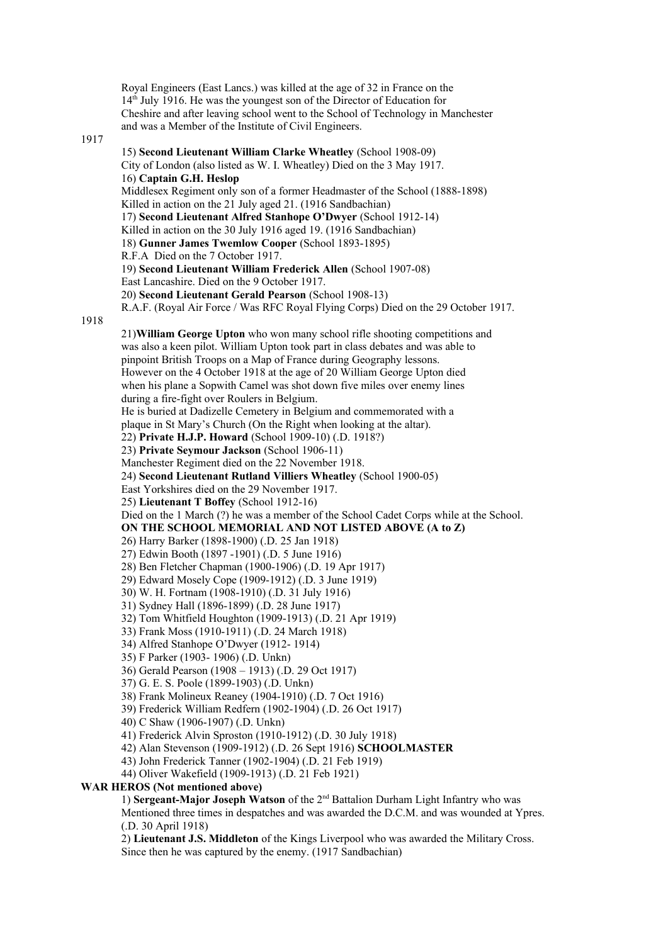Royal Engineers (East Lancs.) was killed at the age of 32 in France on the  $14<sup>th</sup>$  July 1916. He was the youngest son of the Director of Education for Cheshire and after leaving school went to the School of Technology in Manchester and was a Member of the Institute of Civil Engineers. 1917 15) **Second Lieutenant William Clarke Wheatley** (School 1908-09) City of London (also listed as W. I. Wheatley) Died on the 3 May 1917. 16) **Captain G.H. Heslop** Middlesex Regiment only son of a former Headmaster of the School (1888-1898) Killed in action on the 21 July aged 21. (1916 Sandbachian) 17) **Second Lieutenant Alfred Stanhope O'Dwyer** (School 1912-14) Killed in action on the 30 July 1916 aged 19. (1916 Sandbachian) 18) **Gunner James Twemlow Cooper** (School 1893-1895) R.F.A Died on the 7 October 1917. 19) **Second Lieutenant William Frederick Allen** (School 1907-08) East Lancashire. Died on the 9 October 1917. 20) **Second Lieutenant Gerald Pearson** (School 1908-13) R.A.F. (Royal Air Force / Was RFC Royal Flying Corps) Died on the 29 October 1917. 1918 21)**William George Upton** who won many school rifle shooting competitions and was also a keen pilot. William Upton took part in class debates and was able to pinpoint British Troops on a Map of France during Geography lessons. However on the 4 October 1918 at the age of 20 William George Upton died when his plane a Sopwith Camel was shot down five miles over enemy lines during a fire-fight over Roulers in Belgium. He is buried at Dadizelle Cemetery in Belgium and commemorated with a plaque in St Mary's Church (On the Right when looking at the altar). 22) **Private H.J.P. Howard** (School 1909-10) (.D. 1918?) 23) **Private Seymour Jackson** (School 1906-11) Manchester Regiment died on the 22 November 1918. 24) **Second Lieutenant Rutland Villiers Wheatley** (School 1900-05) East Yorkshires died on the 29 November 1917. 25) **Lieutenant T Boffey** (School 1912-16) Died on the 1 March (?) he was a member of the School Cadet Corps while at the School. **ON THE SCHOOL MEMORIAL AND NOT LISTED ABOVE (A to Z)** 26) Harry Barker (1898-1900) (.D. 25 Jan 1918) 27) Edwin Booth (1897 -1901) (.D. 5 June 1916) 28) Ben Fletcher Chapman (1900-1906) (.D. 19 Apr 1917) 29) Edward Mosely Cope (1909-1912) (.D. 3 June 1919) 30) W. H. Fortnam (1908-1910) (.D. 31 July 1916) 31) Sydney Hall (1896-1899) (.D. 28 June 1917) 32) Tom Whitfield Houghton (1909-1913) (.D. 21 Apr 1919) 33) Frank Moss (1910-1911) (.D. 24 March 1918) 34) Alfred Stanhope O'Dwyer (1912- 1914) 35) F Parker (1903- 1906) (.D. Unkn) 36) Gerald Pearson (1908 – 1913) (.D. 29 Oct 1917) 37) G. E. S. Poole (1899-1903) (.D. Unkn) 38) Frank Molineux Reaney (1904-1910) (.D. 7 Oct 1916) 39) Frederick William Redfern (1902-1904) (.D. 26 Oct 1917) 40) C Shaw (1906-1907) (.D. Unkn) 41) Frederick Alvin Sproston (1910-1912) (.D. 30 July 1918) 42) Alan Stevenson (1909-1912) (.D. 26 Sept 1916) **SCHOOLMASTER** 43) John Frederick Tanner (1902-1904) (.D. 21 Feb 1919) 44) Oliver Wakefield (1909-1913) (.D. 21 Feb 1921) **WAR HEROS (Not mentioned above)**  1) **Sergeant-Major Joseph Watson** of the 2nd Battalion Durham Light Infantry who was Mentioned three times in despatches and was awarded the D.C.M. and was wounded at Ypres. (.D. 30 April 1918) 2) **Lieutenant J.S. Middleton** of the Kings Liverpool who was awarded the Military Cross. Since then he was captured by the enemy. (1917 Sandbachian)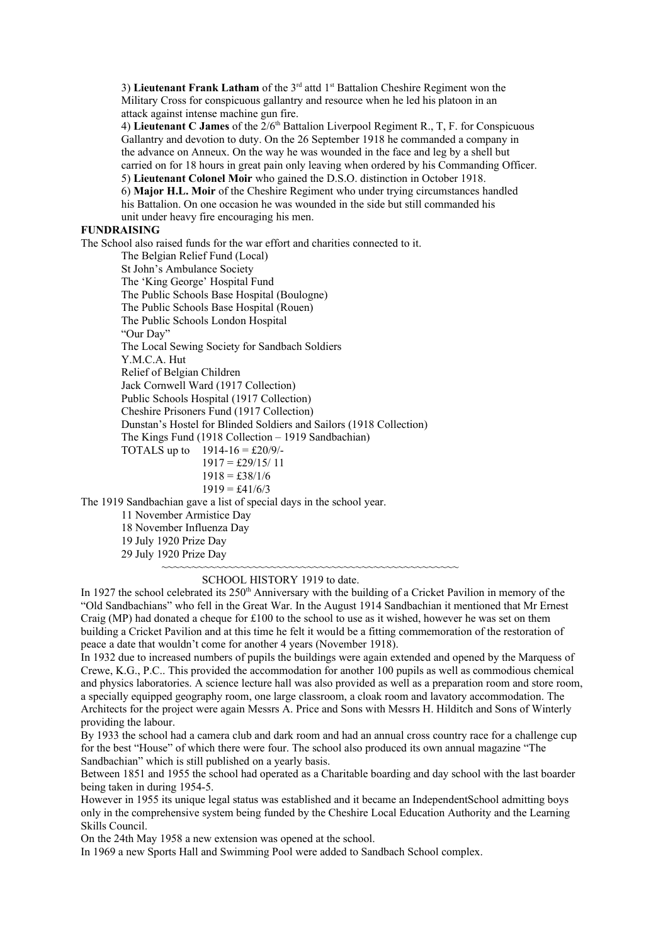3) **Lieutenant Frank Latham** of the 3<sup>rd</sup> attd 1<sup>st</sup> Battalion Cheshire Regiment won the Military Cross for conspicuous gallantry and resource when he led his platoon in an attack against intense machine gun fire.

4) Lieutenant C James of the 2/6<sup>th</sup> Battalion Liverpool Regiment R., T, F. for Conspicuous Gallantry and devotion to duty. On the 26 September 1918 he commanded a company in the advance on Anneux. On the way he was wounded in the face and leg by a shell but carried on for 18 hours in great pain only leaving when ordered by his Commanding Officer. 5) **Lieutenant Colonel Moir** who gained the D.S.O. distinction in October 1918. 6) **Major H.L. Moir** of the Cheshire Regiment who under trying circumstances handled his Battalion. On one occasion he was wounded in the side but still commanded his unit under heavy fire encouraging his men.

### **FUNDRAISING**

The School also raised funds for the war effort and charities connected to it.

The Belgian Relief Fund (Local) St John's Ambulance Society The 'King George' Hospital Fund The Public Schools Base Hospital (Boulogne) The Public Schools Base Hospital (Rouen) The Public Schools London Hospital "Our Day" The Local Sewing Society for Sandbach Soldiers Y.M.C.A. Hut Relief of Belgian Children Jack Cornwell Ward (1917 Collection) Public Schools Hospital (1917 Collection) Cheshire Prisoners Fund (1917 Collection) Dunstan's Hostel for Blinded Soldiers and Sailors (1918 Collection) The Kings Fund (1918 Collection – 1919 Sandbachian) TOTALS up to  $1914-16 = \text{\pounds}20/9$ /- $1917 = \pounds29/15/11$  $1918 = \text{\pounds}38/1/6$  $1919 = \text{\pounds}41/6/3$ 

The 1919 Sandbachian gave a list of special days in the school year.

11 November Armistice Day

18 November Influenza Day

19 July 1920 Prize Day

29 July 1920 Prize Day

### SCHOOL HISTORY 1919 to date.

In 1927 the school celebrated its 250<sup>th</sup> Anniversary with the building of a Cricket Pavilion in memory of the "Old Sandbachians" who fell in the Great War. In the August 1914 Sandbachian it mentioned that Mr Ernest Craig (MP) had donated a cheque for  $£100$  to the school to use as it wished, however he was set on them building a Cricket Pavilion and at this time he felt it would be a fitting commemoration of the restoration of peace a date that wouldn't come for another 4 years (November 1918).

~~~~~~~~~~~~~~~~~~~~~~~~~~~~~~~~~~~~~~~~~~~~~~~~~

In 1932 due to increased numbers of pupils the buildings were again extended and opened by the Marquess of Crewe, K.G., P.C.. This provided the accommodation for another 100 pupils as well as commodious chemical and physics laboratories. A science lecture hall was also provided as well as a preparation room and store room, a specially equipped geography room, one large classroom, a cloak room and lavatory accommodation. The Architects for the project were again Messrs A. Price and Sons with Messrs H. Hilditch and Sons of Winterly providing the labour.

By 1933 the school had a camera club and dark room and had an annual cross country race for a challenge cup for the best "House" of which there were four. The school also produced its own annual magazine "The Sandbachian" which is still published on a yearly basis.

Between 1851 and 1955 the school had operated as a Charitable boarding and day school with the last boarder being taken in during 1954-5.

However in 1955 its unique legal status was established and it became an IndependentSchool admitting boys only in the comprehensive system being funded by the Cheshire Local Education Authority and the Learning Skills Council.

On the 24th May 1958 a new extension was opened at the school.

In 1969 a new Sports Hall and Swimming Pool were added to Sandbach School complex.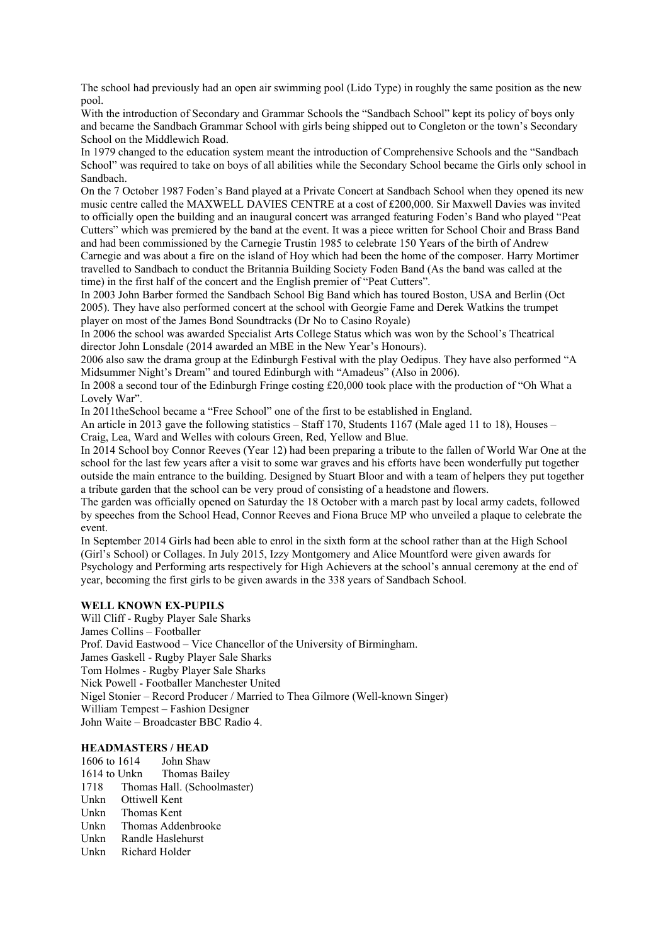The school had previously had an open air swimming pool (Lido Type) in roughly the same position as the new pool.

With the introduction of Secondary and Grammar Schools the "Sandbach School" kept its policy of boys only and became the Sandbach Grammar School with girls being shipped out to Congleton or the town's Secondary School on the Middlewich Road.

In 1979 changed to the education system meant the introduction of Comprehensive Schools and the "Sandbach School" was required to take on boys of all abilities while the Secondary School became the Girls only school in Sandbach.

On the 7 October 1987 Foden's Band played at a Private Concert at Sandbach School when they opened its new music centre called the MAXWELL DAVIES CENTRE at a cost of £200,000. Sir Maxwell Davies was invited to officially open the building and an inaugural concert was arranged featuring Foden's Band who played "Peat Cutters" which was premiered by the band at the event. It was a piece written for School Choir and Brass Band and had been commissioned by the Carnegie Trustin 1985 to celebrate 150 Years of the birth of Andrew Carnegie and was about a fire on the island of Hoy which had been the home of the composer. Harry Mortimer travelled to Sandbach to conduct the Britannia Building Society Foden Band (As the band was called at the time) in the first half of the concert and the English premier of "Peat Cutters".

In 2003 John Barber formed the Sandbach School Big Band which has toured Boston, USA and Berlin (Oct 2005). They have also performed concert at the school with Georgie Fame and Derek Watkins the trumpet player on most of the James Bond Soundtracks (Dr No to Casino Royale)

In 2006 the school was awarded Specialist Arts College Status which was won by the School's Theatrical director John Lonsdale (2014 awarded an MBE in the New Year's Honours).

2006 also saw the drama group at the Edinburgh Festival with the play Oedipus. They have also performed "A Midsummer Night's Dream" and toured Edinburgh with "Amadeus" (Also in 2006).

In 2008 a second tour of the Edinburgh Fringe costing £20,000 took place with the production of "Oh What a Lovely War".

In 2011theSchool became a "Free School" one of the first to be established in England.

An article in 2013 gave the following statistics – Staff 170, Students 1167 (Male aged 11 to 18), Houses – Craig, Lea, Ward and Welles with colours Green, Red, Yellow and Blue.

In 2014 School boy Connor Reeves (Year 12) had been preparing a tribute to the fallen of World War One at the school for the last few years after a visit to some war graves and his efforts have been wonderfully put together outside the main entrance to the building. Designed by Stuart Bloor and with a team of helpers they put together a tribute garden that the school can be very proud of consisting of a headstone and flowers.

The garden was officially opened on Saturday the 18 October with a march past by local army cadets, followed by speeches from the School Head, Connor Reeves and Fiona Bruce MP who unveiled a plaque to celebrate the event.

In September 2014 Girls had been able to enrol in the sixth form at the school rather than at the High School (Girl's School) or Collages. In July 2015, Izzy Montgomery and Alice Mountford were given awards for Psychology and Performing arts respectively for High Achievers at the school's annual ceremony at the end of year, becoming the first girls to be given awards in the 338 years of Sandbach School.

### **WELL KNOWN EX-PUPILS**

Will Cliff - Rugby Player Sale Sharks James Collins – Footballer Prof. David Eastwood – Vice Chancellor of the University of Birmingham. James Gaskell - Rugby Player Sale Sharks Tom Holmes - Rugby Player Sale Sharks Nick Powell - Footballer Manchester United Nigel Stonier – Record Producer / Married to Thea Gilmore (Well-known Singer) William Tempest – Fashion Designer John Waite – Broadcaster BBC Radio 4.

### **HEADMASTERS / HEAD**

1606 to 1614 John Shaw 1614 to Unkn Thomas Bailey 1718 Thomas Hall. (Schoolmaster) Unkn Ottiwell Kent Unkn Thomas Kent Unkn Thomas Addenbrooke Unkn Randle Haslehurst Unkn Richard Holder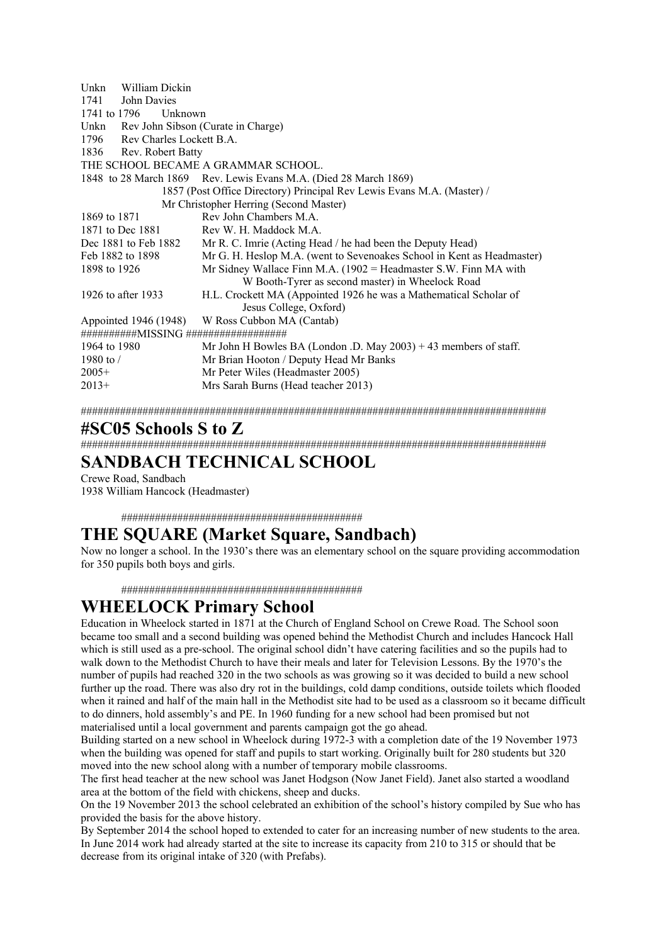| William Dickin<br>Unkn        |                                                                        |
|-------------------------------|------------------------------------------------------------------------|
| 1741<br>John Davies           |                                                                        |
| 1741 to 1796<br>Unknown       |                                                                        |
| Unkn                          | Rev John Sibson (Curate in Charge)                                     |
| 1796 Rev Charles Lockett B.A. |                                                                        |
| 1836 Rev. Robert Batty        |                                                                        |
|                               | THE SCHOOL BECAME A GRAMMAR SCHOOL.                                    |
|                               | 1848 to 28 March 1869 Rev. Lewis Evans M.A. (Died 28 March 1869)       |
|                               | 1857 (Post Office Directory) Principal Rev Lewis Evans M.A. (Master) / |
|                               | Mr Christopher Herring (Second Master)                                 |
| 1869 to 1871                  | Rev John Chambers M.A.                                                 |
| 1871 to Dec 1881              | Rev W. H. Maddock M.A.                                                 |
| Dec 1881 to Feb 1882          | Mr R. C. Imrie (Acting Head / he had been the Deputy Head)             |
| Feb 1882 to 1898              | Mr G. H. Heslop M.A. (went to Sevenoakes School in Kent as Headmaster) |
| 1898 to 1926                  | Mr Sidney Wallace Finn M.A. (1902 = Headmaster S.W. Finn MA with       |
|                               | W Booth-Tyrer as second master) in Wheelock Road                       |
| 1926 to after 1933            | H.L. Crockett MA (Appointed 1926 he was a Mathematical Scholar of      |
|                               | Jesus College, Oxford)                                                 |
| Appointed 1946 (1948)         | W Ross Cubbon MA (Cantab)                                              |
|                               |                                                                        |
| 1964 to 1980                  | Mr John H Bowles BA (London .D. May $2003$ ) + 43 members of staff.    |
| 1980 to $/$                   | Mr Brian Hooton / Deputy Head Mr Banks                                 |
| $2005+$                       | Mr Peter Wiles (Headmaster 2005)                                       |
| $2013+$                       | Mrs Sarah Burns (Head teacher 2013)                                    |
|                               |                                                                        |

###################################################################################

### **#SC05 Schools S to Z**

###################################################################################

## **SANDBACH TECHNICAL SCHOOL**

Crewe Road, Sandbach 1938 William Hancock (Headmaster)

###########################################

# **THE SQUARE (Market Square, Sandbach)**

Now no longer a school. In the 1930's there was an elementary school on the square providing accommodation for 350 pupils both boys and girls.

###########################################

## **WHEELOCK Primary School**

Education in Wheelock started in 1871 at the Church of England School on Crewe Road. The School soon became too small and a second building was opened behind the Methodist Church and includes Hancock Hall which is still used as a pre-school. The original school didn't have catering facilities and so the pupils had to walk down to the Methodist Church to have their meals and later for Television Lessons. By the 1970's the number of pupils had reached 320 in the two schools as was growing so it was decided to build a new school further up the road. There was also dry rot in the buildings, cold damp conditions, outside toilets which flooded when it rained and half of the main hall in the Methodist site had to be used as a classroom so it became difficult to do dinners, hold assembly's and PE. In 1960 funding for a new school had been promised but not materialised until a local government and parents campaign got the go ahead.

Building started on a new school in Wheelock during 1972-3 with a completion date of the 19 November 1973 when the building was opened for staff and pupils to start working. Originally built for 280 students but 320 moved into the new school along with a number of temporary mobile classrooms.

The first head teacher at the new school was Janet Hodgson (Now Janet Field). Janet also started a woodland area at the bottom of the field with chickens, sheep and ducks.

On the 19 November 2013 the school celebrated an exhibition of the school's history compiled by Sue who has provided the basis for the above history.

By September 2014 the school hoped to extended to cater for an increasing number of new students to the area. In June 2014 work had already started at the site to increase its capacity from 210 to 315 or should that be decrease from its original intake of 320 (with Prefabs).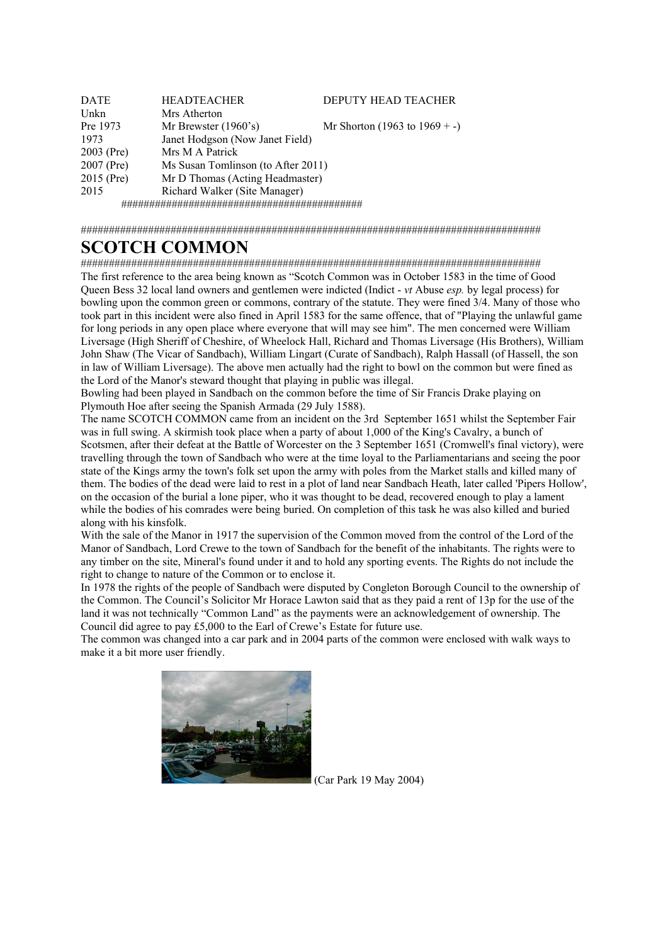| <b>DATE</b> | <b>HEADTEACHER</b>                 | DEPUTY HEAD TEACHER              |  |
|-------------|------------------------------------|----------------------------------|--|
| Unkn        | Mrs Atherton                       |                                  |  |
| Pre 1973    | Mr Brewster $(1960's)$             | Mr Shorton (1963 to $1969 + -$ ) |  |
| 1973        | Janet Hodgson (Now Janet Field)    |                                  |  |
| 2003 (Pre)  | Mrs M A Patrick                    |                                  |  |
| 2007 (Pre)  | Ms Susan Tomlinson (to After 2011) |                                  |  |
| 2015 (Pre)  | Mr D Thomas (Acting Headmaster)    |                                  |  |
| 2015        | Richard Walker (Site Manager)      |                                  |  |
|             |                                    |                                  |  |

##################################################################################

# **SCOTCH COMMON**

################################################################################## The first reference to the area being known as "Scotch Common was in October 1583 in the time of Good Queen Bess 32 local land owners and gentlemen were indicted (Indict - *vt* Abuse *esp.* by legal process) for bowling upon the common green or commons, contrary of the statute. They were fined 3/4. Many of those who took part in this incident were also fined in April 1583 for the same offence, that of "Playing the unlawful game for long periods in any open place where everyone that will may see him". The men concerned were William Liversage (High Sheriff of Cheshire, of Wheelock Hall, Richard and Thomas Liversage (His Brothers), William John Shaw (The Vicar of Sandbach), William Lingart (Curate of Sandbach), Ralph Hassall (of Hassell, the son in law of William Liversage). The above men actually had the right to bowl on the common but were fined as the Lord of the Manor's steward thought that playing in public was illegal.

Bowling had been played in Sandbach on the common before the time of Sir Francis Drake playing on Plymouth Hoe after seeing the Spanish Armada (29 July 1588).

The name SCOTCH COMMON came from an incident on the 3rd September 1651 whilst the September Fair was in full swing. A skirmish took place when a party of about 1,000 of the King's Cavalry, a bunch of Scotsmen, after their defeat at the Battle of Worcester on the 3 September 1651 (Cromwell's final victory), were travelling through the town of Sandbach who were at the time loyal to the Parliamentarians and seeing the poor state of the Kings army the town's folk set upon the army with poles from the Market stalls and killed many of them. The bodies of the dead were laid to rest in a plot of land near Sandbach Heath, later called 'Pipers Hollow', on the occasion of the burial a lone piper, who it was thought to be dead, recovered enough to play a lament while the bodies of his comrades were being buried. On completion of this task he was also killed and buried along with his kinsfolk.

With the sale of the Manor in 1917 the supervision of the Common moved from the control of the Lord of the Manor of Sandbach, Lord Crewe to the town of Sandbach for the benefit of the inhabitants. The rights were to any timber on the site, Mineral's found under it and to hold any sporting events. The Rights do not include the right to change to nature of the Common or to enclose it.

In 1978 the rights of the people of Sandbach were disputed by Congleton Borough Council to the ownership of the Common. The Council's Solicitor Mr Horace Lawton said that as they paid a rent of 13p for the use of the land it was not technically "Common Land" as the payments were an acknowledgement of ownership. The Council did agree to pay £5,000 to the Earl of Crewe's Estate for future use.

The common was changed into a car park and in 2004 parts of the common were enclosed with walk ways to make it a bit more user friendly.



(Car Park 19 May 2004)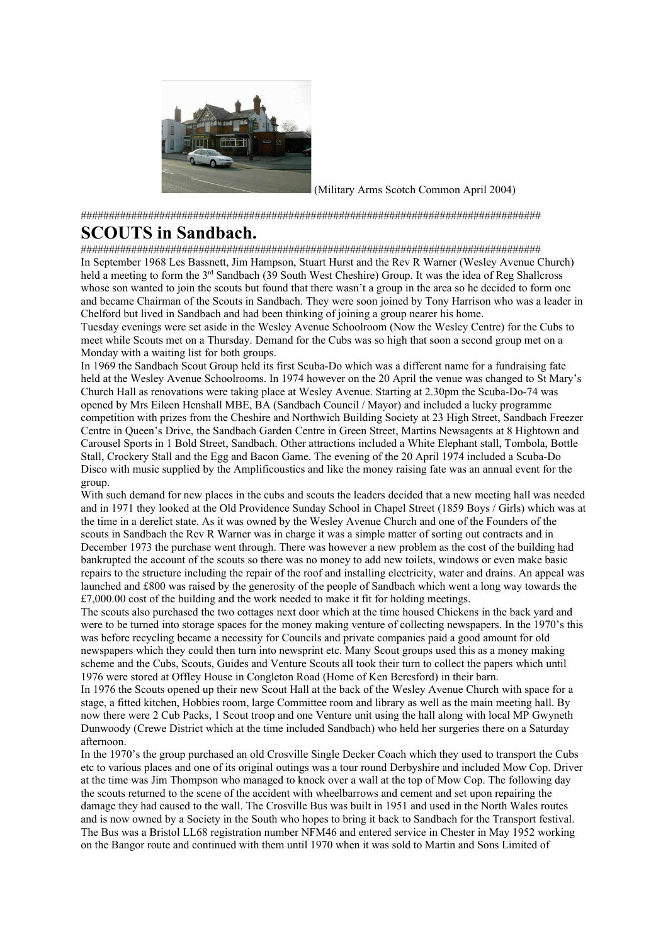

(Military Arms Scotch Common April 2004)

##################################################################################

## **SCOUTS in Sandbach.**

##################################################################################

In September 1968 Les Bassnett, Jim Hampson, Stuart Hurst and the Rev R Warner (Wesley Avenue Church) held a meeting to form the 3<sup>rd</sup> Sandbach (39 South West Cheshire) Group. It was the idea of Reg Shallcross whose son wanted to join the scouts but found that there wasn't a group in the area so he decided to form one and became Chairman of the Scouts in Sandbach. They were soon joined by Tony Harrison who was a leader in Chelford but lived in Sandbach and had been thinking of joining a group nearer his home.

Tuesday evenings were set aside in the Wesley Avenue Schoolroom (Now the Wesley Centre) for the Cubs to meet while Scouts met on a Thursday. Demand for the Cubs was so high that soon a second group met on a Monday with a waiting list for both groups.

In 1969 the Sandbach Scout Group held its first Scuba-Do which was a different name for a fundraising fate held at the Wesley Avenue Schoolrooms. In 1974 however on the 20 April the venue was changed to St Mary's Church Hall as renovations were taking place at Wesley Avenue. Starting at 2.30pm the Scuba-Do-74 was opened by Mrs Eileen Henshall MBE, BA (Sandbach Council / Mayor) and included a lucky programme competition with prizes from the Cheshire and Northwich Building Society at 23 High Street, Sandbach Freezer Centre in Queen's Drive, the Sandbach Garden Centre in Green Street, Martins Newsagents at 8 Hightown and Carousel Sports in 1 Bold Street, Sandbach. Other attractions included a White Elephant stall, Tombola, Bottle Stall, Crockery Stall and the Egg and Bacon Game. The evening of the 20 April 1974 included a Scuba-Do Disco with music supplied by the Amplificoustics and like the money raising fate was an annual event for the group.

With such demand for new places in the cubs and scouts the leaders decided that a new meeting hall was needed and in 1971 they looked at the Old Providence Sunday School in Chapel Street (1859 Boys / Girls) which was at the time in a derelict state. As it was owned by the Wesley Avenue Church and one of the Founders of the scouts in Sandbach the Rev R Warner was in charge it was a simple matter of sorting out contracts and in December 1973 the purchase went through. There was however a new problem as the cost of the building had bankrupted the account of the scouts so there was no money to add new toilets, windows or even make basic repairs to the structure including the repair of the roof and installing electricity, water and drains. An appeal was launched and £800 was raised by the generosity of the people of Sandbach which went a long way towards the  $£7,000.00 \text{ cost of the building and the work needed to make it fit for holding meetings.}$ 

The scouts also purchased the two cottages next door which at the time housed Chickens in the back yard and were to be turned into storage spaces for the money making venture of collecting newspapers. In the 1970's this was before recycling became a necessity for Councils and private companies paid a good amount for old newspapers which they could then turn into newsprint etc. Many Scout groups used this as a money making scheme and the Cubs, Scouts, Guides and Venture Scouts all took their turn to collect the papers which until 1976 were stored at Offley House in Congleton Road (Home of Ken Beresford) in their barn.

In 1976 the Scouts opened up their new Scout Hall at the back of the Wesley Avenue Church with space for a stage, a fitted kitchen, Hobbies room, large Committee room and library as well as the main meeting hall. By now there were 2 Cub Packs, 1 Scout troop and one Venture unit using the hall along with local MP Gwyneth Dunwoody (Crewe District which at the time included Sandbach) who held her surgeries there on a Saturday afternoon.

In the 1970's the group purchased an old Crosville Single Decker Coach which they used to transport the Cubs etc to various places and one of its original outings was a tour round Derbyshire and included Mow Cop. Driver at the time was Jim Thompson who managed to knock over a wall at the top of Mow Cop. The following day the scouts returned to the scene of the accident with wheelbarrows and cement and set upon repairing the damage they had caused to the wall. The Crosville Bus was built in 1951 and used in the North Wales routes and is now owned by a Society in the South who hopes to bring it back to Sandbach for the Transport festival. The Bus was a Bristol LL68 registration number NFM46 and entered service in Chester in May 1952 working on the Bangor route and continued with them until 1970 when it was sold to Martin and Sons Limited of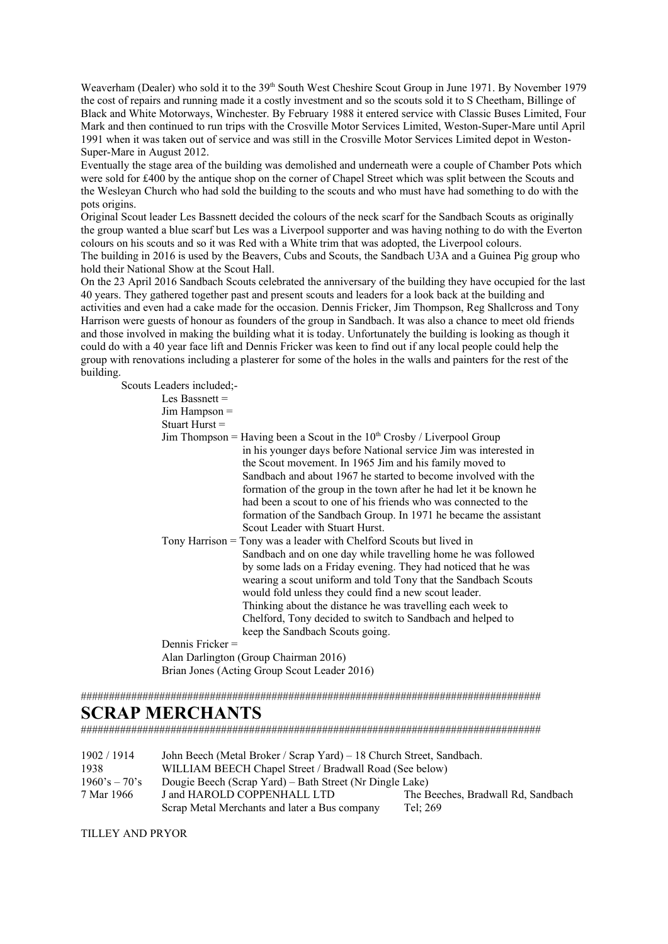Weaverham (Dealer) who sold it to the 39<sup>th</sup> South West Cheshire Scout Group in June 1971. By November 1979 the cost of repairs and running made it a costly investment and so the scouts sold it to S Cheetham, Billinge of Black and White Motorways, Winchester. By February 1988 it entered service with Classic Buses Limited, Four Mark and then continued to run trips with the Crosville Motor Services Limited, Weston-Super-Mare until April 1991 when it was taken out of service and was still in the Crosville Motor Services Limited depot in Weston-Super-Mare in August 2012.

Eventually the stage area of the building was demolished and underneath were a couple of Chamber Pots which were sold for £400 by the antique shop on the corner of Chapel Street which was split between the Scouts and the Wesleyan Church who had sold the building to the scouts and who must have had something to do with the pots origins.

Original Scout leader Les Bassnett decided the colours of the neck scarf for the Sandbach Scouts as originally the group wanted a blue scarf but Les was a Liverpool supporter and was having nothing to do with the Everton colours on his scouts and so it was Red with a White trim that was adopted, the Liverpool colours. The building in 2016 is used by the Beavers, Cubs and Scouts, the Sandbach U3A and a Guinea Pig group who hold their National Show at the Scout Hall.

On the 23 April 2016 Sandbach Scouts celebrated the anniversary of the building they have occupied for the last 40 years. They gathered together past and present scouts and leaders for a look back at the building and activities and even had a cake made for the occasion. Dennis Fricker, Jim Thompson, Reg Shallcross and Tony Harrison were guests of honour as founders of the group in Sandbach. It was also a chance to meet old friends and those involved in making the building what it is today. Unfortunately the building is looking as though it could do with a 40 year face lift and Dennis Fricker was keen to find out if any local people could help the group with renovations including a plasterer for some of the holes in the walls and painters for the rest of the building.

Scouts Leaders included:

| is licaucis menuucu,- |                                                                                                                                                                                                                                                                                                                                                                                                                                                                                                                                |
|-----------------------|--------------------------------------------------------------------------------------------------------------------------------------------------------------------------------------------------------------------------------------------------------------------------------------------------------------------------------------------------------------------------------------------------------------------------------------------------------------------------------------------------------------------------------|
| Les Bassnett $=$      |                                                                                                                                                                                                                                                                                                                                                                                                                                                                                                                                |
| $Jim$ Hampson $=$     |                                                                                                                                                                                                                                                                                                                                                                                                                                                                                                                                |
| Stuart Hurst $=$      |                                                                                                                                                                                                                                                                                                                                                                                                                                                                                                                                |
|                       | Jim Thompson = Having been a Scout in the $10^{th}$ Crosby / Liverpool Group<br>in his younger days before National service Jim was interested in<br>the Scout movement. In 1965 Jim and his family moved to<br>Sandbach and about 1967 he started to become involved with the<br>formation of the group in the town after he had let it be known he<br>had been a scout to one of his friends who was connected to the<br>formation of the Sandbach Group. In 1971 he became the assistant<br>Scout Leader with Stuart Hurst. |
|                       | Tony Harrison = Tony was a leader with Chelford Scouts but lived in<br>Sandbach and on one day while travelling home he was followed<br>by some lads on a Friday evening. They had noticed that he was<br>wearing a scout uniform and told Tony that the Sandbach Scouts<br>would fold unless they could find a new scout leader.<br>Thinking about the distance he was travelling each week to<br>Chelford, Tony decided to switch to Sandbach and helped to<br>keep the Sandbach Scouts going.                               |
| Dennis Fricker $=$    |                                                                                                                                                                                                                                                                                                                                                                                                                                                                                                                                |
|                       | Alan Darlington (Group Chairman 2016)                                                                                                                                                                                                                                                                                                                                                                                                                                                                                          |
|                       | Brian Jones (Acting Group Scout Leader 2016)                                                                                                                                                                                                                                                                                                                                                                                                                                                                                   |

##################################################################################

# **SCRAP MERCHANTS**

##################################################################################

| 1902/1914       | John Beech (Metal Broker / Scrap Yard) – 18 Church Street, Sandbach. |                                    |  |
|-----------------|----------------------------------------------------------------------|------------------------------------|--|
| 1938            | WILLIAM BEECH Chapel Street / Bradwall Road (See below)              |                                    |  |
| $1960's - 70's$ | Dougie Beech (Scrap Yard) – Bath Street (Nr Dingle Lake)             |                                    |  |
| 7 Mar 1966      | J and HAROLD COPPENHALL LTD                                          | The Beeches, Bradwall Rd, Sandbach |  |
|                 | Scrap Metal Merchants and later a Bus company                        | Tel: 269                           |  |

TILLEY AND PRYOR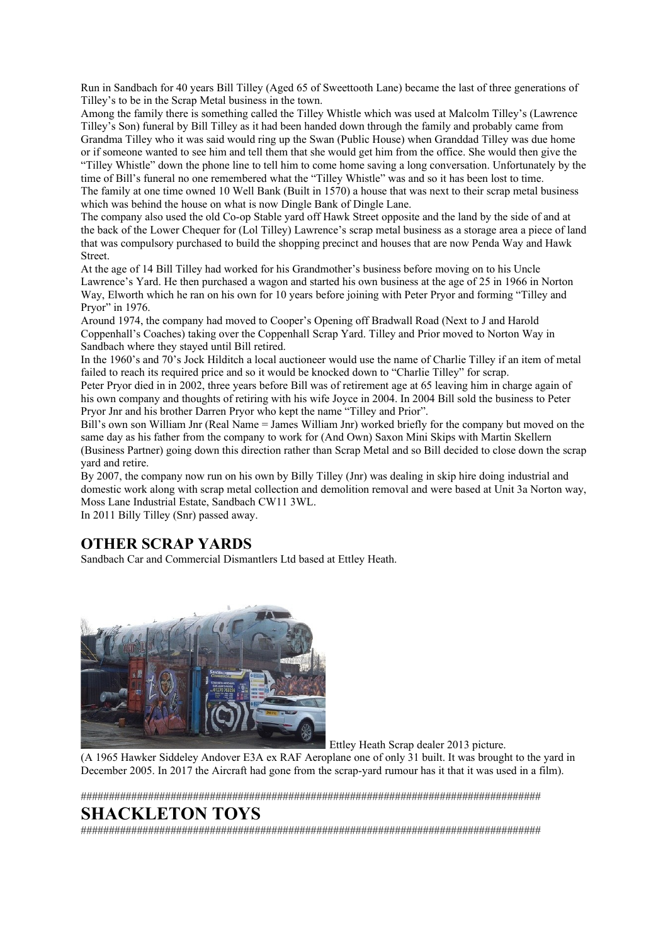Run in Sandbach for 40 years Bill Tilley (Aged 65 of Sweettooth Lane) became the last of three generations of Tilley's to be in the Scrap Metal business in the town.

Among the family there is something called the Tilley Whistle which was used at Malcolm Tilley's (Lawrence Tilley's Son) funeral by Bill Tilley as it had been handed down through the family and probably came from Grandma Tilley who it was said would ring up the Swan (Public House) when Granddad Tilley was due home or if someone wanted to see him and tell them that she would get him from the office. She would then give the "Tilley Whistle" down the phone line to tell him to come home saving a long conversation. Unfortunately by the time of Bill's funeral no one remembered what the "Tilley Whistle" was and so it has been lost to time. The family at one time owned 10 Well Bank (Built in 1570) a house that was next to their scrap metal business which was behind the house on what is now Dingle Bank of Dingle Lane.

The company also used the old Co-op Stable yard off Hawk Street opposite and the land by the side of and at the back of the Lower Chequer for (Lol Tilley) Lawrence's scrap metal business as a storage area a piece of land that was compulsory purchased to build the shopping precinct and houses that are now Penda Way and Hawk Street.

At the age of 14 Bill Tilley had worked for his Grandmother's business before moving on to his Uncle Lawrence's Yard. He then purchased a wagon and started his own business at the age of 25 in 1966 in Norton Way, Elworth which he ran on his own for 10 years before joining with Peter Pryor and forming "Tilley and Pryor" in 1976.

Around 1974, the company had moved to Cooper's Opening off Bradwall Road (Next to J and Harold Coppenhall's Coaches) taking over the Coppenhall Scrap Yard. Tilley and Prior moved to Norton Way in Sandbach where they stayed until Bill retired.

In the 1960's and 70's Jock Hilditch a local auctioneer would use the name of Charlie Tilley if an item of metal failed to reach its required price and so it would be knocked down to "Charlie Tilley" for scrap.

Peter Pryor died in in 2002, three years before Bill was of retirement age at 65 leaving him in charge again of his own company and thoughts of retiring with his wife Joyce in 2004. In 2004 Bill sold the business to Peter Pryor Jnr and his brother Darren Pryor who kept the name "Tilley and Prior".

Bill's own son William Jnr (Real Name = James William Jnr) worked briefly for the company but moved on the same day as his father from the company to work for (And Own) Saxon Mini Skips with Martin Skellern (Business Partner) going down this direction rather than Scrap Metal and so Bill decided to close down the scrap yard and retire.

By 2007, the company now run on his own by Billy Tilley (Jnr) was dealing in skip hire doing industrial and domestic work along with scrap metal collection and demolition removal and were based at Unit 3a Norton way, Moss Lane Industrial Estate, Sandbach CW11 3WL.

In 2011 Billy Tilley (Snr) passed away.

## **OTHER SCRAP YARDS**

Sandbach Car and Commercial Dismantlers Ltd based at Ettley Heath.



Ettley Heath Scrap dealer 2013 picture.

(A 1965 Hawker Siddeley Andover E3A ex RAF Aeroplane one of only 31 built. It was brought to the yard in December 2005. In 2017 the Aircraft had gone from the scrap-yard rumour has it that it was used in a film).

##################################################################################

# **SHACKLETON TOYS**

##################################################################################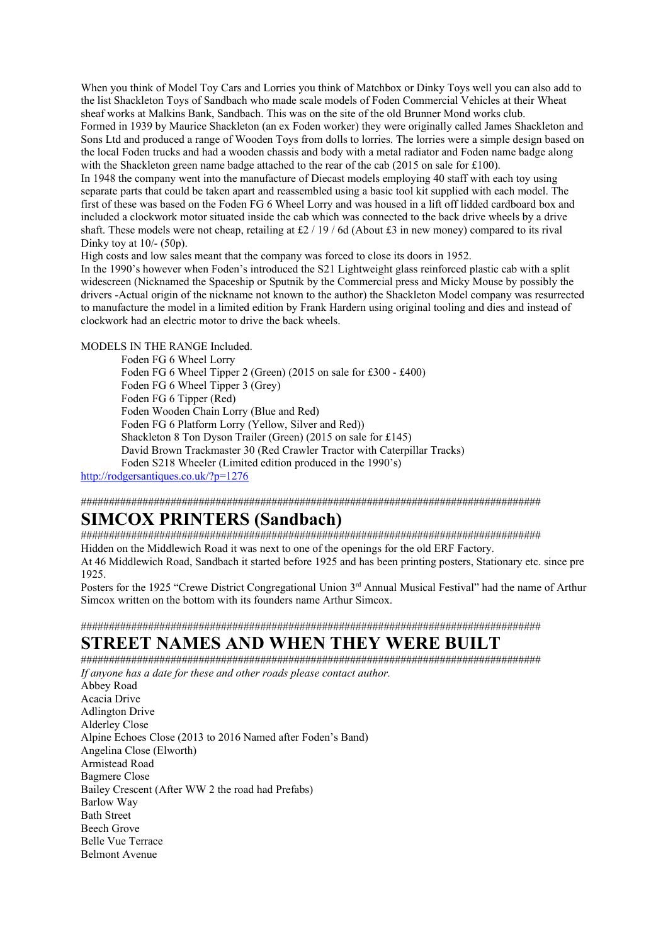When you think of Model Toy Cars and Lorries you think of Matchbox or Dinky Toys well you can also add to the list Shackleton Toys of Sandbach who made scale models of Foden Commercial Vehicles at their Wheat sheaf works at Malkins Bank, Sandbach. This was on the site of the old Brunner Mond works club. Formed in 1939 by Maurice Shackleton (an ex Foden worker) they were originally called James Shackleton and Sons Ltd and produced a range of Wooden Toys from dolls to lorries. The lorries were a simple design based on the local Foden trucks and had a wooden chassis and body with a metal radiator and Foden name badge along with the Shackleton green name badge attached to the rear of the cab (2015 on sale for £100).

In 1948 the company went into the manufacture of Diecast models employing 40 staff with each toy using separate parts that could be taken apart and reassembled using a basic tool kit supplied with each model. The first of these was based on the Foden FG 6 Wheel Lorry and was housed in a lift off lidded cardboard box and included a clockwork motor situated inside the cab which was connected to the back drive wheels by a drive shaft. These models were not cheap, retailing at  $\frac{2}{19}$  / 6d (About  $\pm 3$  in new money) compared to its rival Dinky toy at  $10/- (50p)$ .

High costs and low sales meant that the company was forced to close its doors in 1952.

In the 1990's however when Foden's introduced the S21 Lightweight glass reinforced plastic cab with a split widescreen (Nicknamed the Spaceship or Sputnik by the Commercial press and Micky Mouse by possibly the drivers -Actual origin of the nickname not known to the author) the Shackleton Model company was resurrected to manufacture the model in a limited edition by Frank Hardern using original tooling and dies and instead of clockwork had an electric motor to drive the back wheels.

MODELS IN THE RANGE Included.

Foden FG 6 Wheel Lorry Foden FG 6 Wheel Tipper 2 (Green) (2015 on sale for £300 - £400) Foden FG 6 Wheel Tipper 3 (Grey) Foden FG 6 Tipper (Red) Foden Wooden Chain Lorry (Blue and Red) Foden FG 6 Platform Lorry (Yellow, Silver and Red)) Shackleton 8 Ton Dyson Trailer (Green) (2015 on sale for £145) David Brown Trackmaster 30 (Red Crawler Tractor with Caterpillar Tracks) Foden S218 Wheeler (Limited edition produced in the 1990's)

<http://rodgersantiques.co.uk/?p=1276>

##################################################################################

# **SIMCOX PRINTERS (Sandbach)**

################################################################################## Hidden on the Middlewich Road it was next to one of the openings for the old ERF Factory. At 46 Middlewich Road, Sandbach it started before 1925 and has been printing posters, Stationary etc. since pre 1925.

Posters for the 1925 "Crewe District Congregational Union 3<sup>rd</sup> Annual Musical Festival" had the name of Arthur Simcox written on the bottom with its founders name Arthur Simcox.

### ################################################################################## **STREET NAMES AND WHEN THEY WERE BUILT**

##################################################################################

*If anyone has a date for these and other roads please contact author.*  Abbey Road Acacia Drive Adlington Drive Alderley Close Alpine Echoes Close (2013 to 2016 Named after Foden's Band) Angelina Close (Elworth) Armistead Road Bagmere Close Bailey Crescent (After WW 2 the road had Prefabs) Barlow Way Bath Street Beech Grove Belle Vue Terrace Belmont Avenue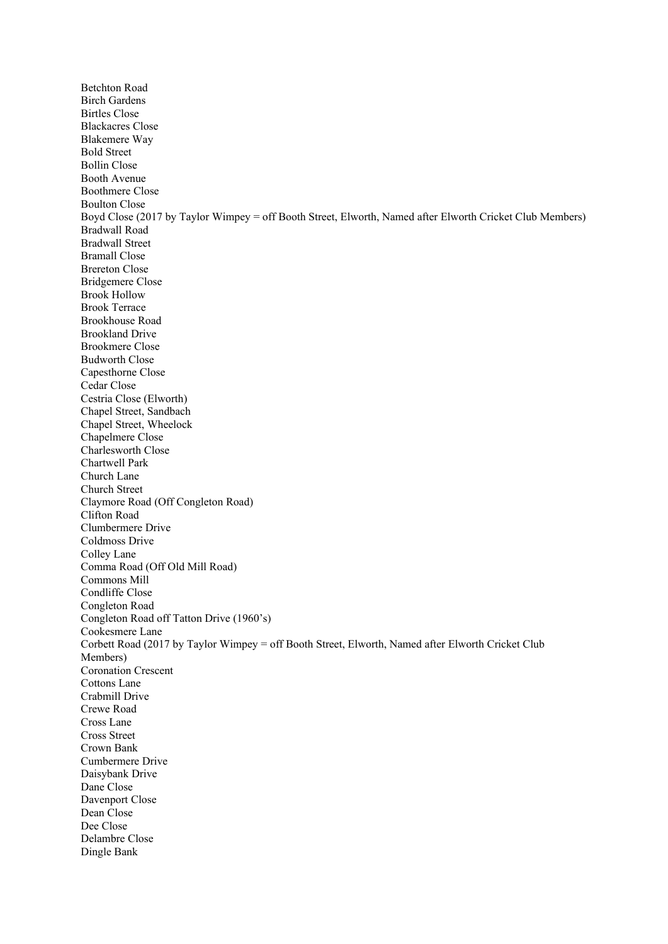Betchton Road Birch Gardens Birtles Close Blackacres Close Blakemere Way Bold Street Bollin Close Booth Avenue Boothmere Close Boulton Close Boyd Close (2017 by Taylor Wimpey = off Booth Street, Elworth, Named after Elworth Cricket Club Members) Bradwall Road Bradwall Street Bramall Close Brereton Close Bridgemere Close Brook Hollow Brook Terrace Brookhouse Road Brookland Drive Brookmere Close Budworth Close Capesthorne Close Cedar Close Cestria Close (Elworth) Chapel Street, Sandbach Chapel Street, Wheelock Chapelmere Close Charlesworth Close Chartwell Park Church Lane Church Street Claymore Road (Off Congleton Road) Clifton Road Clumbermere Drive Coldmoss Drive Colley Lane Comma Road (Off Old Mill Road) Commons Mill Condliffe Close Congleton Road Congleton Road off Tatton Drive (1960's) Cookesmere Lane Corbett Road (2017 by Taylor Wimpey = off Booth Street, Elworth, Named after Elworth Cricket Club Members) Coronation Crescent Cottons Lane Crabmill Drive Crewe Road Cross Lane Cross Street Crown Bank Cumbermere Drive Daisybank Drive Dane Close Davenport Close Dean Close Dee Close Delambre Close Dingle Bank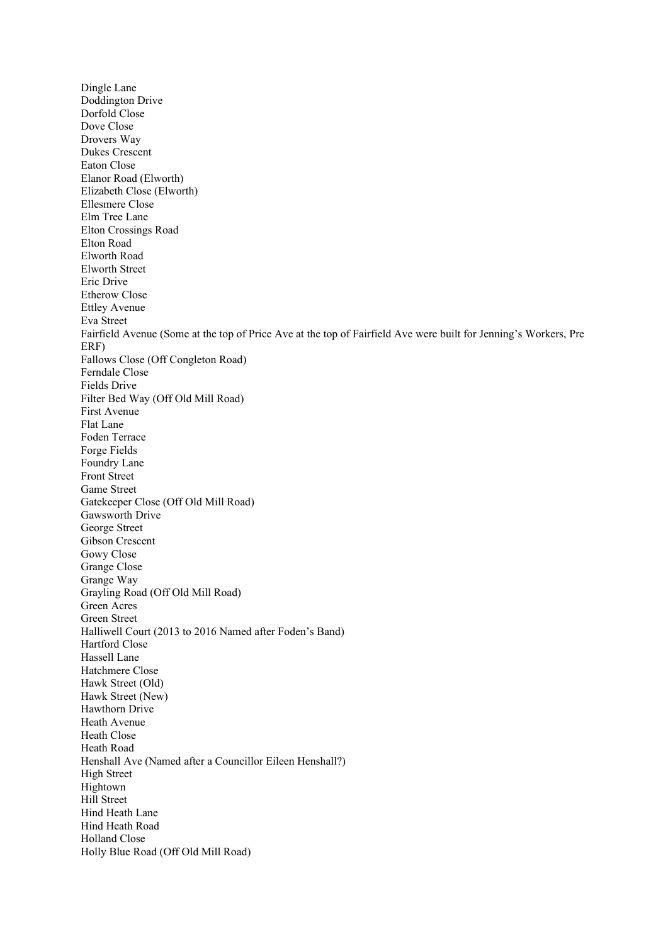Dingle Lane Doddington Drive Dorfold Close Dove Close Drovers Way Dukes Crescent Eaton Close Elanor Road (Elworth) Elizabeth Close (Elworth) Ellesmere Close Elm Tree Lane Elton Crossings Road Elton Road Elworth Road Elworth Street Eric Drive Etherow Close Ettley Avenue Eva Street Fairfield Avenue (Some at the top of Price Ave at the top of Fairfield Ave were built for Jenning's Workers, Pre ERF) Fallows Close (Off Congleton Road) Ferndale Close Fields Drive Filter Bed Way (Off Old Mill Road) First Avenue Flat Lane Foden Terrace Forge Fields Foundry Lane Front Street Game Street Gatekeeper Close (Off Old Mill Road) Gawsworth Drive George Street Gibson Crescent Gowy Close Grange Close Grange Way Grayling Road (Off Old Mill Road) Green Acres Green Street Halliwell Court (2013 to 2016 Named after Foden's Band) Hartford Close Hassell Lane Hatchmere Close Hawk Street (Old) Hawk Street (New) Hawthorn Drive Heath Avenue Heath Close Heath Road Henshall Ave (Named after a Councillor Eileen Henshall?) High Street Hightown Hill Street Hind Heath Lane Hind Heath Road Holland Close Holly Blue Road (Off Old Mill Road)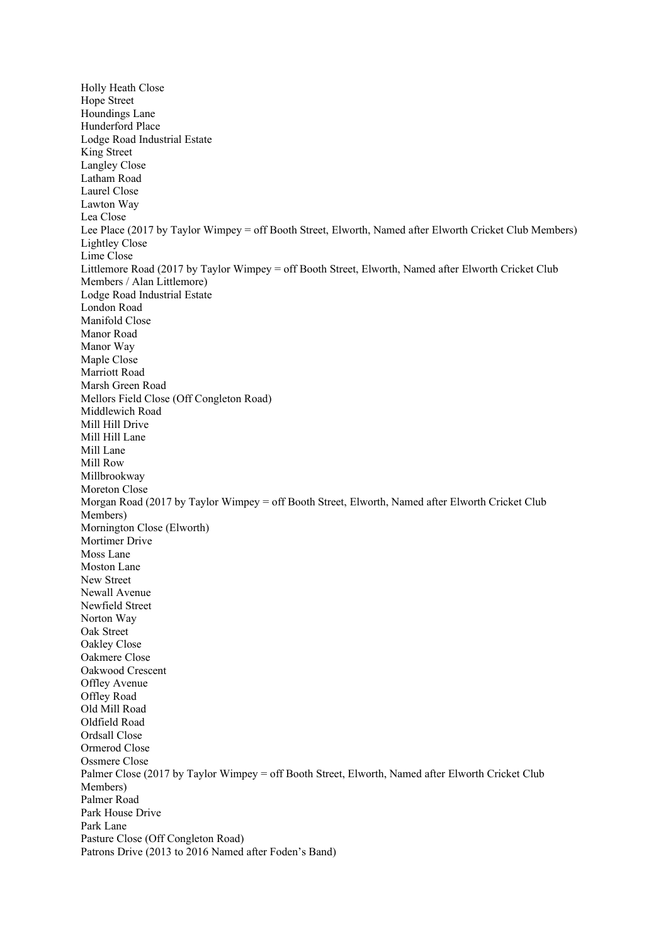Holly Heath Close Hope Street Houndings Lane Hunderford Place Lodge Road Industrial Estate King Street Langley Close Latham Road Laurel Close Lawton Way Lea Close Lee Place (2017 by Taylor Wimpey = off Booth Street, Elworth, Named after Elworth Cricket Club Members) Lightley Close Lime Close Littlemore Road (2017 by Taylor Wimpey = off Booth Street, Elworth, Named after Elworth Cricket Club Members / Alan Littlemore) Lodge Road Industrial Estate London Road Manifold Close Manor Road Manor Way Maple Close Marriott Road Marsh Green Road Mellors Field Close (Off Congleton Road) Middlewich Road Mill Hill Drive Mill Hill Lane Mill Lane Mill Row Millbrookway Moreton Close Morgan Road (2017 by Taylor Wimpey = off Booth Street, Elworth, Named after Elworth Cricket Club Members) Mornington Close (Elworth) Mortimer Drive Moss Lane Moston Lane New Street Newall Avenue Newfield Street Norton Way Oak Street Oakley Close Oakmere Close Oakwood Crescent Offley Avenue Offley Road Old Mill Road Oldfield Road Ordsall Close Ormerod Close Ossmere Close Palmer Close (2017 by Taylor Wimpey = off Booth Street, Elworth, Named after Elworth Cricket Club Members) Palmer Road Park House Drive Park Lane Pasture Close (Off Congleton Road) Patrons Drive (2013 to 2016 Named after Foden's Band)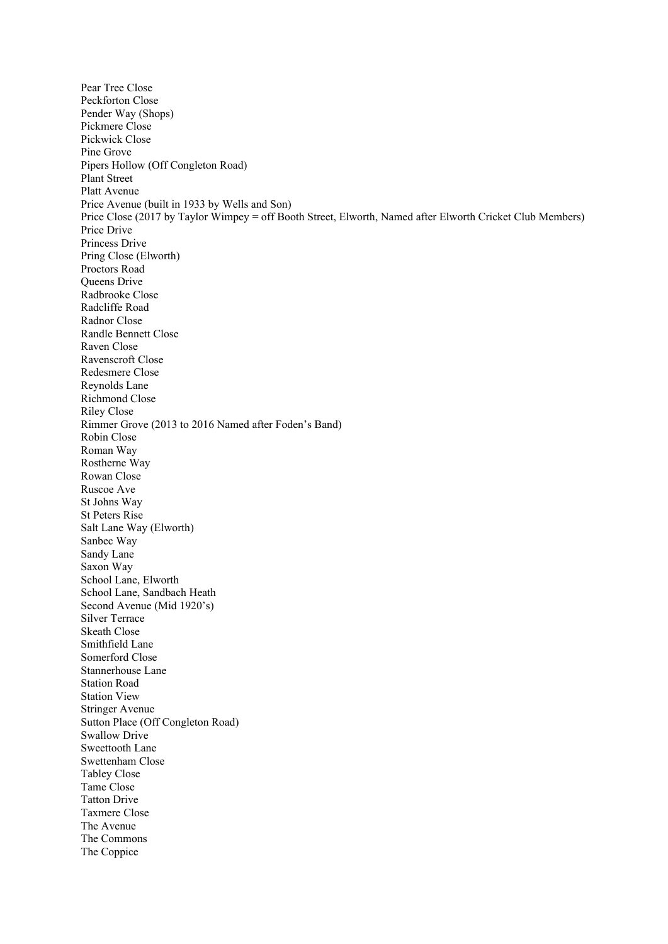Pear Tree Close Peckforton Close Pender Way (Shops) Pickmere Close Pickwick Close Pine Grove Pipers Hollow (Off Congleton Road) Plant Street Platt Avenue Price Avenue (built in 1933 by Wells and Son) Price Close (2017 by Taylor Wimpey = off Booth Street, Elworth, Named after Elworth Cricket Club Members) Price Drive Princess Drive Pring Close (Elworth) Proctors Road Queens Drive Radbrooke Close Radcliffe Road Radnor Close Randle Bennett Close Raven Close Ravenscroft Close Redesmere Close Reynolds Lane Richmond Close Riley Close Rimmer Grove (2013 to 2016 Named after Foden's Band) Robin Close Roman Way Rostherne Way Rowan Close Ruscoe Ave St Johns Way St Peters Rise Salt Lane Way (Elworth) Sanbec Way Sandy Lane Saxon Way School Lane, Elworth School Lane, Sandbach Heath Second Avenue (Mid 1920's) Silver Terrace Skeath Close Smithfield Lane Somerford Close Stannerhouse Lane Station Road Station View Stringer Avenue Sutton Place (Off Congleton Road) Swallow Drive Sweettooth Lane Swettenham Close Tabley Close Tame Close Tatton Drive Taxmere Close The Avenue The Commons The Coppice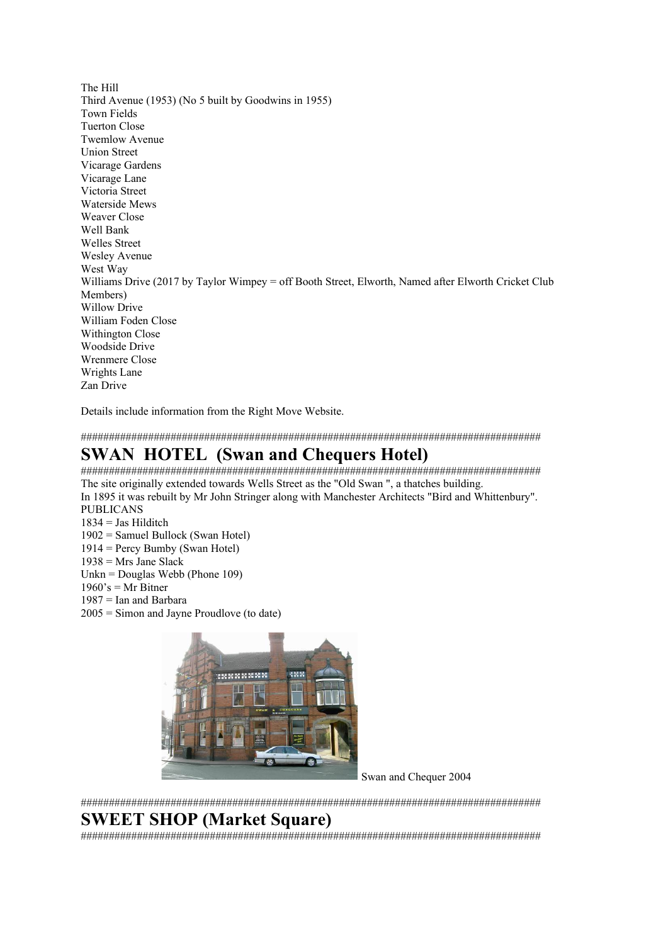The Hill Third Avenue (1953) (No 5 built by Goodwins in 1955) Town Fields Tuerton Close Twemlow Avenue Union Street Vicarage Gardens Vicarage Lane Victoria Street Waterside Mews Weaver Close Well Bank Welles Street Wesley Avenue West Way Williams Drive (2017 by Taylor Wimpey = off Booth Street, Elworth, Named after Elworth Cricket Club Members) Willow Drive William Foden Close Withington Close Woodside Drive Wrenmere Close Wrights Lane Zan Drive

Details include information from the Right Move Website.

##################################################################################

## **SWAN HOTEL (Swan and Chequers Hotel)**

################################################################################## The site originally extended towards Wells Street as the "Old Swan ", a thatches building.

In 1895 it was rebuilt by Mr John Stringer along with Manchester Architects "Bird and Whittenbury". PUBLICANS

- $1834 =$  Jas Hilditch
- 1902 = Samuel Bullock (Swan Hotel)
- 1914 = Percy Bumby (Swan Hotel)
- $1938$  = Mrs Jane Slack
- Unkn = Douglas Webb (Phone 109)
- $1960$ 's = Mr Bitner
- 1987 = Ian and Barbara
- 2005 = Simon and Jayne Proudlove (to date)



Swan and Chequer 2004

##################################################################################

# **SWEET SHOP (Market Square)**

##################################################################################